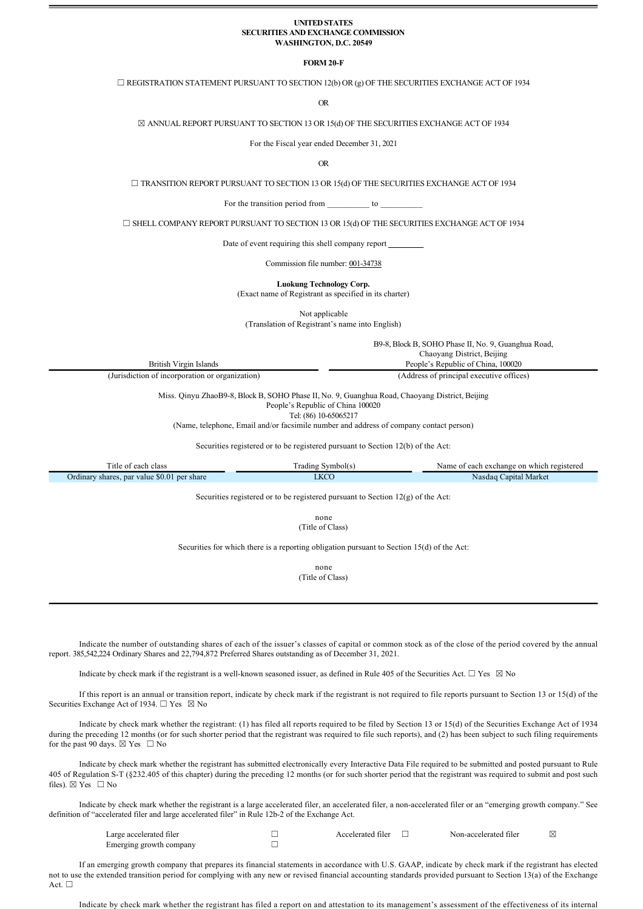### **UNITED STATES SECURITIES AND EXCHANGE COMMISSION WASHINGTON, D.C. 20549**

### **FORM 20-F**

 $\Box$  REGISTRATION STATEMENT PURSUANT TO SECTION 12(b) OR (g) OF THE SECURITIES EXCHANGE ACT OF 1934

OR

### ☒ ANNUAL REPORT PURSUANT TO SECTION 13 OR 15(d) OF THE SECURITIES EXCHANGE ACT OF 1934

For the Fiscal year ended December 31, 2021

OR

☐ TRANSITION REPORT PURSUANT TO SECTION 13 OR 15(d) OF THE SECURITIES EXCHANGE ACT OF 1934

For the transition period from to  $\sim$ 

 $\Box$  SHELL COMPANY REPORT PURSUANT TO SECTION 13 OR 15(d) OF THE SECURITIES EXCHANGE ACT OF 1934

Date of event requiring this shell company report \_

Commission file number: 001-34738

**Luokung Technology Corp.**

(Exact name of Registrant as specified in its charter)

Not applicable

(Translation of Registrant's name into English)

B9-8, Block B, SOHO Phase II, No. 9, Guanghua Road, Chaoyang District, Beijing People's Republic of China, 100020

(Jurisdiction of incorporation or organization) (Address of principal executive offices)

British Virgin Islands

Miss. Qinyu ZhaoB9-8, Block B, SOHO Phase II, No. 9, Guanghua Road, Chaoyang District, Beijing People's Republic of China 100020

Tel: (86) 10-65065217

(Name, telephone, Email and/or facsimile number and address of company contact person)

Securities registered or to be registered pursuant to Section 12(b) of the Act:

| cars."<br>class<br><sub>1</sub> tle<br>ាមាន                                                  |  | registeren :<br>Name<br>which<br>nn<br>change<br>eacr |  |
|----------------------------------------------------------------------------------------------|--|-------------------------------------------------------|--|
| ¢Λ<br>$\sim$<br><b><i><u>Drdinar</u></i></b><br>per<br>share<br>shar<br>par<br>value<br>50.0 |  | Market<br>apital<br>Nasdad                            |  |

Securities registered or to be registered pursuant to Section 12(g) of the Act:

none (Title of Class)

Securities for which there is a reporting obligation pursuant to Section 15(d) of the Act:

none (Title of Class)

Indicate the number of outstanding shares of each of the issuer's classes of capital or common stock as of the close of the period covered by the annual report. 385,542,224 Ordinary Shares and 22,794,872 Preferred Shares outstanding as of December 31, 2021.

Indicate by check mark if the registrant is a well-known seasoned issuer, as defined in Rule 405 of the Securities Act.  $\Box$  Yes  $\boxtimes$  No

If this report is an annual or transition report, indicate by check mark if the registrant is not required to file reports pursuant to Section 13 or 15(d) of the Securities Exchange Act of 1934.  $\Box$  Yes  $\boxtimes$  No

Indicate by check mark whether the registrant: (1) has filed all reports required to be filed by Section 13 or 15(d) of the Securities Exchange Act of 1934 during the preceding 12 months (or for such shorter period that the registrant was required to file such reports), and (2) has been subject to such filing requirements for the past 90 days.  $\boxtimes$  Yes  $\Box$  No

Indicate by check mark whether the registrant has submitted electronically every Interactive Data File required to be submitted and posted pursuant to Rule 405 of Regulation ST (§232.405 of this chapter) during the preceding 12 months (or for such shorter period that the registrant was required to submit and post such files).  $\boxtimes$  Yes  $\Box$  No

Indicate by check mark whether the registrant is a large accelerated filer, an accelerated filer, a nonaccelerated filer or an "emerging growth company." See definition of "accelerated filer and large accelerated filer" in Rule 12b-2 of the Exchange Act.

> Large accelerated filer □ Accelerated filer □ Non-accelerated filer □ Non-accelerated filer ⊠ Emerging growth company **□**

If an emerging growth company that prepares its financial statements in accordance with U.S. GAAP, indicate by check mark if the registrant has elected not to use the extended transition period for complying with any new or revised financial accounting standards provided pursuant to Section 13(a) of the Exchange Act $\Gamma$ 

Indicate by check mark whether the registrant has filed a report on and attestation to its management's assessment of the effectiveness of its internal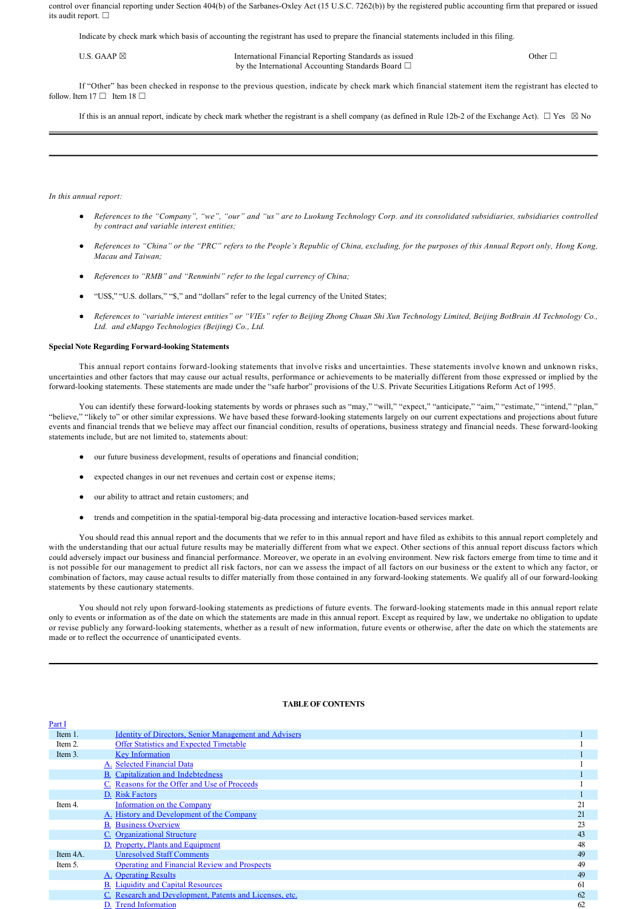control over financial reporting under Section 404(b) of the Sarbanes-Oxley Act (15 U.S.C. 7262(b)) by the registered public accounting firm that prepared or issued its audit report.  $\Box$ 

Indicate by check mark whether the registrant has filed a report on and attestation to its management's assessment of the effectiveness of its internal

Indicate by check mark which basis of accounting the registrant has used to prepare the financial statements included in this filing.

| U.S. GAAP $\boxtimes$ | International Financial Reporting Standards as issued     |  |
|-----------------------|-----------------------------------------------------------|--|
|                       | by the International Accounting Standards Board $\square$ |  |

If "Other" has been checked in response to the previous question, indicate by check mark which financial statement item the registrant has elected to follow. Item  $17 \Box$  Item  $18 \Box$ 

If this is an annual report, indicate by check mark whether the registrant is a shell company (as defined in Rule 12b-2 of the Exchange Act).  $\Box$  Yes  $\boxtimes$  No

# *In this annual report:*

Part I

- *References to the "Company", "we", "our" and "us" are to Luokung Technology Corp. and its consolidated subsidiaries, subsidiaries controlled by contract and variable interest entities;*
- *References to "China" or the "PRC" refers to the People's Republic of China, excluding, for the purposes of this Annual Report only, Hong Kong, Macau and Taiwan;*
- *References to "RMB" and "Renminbi" refer to the legal currency of China;*
- "US\$," "U.S. dollars," "\$," and "dollars" refer to the legal currency of the United States;
- *References to "variable interest entities" or "VIEs" refer to Beijing Zhong Chuan Shi Xun Technology Limited, Beijing BotBrain AI Technology Co., Ltd. and eMapgo Technologies (Beijing) Co., Ltd.*

### **Special Note Regarding Forward-looking Statements**

This annual report contains forward-looking statements that involve risks and uncertainties. These statements involve known and unknown risks, uncertainties and other factors that may cause our actual results, performance or achievements to be materially different from those expressed or implied by the forward-looking statements. These statements are made under the "safe harbor" provisions of the U.S. Private Securities Litigations Reform Act of 1995.

You can identify these forward-looking statements by words or phrases such as "may," "will," "expect," "anticipate," "aim," "estimate," "intend," "plan," "believe," "likely to" or other similar expressions. We have based these forward-looking statements largely on our current expectations and projections about future events and financial trends that we believe may affect our financial condition, results of operations, business strategy and financial needs. These forward-looking statements include, but are not limited to, statements about:

- our future business development, results of operations and financial condition;
- expected changes in our net revenues and certain cost or expense items;
- our ability to attract and retain customers; and
- trends and competition in the spatial-temporal big-data processing and interactive location-based services market.

You should read this annual report and the documents that we refer to in this annual report and have filed as exhibits to this annual report completely and with the understanding that our actual future results may be materially different from what we expect. Other sections of this annual report discuss factors which could adversely impact our business and financial performance. Moreover, we operate in an evolving environment. New risk factors emerge from time to time and it is not possible for our management to predict all risk factors, nor can we assess the impact of all factors on our business or the extent to which any factor, or combination of factors, may cause actual results to differ materially from those contained in any forward-looking statements. We qualify all of our forward-looking statements by these cautionary statements.

You should not rely upon forward-looking statements as predictions of future events. The forward-looking statements made in this annual report relate only to events or information as of the date on which the statements are made in this annual report. Except as required by law, we undertake no obligation to update or revise publicly any forwardlooking statements, whether as a result of new information, future events or otherwise, after the date on which the statements are made or to reflect the occurrence of unanticipated events.

# **TABLE OF CONTENTS**

| $1$ and $1$ |                                                              |    |
|-------------|--------------------------------------------------------------|----|
| Item 1.     | <b>Identity of Directors, Senior Management and Advisers</b> |    |
| Item 2.     | <b>Offer Statistics and Expected Timetable</b>               |    |
| Item 3.     | <b>Key Information</b>                                       |    |
|             | A. Selected Financial Data                                   |    |
|             | B. Capitalization and Indebtedness                           |    |
|             | C. Reasons for the Offer and Use of Proceeds                 |    |
|             | D. Risk Factors                                              |    |
| Item 4.     | Information on the Company                                   | 21 |
|             | A. History and Development of the Company                    | 21 |
|             | <b>B.</b> Business Overview                                  | 23 |
|             | C. Organizational Structure                                  | 43 |
|             | D. Property, Plants and Equipment                            | 48 |
| Item 4A.    | <b>Unresolved Staff Comments</b>                             | 49 |
| Item 5.     | <b>Operating and Financial Review and Prospects</b>          | 49 |
|             | A. Operating Results                                         | 49 |
|             | <b>B.</b> Liquidity and Capital Resources                    | 61 |
|             | C. Research and Development, Patents and Licenses, etc.      | 62 |
|             | D. Trend Information                                         | 62 |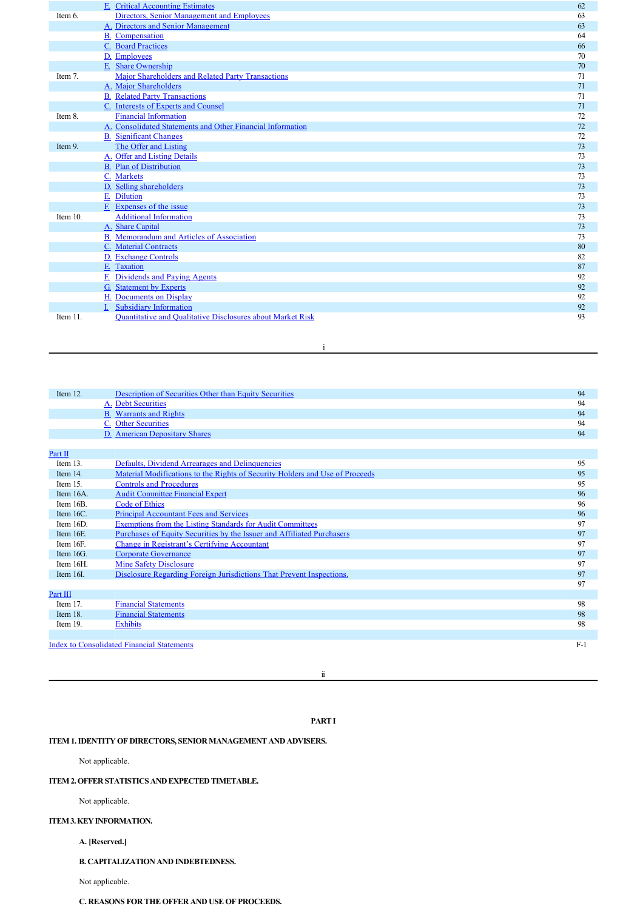|          | E. Critical Accounting Estimates                           | 62 |
|----------|------------------------------------------------------------|----|
| Item 6.  | Directors, Senior Management and Employees                 | 63 |
|          | A. Directors and Senior Management                         | 63 |
|          | <b>B.</b> Compensation                                     | 64 |
|          | C. Board Practices                                         | 66 |
|          | D. Employees                                               | 70 |
|          | E. Share Ownership                                         | 70 |
| Item 7.  | Major Shareholders and Related Party Transactions          | 71 |
|          | A. Major Shareholders                                      | 71 |
|          | <b>B.</b> Related Party Transactions                       | 71 |
|          | C. Interests of Experts and Counsel                        | 71 |
| Item 8.  | <b>Financial Information</b>                               | 72 |
|          | A. Consolidated Statements and Other Financial Information | 72 |
|          | <b>B.</b> Significant Changes                              | 72 |
| Item 9.  | The Offer and Listing                                      | 73 |
|          | A. Offer and Listing Details                               | 73 |
|          | <b>B.</b> Plan of Distribution                             | 73 |
|          | C. Markets                                                 | 73 |
|          | D. Selling shareholders                                    | 73 |
|          | E. Dilution                                                | 73 |
|          | E. Expenses of the issue                                   | 73 |
| Item 10. | <b>Additional Information</b>                              | 73 |
|          | A. Share Capital                                           | 73 |
|          | <b>B.</b> Memorandum and Articles of Association           | 73 |
|          | C. Material Contracts                                      | 80 |
|          | D. Exchange Controls                                       | 82 |
|          | E. Taxation                                                | 87 |
|          | Dividends and Paying Agents<br>F.                          | 92 |
|          | <b>Statement by Experts</b><br>G.                          | 92 |
|          | <b>Documents on Display</b><br>Н.                          | 92 |
|          | <b>Subsidiary Information</b>                              | 92 |
| Item 11. | Quantitative and Qualitative Disclosures about Market Risk | 93 |

| Item 12      |                                                                              | 94    |
|--------------|------------------------------------------------------------------------------|-------|
|              | Description of Securities Other than Equity Securities                       |       |
|              | A. Debt Securities                                                           | 94    |
|              | <b>B.</b> Warrants and Rights                                                | 94    |
|              | <b>Other Securities</b><br>C.                                                | 94    |
|              | D. American Depositary Shares                                                | 94    |
|              |                                                                              |       |
| Part II      |                                                                              |       |
| Item 13.     | Defaults, Dividend Arrearages and Delinquencies                              | 95    |
| Item 14      | Material Modifications to the Rights of Security Holders and Use of Proceeds | 95    |
| Item 15.     | <b>Controls and Procedures</b>                                               | 95    |
| Item 16A.    | <b>Audit Committee Financial Expert</b>                                      | 96    |
| Item 16B.    | <b>Code of Ethics</b>                                                        | 96    |
| Item $16C$ . | <b>Principal Accountant Fees and Services</b>                                | 96    |
| Item $16D$ . | Exemptions from the Listing Standards for Audit Committees                   | 97    |
| Item 16E     | Purchases of Equity Securities by the Issuer and Affiliated Purchasers       | 97    |
| Item 16F     | Change in Registrant's Certifying Accountant                                 | 97    |
| Item $16G$ . | <b>Corporate Governance</b>                                                  | 97    |
| Item 16H     | <b>Mine Safety Disclosure</b>                                                | 97    |
| Item $16I$ . | Disclosure Regarding Foreign Jurisdictions That Prevent Inspections.         | 97    |
|              |                                                                              | 97    |
| Part III     |                                                                              |       |
| Item 17      | <b>Financial Statements</b>                                                  | 98    |
| Item 18.     | <b>Financial Statements</b>                                                  | 98    |
| Item 19.     | <b>Exhibits</b>                                                              | 98    |
|              |                                                                              |       |
|              | <b>Index to Consolidated Financial Statements</b>                            | $F-1$ |
|              |                                                                              |       |
|              |                                                                              |       |

i

**PART I**

ii

# **ITEM 1. IDENTITY OF DIRECTORS, SENIOR MANAGEMENT AND ADVISERS.**

Not applicable.

# **ITEM 2. OFFER STATISTICS AND EXPECTED TIMETABLE.**

Not applicable.

# **ITEM 3. KEY INFORMATION.**

**A. [Reserved.]**

# **B. CAPITALIZATION AND INDEBTEDNESS.**

Not applicable.

# **C. REASONS FOR THE OFFER AND USE OF PROCEEDS.**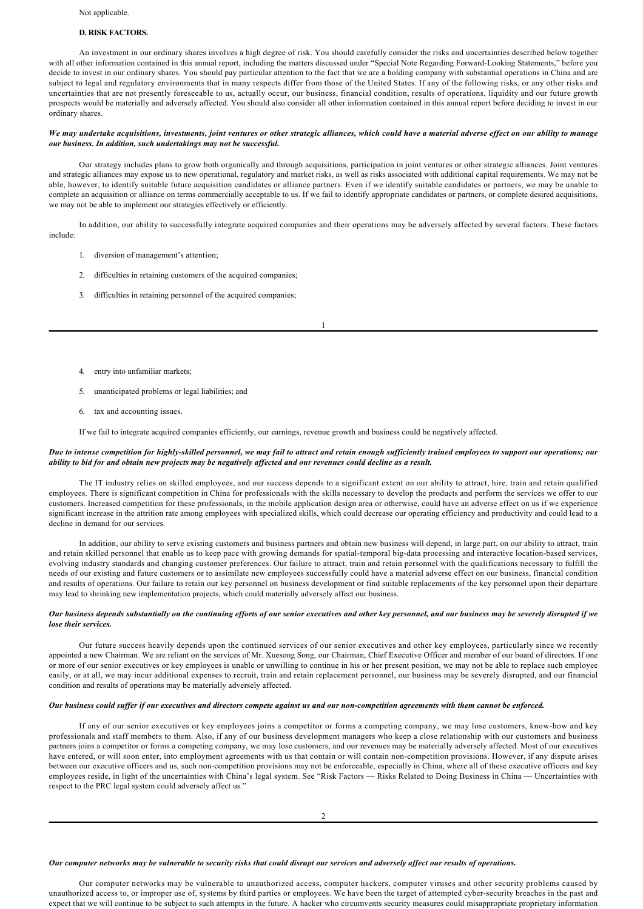#### Not applicable.

## **D. RISK FACTORS.**

An investment in our ordinary shares involves a high degree of risk. You should carefully consider the risks and uncertainties described below together with all other information contained in this annual report, including the matters discussed under "Special Note Regarding ForwardLooking Statements," before you decide to invest in our ordinary shares. You should pay particular attention to the fact that we are a holding company with substantial operations in China and are subject to legal and regulatory environments that in many respects differ from those of the United States. If any of the following risks, or any other risks and uncertainties that are not presently foreseeable to us, actually occur, our business, financial condition, results of operations, liquidity and our future growth prospects would be materially and adversely affected. You should also consider all other information contained in this annual report before deciding to invest in our ordinary shares.

# *We may undertake acquisitions, investments, joint ventures or other strategic alliances, which could have a material adverse effect on our ability to manage our business. In addition, such undertakings may not be successful.*

Our strategy includes plans to grow both organically and through acquisitions, participation in joint ventures or other strategic alliances. Joint ventures and strategic alliances may expose us to new operational, regulatory and market risks, as well as risks associated with additional capital requirements. We may not be able, however, to identify suitable future acquisition candidates or alliance partners. Even if we identify suitable candidates or partners, we may be unable to complete an acquisition or alliance on terms commercially acceptable to us. If we fail to identify appropriate candidates or partners, or complete desired acquisitions, we may not be able to implement our strategies effectively or efficiently.

In addition, our ability to successfully integrate acquired companies and their operations may be adversely affected by several factors. These factors include:

- 1. diversion of management's attention;
- 2. difficulties in retaining customers of the acquired companies;
- 3. difficulties in retaining personnel of the acquired companies;

1

- 4. entry into unfamiliar markets;
- 5. unanticipated problems or legal liabilities; and
- 6. tax and accounting issues.

If we fail to integrate acquired companies efficiently, our earnings, revenue growth and business could be negatively affected.

## *Due to intense competition for highlyskilled personnel, we may fail to attract and retain enough sufficiently trained employees to support our operations; our ability to bid for and obtain new projects may be negatively affected and our revenues could decline as a result.*

The IT industry relies on skilled employees, and our success depends to a significant extent on our ability to attract, hire, train and retain qualified employees. There is significant competition in China for professionals with the skills necessary to develop the products and perform the services we offer to our customers. Increased competition for these professionals, in the mobile application design area or otherwise, could have an adverse effect on us if we experience significant increase in the attrition rate among employees with specialized skills, which could decrease our operating efficiency and productivity and could lead to a decline in demand for our services.

In addition, our ability to serve existing customers and business partners and obtain new business will depend, in large part, on our ability to attract, train and retain skilled personnel that enable us to keep pace with growing demands for spatial-temporal big-data processing and interactive location-based services, evolving industry standards and changing customer preferences. Our failure to attract, train and retain personnel with the qualifications necessary to fulfill the needs of our existing and future customers or to assimilate new employees successfully could have a material adverse effect on our business, financial condition and results of operations. Our failure to retain our key personnel on business development or find suitable replacements of the key personnel upon their departure may lead to shrinking new implementation projects, which could materially adversely affect our business.

### *Our business depends substantially on the continuing efforts of our senior executives and other key personnel, and our business may be severely disrupted if we lose their services.*

Our future success heavily depends upon the continued services of our senior executives and other key employees, particularly since we recently appointed a new Chairman. We are reliant on the services of Mr. Xuesong Song, our Chairman, Chief Executive Officer and member of our board of directors. If one or more of our senior executives or key employees is unable or unwilling to continue in his or her present position, we may not be able to replace such employee easily, or at all, we may incur additional expenses to recruit, train and retain replacement personnel, our business may be severely disrupted, and our financial condition and results of operations may be materially adversely affected.

# *Our business could suffer if our executives and directors compete against us and our noncompetition agreements with them cannot be enforced.*

If any of our senior executives or key employees joins a competitor or forms a competing company, we may lose customers, knowhow and key professionals and staff members to them. Also, if any of our business development managers who keep a close relationship with our customers and business partners joins a competitor or forms a competing company, we may lose customers, and our revenues may be materially adversely affected. Most of our executives have entered, or will soon enter, into employment agreements with us that contain or will contain noncompetition provisions. However, if any dispute arises between our executive officers and us, such non-competition provisions may not be enforceable, especially in China, where all of these executive officers and key employees reside, in light of the uncertainties with China's legal system. See "Risk Factors — Risks Related to Doing Business in China — Uncertainties with respect to the PRC legal system could adversely affect us."

#### *Our computer networks may be vulnerable to security risks that could disrupt our services and adversely affect our results of operations.*

Our computer networks may be vulnerable to unauthorized access, computer hackers, computer viruses and other security problems caused by unauthorized access to, or improper use of, systems by third parties or employees. We have been the target of attempted cybersecurity breaches in the past and expect that we will continue to be subject to such attempts in the future. A hacker who circumvents security measures could misappropriate proprietary information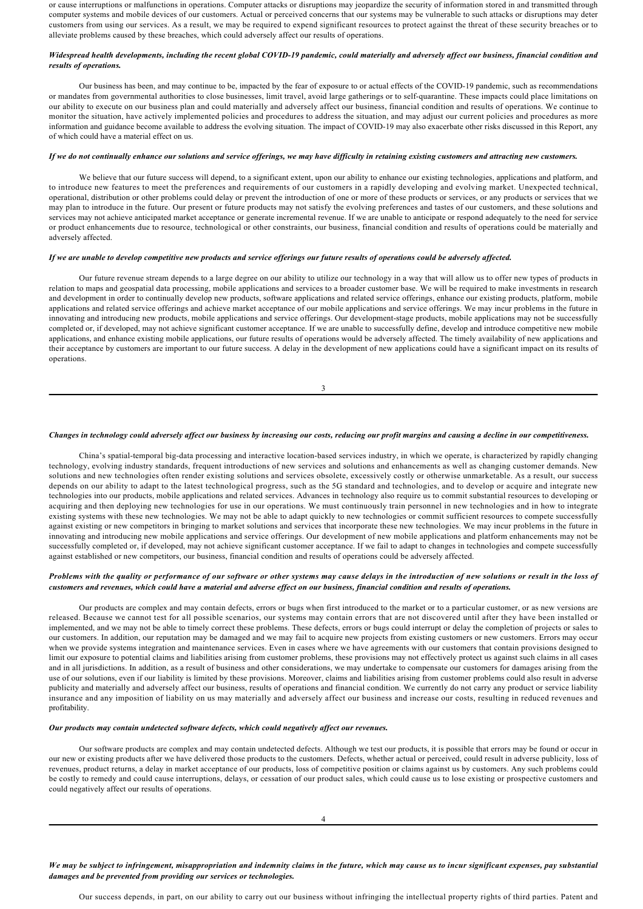or cause interruptions or malfunctions in operations. Computer attacks or disruptions may jeopardize the security of information stored in and transmitted through computer systems and mobile devices of our customers. Actual or perceived concerns that our systems may be vulnerable to such attacks or disruptions may deter customers from using our services. As a result, we may be required to expend significant resources to protect against the threat of these security breaches or to alleviate problems caused by these breaches, which could adversely affect our results of operations.

# *Widespread health developments, including the recent global COVID19 pandemic, could materially and adversely affect our business, financial condition and results of operations.*

Our business has been, and may continue to be, impacted by the fear of exposure to or actual effects of the COVID-19 pandemic, such as recommendations or mandates from governmental authorities to close businesses, limit travel, avoid large gatherings or to self-quarantine. These impacts could place limitations on our ability to execute on our business plan and could materially and adversely affect our business, financial condition and results of operations. We continue to monitor the situation, have actively implemented policies and procedures to address the situation, and may adjust our current policies and procedures as more information and guidance become available to address the evolving situation. The impact of COVID-19 may also exacerbate other risks discussed in this Report, any of which could have a material effect on us.

## *If we do not continually enhance our solutions and service offerings, we may have difficulty in retaining existing customers and attracting new customers.*

We believe that our future success will depend, to a significant extent, upon our ability to enhance our existing technologies, applications and platform, and to introduce new features to meet the preferences and requirements of our customers in a rapidly developing and evolving market. Unexpected technical, operational, distribution or other problems could delay or prevent the introduction of one or more of these products or services, or any products or services that we may plan to introduce in the future. Our present or future products may not satisfy the evolving preferences and tastes of our customers, and these solutions and services may not achieve anticipated market acceptance or generate incremental revenue. If we are unable to anticipate or respond adequately to the need for service or product enhancements due to resource, technological or other constraints, our business, financial condition and results of operations could be materially and adversely affected.

# *If we are unable to develop competitive new products and service offerings our future results of operations could be adversely affected.*

Our future revenue stream depends to a large degree on our ability to utilize our technology in a way that will allow us to offer new types of products in relation to maps and geospatial data processing, mobile applications and services to a broader customer base. We will be required to make investments in research and development in order to continually develop new products, software applications and related service offerings, enhance our existing products, platform, mobile applications and related service offerings and achieve market acceptance of our mobile applications and service offerings. We may incur problems in the future in innovating and introducing new products, mobile applications and service offerings. Our developmentstage products, mobile applications may not be successfully completed or, if developed, may not achieve significant customer acceptance. If we are unable to successfully define, develop and introduce competitive new mobile applications, and enhance existing mobile applications, our future results of operations would be adversely affected. The timely availability of new applications and their acceptance by customers are important to our future success. A delay in the development of new applications could have a significant impact on its results of operations.

3

#### *Changes in technology could adversely affect our business by increasing our costs, reducing our profit margins and causing a decline in our competitiveness.*

China's spatial-temporal big-data processing and interactive location-based services industry, in which we operate, is characterized by rapidly changing technology, evolving industry standards, frequent introductions of new services and solutions and enhancements as well as changing customer demands. New solutions and new technologies often render existing solutions and services obsolete, excessively costly or otherwise unmarketable. As a result, our success depends on our ability to adapt to the latest technological progress, such as the 5G standard and technologies, and to develop or acquire and integrate new technologies into our products, mobile applications and related services. Advances in technology also require us to commit substantial resources to developing or acquiring and then deploying new technologies for use in our operations. We must continuously train personnel in new technologies and in how to integrate existing systems with these new technologies. We may not be able to adapt quickly to new technologies or commit sufficient resources to compete successfully against existing or new competitors in bringing to market solutions and services that incorporate these new technologies. We may incur problems in the future in innovating and introducing new mobile applications and service offerings. Our development of new mobile applications and platform enhancements may not be successfully completed or, if developed, may not achieve significant customer acceptance. If we fail to adapt to changes in technologies and compete successfully against established or new competitors, our business, financial condition and results of operations could be adversely affected.

# *Problems with the quality or performance of our software or other systems may cause delays in the introduction of new solutions or result in the loss of customers and revenues, which could have a material and adverse effect on our business, financial condition and results of operations.*

Our products are complex and may contain defects, errors or bugs when first introduced to the market or to a particular customer, or as new versions are released. Because we cannot test for all possible scenarios, our systems may contain errors that are not discovered until after they have been installed or implemented, and we may not be able to timely correct these problems. These defects, errors or bugs could interrupt or delay the completion of projects or sales to our customers. In addition, our reputation may be damaged and we may fail to acquire new projects from existing customers or new customers. Errors may occur when we provide systems integration and maintenance services. Even in cases where we have agreements with our customers that contain provisions designed to limit our exposure to potential claims and liabilities arising from customer problems, these provisions may not effectively protect us against such claims in all cases and in all jurisdictions. In addition, as a result of business and other considerations, we may undertake to compensate our customers for damages arising from the use of our solutions, even if our liability is limited by these provisions. Moreover, claims and liabilities arising from customer problems could also result in adverse publicity and materially and adversely affect our business, results of operations and financial condition. We currently do not carry any product or service liability insurance and any imposition of liability on us may materially and adversely affect our business and increase our costs, resulting in reduced revenues and profitability.

### *Our products may contain undetected software defects, which could negatively affect our revenues.*

Our software products are complex and may contain undetected defects. Although we test our products, it is possible that errors may be found or occur in our new or existing products after we have delivered those products to the customers. Defects, whether actual or perceived, could result in adverse publicity, loss of revenues, product returns, a delay in market acceptance of our products, loss of competitive position or claims against us by customers. Any such problems could be costly to remedy and could cause interruptions, delays, or cessation of our product sales, which could cause us to lose existing or prospective customers and could negatively affect our results of operations.

*We may be subject to infringement, misappropriation and indemnity claims in the future, which may cause us to incur significant expenses, pay substantial damages and be prevented from providing our services or technologies.*

Our success depends, in part, on our ability to carry out our business without infringing the intellectual property rights of third parties. Patent and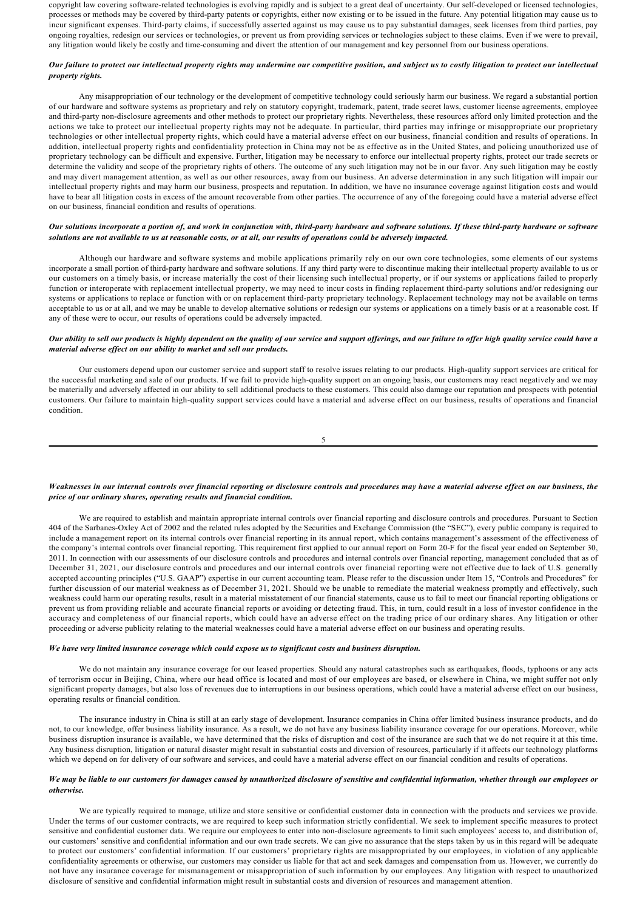copyright law covering software-related technologies is evolving rapidly and is subject to a great deal of uncertainty. Our self-developed or licensed technologies, processes or methods may be covered by third-party patents or copyrights, either now existing or to be issued in the future. Any potential litigation may cause us to incur significant expenses. Third-party claims, if successfully asserted against us may cause us to pay substantial damages, seek licenses from third parties, pay ongoing royalties, redesign our services or technologies, or prevent us from providing services or technologies subject to these claims. Even if we were to prevail, any litigation would likely be costly and timeconsuming and divert the attention of our management and key personnel from our business operations.

## *Our failure to protect our intellectual property rights may undermine our competitive position, and subject us to costly litigation to protect our intellectual property rights.*

Any misappropriation of our technology or the development of competitive technology could seriously harm our business. We regard a substantial portion of our hardware and software systems as proprietary and rely on statutory copyright, trademark, patent, trade secret laws, customer license agreements, employee and third-party non-disclosure agreements and other methods to protect our proprietary rights. Nevertheless, these resources afford only limited protection and the actions we take to protect our intellectual property rights may not be adequate. In particular, third parties may infringe or misappropriate our proprietary technologies or other intellectual property rights, which could have a material adverse effect on our business, financial condition and results of operations. In addition, intellectual property rights and confidentiality protection in China may not be as effective as in the United States, and policing unauthorized use of proprietary technology can be difficult and expensive. Further, litigation may be necessary to enforce our intellectual property rights, protect our trade secrets or determine the validity and scope of the proprietary rights of others. The outcome of any such litigation may not be in our favor. Any such litigation may be costly and may divert management attention, as well as our other resources, away from our business. An adverse determination in any such litigation will impair our intellectual property rights and may harm our business, prospects and reputation. In addition, we have no insurance coverage against litigation costs and would have to bear all litigation costs in excess of the amount recoverable from other parties. The occurrence of any of the foregoing could have a material adverse effect on our business, financial condition and results of operations.

# Our solutions incorporate a portion of, and work in conjunction with, third-party hardware and software solutions. If these third-party hardware or software *solutions are not available to us at reasonable costs, or at all, our results of operations could be adversely impacted.*

Although our hardware and software systems and mobile applications primarily rely on our own core technologies, some elements of our systems incorporate a small portion of third-party hardware and software solutions. If any third party were to discontinue making their intellectual property available to us or our customers on a timely basis, or increase materially the cost of their licensing such intellectual property, or if our systems or applications failed to properly function or interoperate with replacement intellectual property, we may need to incur costs in finding replacement third-party solutions and/or redesigning our systems or applications to replace or function with or on replacement third-party proprietary technology. Replacement technology may not be available on terms acceptable to us or at all, and we may be unable to develop alternative solutions or redesign our systems or applications on a timely basis or at a reasonable cost. If any of these were to occur, our results of operations could be adversely impacted.

# *Our ability to sell our products is highly dependent on the quality of our service and support offerings, and our failure to offer high quality service could have a material adverse effect on our ability to market and sell our products.*

Our customers depend upon our customer service and support staff to resolve issues relating to our products. High-quality support services are critical for the successful marketing and sale of our products. If we fail to provide high-quality support on an ongoing basis, our customers may react negatively and we may be materially and adversely affected in our ability to sell additional products to these customers. This could also damage our reputation and prospects with potential customers. Our failure to maintain high-quality support services could have a material and adverse effect on our business, results of operations and financial condition.

$$
\,5\,
$$

# *Weaknesses in our internal controls over financial reporting or disclosure controls and procedures may have a material adverse effect on our business, the price of our ordinary shares, operating results and financial condition.*

We are required to establish and maintain appropriate internal controls over financial reporting and disclosure controls and procedures. Pursuant to Section 404 of the Sarbanes-Oxley Act of 2002 and the related rules adopted by the Securities and Exchange Commission (the "SEC"), every public company is required to include a management report on its internal controls over financial reporting in its annual report, which contains management's assessment of the effectiveness of the company's internal controls over financial reporting. This requirement first applied to our annual report on Form 20-F for the fiscal year ended on September 30, 2011. In connection with our assessments of our disclosure controls and procedures and internal controls over financial reporting, management concluded that as of December 31, 2021, our disclosure controls and procedures and our internal controls over financial reporting were not effective due to lack of U.S. generally accepted accounting principles ("U.S. GAAP") expertise in our current accounting team. Please refer to the discussion under Item 15, "Controls and Procedures" for further discussion of our material weakness as of December 31, 2021. Should we be unable to remediate the material weakness promptly and effectively, such weakness could harm our operating results, result in a material misstatement of our financial statements, cause us to fail to meet our financial reporting obligations or prevent us from providing reliable and accurate financial reports or avoiding or detecting fraud. This, in turn, could result in a loss of investor confidence in the accuracy and completeness of our financial reports, which could have an adverse effect on the trading price of our ordinary shares. Any litigation or other proceeding or adverse publicity relating to the material weaknesses could have a material adverse effect on our business and operating results.

## *We have very limited insurance coverage which could expose us to significant costs and business disruption.*

We do not maintain any insurance coverage for our leased properties. Should any natural catastrophes such as earthquakes, floods, typhoons or any acts of terrorism occur in Beijing, China, where our head office is located and most of our employees are based, or elsewhere in China, we might suffer not only significant property damages, but also loss of revenues due to interruptions in our business operations, which could have a material adverse effect on our business, operating results or financial condition.

The insurance industry in China is still at an early stage of development. Insurance companies in China offer limited business insurance products, and do not, to our knowledge, offer business liability insurance. As a result, we do not have any business liability insurance coverage for our operations. Moreover, while business disruption insurance is available, we have determined that the risks of disruption and cost of the insurance are such that we do not require it at this time. Any business disruption, litigation or natural disaster might result in substantial costs and diversion of resources, particularly if it affects our technology platforms which we depend on for delivery of our software and services, and could have a material adverse effect on our financial condition and results of operations.

# *We may be liable to our customers for damages caused by unauthorized disclosure of sensitive and confidential information, whether through our employees or otherwise.*

We are typically required to manage, utilize and store sensitive or confidential customer data in connection with the products and services we provide. Under the terms of our customer contracts, we are required to keep such information strictly confidential. We seek to implement specific measures to protect sensitive and confidential customer data. We require our employees to enter into non-disclosure agreements to limit such employees' access to, and distribution of, our customers' sensitive and confidential information and our own trade secrets. We can give no assurance that the steps taken by us in this regard will be adequate to protect our customers' confidential information. If our customers' proprietary rights are misappropriated by our employees, in violation of any applicable confidentiality agreements or otherwise, our customers may consider us liable for that act and seek damages and compensation from us. However, we currently do not have any insurance coverage for mismanagement or misappropriation of such information by our employees. Any litigation with respect to unauthorized disclosure of sensitive and confidential information might result in substantial costs and diversion of resources and management attention.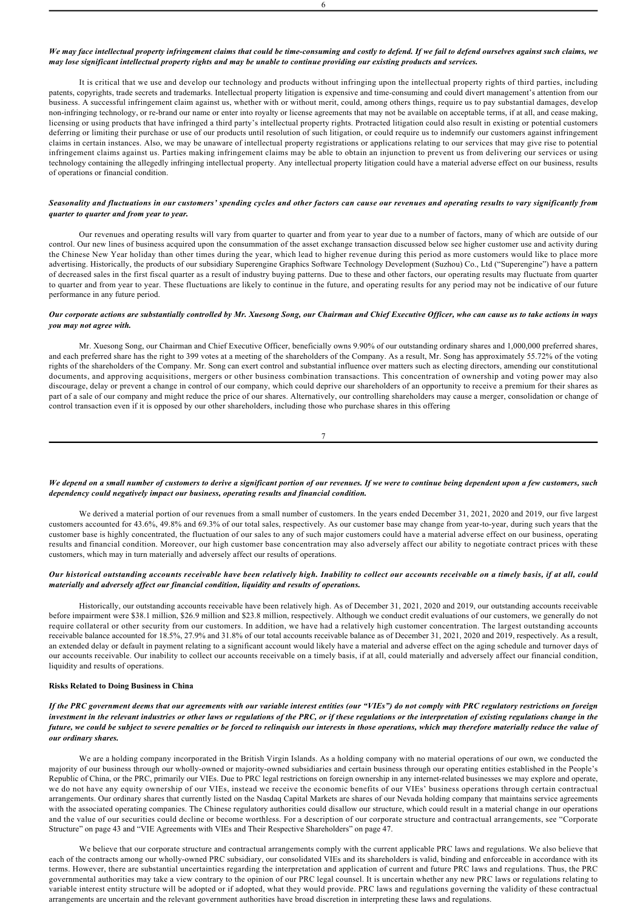# *We may face intellectual property infringement claims that could be timeconsuming and costly to defend. If we fail to defend ourselves against such claims, we may lose significant intellectual property rights and may be unable to continue providing our existing products and services.*

It is critical that we use and develop our technology and products without infringing upon the intellectual property rights of third parties, including patents, copyrights, trade secrets and trademarks. Intellectual property litigation is expensive and timeconsuming and could divert management's attention from our business. A successful infringement claim against us, whether with or without merit, could, among others things, require us to pay substantial damages, develop noninfringing technology, or rebrand our name or enter into royalty or license agreements that may not be available on acceptable terms, if at all, and cease making, licensing or using products that have infringed a third party's intellectual property rights. Protracted litigation could also result in existing or potential customers deferring or limiting their purchase or use of our products until resolution of such litigation, or could require us to indemnify our customers against infringement claims in certain instances. Also, we may be unaware of intellectual property registrations or applications relating to our services that may give rise to potential infringement claims against us. Parties making infringement claims may be able to obtain an injunction to prevent us from delivering our services or using technology containing the allegedly infringing intellectual property. Any intellectual property litigation could have a material adverse effect on our business, results of operations or financial condition.

# *Seasonality and fluctuations in our customers' spending cycles and other factors can cause our revenues and operating results to vary significantly from quarter to quarter and from year to year.*

Our revenues and operating results will vary from quarter to quarter and from year to year due to a number of factors, many of which are outside of our control. Our new lines of business acquired upon the consummation of the asset exchange transaction discussed below see higher customer use and activity during the Chinese New Year holiday than other times during the year, which lead to higher revenue during this period as more customers would like to place more advertising. Historically, the products of our subsidiary Superengine Graphics Software Technology Development (Suzhou) Co., Ltd ("Superengine") have a pattern of decreased sales in the first fiscal quarter as a result of industry buying patterns. Due to these and other factors, our operating results may fluctuate from quarter to quarter and from year to year. These fluctuations are likely to continue in the future, and operating results for any period may not be indicative of our future performance in any future period.

# *Our corporate actions are substantially controlled by Mr. Xuesong Song, our Chairman and Chief Executive Officer, who can cause us to take actions in ways you may not agree with.*

Mr. Xuesong Song, our Chairman and Chief Executive Officer, beneficially owns 9.90% of our outstanding ordinary shares and 1,000,000 preferred shares, and each preferred share has the right to 399 votes at a meeting of the shareholders of the Company. As a result, Mr. Song has approximately 55.72% of the voting rights of the shareholders of the Company. Mr. Song can exert control and substantial influence over matters such as electing directors, amending our constitutional documents, and approving acquisitions, mergers or other business combination transactions. This concentration of ownership and voting power may also discourage, delay or prevent a change in control of our company, which could deprive our shareholders of an opportunity to receive a premium for their shares as part of a sale of our company and might reduce the price of our shares. Alternatively, our controlling shareholders may cause a merger, consolidation or change of control transaction even if it is opposed by our other shareholders, including those who purchase shares in this offering

$$
\mathbf{7} \\
$$

## *We depend on a small number of customers to derive a significant portion of our revenues. If we were to continue being dependent upon a few customers, such dependency could negatively impact our business, operating results and financial condition.*

We derived a material portion of our revenues from a small number of customers. In the years ended December 31, 2021, 2020 and 2019, our five largest customers accounted for 43.6%, 49.8% and 69.3% of our total sales, respectively. As our customer base may change from year-to-year, during such years that the customer base is highly concentrated, the fluctuation of our sales to any of such major customers could have a material adverse effect on our business, operating results and financial condition. Moreover, our high customer base concentration may also adversely affect our ability to negotiate contract prices with these customers, which may in turn materially and adversely affect our results of operations.

# *Our historical outstanding accounts receivable have been relatively high. Inability to collect our accounts receivable on a timely basis, if at all, could materially and adversely affect our financial condition, liquidity and results of operations.*

Historically, our outstanding accounts receivable have been relatively high. As of December 31, 2021, 2020 and 2019, our outstanding accounts receivable before impairment were \$38.1 million, \$26.9 million and \$23.8 million, respectively. Although we conduct credit evaluations of our customers, we generally do not require collateral or other security from our customers. In addition, we have had a relatively high customer concentration. The largest outstanding accounts receivable balance accounted for 18.5%, 27.9% and 31.8% of our total accounts receivable balance as of December 31, 2021, 2020 and 2019, respectively. As a result, an extended delay or default in payment relating to a significant account would likely have a material and adverse effect on the aging schedule and turnover days of our accounts receivable. Our inability to collect our accounts receivable on a timely basis, if at all, could materially and adversely affect our financial condition, liquidity and results of operations.

# **Risks Related to Doing Business in China**

*If the PRC government deems that our agreements with our variable interest entities (our "VIEs") do not comply with PRC regulatory restrictions on foreign investment in the relevant industries or other laws or regulations of the PRC, or if these regulations or the interpretation of existing regulations change in the future, we could be subject to severe penalties or be forced to relinquish our interests in those operations, which may therefore materially reduce the value of our ordinary shares.*

We are a holding company incorporated in the British Virgin Islands. As a holding company with no material operations of our own, we conducted the majority of our business through our wholly-owned or majority-owned subsidiaries and certain business through our operating entities established in the People's Republic of China, or the PRC, primarily our VIEs. Due to PRC legal restrictions on foreign ownership in any internet-related businesses we may explore and operate, we do not have any equity ownership of our VIEs, instead we receive the economic benefits of our VIEs' business operations through certain contractual arrangements. Our ordinary shares that currently listed on the Nasdaq Capital Markets are shares of our Nevada holding company that maintains service agreements with the associated operating companies. The Chinese regulatory authorities could disallow our structure, which could result in a material change in our operations and the value of our securities could decline or become worthless. For a description of our corporate structure and contractual arrangements, see "Corporate Structure" on page 43 and "VIE Agreements with VIEs and Their Respective Shareholders" on page 47.

We believe that our corporate structure and contractual arrangements comply with the current applicable PRC laws and regulations. We also believe that each of the contracts among our wholly-owned PRC subsidiary, our consolidated VIEs and its shareholders is valid, binding and enforceable in accordance with its terms. However, there are substantial uncertainties regarding the interpretation and application of current and future PRC laws and regulations. Thus, the PRC governmental authorities may take a view contrary to the opinion of our PRC legal counsel. It is uncertain whether any new PRC laws or regulations relating to variable interest entity structure will be adopted or if adopted, what they would provide. PRC laws and regulations governing the validity of these contractual arrangements are uncertain and the relevant government authorities have broad discretion in interpreting these laws and regulations.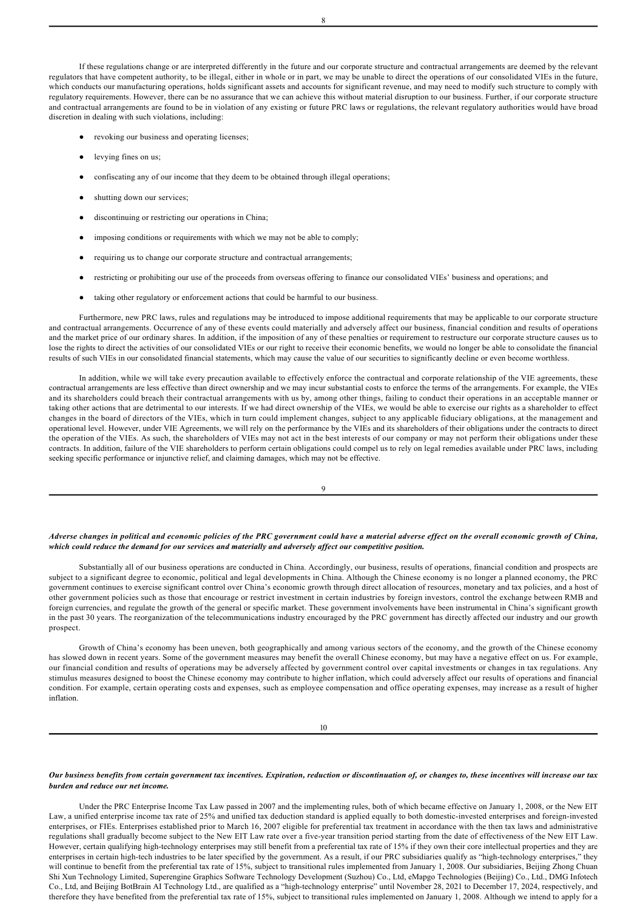If these regulations change or are interpreted differently in the future and our corporate structure and contractual arrangements are deemed by the relevant regulators that have competent authority, to be illegal, either in whole or in part, we may be unable to direct the operations of our consolidated VIEs in the future, which conducts our manufacturing operations, holds significant assets and accounts for significant revenue, and may need to modify such structure to comply with regulatory requirements. However, there can be no assurance that we can achieve this without material disruption to our business. Further, if our corporate structure and contractual arrangements are found to be in violation of any existing or future PRC laws or regulations, the relevant regulatory authorities would have broad discretion in dealing with such violations, including:

- revoking our business and operating licenses;
- levying fines on us;
- confiscating any of our income that they deem to be obtained through illegal operations;
- shutting down our services:
- discontinuing or restricting our operations in China;
- imposing conditions or requirements with which we may not be able to comply;
- requiring us to change our corporate structure and contractual arrangements;
- restricting or prohibiting our use of the proceeds from overseas offering to finance our consolidated VIEs' business and operations; and
- taking other regulatory or enforcement actions that could be harmful to our business.

Furthermore, new PRC laws, rules and regulations may be introduced to impose additional requirements that may be applicable to our corporate structure and contractual arrangements. Occurrence of any of these events could materially and adversely affect our business, financial condition and results of operations and the market price of our ordinary shares. In addition, if the imposition of any of these penalties or requirement to restructure our corporate structure causes us to lose the rights to direct the activities of our consolidated VIEs or our right to receive their economic benefits, we would no longer be able to consolidate the financial results of such VIEs in our consolidated financial statements, which may cause the value of our securities to significantly decline or even become worthless.

In addition, while we will take every precaution available to effectively enforce the contractual and corporate relationship of the VIE agreements, these contractual arrangements are less effective than direct ownership and we may incur substantial costs to enforce the terms of the arrangements. For example, the VIEs and its shareholders could breach their contractual arrangements with us by, among other things, failing to conduct their operations in an acceptable manner or taking other actions that are detrimental to our interests. If we had direct ownership of the VIEs, we would be able to exercise our rights as a shareholder to effect changes in the board of directors of the VIEs, which in turn could implement changes, subject to any applicable fiduciary obligations, at the management and operational level. However, under VIE Agreements, we will rely on the performance by the VIEs and its shareholders of their obligations under the contracts to direct the operation of the VIEs. As such, the shareholders of VIEs may not act in the best interests of our company or may not perform their obligations under these contracts. In addition, failure of the VIE shareholders to perform certain obligations could compel us to rely on legal remedies available under PRC laws, including seeking specific performance or injunctive relief, and claiming damages, which may not be effective.

| I<br>۰. |         |  |
|---------|---------|--|
|         | I       |  |
| ۰.      | ۰.<br>i |  |
| v       |         |  |

# *Adverse changes in political and economic policies of the PRC government could have a material adverse effect on the overall economic growth of China, which could reduce the demand for our services and materially and adversely affect our competitive position.*

Substantially all of our business operations are conducted in China. Accordingly, our business, results of operations, financial condition and prospects are subject to a significant degree to economic, political and legal developments in China. Although the Chinese economy is no longer a planned economy, the PRC government continues to exercise significant control over China's economic growth through direct allocation of resources, monetary and tax policies, and a host of other government policies such as those that encourage or restrict investment in certain industries by foreign investors, control the exchange between RMB and foreign currencies, and regulate the growth of the general or specific market. These government involvements have been instrumental in China's significant growth in the past 30 years. The reorganization of the telecommunications industry encouraged by the PRC government has directly affected our industry and our growth prospect.

Growth of China's economy has been uneven, both geographically and among various sectors of the economy, and the growth of the Chinese economy has slowed down in recent years. Some of the government measures may benefit the overall Chinese economy, but may have a negative effect on us. For example, our financial condition and results of operations may be adversely affected by government control over capital investments or changes in tax regulations. Any stimulus measures designed to boost the Chinese economy may contribute to higher inflation, which could adversely affect our results of operations and financial condition. For example, certain operating costs and expenses, such as employee compensation and office operating expenses, may increase as a result of higher inflation.

10

*Our business benefits from certain government tax incentives. Expiration, reduction or discontinuation of, or changes to, these incentives will increase our tax burden and reduce our net income.*

Under the PRC Enterprise Income Tax Law passed in 2007 and the implementing rules, both of which became effective on January 1, 2008, or the New EIT Law, a unified enterprise income tax rate of 25% and unified tax deduction standard is applied equally to both domestic-invested enterprises and foreign-invested enterprises, or FIEs. Enterprises established prior to March 16, 2007 eligible for preferential tax treatment in accordance with the then tax laws and administrative regulations shall gradually become subject to the New EIT Law rate over a five-year transition period starting from the date of effectiveness of the New EIT Law. However, certain qualifying high-technology enterprises may still benefit from a preferential tax rate of 15% if they own their core intellectual properties and they are enterprises in certain high-tech industries to be later specified by the government. As a result, if our PRC subsidiaries qualify as "high-technology enterprises," they will continue to benefit from the preferential tax rate of 15%, subject to transitional rules implemented from January 1, 2008. Our subsidiaries, Beijing Zhong Chuan Shi Xun Technology Limited, Superengine Graphics Software Technology Development (Suzhou) Co., Ltd, eMapgo Technologies (Beijing) Co., Ltd., DMG Infotech Co., Ltd, and Beijing BotBrain AI Technology Ltd., are qualified as a "high-technology enterprise" until November 28, 2021 to December 17, 2024, respectively, and therefore they have benefited from the preferential tax rate of 15%, subject to transitional rules implemented on January 1, 2008. Although we intend to apply for a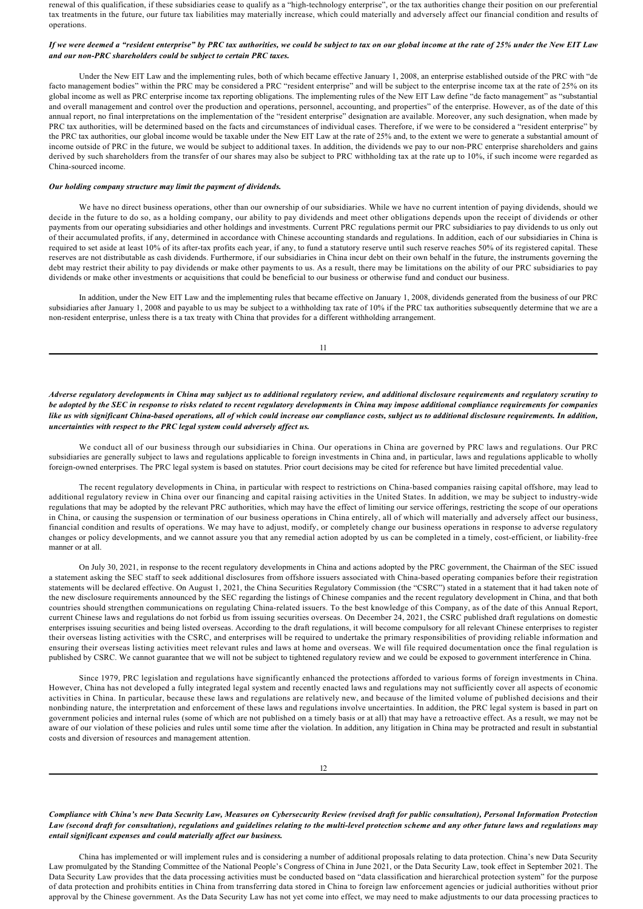renewal of this qualification, if these subsidiaries cease to qualify as a "high-technology enterprise", or the tax authorities change their position on our preferential tax treatments in the future, our future tax liabilities may materially increase, which could materially and adversely affect our financial condition and results of operations.

# *If we were deemed a "resident enterprise" by PRC tax authorities, we could be subject to tax on our global income at the rate of 25% under the New EIT Law and our nonPRC shareholders could be subject to certain PRC taxes.*

Under the New EIT Law and the implementing rules, both of which became effective January 1, 2008, an enterprise established outside of the PRC with "de facto management bodies" within the PRC may be considered a PRC "resident enterprise" and will be subject to the enterprise income tax at the rate of 25% on its global income as well as PRC enterprise income tax reporting obligations. The implementing rules of the New EIT Law define "de facto management" as "substantial and overall management and control over the production and operations, personnel, accounting, and properties" of the enterprise. However, as of the date of this annual report, no final interpretations on the implementation of the "resident enterprise" designation are available. Moreover, any such designation, when made by PRC tax authorities, will be determined based on the facts and circumstances of individual cases. Therefore, if we were to be considered a "resident enterprise" by the PRC tax authorities, our global income would be taxable under the New EIT Law at the rate of 25% and, to the extent we were to generate a substantial amount of income outside of PRC in the future, we would be subject to additional taxes. In addition, the dividends we pay to our non-PRC enterprise shareholders and gains derived by such shareholders from the transfer of our shares may also be subject to PRC withholding tax at the rate up to 10%, if such income were regarded as China-sourced income.

### *Our holding company structure may limit the payment of dividends.*

We have no direct business operations, other than our ownership of our subsidiaries. While we have no current intention of paying dividends, should we decide in the future to do so, as a holding company, our ability to pay dividends and meet other obligations depends upon the receipt of dividends or other payments from our operating subsidiaries and other holdings and investments. Current PRC regulations permit our PRC subsidiaries to pay dividends to us only out of their accumulated profits, if any, determined in accordance with Chinese accounting standards and regulations. In addition, each of our subsidiaries in China is required to set aside at least 10% of its after-tax profits each year, if any, to fund a statutory reserve until such reserve reaches 50% of its registered capital. These reserves are not distributable as cash dividends. Furthermore, if our subsidiaries in China incur debt on their own behalf in the future, the instruments governing the debt may restrict their ability to pay dividends or make other payments to us. As a result, there may be limitations on the ability of our PRC subsidiaries to pay dividends or make other investments or acquisitions that could be beneficial to our business or otherwise fund and conduct our business.

In addition, under the New EIT Law and the implementing rules that became effective on January 1, 2008, dividends generated from the business of our PRC subsidiaries after January 1, 2008 and payable to us may be subject to a withholding tax rate of 10% if the PRC tax authorities subsequently determine that we are a nonresident enterprise, unless there is a tax treaty with China that provides for a different withholding arrangement.

11

*Adverse regulatory developments in China may subject us to additional regulatory review, and additional disclosure requirements and regulatory scrutiny to be adopted by the SEC in response to risks related to recent regulatory developments in China may impose additional compliance requirements for companies like us with significant Chinabased operations, all of which could increase our compliance costs, subject us to additional disclosure requirements. In addition, uncertainties with respect to the PRC legal system could adversely affect us.*

We conduct all of our business through our subsidiaries in China. Our operations in China are governed by PRC laws and regulations. Our PRC subsidiaries are generally subject to laws and regulations applicable to foreign investments in China and, in particular, laws and regulations applicable to wholly foreign-owned enterprises. The PRC legal system is based on statutes. Prior court decisions may be cited for reference but have limited precedential value.

The recent regulatory developments in China, in particular with respect to restrictions on China-based companies raising capital offshore, may lead to additional regulatory review in China over our financing and capital raising activities in the United States. In addition, we may be subject to industry-wide regulations that may be adopted by the relevant PRC authorities, which may have the effect of limiting our service offerings, restricting the scope of our operations in China, or causing the suspension or termination of our business operations in China entirely, all of which will materially and adversely affect our business, financial condition and results of operations. We may have to adjust, modify, or completely change our business operations in response to adverse regulatory changes or policy developments, and we cannot assure you that any remedial action adopted by us can be completed in a timely, cost-efficient, or liability-free manner or at all.

On July 30, 2021, in response to the recent regulatory developments in China and actions adopted by the PRC government, the Chairman of the SEC issued a statement asking the SEC staff to seek additional disclosures from offshore issuers associated with China-based operating companies before their registration statements will be declared effective. On August 1, 2021, the China Securities Regulatory Commission (the "CSRC") stated in a statement that it had taken note of the new disclosure requirements announced by the SEC regarding the listings of Chinese companies and the recent regulatory development in China, and that both countries should strengthen communications on regulating Chinarelated issuers. To the best knowledge of this Company, as of the date of this Annual Report, current Chinese laws and regulations do not forbid us from issuing securities overseas. On December 24, 2021, the CSRC published draft regulations on domestic enterprises issuing securities and being listed overseas. According to the draft regulations, it will become compulsory for all relevant Chinese enterprises to register their overseas listing activities with the CSRC, and enterprises will be required to undertake the primary responsibilities of providing reliable information and ensuring their overseas listing activities meet relevant rules and laws at home and overseas. We will file required documentation once the final regulation is published by CSRC. We cannot guarantee that we will not be subject to tightened regulatory review and we could be exposed to government interference in China.

Since 1979, PRC legislation and regulations have significantly enhanced the protections afforded to various forms of foreign investments in China. However, China has not developed a fully integrated legal system and recently enacted laws and regulations may not sufficiently cover all aspects of economic activities in China. In particular, because these laws and regulations are relatively new, and because of the limited volume of published decisions and their nonbinding nature, the interpretation and enforcement of these laws and regulations involve uncertainties. In addition, the PRC legal system is based in part on government policies and internal rules (some of which are not published on a timely basis or at all) that may have a retroactive effect. As a result, we may not be aware of our violation of these policies and rules until some time after the violation. In addition, any litigation in China may be protracted and result in substantial costs and diversion of resources and management attention.

*Compliance with China's new Data Security Law, Measures on Cybersecurity Review (revised draft for public consultation), Personal Information Protection* Law (second draft for consultation), regulations and guidelines relating to the multi-level protection scheme and any other future laws and regulations may *entail significant expenses and could materially affect our business.*

China has implemented or will implement rules and is considering a number of additional proposals relating to data protection. China's new Data Security Law promulgated by the Standing Committee of the National People's Congress of China in June 2021, or the Data Security Law, took effect in September 2021. The Data Security Law provides that the data processing activities must be conducted based on "data classification and hierarchical protection system" for the purpose of data protection and prohibits entities in China from transferring data stored in China to foreign law enforcement agencies or judicial authorities without prior approval by the Chinese government. As the Data Security Law has not yet come into effect, we may need to make adjustments to our data processing practices to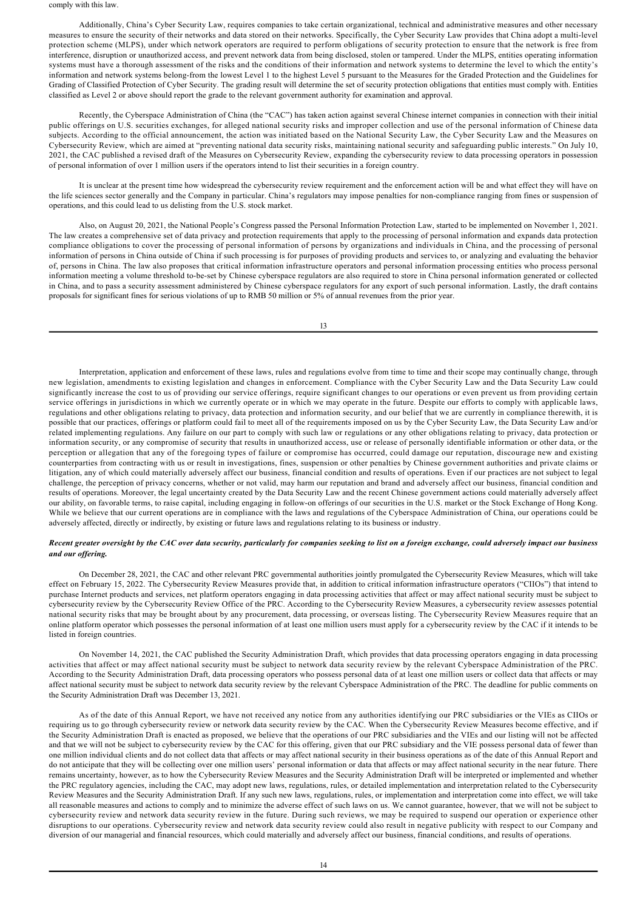comply with this law.

Additionally, China's Cyber Security Law, requires companies to take certain organizational, technical and administrative measures and other necessary measures to ensure the security of their networks and data stored on their networks. Specifically, the Cyber Security Law provides that China adopt a multi-level protection scheme (MLPS), under which network operators are required to perform obligations of security protection to ensure that the network is free from interference, disruption or unauthorized access, and prevent network data from being disclosed, stolen or tampered. Under the MLPS, entities operating information systems must have a thorough assessment of the risks and the conditions of their information and network systems to determine the level to which the entity's information and network systems belong-from the lowest Level 1 to the highest Level 5 pursuant to the Measures for the Graded Protection and the Guidelines for Grading of Classified Protection of Cyber Security. The grading result will determine the set of security protection obligations that entities must comply with. Entities classified as Level 2 or above should report the grade to the relevant government authority for examination and approval.

Recently, the Cyberspace Administration of China (the "CAC") has taken action against several Chinese internet companies in connection with their initial public offerings on U.S. securities exchanges, for alleged national security risks and improper collection and use of the personal information of Chinese data subjects. According to the official announcement, the action was initiated based on the National Security Law, the Cyber Security Law and the Measures on Cybersecurity Review, which are aimed at "preventing national data security risks, maintaining national security and safeguarding public interests." On July 10, 2021, the CAC published a revised draft of the Measures on Cybersecurity Review, expanding the cybersecurity review to data processing operators in possession of personal information of over 1 million users if the operators intend to list their securities in a foreign country.

It is unclear at the present time how widespread the cybersecurity review requirement and the enforcement action will be and what effect they will have on the life sciences sector generally and the Company in particular. China's regulators may impose penalties for non-compliance ranging from fines or suspension of operations, and this could lead to us delisting from the U.S. stock market.

Also, on August 20, 2021, the National People's Congress passed the Personal Information Protection Law, started to be implemented on November 1, 2021. The law creates a comprehensive set of data privacy and protection requirements that apply to the processing of personal information and expands data protection compliance obligations to cover the processing of personal information of persons by organizations and individuals in China, and the processing of personal information of persons in China outside of China if such processing is for purposes of providing products and services to, or analyzing and evaluating the behavior of, persons in China. The law also proposes that critical information infrastructure operators and personal information processing entities who process personal information meeting a volume threshold tobeset by Chinese cyberspace regulators are also required to store in China personal information generated or collected in China, and to pass a security assessment administered by Chinese cyberspace regulators for any export of such personal information. Lastly, the draft contains proposals for significant fines for serious violations of up to RMB 50 million or 5% of annual revenues from the prior year.

13

Interpretation, application and enforcement of these laws, rules and regulations evolve from time to time and their scope may continually change, through new legislation, amendments to existing legislation and changes in enforcement. Compliance with the Cyber Security Law and the Data Security Law could significantly increase the cost to us of providing our service offerings, require significant changes to our operations or even prevent us from providing certain service offerings in jurisdictions in which we currently operate or in which we may operate in the future. Despite our efforts to comply with applicable laws, regulations and other obligations relating to privacy, data protection and information security, and our belief that we are currently in compliance therewith, it is possible that our practices, offerings or platform could fail to meet all of the requirements imposed on us by the Cyber Security Law, the Data Security Law and/or related implementing regulations. Any failure on our part to comply with such law or regulations or any other obligations relating to privacy, data protection or information security, or any compromise of security that results in unauthorized access, use or release of personally identifiable information or other data, or the perception or allegation that any of the foregoing types of failure or compromise has occurred, could damage our reputation, discourage new and existing counterparties from contracting with us or result in investigations, fines, suspension or other penalties by Chinese government authorities and private claims or litigation, any of which could materially adversely affect our business, financial condition and results of operations. Even if our practices are not subject to legal challenge, the perception of privacy concerns, whether or not valid, may harm our reputation and brand and adversely affect our business, financial condition and results of operations. Moreover, the legal uncertainty created by the Data Security Law and the recent Chinese government actions could materially adversely affect our ability, on favorable terms, to raise capital, including engaging in followon offerings of our securities in the U.S. market or the Stock Exchange of Hong Kong. While we believe that our current operations are in compliance with the laws and regulations of the Cyberspace Administration of China, our operations could be adversely affected, directly or indirectly, by existing or future laws and regulations relating to its business or industry.

# *Recent greater oversight by the CAC over data security, particularly for companies seeking to list on a foreign exchange, could adversely impact our business and our offering.*

On December 28, 2021, the CAC and other relevant PRC governmental authorities jointly promulgated the Cybersecurity Review Measures, which will take effect on February 15, 2022. The Cybersecurity Review Measures provide that, in addition to critical information infrastructure operators ("CIIOs") that intend to purchase Internet products and services, net platform operators engaging in data processing activities that affect or may affect national security must be subject to cybersecurity review by the Cybersecurity Review Office of the PRC. According to the Cybersecurity Review Measures, a cybersecurity review assesses potential national security risks that may be brought about by any procurement, data processing, or overseas listing. The Cybersecurity Review Measures require that an online platform operator which possesses the personal information of at least one million users must apply for a cybersecurity review by the CAC if it intends to be listed in foreign countries.

On November 14, 2021, the CAC published the Security Administration Draft, which provides that data processing operators engaging in data processing activities that affect or may affect national security must be subject to network data security review by the relevant Cyberspace Administration of the PRC. According to the Security Administration Draft, data processing operators who possess personal data of at least one million users or collect data that affects or may affect national security must be subject to network data security review by the relevant Cyberspace Administration of the PRC. The deadline for public comments on the Security Administration Draft was December 13, 2021.

As of the date of this Annual Report, we have not received any notice from any authorities identifying our PRC subsidiaries or the VIEs as CIIOs or requiring us to go through cybersecurity review or network data security review by the CAC. When the Cybersecurity Review Measures become effective, and if the Security Administration Draft is enacted as proposed, we believe that the operations of our PRC subsidiaries and the VIEs and our listing will not be affected and that we will not be subject to cybersecurity review by the CAC for this offering, given that our PRC subsidiary and the VIE possess personal data of fewer than one million individual clients and do not collect data that affects or may affect national security in their business operations as of the date of this Annual Report and do not anticipate that they will be collecting over one million users' personal information or data that affects or may affect national security in the near future. There remains uncertainty, however, as to how the Cybersecurity Review Measures and the Security Administration Draft will be interpreted or implemented and whether the PRC regulatory agencies, including the CAC, may adopt new laws, regulations, rules, or detailed implementation and interpretation related to the Cybersecurity Review Measures and the Security Administration Draft. If any such new laws, regulations, rules, or implementation and interpretation come into effect, we will take all reasonable measures and actions to comply and to minimize the adverse effect of such laws on us. We cannot guarantee, however, that we will not be subject to cybersecurity review and network data security review in the future. During such reviews, we may be required to suspend our operation or experience other disruptions to our operations. Cybersecurity review and network data security review could also result in negative publicity with respect to our Company and diversion of our managerial and financial resources, which could materially and adversely affect our business, financial conditions, and results of operations.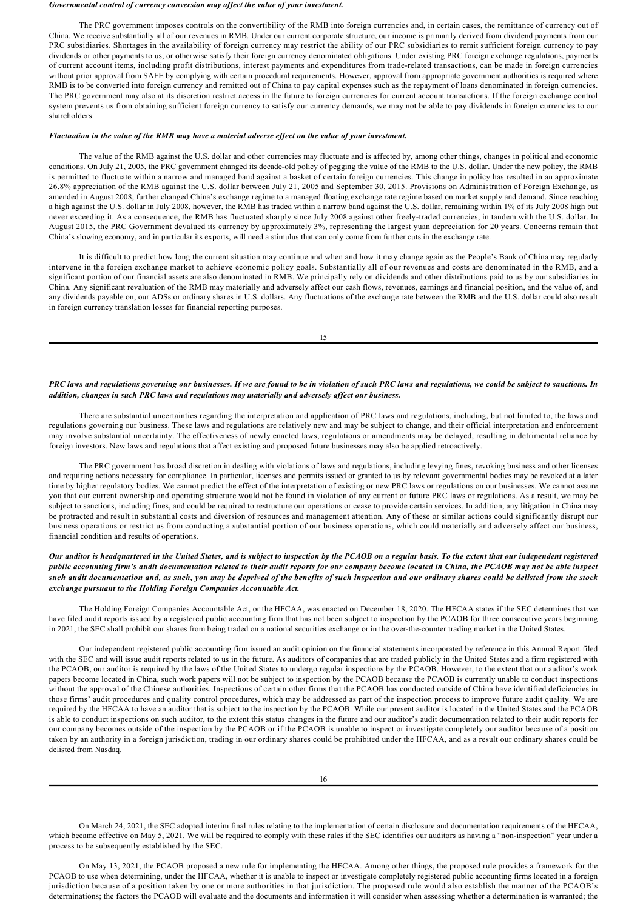### *Governmental control of currency conversion may affect the value of your investment.*

The PRC government imposes controls on the convertibility of the RMB into foreign currencies and, in certain cases, the remittance of currency out of China. We receive substantially all of our revenues in RMB. Under our current corporate structure, our income is primarily derived from dividend payments from our PRC subsidiaries. Shortages in the availability of foreign currency may restrict the ability of our PRC subsidiaries to remit sufficient foreign currency to pay dividends or other payments to us, or otherwise satisfy their foreign currency denominated obligations. Under existing PRC foreign exchange regulations, payments of current account items, including profit distributions, interest payments and expenditures from traderelated transactions, can be made in foreign currencies without prior approval from SAFE by complying with certain procedural requirements. However, approval from appropriate government authorities is required where RMB is to be converted into foreign currency and remitted out of China to pay capital expenses such as the repayment of loans denominated in foreign currencies. The PRC government may also at its discretion restrict access in the future to foreign currencies for current account transactions. If the foreign exchange control system prevents us from obtaining sufficient foreign currency to satisfy our currency demands, we may not be able to pay dividends in foreign currencies to our shareholders.

# *Fluctuation in the value of the RMB may have a material adverse effect on the value of your investment.*

The value of the RMB against the U.S. dollar and other currencies may fluctuate and is affected by, among other things, changes in political and economic conditions. On July 21, 2005, the PRC government changed its decade-old policy of pegging the value of the RMB to the U.S. dollar. Under the new policy, the RMB is permitted to fluctuate within a narrow and managed band against a basket of certain foreign currencies. This change in policy has resulted in an approximate 26.8% appreciation of the RMB against the U.S. dollar between July 21, 2005 and September 30, 2015. Provisions on Administration of Foreign Exchange, as amended in August 2008, further changed China's exchange regime to a managed floating exchange rate regime based on market supply and demand. Since reaching a high against the U.S. dollar in July 2008, however, the RMB has traded within a narrow band against the U.S. dollar, remaining within 1% of its July 2008 high but never exceeding it. As a consequence, the RMB has fluctuated sharply since July 2008 against other freely-traded currencies, in tandem with the U.S. dollar. In August 2015, the PRC Government devalued its currency by approximately 3%, representing the largest yuan depreciation for 20 years. Concerns remain that China's slowing economy, and in particular its exports, will need a stimulus that can only come from further cuts in the exchange rate.

It is difficult to predict how long the current situation may continue and when and how it may change again as the People's Bank of China may regularly intervene in the foreign exchange market to achieve economic policy goals. Substantially all of our revenues and costs are denominated in the RMB, and a significant portion of our financial assets are also denominated in RMB. We principally rely on dividends and other distributions paid to us by our subsidiaries in China. Any significant revaluation of the RMB may materially and adversely affect our cash flows, revenues, earnings and financial position, and the value of, and any dividends payable on, our ADSs or ordinary shares in U.S. dollars. Any fluctuations of the exchange rate between the RMB and the U.S. dollar could also result in foreign currency translation losses for financial reporting purposes.

15

# *PRC laws and regulations governing our businesses. If we are found to be in violation of such PRC laws and regulations, we could be subject to sanctions. In addition, changes in such PRC laws and regulations may materially and adversely affect our business.*

There are substantial uncertainties regarding the interpretation and application of PRC laws and regulations, including, but not limited to, the laws and regulations governing our business. These laws and regulations are relatively new and may be subject to change, and their official interpretation and enforcement may involve substantial uncertainty. The effectiveness of newly enacted laws, regulations or amendments may be delayed, resulting in detrimental reliance by foreign investors. New laws and regulations that affect existing and proposed future businesses may also be applied retroactively.

The PRC government has broad discretion in dealing with violations of laws and regulations, including levying fines, revoking business and other licenses and requiring actions necessary for compliance. In particular, licenses and permits issued or granted to us by relevant governmental bodies may be revoked at a later time by higher regulatory bodies. We cannot predict the effect of the interpretation of existing or new PRC laws or regulations on our businesses. We cannot assure you that our current ownership and operating structure would not be found in violation of any current or future PRC laws or regulations. As a result, we may be subject to sanctions, including fines, and could be required to restructure our operations or cease to provide certain services. In addition, any litigation in China may be protracted and result in substantial costs and diversion of resources and management attention. Any of these or similar actions could significantly disrupt our business operations or restrict us from conducting a substantial portion of our business operations, which could materially and adversely affect our business, financial condition and results of operations.

# *Our auditor is headquartered in the United States, and is subject to inspection by the PCAOB on a regular basis. To the extent that our independent registered public accounting firm's audit documentation related to their audit reports for our company become located in China, the PCAOB may not be able inspect such audit documentation and, as such, you may be deprived of the benefits of such inspection and our ordinary shares could be delisted from the stock exchange pursuant to the Holding Foreign Companies Accountable Act.*

The Holding Foreign Companies Accountable Act, or the HFCAA, was enacted on December 18, 2020. The HFCAA states if the SEC determines that we have filed audit reports issued by a registered public accounting firm that has not been subject to inspection by the PCAOB for three consecutive years beginning in 2021, the SEC shall prohibit our shares from being traded on a national securities exchange or in the over-the-counter trading market in the United States.

Our independent registered public accounting firm issued an audit opinion on the financial statements incorporated by reference in this Annual Report filed with the SEC and will issue audit reports related to us in the future. As auditors of companies that are traded publicly in the United States and a firm registered with the PCAOB, our auditor is required by the laws of the United States to undergo regular inspections by the PCAOB. However, to the extent that our auditor's work papers become located in China, such work papers will not be subject to inspection by the PCAOB because the PCAOB is currently unable to conduct inspections without the approval of the Chinese authorities. Inspections of certain other firms that the PCAOB has conducted outside of China have identified deficiencies in those firms' audit procedures and quality control procedures, which may be addressed as part of the inspection process to improve future audit quality. We are required by the HFCAA to have an auditor that is subject to the inspection by the PCAOB. While our present auditor is located in the United States and the PCAOB is able to conduct inspections on such auditor, to the extent this status changes in the future and our auditor's audit documentation related to their audit reports for our company becomes outside of the inspection by the PCAOB or if the PCAOB is unable to inspect or investigate completely our auditor because of a position taken by an authority in a foreign jurisdiction, trading in our ordinary shares could be prohibited under the HFCAA, and as a result our ordinary shares could be delisted from Nasdaq.

On March 24, 2021, the SEC adopted interim final rules relating to the implementation of certain disclosure and documentation requirements of the HFCAA, which became effective on May 5, 2021. We will be required to comply with these rules if the SEC identifies our auditors as having a "non-inspection" year under a process to be subsequently established by the SEC.

On May 13, 2021, the PCAOB proposed a new rule for implementing the HFCAA. Among other things, the proposed rule provides a framework for the PCAOB to use when determining, under the HFCAA, whether it is unable to inspect or investigate completely registered public accounting firms located in a foreign jurisdiction because of a position taken by one or more authorities in that jurisdiction. The proposed rule would also establish the manner of the PCAOB's determinations; the factors the PCAOB will evaluate and the documents and information it will consider when assessing whether a determination is warranted; the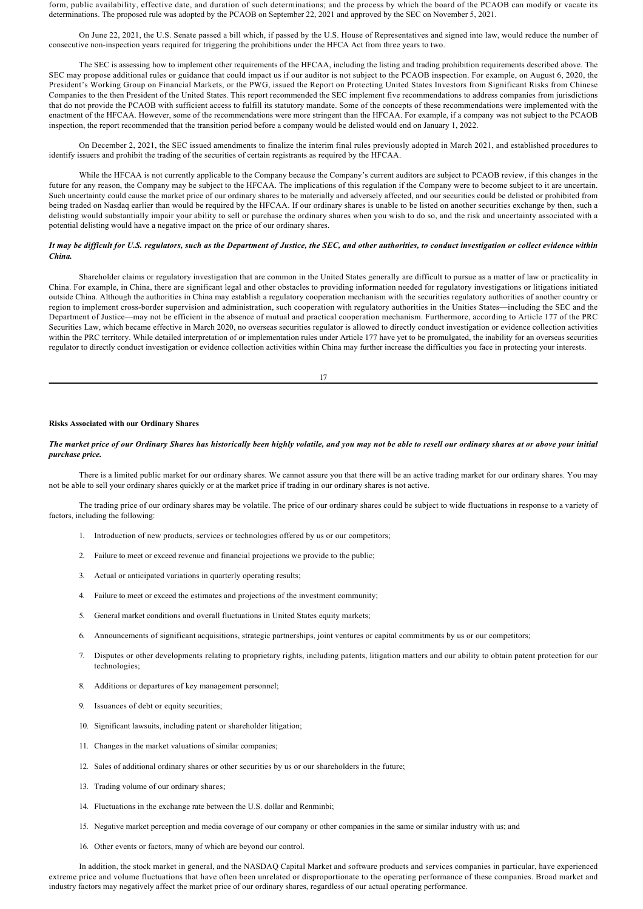form, public availability, effective date, and duration of such determinations; and the process by which the board of the PCAOB can modify or vacate its determinations. The proposed rule was adopted by the PCAOB on September 22, 2021 and approved by the SEC on November 5, 2021.

On June 22, 2021, the U.S. Senate passed a bill which, if passed by the U.S. House of Representatives and signed into law, would reduce the number of consecutive noninspection years required for triggering the prohibitions under the HFCA Act from three years to two.

The SEC is assessing how to implement other requirements of the HFCAA, including the listing and trading prohibition requirements described above. The SEC may propose additional rules or guidance that could impact us if our auditor is not subject to the PCAOB inspection. For example, on August 6, 2020, the President's Working Group on Financial Markets, or the PWG, issued the Report on Protecting United States Investors from Significant Risks from Chinese Companies to the then President of the United States. This report recommended the SEC implement five recommendations to address companies from jurisdictions that do not provide the PCAOB with sufficient access to fulfill its statutory mandate. Some of the concepts of these recommendations were implemented with the enactment of the HFCAA. However, some of the recommendations were more stringent than the HFCAA. For example, if a company was not subject to the PCAOB inspection, the report recommended that the transition period before a company would be delisted would end on January 1, 2022.

On December 2, 2021, the SEC issued amendments to finalize the interim final rules previously adopted in March 2021, and established procedures to identify issuers and prohibit the trading of the securities of certain registrants as required by the HFCAA.

While the HFCAA is not currently applicable to the Company because the Company's current auditors are subject to PCAOB review, if this changes in the future for any reason, the Company may be subject to the HFCAA. The implications of this regulation if the Company were to become subject to it are uncertain. Such uncertainty could cause the market price of our ordinary shares to be materially and adversely affected, and our securities could be delisted or prohibited from being traded on Nasdaq earlier than would be required by the HFCAA. If our ordinary shares is unable to be listed on another securities exchange by then, such a delisting would substantially impair your ability to sell or purchase the ordinary shares when you wish to do so, and the risk and uncertainty associated with a potential delisting would have a negative impact on the price of our ordinary shares.

# *It may be difficult for U.S. regulators, such as the Department of Justice, the SEC, and other authorities, to conduct investigation or collect evidence within China.*

Shareholder claims or regulatory investigation that are common in the United States generally are difficult to pursue as a matter of law or practicality in China. For example, in China, there are significant legal and other obstacles to providing information needed for regulatory investigations or litigations initiated outside China. Although the authorities in China may establish a regulatory cooperation mechanism with the securities regulatory authorities of another country or region to implement cross-border supervision and administration, such cooperation with regulatory authorities in the Unities States—including the SEC and the Department of Justice—may not be efficient in the absence of mutual and practical cooperation mechanism. Furthermore, according to Article 177 of the PRC Securities Law, which became effective in March 2020, no overseas securities regulator is allowed to directly conduct investigation or evidence collection activities within the PRC territory. While detailed interpretation of or implementation rules under Article 177 have yet to be promulgated, the inability for an overseas securities regulator to directly conduct investigation or evidence collection activities within China may further increase the difficulties you face in protecting your interests.

17

# **Risks Associated with our Ordinary Shares**

# *The market price of our Ordinary Shares has historically been highly volatile, and you may not be able to resell our ordinary shares at or above your initial purchase price.*

There is a limited public market for our ordinary shares. We cannot assure you that there will be an active trading market for our ordinary shares. You may not be able to sell your ordinary shares quickly or at the market price if trading in our ordinary shares is not active.

The trading price of our ordinary shares may be volatile. The price of our ordinary shares could be subject to wide fluctuations in response to a variety of factors, including the following:

- 1. Introduction of new products, services or technologies offered by us or our competitors;
- 2. Failure to meet or exceed revenue and financial projections we provide to the public;
- 3. Actual or anticipated variations in quarterly operating results;
- 4. Failure to meet or exceed the estimates and projections of the investment community;
- 5. General market conditions and overall fluctuations in United States equity markets;
- 6. Announcements of significant acquisitions, strategic partnerships, joint ventures or capital commitments by us or our competitors;
- 7. Disputes or other developments relating to proprietary rights, including patents, litigation matters and our ability to obtain patent protection for our technologies;
- 8. Additions or departures of key management personnel;
- 9. Issuances of debt or equity securities;
- 10. Significant lawsuits, including patent or shareholder litigation;
- 11. Changes in the market valuations of similar companies;
- 12. Sales of additional ordinary shares or other securities by us or our shareholders in the future;
- 13. Trading volume of our ordinary shares;
- 14. Fluctuations in the exchange rate between the U.S. dollar and Renminbi;
- 15. Negative market perception and media coverage of our company or other companies in the same or similar industry with us; and
- 16. Other events or factors, many of which are beyond our control.

In addition, the stock market in general, and the NASDAQ Capital Market and software products and services companies in particular, have experienced extreme price and volume fluctuations that have often been unrelated or disproportionate to the operating performance of these companies. Broad market and industry factors may negatively affect the market price of our ordinary shares, regardless of our actual operating performance.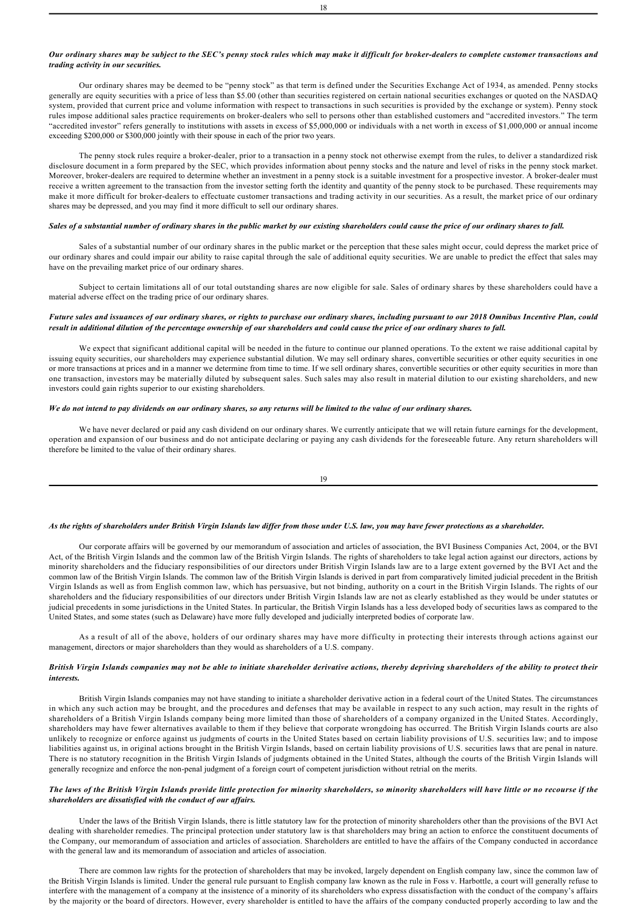# *Our ordinary shares may be subject to the SEC's penny stock rules which may make it difficult for brokerdealers to complete customer transactions and trading activity in our securities.*

Our ordinary shares may be deemed to be "penny stock" as that term is defined under the Securities Exchange Act of 1934, as amended. Penny stocks generally are equity securities with a price of less than \$5.00 (other than securities registered on certain national securities exchanges or quoted on the NASDAQ system, provided that current price and volume information with respect to transactions in such securities is provided by the exchange or system). Penny stock rules impose additional sales practice requirements on broker-dealers who sell to persons other than established customers and "accredited investors." The term "accredited investor" refers generally to institutions with assets in excess of \$5,000,000 or individuals with a net worth in excess of \$1,000,000 or annual income exceeding \$200,000 or \$300,000 jointly with their spouse in each of the prior two years.

The penny stock rules require a broker-dealer, prior to a transaction in a penny stock not otherwise exempt from the rules, to deliver a standardized risk disclosure document in a form prepared by the SEC, which provides information about penny stocks and the nature and level of risks in the penny stock market. Moreover, broker-dealers are required to determine whether an investment in a penny stock is a suitable investment for a prospective investor. A broker-dealer must receive a written agreement to the transaction from the investor setting forth the identity and quantity of the penny stock to be purchased. These requirements may make it more difficult for broker-dealers to effectuate customer transactions and trading activity in our securities. As a result, the market price of our ordinary shares may be depressed, and you may find it more difficult to sell our ordinary shares.

### *Sales of a substantial number of ordinary shares in the public market by our existing shareholders could cause the price of our ordinary shares to fall.*

Sales of a substantial number of our ordinary shares in the public market or the perception that these sales might occur, could depress the market price of our ordinary shares and could impair our ability to raise capital through the sale of additional equity securities. We are unable to predict the effect that sales may have on the prevailing market price of our ordinary shares.

Subject to certain limitations all of our total outstanding shares are now eligible for sale. Sales of ordinary shares by these shareholders could have a material adverse effect on the trading price of our ordinary shares.

## *Future sales and issuances of our ordinary shares, or rights to purchase our ordinary shares, including pursuant to our 2018 Omnibus Incentive Plan, could result in additional dilution of the percentage ownership of our shareholders and could cause the price of our ordinary shares to fall.*

We expect that significant additional capital will be needed in the future to continue our planned operations. To the extent we raise additional capital by issuing equity securities, our shareholders may experience substantial dilution. We may sell ordinary shares, convertible securities or other equity securities in one or more transactions at prices and in a manner we determine from time to time. If we sell ordinary shares, convertible securities or other equity securities in more than one transaction, investors may be materially diluted by subsequent sales. Such sales may also result in material dilution to our existing shareholders, and new investors could gain rights superior to our existing shareholders.

# *We do not intend to pay dividends on our ordinary shares, so any returns will be limited to the value of our ordinary shares.*

We have never declared or paid any cash dividend on our ordinary shares. We currently anticipate that we will retain future earnings for the development, operation and expansion of our business and do not anticipate declaring or paying any cash dividends for the foreseeable future. Any return shareholders will therefore be limited to the value of their ordinary shares.

### *As the rights of shareholders under British Virgin Islands law differ from those under U.S. law, you may have fewer protections as a shareholder.*

Our corporate affairs will be governed by our memorandum of association and articles of association, the BVI Business Companies Act, 2004, or the BVI Act, of the British Virgin Islands and the common law of the British Virgin Islands. The rights of shareholders to take legal action against our directors, actions by minority shareholders and the fiduciary responsibilities of our directors under British Virgin Islands law are to a large extent governed by the BVI Act and the common law of the British Virgin Islands. The common law of the British Virgin Islands is derived in part from comparatively limited judicial precedent in the British Virgin Islands as well as from English common law, which has persuasive, but not binding, authority on a court in the British Virgin Islands. The rights of our shareholders and the fiduciary responsibilities of our directors under British Virgin Islands law are not as clearly established as they would be under statutes or judicial precedents in some jurisdictions in the United States. In particular, the British Virgin Islands has a less developed body of securities laws as compared to the United States, and some states (such as Delaware) have more fully developed and judicially interpreted bodies of corporate law.

As a result of all of the above, holders of our ordinary shares may have more difficulty in protecting their interests through actions against our management, directors or major shareholders than they would as shareholders of a U.S. company.

# *British Virgin Islands companies may not be able to initiate shareholder derivative actions, thereby depriving shareholders of the ability to protect their interests.*

British Virgin Islands companies may not have standing to initiate a shareholder derivative action in a federal court of the United States. The circumstances in which any such action may be brought, and the procedures and defenses that may be available in respect to any such action, may result in the rights of shareholders of a British Virgin Islands company being more limited than those of shareholders of a company organized in the United States. Accordingly, shareholders may have fewer alternatives available to them if they believe that corporate wrongdoing has occurred. The British Virgin Islands courts are also unlikely to recognize or enforce against us judgments of courts in the United States based on certain liability provisions of U.S. securities law; and to impose liabilities against us, in original actions brought in the British Virgin Islands, based on certain liability provisions of U.S. securities laws that are penal in nature. There is no statutory recognition in the British Virgin Islands of judgments obtained in the United States, although the courts of the British Virgin Islands will generally recognize and enforce the non-penal judgment of a foreign court of competent jurisdiction without retrial on the merits.

# *The laws of the British Virgin Islands provide little protection for minority shareholders, so minority shareholders will have little or no recourse if the shareholders are dissatisfied with the conduct of our affairs.*

Under the laws of the British Virgin Islands, there is little statutory law for the protection of minority shareholders other than the provisions of the BVI Act dealing with shareholder remedies. The principal protection under statutory law is that shareholders may bring an action to enforce the constituent documents of the Company, our memorandum of association and articles of association. Shareholders are entitled to have the affairs of the Company conducted in accordance with the general law and its memorandum of association and articles of association.

There are common law rights for the protection of shareholders that may be invoked, largely dependent on English company law, since the common law of the British Virgin Islands is limited. Under the general rule pursuant to English company law known as the rule in Foss v. Harbottle, a court will generally refuse to interfere with the management of a company at the insistence of a minority of its shareholders who express dissatisfaction with the conduct of the company's affairs by the majority or the board of directors. However, every shareholder is entitled to have the affairs of the company conducted properly according to law and the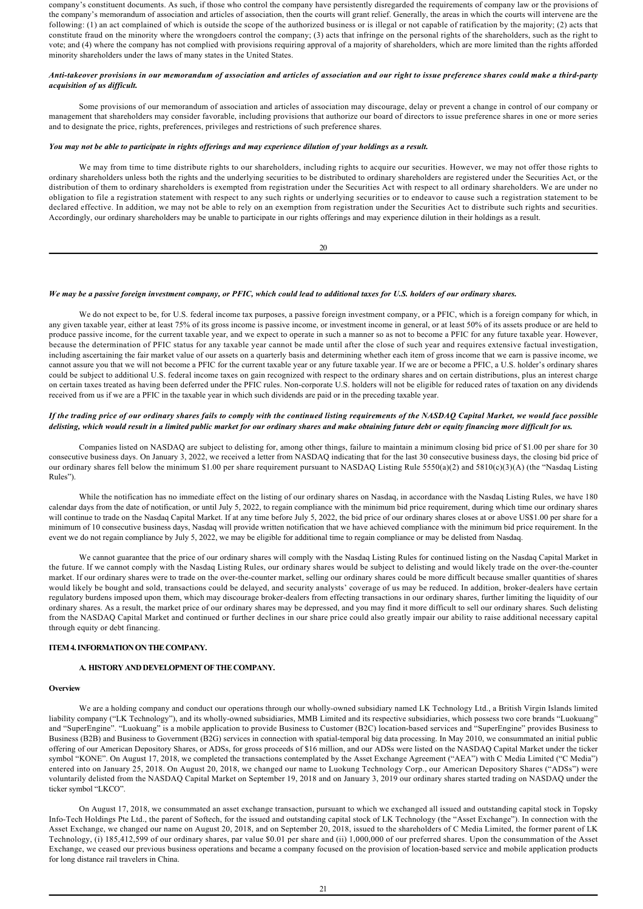company's constituent documents. As such, if those who control the company have persistently disregarded the requirements of company law or the provisions of the company's memorandum of association and articles of association, then the courts will grant relief. Generally, the areas in which the courts will intervene are the following: (1) an act complained of which is outside the scope of the authorized business or is illegal or not capable of ratification by the majority; (2) acts that constitute fraud on the minority where the wrongdoers control the company; (3) acts that infringe on the personal rights of the shareholders, such as the right to vote; and (4) where the company has not complied with provisions requiring approval of a majority of shareholders, which are more limited than the rights afforded minority shareholders under the laws of many states in the United States.

# *Antitakeover provisions in our memorandum of association and articles of association and our right to issue preference shares could make a thirdparty acquisition of us difficult.*

Some provisions of our memorandum of association and articles of association may discourage, delay or prevent a change in control of our company or management that shareholders may consider favorable, including provisions that authorize our board of directors to issue preference shares in one or more series and to designate the price, rights, preferences, privileges and restrictions of such preference shares.

# *You may not be able to participate in rights offerings and may experience dilution of your holdings as a result.*

We may from time to time distribute rights to our shareholders, including rights to acquire our securities. However, we may not offer those rights to ordinary shareholders unless both the rights and the underlying securities to be distributed to ordinary shareholders are registered under the Securities Act, or the distribution of them to ordinary shareholders is exempted from registration under the Securities Act with respect to all ordinary shareholders. We are under no obligation to file a registration statement with respect to any such rights or underlying securities or to endeavor to cause such a registration statement to be declared effective. In addition, we may not be able to rely on an exemption from registration under the Securities Act to distribute such rights and securities. Accordingly, our ordinary shareholders may be unable to participate in our rights offerings and may experience dilution in their holdings as a result.

 $20$ 

# *We may be a passive foreign investment company, or PFIC, which could lead to additional taxes for U.S. holders of our ordinary shares.*

We do not expect to be, for U.S. federal income tax purposes, a passive foreign investment company, or a PFIC, which is a foreign company for which, in any given taxable year, either at least 75% of its gross income is passive income, or investment income in general, or at least 50% of its assets produce or are held to produce passive income, for the current taxable year, and we expect to operate in such a manner so as not to become a PFIC for any future taxable year. However, because the determination of PFIC status for any taxable year cannot be made until after the close of such year and requires extensive factual investigation, including ascertaining the fair market value of our assets on a quarterly basis and determining whether each item of gross income that we earn is passive income, we cannot assure you that we will not become a PFIC for the current taxable year or any future taxable year. If we are or become a PFIC, a U.S. holder's ordinary shares could be subject to additional U.S. federal income taxes on gain recognized with respect to the ordinary shares and on certain distributions, plus an interest charge on certain taxes treated as having been deferred under the PFIC rules. Noncorporate U.S. holders will not be eligible for reduced rates of taxation on any dividends received from us if we are a PFIC in the taxable year in which such dividends are paid or in the preceding taxable year.

## *If the trading price of our ordinary shares fails to comply with the continued listing requirements of the NASDAQ Capital Market, we would face possible delisting, which would result in a limited public market for our ordinary shares and make obtaining future debt or equity financing more difficult for us.*

Companies listed on NASDAQ are subject to delisting for, among other things, failure to maintain a minimum closing bid price of \$1.00 per share for 30 consecutive business days. On January 3, 2022, we received a letter from NASDAQ indicating that for the last 30 consecutive business days, the closing bid price of our ordinary shares fell below the minimum \$1.00 per share requirement pursuant to NASDAQ Listing Rule 5550(a)(2) and 5810(c)(3)(A) (the "Nasdaq Listing Rules").

While the notification has no immediate effect on the listing of our ordinary shares on Nasdaq, in accordance with the Nasdaq Listing Rules, we have 180 calendar days from the date of notification, or until July 5, 2022, to regain compliance with the minimum bid price requirement, during which time our ordinary shares will continue to trade on the Nasdaq Capital Market. If at any time before July 5, 2022, the bid price of our ordinary shares closes at or above US\$1.00 per share for a minimum of 10 consecutive business days, Nasdaq will provide written notification that we have achieved compliance with the minimum bid price requirement. In the event we do not regain compliance by July 5, 2022, we may be eligible for additional time to regain compliance or may be delisted from Nasdaq.

We cannot guarantee that the price of our ordinary shares will comply with the Nasdaq Listing Rules for continued listing on the Nasdaq Capital Market in the future. If we cannot comply with the Nasdaq Listing Rules, our ordinary shares would be subject to delisting and would likely trade on the over-the-counter market. If our ordinary shares were to trade on the over-the-counter market, selling our ordinary shares could be more difficult because smaller quantities of shares would likely be bought and sold, transactions could be delayed, and security analysts' coverage of us may be reduced. In addition, broker-dealers have certain regulatory burdens imposed upon them, which may discourage brokerdealers from effecting transactions in our ordinary shares, further limiting the liquidity of our ordinary shares. As a result, the market price of our ordinary shares may be depressed, and you may find it more difficult to sell our ordinary shares. Such delisting from the NASDAQ Capital Market and continued or further declines in our share price could also greatly impair our ability to raise additional necessary capital through equity or debt financing.

# **ITEM 4. INFORMATION ON THE COMPANY.**

# **A***.* **HISTORY AND DEVELOPMENT OF THE COMPANY.**

### **Overview**

We are a holding company and conduct our operations through our wholly-owned subsidiary named LK Technology Ltd., a British Virgin Islands limited liability company ("LK Technology"), and its wholly-owned subsidiaries, MMB Limited and its respective subsidiaries, which possess two core brands "Luokuang" and "SuperEngine". "Luokuang" is a mobile application to provide Business to Customer (B2C) location-based services and "SuperEngine" provides Business to Business (B2B) and Business to Government (B2G) services in connection with spatial-temporal big data processing. In May 2010, we consummated an initial public offering of our American Depository Shares, or ADSs, for gross proceeds of \$16 million, and our ADSs were listed on the NASDAQ Capital Market under the ticker symbol "KONE". On August 17, 2018, we completed the transactions contemplated by the Asset Exchange Agreement ("AEA") with C Media Limited ("C Media") entered into on January 25, 2018. On August 20, 2018, we changed our name to Luokung Technology Corp., our American Depository Shares ("ADSs") were voluntarily delisted from the NASDAQ Capital Market on September 19, 2018 and on January 3, 2019 our ordinary shares started trading on NASDAQ under the ticker symbol "LKCO".

On August 17, 2018, we consummated an asset exchange transaction, pursuant to which we exchanged all issued and outstanding capital stock in Topsky Info-Tech Holdings Pte Ltd., the parent of Softech, for the issued and outstanding capital stock of LK Technology (the "Asset Exchange"). In connection with the Asset Exchange, we changed our name on August 20, 2018, and on September 20, 2018, issued to the shareholders of C Media Limited, the former parent of LK Technology, (i) 185,412,599 of our ordinary shares, par value \$0.01 per share and (ii) 1,000,000 of our preferred shares. Upon the consummation of the Asset Exchange, we ceased our previous business operations and became a company focused on the provision of location-based service and mobile application products for long distance rail travelers in China.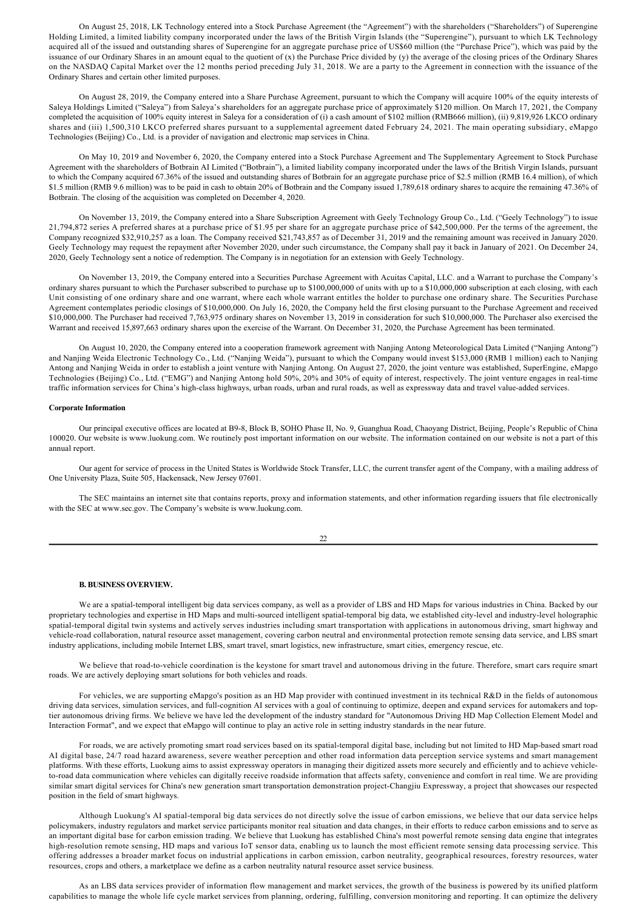On August 25, 2018, LK Technology entered into a Stock Purchase Agreement (the "Agreement") with the shareholders ("Shareholders") of Superengine Holding Limited, a limited liability company incorporated under the laws of the British Virgin Islands (the "Superengine"), pursuant to which LK Technology acquired all of the issued and outstanding shares of Superengine for an aggregate purchase price of US\$60 million (the "Purchase Price"), which was paid by the issuance of our Ordinary Shares in an amount equal to the quotient of (x) the Purchase Price divided by (y) the average of the closing prices of the Ordinary Shares on the NASDAQ Capital Market over the 12 months period preceding July 31, 2018. We are a party to the Agreement in connection with the issuance of the Ordinary Shares and certain other limited purposes.

On August 28, 2019, the Company entered into a Share Purchase Agreement, pursuant to which the Company will acquire 100% of the equity interests of Saleya Holdings Limited ("Saleya") from Saleya's shareholders for an aggregate purchase price of approximately \$120 million. On March 17, 2021, the Company completed the acquisition of 100% equity interest in Saleya for a consideration of (i) a cash amount of \$102 million (RMB666 million), (ii) 9,819,926 LKCO ordinary shares and (iii) 1,500,310 LKCO preferred shares pursuant to a supplemental agreement dated February 24, 2021. The main operating subsidiary, eMapgo Technologies (Beijing) Co., Ltd. is a provider of navigation and electronic map services in China.

On May 10, 2019 and November 6, 2020, the Company entered into a Stock Purchase Agreement and The Supplementary Agreement to Stock Purchase Agreement with the shareholders of Botbrain AI Limited ("Botbrain"), a limited liability company incorporated under the laws of the British Virgin Islands, pursuant to which the Company acquired 67.36% of the issued and outstanding shares of Botbrain for an aggregate purchase price of \$2.5 million (RMB 16.4 million), of which \$1.5 million (RMB 9.6 million) was to be paid in cash to obtain 20% of Botbrain and the Company issued 1,789,618 ordinary shares to acquire the remaining 47.36% of Botbrain. The closing of the acquisition was completed on December 4, 2020.

On November 13, 2019, the Company entered into a Share Subscription Agreement with Geely Technology Group Co., Ltd. ("Geely Technology") to issue 21,794,872 series A preferred shares at a purchase price of \$1.95 per share for an aggregate purchase price of \$42,500,000. Per the terms of the agreement, the Company recognized \$32,910,257 as a loan. The Company received \$21,743,857 as of December 31, 2019 and the remaining amount was received in January 2020. Geely Technology may request the repayment after November 2020, under such circumstance, the Company shall pay it back in January of 2021. On December 24, 2020, Geely Technology sent a notice of redemption. The Company is in negotiation for an extension with Geely Technology.

On November 13, 2019, the Company entered into a Securities Purchase Agreement with Acuitas Capital, LLC. and a Warrant to purchase the Company's ordinary shares pursuant to which the Purchaser subscribed to purchase up to \$100,000,000 of units with up to a \$10,000,000 subscription at each closing, with each Unit consisting of one ordinary share and one warrant, where each whole warrant entitles the holder to purchase one ordinary share. The Securities Purchase Agreement contemplates periodic closings of \$10,000,000. On July 16, 2020, the Company held the first closing pursuant to the Purchase Agreement and received \$10,000,000. The Purchaser had received 7,763,975 ordinary shares on November 13, 2019 in consideration for such \$10,000,000. The Purchaser also exercised the Warrant and received 15,897,663 ordinary shares upon the exercise of the Warrant. On December 31, 2020, the Purchase Agreement has been terminated.

On August 10, 2020, the Company entered into a cooperation framework agreement with Nanjing Antong Meteorological Data Limited ("Nanjing Antong") and Nanjing Weida Electronic Technology Co., Ltd. ("Nanjing Weida"), pursuant to which the Company would invest \$153,000 (RMB 1 million) each to Nanjing Antong and Nanjing Weida in order to establish a joint venture with Nanjing Antong. On August 27, 2020, the joint venture was established, SuperEngine, eMapgo Technologies (Beijing) Co., Ltd. ("EMG") and Nanjing Antong hold 50%, 20% and 30% of equity of interest, respectively. The joint venture engages in realtime traffic information services for China's high-class highways, urban roads, urban and rural roads, as well as expressway data and travel value-added services.

#### **Corporate Information**

Our principal executive offices are located at B98, Block B, SOHO Phase II, No. 9, Guanghua Road, Chaoyang District, Beijing, People's Republic of China 100020. Our website is www.luokung.com. We routinely post important information on our website. The information contained on our website is not a part of this annual report.

Our agent for service of process in the United States is Worldwide Stock Transfer, LLC, the current transfer agent of the Company, with a mailing address of One University Plaza, Suite 505, Hackensack, New Jersey 07601.

The SEC maintains an internet site that contains reports, proxy and information statements, and other information regarding issuers that file electronically with the SEC at www.sec.gov. The Company's website is www.luokung.com.

## 22

# **B. BUSINESS OVERVIEW.**

We are a spatial-temporal intelligent big data services company, as well as a provider of LBS and HD Maps for various industries in China. Backed by our proprietary technologies and expertise in HD Maps and multi-sourced intelligent spatial-temporal big data, we established city-level and industry-level holographic spatial-temporal digital twin systems and actively serves industries including smart transportation with applications in autonomous driving, smart highway and vehicle-road collaboration, natural resource asset management, covering carbon neutral and environmental protection remote sensing data service, and LBS smart industry applications, including mobile Internet LBS, smart travel, smart logistics, new infrastructure, smart cities, emergency rescue, etc.

We believe that road-to-vehicle coordination is the keystone for smart travel and autonomous driving in the future. Therefore, smart cars require smart roads. We are actively deploying smart solutions for both vehicles and roads.

For vehicles, we are supporting eMapgo's position as an HD Map provider with continued investment in its technical R&D in the fields of autonomous driving data services, simulation services, and full-cognition AI services with a goal of continuing to optimize, deepen and expand services for automakers and toptier autonomous driving firms. We believe we have led the development of the industry standard for "Autonomous Driving HD Map Collection Element Model and Interaction Format", and we expect that eMapgo will continue to play an active role in setting industry standards in the near future.

For roads, we are actively promoting smart road services based on its spatial-temporal digital base, including but not limited to HD Map-based smart road AI digital base, 24/7 road hazard awareness, severe weather perception and other road information data perception service systems and smart management platforms. With these efforts, Luokung aims to assist expressway operators in managing their digitized assets more securely and efficiently and to achieve vehicleto-road data communication where vehicles can digitally receive roadside information that affects safety, convenience and comfort in real time. We are providing similar smart digital services for China's new generation smart transportation demonstration project-Changjiu Expressway, a project that showcases our respected position in the field of smart highways.

Although Luokung's AI spatial-temporal big data services do not directly solve the issue of carbon emissions, we believe that our data service helps policymakers, industry regulators and market service participants monitor real situation and data changes, in their efforts to reduce carbon emissions and to serve as an important digital base for carbon emission trading. We believe that Luokung has established China's most powerful remote sensing data engine that integrates high-resolution remote sensing, HD maps and various IoT sensor data, enabling us to launch the most efficient remote sensing data processing service. This offering addresses a broader market focus on industrial applications in carbon emission, carbon neutrality, geographical resources, forestry resources, water resources, crops and others, a marketplace we define as a carbon neutrality natural resource asset service business.

As an LBS data services provider of information flow management and market services, the growth of the business is powered by its unified platform capabilities to manage the whole life cycle market services from planning, ordering, fulfilling, conversion monitoring and reporting. It can optimize the delivery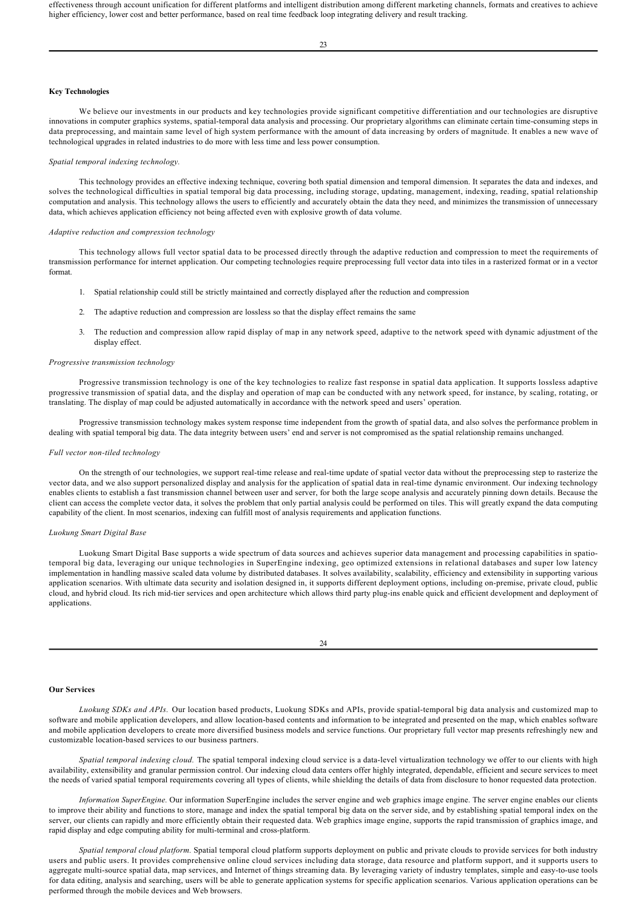effectiveness through account unification for different platforms and intelligent distribution among different marketing channels, formats and creatives to achieve higher efficiency, lower cost and better performance, based on real time feedback loop integrating delivery and result tracking.

### **Key Technologies**

We believe our investments in our products and key technologies provide significant competitive differentiation and our technologies are disruptive innovations in computer graphics systems, spatial-temporal data analysis and processing. Our proprietary algorithms can eliminate certain time-consuming steps in data preprocessing, and maintain same level of high system performance with the amount of data increasing by orders of magnitude. It enables a new wave of technological upgrades in related industries to do more with less time and less power consumption.

#### *Spatial temporal indexing technology.*

This technology provides an effective indexing technique, covering both spatial dimension and temporal dimension. It separates the data and indexes, and solves the technological difficulties in spatial temporal big data processing, including storage, updating, management, indexing, reading, spatial relationship computation and analysis. This technology allows the users to efficiently and accurately obtain the data they need, and minimizes the transmission of unnecessary data, which achieves application efficiency not being affected even with explosive growth of data volume.

#### *Adaptive reduction and compression technology*

This technology allows full vector spatial data to be processed directly through the adaptive reduction and compression to meet the requirements of transmission performance for internet application. Our competing technologies require preprocessing full vector data into tiles in a rasterized format or in a vector format.

- 1. Spatial relationship could still be strictly maintained and correctly displayed after the reduction and compression
- 2. The adaptive reduction and compression are lossless so that the display effect remains the same
- 3. The reduction and compression allow rapid display of map in any network speed, adaptive to the network speed with dynamic adjustment of the display effect.

#### *Progressive transmission technology*

Progressive transmission technology is one of the key technologies to realize fast response in spatial data application. It supports lossless adaptive progressive transmission of spatial data, and the display and operation of map can be conducted with any network speed, for instance, by scaling, rotating, or translating. The display of map could be adjusted automatically in accordance with the network speed and users' operation.

Progressive transmission technology makes system response time independent from the growth of spatial data, and also solves the performance problem in dealing with spatial temporal big data. The data integrity between users' end and server is not compromised as the spatial relationship remains unchanged.

#### *Full vector non-tiled technology*

On the strength of our technologies, we support real-time release and real-time update of spatial vector data without the preprocessing step to rasterize the vector data, and we also support personalized display and analysis for the application of spatial data in real-time dynamic environment. Our indexing technology enables clients to establish a fast transmission channel between user and server, for both the large scope analysis and accurately pinning down details. Because the client can access the complete vector data, it solves the problem that only partial analysis could be performed on tiles. This will greatly expand the data computing capability of the client. In most scenarios, indexing can fulfill most of analysis requirements and application functions.

### *Luokung Smart Digital Base*

Luokung Smart Digital Base supports a wide spectrum of data sources and achieves superior data management and processing capabilities in spatiotemporal big data, leveraging our unique technologies in SuperEngine indexing, geo optimized extensions in relational databases and super low latency implementation in handling massive scaled data volume by distributed databases. It solves availability, scalability, efficiency and extensibility in supporting various application scenarios. With ultimate data security and isolation designed in, it supports different deployment options, including on-premise, private cloud, public cloud, and hybrid cloud. Its rich mid-tier services and open architecture which allows third party plug-ins enable quick and efficient development and deployment of applications.

|   | ï |
|---|---|
| ٦ | ٠ |

# **Our Services**

*Luokung SDKs and APIs.*  Our location based products, Luokung SDKs and APIs, provide spatialtemporal big data analysis and customized map to software and mobile application developers, and allow location-based contents and information to be integrated and presented on the map, which enables software and mobile application developers to create more diversified business models and service functions. Our proprietary full vector map presents refreshingly new and customizable location-based services to our business partners.

Spatial temporal indexing cloud. The spatial temporal indexing cloud service is a data-level virtualization technology we offer to our clients with high availability, extensibility and granular permission control. Our indexing cloud data centers offer highly integrated, dependable, efficient and secure services to meet the needs of varied spatial temporal requirements covering all types of clients, while shielding the details of data from disclosure to honor requested data protection.

*Information SuperEngine.* Our information SuperEngine includes the server engine and web graphics image engine. The server engine enables our clients to improve their ability and functions to store, manage and index the spatial temporal big data on the server side, and by establishing spatial temporal index on the server, our clients can rapidly and more efficiently obtain their requested data. Web graphics image engine, supports the rapid transmission of graphics image, and rapid display and edge computing ability for multi-terminal and cross-platform.

*Spatial temporal cloud platform.* Spatial temporal cloud platform supports deployment on public and private clouds to provide services for both industry users and public users. It provides comprehensive online cloud services including data storage, data resource and platform support, and it supports users to aggregate multi-source spatial data, map services, and Internet of things streaming data. By leveraging variety of industry templates, simple and easy-to-use tools for data editing, analysis and searching, users will be able to generate application systems for specific application scenarios. Various application operations can be performed through the mobile devices and Web browsers.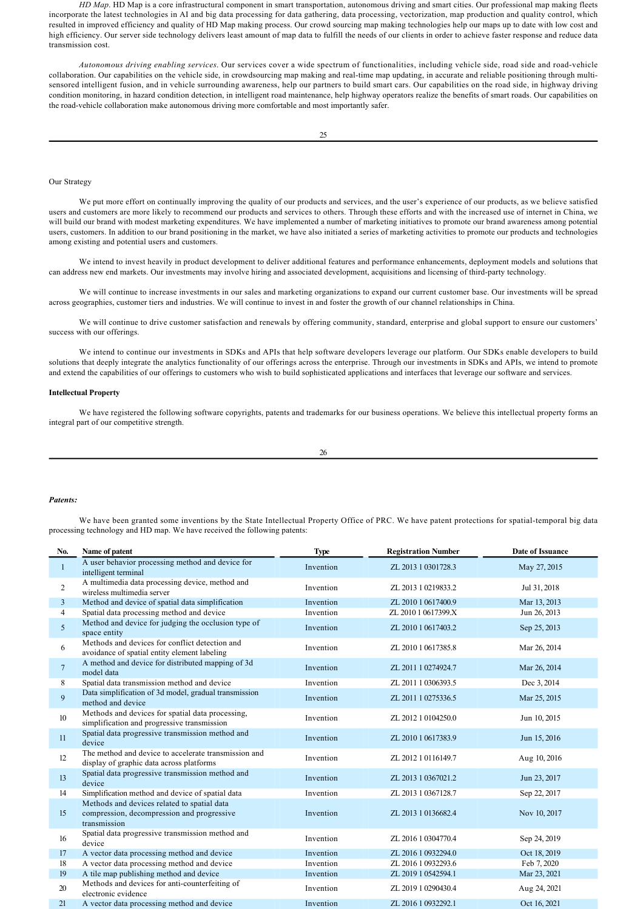*HD Map*. HD Map is a core infrastructural component in smart transportation, autonomous driving and smart cities. Our professional map making fleets incorporate the latest technologies in AI and big data processing for data gathering, data processing, vectorization, map production and quality control, which resulted in improved efficiency and quality of HD Map making process. Our crowd sourcing map making technologies help our maps up to date with low cost and high efficiency. Our server side technology delivers least amount of map data to fulfill the needs of our clients in order to achieve faster response and reduce data transmission cost.

*Autonomous driving enabling services*. Our services cover a wide spectrum of functionalities, including vehicle side, road side and roadvehicle collaboration. Our capabilities on the vehicle side, in crowdsourcing map making and realtime map updating, in accurate and reliable positioning through multisensored intelligent fusion, and in vehicle surrounding awareness, help our partners to build smart cars. Our capabilities on the road side, in highway driving condition monitoring, in hazard condition detection, in intelligent road maintenance, help highway operators realize the benefits of smart roads. Our capabilities on the roadvehicle collaboration make autonomous driving more comfortable and most importantly safer.

### Our Strategy

We put more effort on continually improving the quality of our products and services, and the user's experience of our products, as we believe satisfied users and customers are more likely to recommend our products and services to others. Through these efforts and with the increased use of internet in China, we will build our brand with modest marketing expenditures. We have implemented a number of marketing initiatives to promote our brand awareness among potential users, customers. In addition to our brand positioning in the market, we have also initiated a series of marketing activities to promote our products and technologies among existing and potential users and customers.

We intend to invest heavily in product development to deliver additional features and performance enhancements, deployment models and solutions that can address new end markets. Our investments may involve hiring and associated development, acquisitions and licensing of third-party technology.

We will continue to increase investments in our sales and marketing organizations to expand our current customer base. Our investments will be spread across geographies, customer tiers and industries. We will continue to invest in and foster the growth of our channel relationships in China.

We will continue to drive customer satisfaction and renewals by offering community, standard, enterprise and global support to ensure our customers' success with our offerings.

We intend to continue our investments in SDKs and APIs that help software developers leverage our platform. Our SDKs enable developers to build solutions that deeply integrate the analytics functionality of our offerings across the enterprise. Through our investments in SDKs and APIs, we intend to promote and extend the capabilities of our offerings to customers who wish to build sophisticated applications and interfaces that leverage our software and services.

### **Intellectual Property**

We have registered the following software copyrights, patents and trademarks for our business operations. We believe this intellectual property forms an integral part of our competitive strength.

| ٦<br>I<br>I<br>×<br>۰, |
|------------------------|
|------------------------|

#### *Patents:*

We have been granted some inventions by the State Intellectual Property Office of PRC. We have patent protections for spatial-temporal big data processing technology and HD map. We have received the following patents:

| No.            | Name of patent                                                                                            | <b>Type</b> | <b>Registration Number</b> | <b>Date of Issuance</b> |
|----------------|-----------------------------------------------------------------------------------------------------------|-------------|----------------------------|-------------------------|
| $\mathbf{1}$   | A user behavior processing method and device for<br>intelligent terminal                                  | Invention   | ZL 2013 1 0301728.3        | May 27, 2015            |
| $\overline{c}$ | A multimedia data processing device, method and<br>wireless multimedia server                             | Invention   | ZL 2013 1 0219833.2        | Jul 31, 2018            |
| 3              | Method and device of spatial data simplification                                                          | Invention   | ZL 2010 1 0617400.9        | Mar 13, 2013            |
| 4              | Spatial data processing method and device                                                                 | Invention   | ZL 2010 1 0617399.X        | Jun 26, 2013            |
| 5              | Method and device for judging the occlusion type of<br>space entity                                       | Invention   | ZL 2010 1 0617403.2        | Sep 25, 2013            |
| 6              | Methods and devices for conflict detection and<br>avoidance of spatial entity element labeling            | Invention   | ZL 2010 1 0617385.8        | Mar 26, 2014            |
| $\overline{7}$ | A method and device for distributed mapping of 3d<br>model data                                           | Invention   | ZL 2011 1 0274924.7        | Mar 26, 2014            |
| 8              | Spatial data transmission method and device                                                               | Invention   | ZL 2011 1 0306393.5        | Dec 3, 2014             |
| 9              | Data simplification of 3d model, gradual transmission<br>method and device                                | Invention   | ZL 2011 1 0275336.5        | Mar 25, 2015            |
| 10             | Methods and devices for spatial data processing,<br>simplification and progressive transmission           | Invention   | ZL 2012 1 0104250.0        | Jun 10, 2015            |
| 11             | Spatial data progressive transmission method and<br>device                                                | Invention   | ZL 2010 1 0617383.9        | Jun 15, 2016            |
| 12             | The method and device to accelerate transmission and<br>display of graphic data across platforms          | Invention   | ZL 2012 1 0116149.7        | Aug 10, 2016            |
| 13             | Spatial data progressive transmission method and<br>device                                                | Invention   | ZL 2013 1 0367021.2        | Jun 23, 2017            |
| 14             | Simplification method and device of spatial data                                                          | Invention   | ZL 2013 1 0367128.7        | Sep 22, 2017            |
| 15             | Methods and devices related to spatial data<br>compression, decompression and progressive<br>transmission | Invention   | ZL 2013 1 0136682.4        | Nov 10, 2017            |
| 16             | Spatial data progressive transmission method and<br>device                                                | Invention   | ZL 2016 1 0304770.4        | Sep 24, 2019            |
| 17             | A vector data processing method and device                                                                | Invention   | ZL 2016 1 0932294.0        | Oct 18, 2019            |
| 18             | A vector data processing method and device                                                                | Invention   | ZL 2016 1 0932293.6        | Feb 7, 2020             |
| 19             | A tile map publishing method and device                                                                   | Invention   | ZL 2019 1 0542594.1        | Mar 23, 2021            |
| 20             | Methods and devices for anti-counterfeiting of<br>electronic evidence                                     | Invention   | ZL 2019 1 0290430.4        | Aug 24, 2021            |
| 21             | A vector data processing method and device                                                                | Invention   | ZL 2016 1 0932292.1        | Oct 16, 2021            |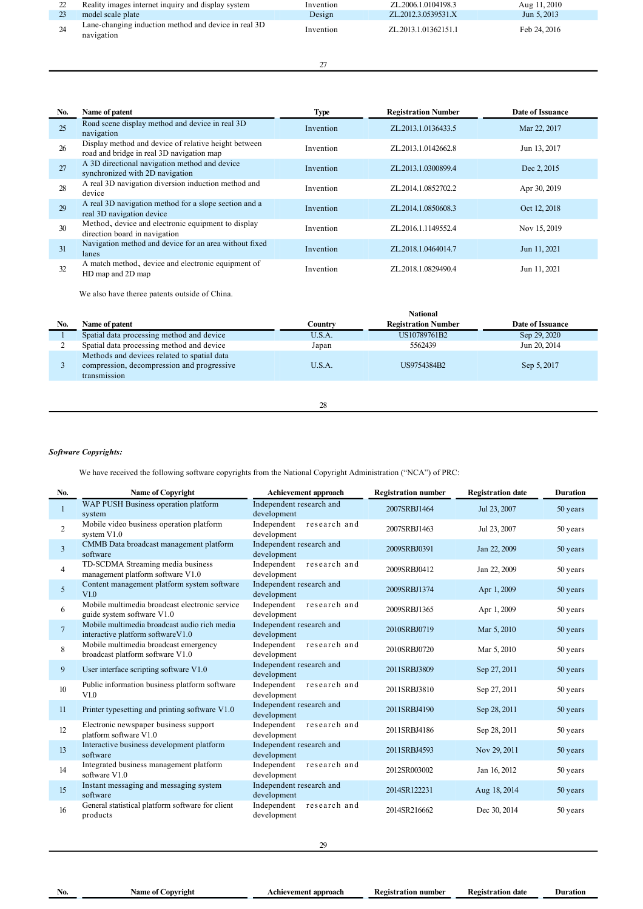| າາ<br>-- | Reality images internet inquiry and display system                 | Invention | ZL 2006 1.0104198.3  | Aug 11, 2010 |
|----------|--------------------------------------------------------------------|-----------|----------------------|--------------|
| 23       | model scale plate                                                  | Design    | ZL.2012.3.0539531.X  | Jun 5, 2013  |
| 24       | Lane-changing induction method and device in real 3D<br>navigation | Invention | ZL 2013 1 01362151 1 | Feb 24, 2016 |

| No. | Name of patent                                                                                    | Type      | <b>Registration Number</b> | Date of Issuance |
|-----|---------------------------------------------------------------------------------------------------|-----------|----------------------------|------------------|
| 25  | Road scene display method and device in real 3D<br>navigation                                     | Invention | ZL.2013.1.0136433.5        | Mar 22, 2017     |
| 26  | Display method and device of relative height between<br>road and bridge in real 3D navigation map | Invention | ZL.2013.1.0142662.8        | Jun 13, 2017     |
| 27  | A 3D directional navigation method and device<br>synchronized with 2D navigation                  | Invention | ZL.2013.1.0300899.4        | Dec 2, 2015      |
| 28  | A real 3D navigation diversion induction method and<br>device                                     | Invention | ZL 2014 1.0852702.2        | Apr 30, 2019     |
| 29  | A real 3D navigation method for a slope section and a<br>real 3D navigation device                | Invention | ZL.2014.1.0850608.3        | Oct 12, 2018     |
| 30  | Method, device and electronic equipment to display<br>direction board in navigation               | Invention | ZL.2016.1.1149552.4        | Nov 15, 2019     |
| 31  | Navigation method and device for an area without fixed<br>lanes                                   | Invention | ZL.2018.1.0464014.7        | Jun 11, 2021     |
| 32  | A match method, device and electronic equipment of<br>HD map and 2D map                           | Invention | ZL.2018.1.0829490.4        | Jun 11, 2021     |

We also have theree patents outside of China.

|     |                                                                                                           |         | <b>National</b>            |                  |
|-----|-----------------------------------------------------------------------------------------------------------|---------|----------------------------|------------------|
| No. | Name of patent                                                                                            | Countrv | <b>Registration Number</b> | Date of Issuance |
|     | Spatial data processing method and device                                                                 | U.S.A.  | US10789761B2               | Sep 29, 2020     |
|     | Spatial data processing method and device                                                                 | Japan   | 5562439                    | Jun 20, 2014     |
|     | Methods and devices related to spatial data<br>compression, decompression and progressive<br>transmission | U.S.A   | US9754384B2                | Sep 5, 2017      |
|     |                                                                                                           |         |                            |                  |

# *Software Copyrights:*

We have received the following software copyrights from the National Copyright Administration ("NCA") of PRC:

| No.              | <b>Name of Copyright</b>                                                           | <b>Achievement approach</b>                | <b>Registration number</b> | <b>Registration date</b> | <b>Duration</b> |
|------------------|------------------------------------------------------------------------------------|--------------------------------------------|----------------------------|--------------------------|-----------------|
| $\mathbf{1}$     | WAP PUSH Business operation platform<br>system                                     | Independent research and<br>development    | 2007SRBJ1464               | Jul 23, 2007             | 50 years        |
| 2                | Mobile video business operation platform<br>system V1.0                            | Independent<br>research and<br>development | 2007SRBJ1463               | Jul 23, 2007             | 50 years        |
| $\overline{3}$   | CMMB Data broadcast management platform<br>software                                | Independent research and<br>development    | 2009SRBJ0391               | Jan 22, 2009             | 50 years        |
| $\overline{4}$   | TD-SCDMA Streaming media business<br>management platform software V1.0             | Independent<br>research and<br>development | 2009SRBJ0412               | Jan 22, 2009             | 50 years        |
| 5                | Content management platform system software<br>V1.0                                | Independent research and<br>development    | 2009SRBJ1374               | Apr 1, 2009              | 50 years        |
| 6                | Mobile multimedia broadcast electronic service<br>guide system software V1.0       | Independent<br>research and<br>development | 2009SRBJ1365               | Apr 1, 2009              | 50 years        |
| $\overline{7}$   | Mobile multimedia broadcast audio rich media<br>interactive platform software V1.0 | Independent research and<br>development    | 2010SRBJ0719               | Mar 5, 2010              | 50 years        |
| $\,8\,$          | Mobile multimedia broadcast emergency<br>broadcast platform software V1.0          | Independent<br>research and<br>development | 2010SRBJ0720               | Mar 5, 2010              | 50 years        |
| 9                | User interface scripting software V1.0                                             | Independent research and<br>development    | 2011SRBJ3809               | Sep 27, 2011             | 50 years        |
| 10 <sup>10</sup> | Public information business platform software<br>V1.0                              | Independent<br>research and<br>development | 2011SRBJ3810               | Sep 27, 2011             | 50 years        |
| 11               | Printer typesetting and printing software V1.0                                     | Independent research and<br>development    | 2011SRBJ4190               | Sep 28, 2011             | 50 years        |
| 12               | Electronic newspaper business support<br>platform software V1.0                    | Independent<br>research and<br>development | 2011SRBJ4186               | Sep 28, 2011             | 50 years        |
| 13               | Interactive business development platform<br>software                              | Independent research and<br>development    | 2011SRBJ4593               | Nov 29, 2011             | 50 years        |
| 14               | Integrated business management platform<br>software V1.0                           | Independent<br>research and<br>development | 2012SR003002               | Jan 16, 2012             | 50 years        |
| 15               | Instant messaging and messaging system<br>software                                 | Independent research and<br>development    | 2014SR122231               | Aug 18, 2014             | 50 years        |
| 16               | General statistical platform software for client<br>products                       | Independent<br>research and<br>development | 2014SR216662               | Dec 30, 2014             | 50 years        |

29

No. Name of Copyright **Achievement approach Registration number Registration date Duration**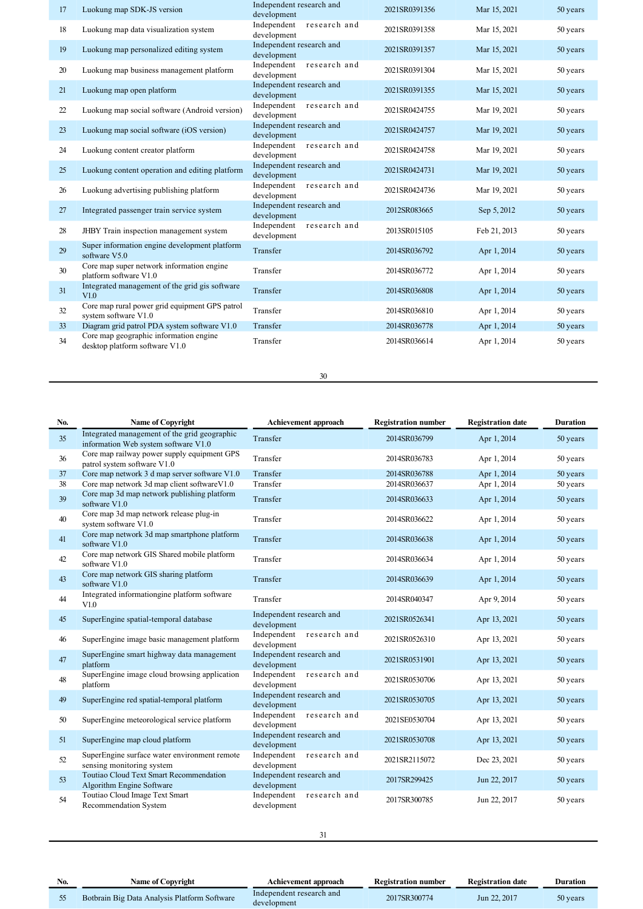| 17 | Luokung map SDK-JS version                                               | Independent research and<br>development    | 2021SR0391356 | Mar 15, 2021 | 50 years |
|----|--------------------------------------------------------------------------|--------------------------------------------|---------------|--------------|----------|
| 18 | Luokung map data visualization system                                    | Independent<br>research and<br>development | 2021SR0391358 | Mar 15, 2021 | 50 years |
| 19 | Luokung map personalized editing system                                  | Independent research and<br>development    | 2021SR0391357 | Mar 15, 2021 | 50 years |
| 20 | Luokung map business management platform                                 | Independent<br>research and<br>development | 2021SR0391304 | Mar 15, 2021 | 50 years |
| 21 | Luokung map open platform                                                | Independent research and<br>development    | 2021SR0391355 | Mar 15, 2021 | 50 years |
| 22 | Luokung map social software (Android version)                            | Independent<br>research and<br>development | 2021SR0424755 | Mar 19, 2021 | 50 years |
| 23 | Luokung map social software (iOS version)                                | Independent research and<br>development    | 2021SR0424757 | Mar 19, 2021 | 50 years |
| 24 | Luokung content creator platform                                         | Independent<br>research and<br>development | 2021SR0424758 | Mar 19, 2021 | 50 years |
| 25 | Luokung content operation and editing platform                           | Independent research and<br>development    | 2021SR0424731 | Mar 19, 2021 | 50 years |
| 26 | Luokung advertising publishing platform                                  | Independent<br>research and<br>development | 2021SR0424736 | Mar 19, 2021 | 50 years |
| 27 | Integrated passenger train service system                                | Independent research and<br>development    | 2012SR083665  | Sep 5, 2012  | 50 years |
| 28 | JHBY Train inspection management system                                  | Independent<br>research and<br>development | 2013SR015105  | Feb 21, 2013 | 50 years |
| 29 | Super information engine development platform<br>software V5.0           | Transfer                                   | 2014SR036792  | Apr 1, 2014  | 50 years |
| 30 | Core map super network information engine<br>platform software V1.0      | Transfer                                   | 2014SR036772  | Apr 1, 2014  | 50 years |
| 31 | Integrated management of the grid gis software<br>V1.0                   | Transfer                                   | 2014SR036808  | Apr 1, 2014  | 50 years |
| 32 | Core map rural power grid equipment GPS patrol<br>system software V1.0   | Transfer                                   | 2014SR036810  | Apr 1, 2014  | 50 years |
| 33 | Diagram grid patrol PDA system software V1.0                             | Transfer                                   | 2014SR036778  | Apr 1, 2014  | 50 years |
| 34 | Core map geographic information engine<br>desktop platform software V1.0 | Transfer                                   | 2014SR036614  | Apr 1, 2014  | 50 years |

| No. | <b>Name of Copyright</b>                                                             | Achievement approach                       | <b>Registration number</b> | <b>Registration date</b> | <b>Duration</b> |
|-----|--------------------------------------------------------------------------------------|--------------------------------------------|----------------------------|--------------------------|-----------------|
| 35  | Integrated management of the grid geographic<br>information Web system software V1.0 | Transfer                                   | 2014SR036799               | Apr 1, 2014              | 50 years        |
| 36  | Core map railway power supply equipment GPS<br>patrol system software V1.0           | Transfer                                   | 2014SR036783               | Apr 1, 2014              | 50 years        |
| 37  | Core map network 3 d map server software V1.0                                        | Transfer                                   | 2014SR036788               | Apr 1, 2014              | 50 years        |
| 38  | Core map network 3d map client software V1.0                                         | Transfer                                   | 2014SR036637               | Apr 1, 2014              | 50 years        |
| 39  | Core map 3d map network publishing platform<br>software V1.0                         | Transfer                                   | 2014SR036633               | Apr 1, 2014              | 50 years        |
| 40  | Core map 3d map network release plug-in<br>system software V1.0                      | Transfer                                   | 2014SR036622               | Apr 1, 2014              | 50 years        |
| 41  | Core map network 3d map smartphone platform<br>software V1.0                         | Transfer                                   | 2014SR036638               | Apr 1, 2014              | 50 years        |
| 42  | Core map network GIS Shared mobile platform<br>software V1.0                         | Transfer                                   | 2014SR036634               | Apr 1, 2014              | 50 years        |
| 43  | Core map network GIS sharing platform<br>software V1.0                               | Transfer                                   | 2014SR036639               | Apr 1, 2014              | 50 years        |
| 44  | Integrated informationgine platform software<br>V1.0                                 | Transfer                                   | 2014SR040347               | Apr 9, 2014              | 50 years        |
| 45  | SuperEngine spatial-temporal database                                                | Independent research and<br>development    | 2021SR0526341              | Apr 13, 2021             | 50 years        |
| 46  | SuperEngine image basic management platform                                          | Independent research and<br>development    | 2021SR0526310              | Apr 13, 2021             | 50 years        |
| 47  | SuperEngine smart highway data management<br>platform                                | Independent research and<br>development    | 2021SR0531901              | Apr 13, 2021             | 50 years        |
| 48  | SuperEngine image cloud browsing application<br>platform                             | Independent research and<br>development    | 2021SR0530706              | Apr 13, 2021             | 50 years        |
| 49  | SuperEngine red spatial-temporal platform                                            | Independent research and<br>development    | 2021SR0530705              | Apr 13, 2021             | 50 years        |
| 50  | SuperEngine meteorological service platform                                          | Independent research and<br>development    | 2021SE0530704              | Apr 13, 2021             | 50 years        |
| 51  | SuperEngine map cloud platform                                                       | Independent research and<br>development    | 2021SR0530708              | Apr 13, 2021             | 50 years        |
| 52  | SuperEngine surface water environment remote<br>sensing monitoring system            | Independent research and<br>development    | 2021SR2115072              | Dec 23, 2021             | 50 years        |
| 53  | Toutiao Cloud Text Smart Recommendation<br>Algorithm Engine Software                 | Independent research and<br>development    | 2017SR299425               | Jun 22, 2017             | 50 years        |
| 54  | Toutiao Cloud Image Text Smart<br>Recommendation System                              | Independent<br>research and<br>development | 2017SR300785               | Jun 22, 2017             | 50 years        |

| No. | <b>Name of Copyright</b>                     | Achievement approach                    | <b>Registration number</b> | <b>Registration date</b> | Duration |
|-----|----------------------------------------------|-----------------------------------------|----------------------------|--------------------------|----------|
|     | Bothrain Big Data Analysis Platform Software | Independent research and<br>development | 2017SR300774               | Jun 22, 2017             | 50 years |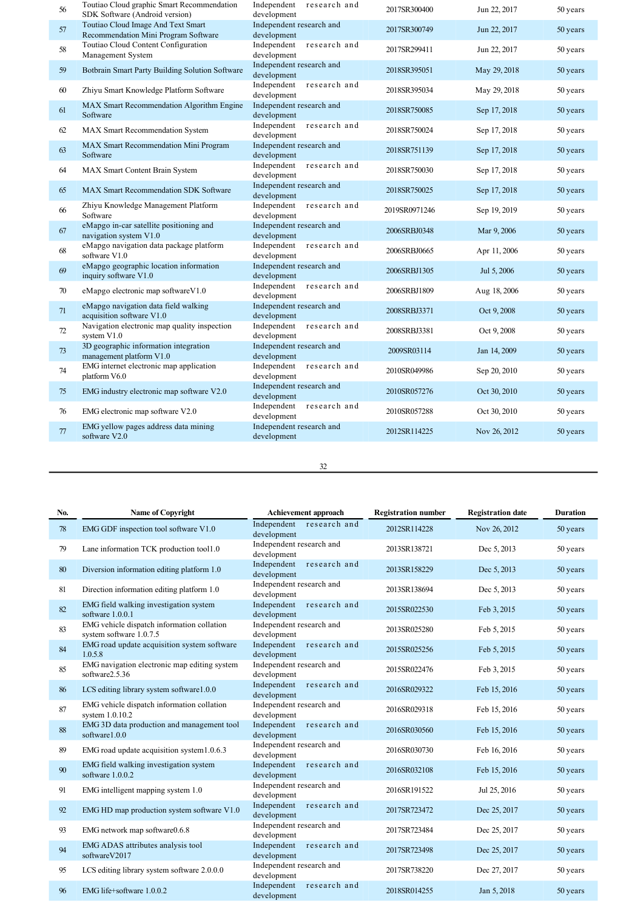| 56 | Toutiao Cloud graphic Smart Recommendation<br>SDK Software (Android version) | Independent<br>research and<br>development | 2017SR300400  | Jun 22, 2017 | 50 years |
|----|------------------------------------------------------------------------------|--------------------------------------------|---------------|--------------|----------|
| 57 | Toutiao Cloud Image And Text Smart<br>Recommendation Mini Program Software   | Independent research and<br>development    | 2017SR300749  | Jun 22, 2017 | 50 years |
| 58 | Toutiao Cloud Content Configuration<br>Management System                     | Independent<br>research and<br>development | 2017SR299411  | Jun 22, 2017 | 50 years |
| 59 | Botbrain Smart Party Building Solution Software                              | Independent research and<br>development    | 2018SR395051  | May 29, 2018 | 50 years |
| 60 | Zhiyu Smart Knowledge Platform Software                                      | Independent<br>research and<br>development | 2018SR395034  | May 29, 2018 | 50 years |
| 61 | MAX Smart Recommendation Algorithm Engine<br>Software                        | Independent research and<br>development    | 2018SR750085  | Sep 17, 2018 | 50 years |
| 62 | MAX Smart Recommendation System                                              | Independent<br>research and<br>development | 2018SR750024  | Sep 17, 2018 | 50 years |
| 63 | MAX Smart Recommendation Mini Program<br>Software                            | Independent research and<br>development    | 2018SR751139  | Sep 17, 2018 | 50 years |
| 64 | MAX Smart Content Brain System                                               | Independent<br>research and<br>development | 2018SR750030  | Sep 17, 2018 | 50 years |
| 65 | <b>MAX Smart Recommendation SDK Software</b>                                 | Independent research and<br>development    | 2018SR750025  | Sep 17, 2018 | 50 years |
| 66 | Zhiyu Knowledge Management Platform<br>Software                              | Independent<br>research and<br>development | 2019SR0971246 | Sep 19, 2019 | 50 years |
| 67 | eMapgo in-car satellite positioning and<br>navigation system V1.0            | Independent research and<br>development    | 2006SRBJ0348  | Mar 9, 2006  | 50 years |
| 68 | eMapgo navigation data package platform<br>software V1.0                     | Independent<br>research and<br>development | 2006SRBJ0665  | Apr 11, 2006 | 50 years |
| 69 | eMapgo geographic location information<br>inquiry software V1.0              | Independent research and<br>development    | 2006SRBJ1305  | Jul 5, 2006  | 50 years |
| 70 | eMapgo electronic map software V1.0                                          | Independent<br>research and<br>development | 2006SRBJ1809  | Aug 18, 2006 | 50 years |
| 71 | eMapgo navigation data field walking<br>acquisition software V1.0            | Independent research and<br>development    | 2008SRBJ3371  | Oct 9, 2008  | 50 years |
| 72 | Navigation electronic map quality inspection<br>system V1.0                  | Independent<br>research and<br>development | 2008SRBJ3381  | Oct 9, 2008  | 50 years |
| 73 | 3D geographic information integration<br>management platform V1.0            | Independent research and<br>development    | 2009SR03114   | Jan 14, 2009 | 50 years |
| 74 | EMG internet electronic map application<br>platform V6.0                     | Independent<br>research and<br>development | 2010SR049986  | Sep 20, 2010 | 50 years |
| 75 | EMG industry electronic map software V2.0                                    | Independent research and<br>development    | 2010SR057276  | Oct 30, 2010 | 50 years |
| 76 | EMG electronic map software V2.0                                             | Independent<br>research and<br>development | 2010SR057288  | Oct 30, 2010 | 50 years |
| 77 | EMG yellow pages address data mining<br>software V2.0                        | Independent research and<br>development    | 2012SR114225  | Nov 26, 2012 | 50 years |

| No. | <b>Name of Copyright</b>                                              | <b>Achievement approach</b>                | <b>Registration number</b> | <b>Registration date</b> | <b>Duration</b> |
|-----|-----------------------------------------------------------------------|--------------------------------------------|----------------------------|--------------------------|-----------------|
| 78  | EMG GDF inspection tool software V1.0                                 | Independent<br>research and<br>development | 2012SR114228               | Nov 26, 2012             | 50 years        |
| 79  | Lane information TCK production tool1.0                               | Independent research and<br>development    | 2013SR138721               | Dec 5, 2013              | 50 years        |
| 80  | Diversion information editing platform 1.0                            | Independent<br>research and<br>development | 2013SR158229               | Dec 5, 2013              | 50 years        |
| 81  | Direction information editing platform 1.0                            | Independent research and<br>development    | 2013SR138694               | Dec 5, 2013              | 50 years        |
| 82  | EMG field walking investigation system<br>software 1.0.0.1            | Independent<br>research and<br>development | 2015SR022530               | Feb 3, 2015              | 50 years        |
| 83  | EMG vehicle dispatch information collation<br>system software 1.0.7.5 | Independent research and<br>development    | 2013SR025280               | Feb 5, 2015              | 50 years        |
| 84  | EMG road update acquisition system software<br>1.0.5.8                | Independent<br>research and<br>development | 2015SR025256               | Feb 5, 2015              | 50 years        |
| 85  | EMG navigation electronic map editing system<br>software2.5.36        | Independent research and<br>development    | 2015SR022476               | Feb 3, 2015              | 50 years        |
| 86  | LCS editing library system software 1.0.0                             | Independent<br>research and<br>development | 2016SR029322               | Feb 15, 2016             | 50 years        |
| 87  | EMG vehicle dispatch information collation<br>system 1.0.10.2         | Independent research and<br>development    | 2016SR029318               | Feb 15, 2016             | 50 years        |
| 88  | EMG 3D data production and management tool<br>software 1.0.0          | Independent<br>research and<br>development | 2016SR030560               | Feb 15, 2016             | 50 years        |
| 89  | EMG road update acquisition system 1.0.6.3                            | Independent research and<br>development    | 2016SR030730               | Feb 16, 2016             | 50 years        |
| 90  | EMG field walking investigation system<br>software $1.0.0.2$          | Independent<br>research and<br>development | 2016SR032108               | Feb 15, 2016             | 50 years        |
| 91  | EMG intelligent mapping system 1.0                                    | Independent research and<br>development    | 2016SR191522               | Jul 25, 2016             | 50 years        |
| 92  | EMG HD map production system software V1.0                            | Independent<br>research and<br>development | 2017SR723472               | Dec 25, 2017             | 50 years        |
| 93  | EMG network map software0.6.8                                         | Independent research and<br>development    | 2017SR723484               | Dec 25, 2017             | 50 years        |
| 94  | EMG ADAS attributes analysis tool<br>software V2017                   | Independent<br>research and<br>development | 2017SR723498               | Dec 25, 2017             | 50 years        |
| 95  | LCS editing library system software 2.0.0.0                           | Independent research and<br>development    | 2017SR738220               | Dec 27, 2017             | 50 years        |
| 96  | EMG life+software 1.0.0.2                                             | Independent<br>research and<br>development | 2018SR014255               | Jan 5, 2018              | 50 years        |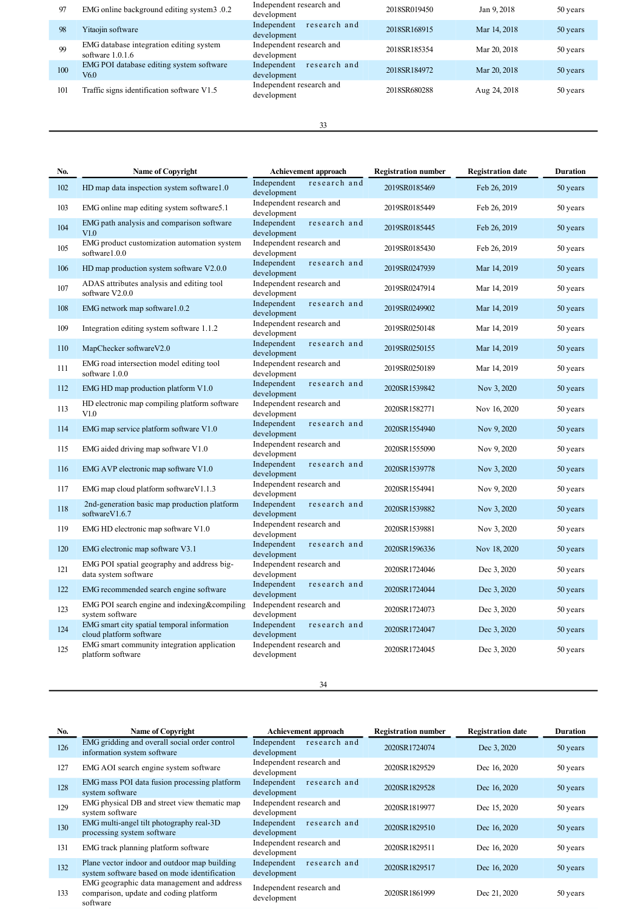| 97  | EMG online background editing system 3.0.2                    | Independent research and<br>development    | 2018SR019450 | Jan 9, 2018  | 50 years |
|-----|---------------------------------------------------------------|--------------------------------------------|--------------|--------------|----------|
| 98  | Yitaojin software                                             | research and<br>Independent<br>development | 2018SR168915 | Mar 14, 2018 | 50 years |
| 99  | EMG database integration editing system<br>software $1.0.1.6$ | Independent research and<br>development    | 2018SR185354 | Mar 20, 2018 | 50 years |
| 100 | EMG POI database editing system software<br>V6.0              | research and<br>Independent<br>development | 2018SR184972 | Mar 20, 2018 | 50 years |
| 101 | Traffic signs identification software V1.5                    | Independent research and<br>development    | 2018SR680288 | Aug 24, 2018 | 50 years |

| No. | <b>Name of Copyright</b>                                               | <b>Achievement approach</b>             |              | <b>Registration number</b> | <b>Registration date</b> | <b>Duration</b> |
|-----|------------------------------------------------------------------------|-----------------------------------------|--------------|----------------------------|--------------------------|-----------------|
| 102 | HD map data inspection system software 1.0                             | Independent<br>development              | research and | 2019SR0185469              | Feb 26, 2019             | 50 years        |
| 103 | EMG online map editing system software 5.1                             | Independent research and<br>development |              | 2019SR0185449              | Feb 26, 2019             | 50 years        |
| 104 | EMG path analysis and comparison software<br>V1.0                      | Independent<br>development              | research and | 2019SR0185445              | Feb 26, 2019             | 50 years        |
| 105 | EMG product customization automation system<br>software1.0.0           | Independent research and<br>development |              | 2019SR0185430              | Feb 26, 2019             | 50 years        |
| 106 | HD map production system software V2.0.0                               | Independent<br>development              | research and | 2019SR0247939              | Mar 14, 2019             | 50 years        |
| 107 | ADAS attributes analysis and editing tool<br>software V2.0.0           | Independent research and<br>development |              | 2019SR0247914              | Mar 14, 2019             | 50 years        |
| 108 | EMG network map software 1.0.2                                         | Independent<br>development              | research and | 2019SR0249902              | Mar 14, 2019             | 50 years        |
| 109 | Integration editing system software 1.1.2                              | Independent research and<br>development |              | 2019SR0250148              | Mar 14, 2019             | 50 years        |
| 110 | MapChecker softwareV2.0                                                | Independent<br>development              | research and | 2019SR0250155              | Mar 14, 2019             | 50 years        |
| 111 | EMG road intersection model editing tool<br>software 1.0.0             | Independent research and<br>development |              | 2019SR0250189              | Mar 14, 2019             | 50 years        |
| 112 | EMG HD map production platform V1.0                                    | Independent<br>development              | research and | 2020SR1539842              | Nov 3, 2020              | 50 years        |
| 113 | HD electronic map compiling platform software<br>V1.0                  | Independent research and<br>development |              | 2020SR1582771              | Nov 16, 2020             | 50 years        |
| 114 | EMG map service platform software V1.0                                 | Independent<br>development              | research and | 2020SR1554940              | Nov 9, 2020              | 50 years        |
| 115 | EMG aided driving map software V1.0                                    | Independent research and<br>development |              | 2020SR1555090              | Nov 9, 2020              | 50 years        |
| 116 | EMG AVP electronic map software V1.0                                   | Independent<br>development              | research and | 2020SR1539778              | Nov 3, 2020              | 50 years        |
| 117 | EMG map cloud platform software V1.1.3                                 | Independent research and<br>development |              | 2020SR1554941              | Nov 9, 2020              | 50 years        |
| 118 | 2nd-generation basic map production platform<br>software V1.6.7        | Independent<br>development              | research and | 2020SR1539882              | Nov 3, 2020              | 50 years        |
| 119 | EMG HD electronic map software V1.0                                    | Independent research and<br>development |              | 2020SR1539881              | Nov 3, 2020              | 50 years        |
| 120 | EMG electronic map software V3.1                                       | Independent<br>development              | research and | 2020SR1596336              | Nov 18, 2020             | 50 years        |
| 121 | EMG POI spatial geography and address big-<br>data system software     | Independent research and<br>development |              | 2020SR1724046              | Dec 3, 2020              | 50 years        |
| 122 | EMG recommended search engine software                                 | Independent<br>development              | research and | 2020SR1724044              | Dec 3, 2020              | 50 years        |
| 123 | EMG POI search engine and indexing&compiling<br>system software        | Independent research and<br>development |              | 2020SR1724073              | Dec 3, 2020              | 50 years        |
| 124 | EMG smart city spatial temporal information<br>cloud platform software | Independent<br>development              | research and | 2020SR1724047              | Dec 3, 2020              | 50 years        |
| 125 | EMG smart community integration application<br>platform software       | Independent research and<br>development |              | 2020SR1724045              | Dec 3, 2020              | 50 years        |

| No. | <b>Name of Copyright</b>                                                                         | <b>Achievement approach</b>                | <b>Registration number</b> | <b>Registration date</b> | <b>Duration</b> |
|-----|--------------------------------------------------------------------------------------------------|--------------------------------------------|----------------------------|--------------------------|-----------------|
| 126 | EMG gridding and overall social order control<br>information system software                     | research and<br>Independent<br>development | 2020SR1724074              | Dec 3, 2020              | 50 years        |
| 127 | EMG AOI search engine system software                                                            | Independent research and<br>development    | 2020SR1829529              | Dec 16, 2020             | 50 years        |
| 128 | EMG mass POI data fusion processing platform<br>system software                                  | Independent<br>research and<br>development | 2020SR1829528              | Dec 16, 2020             | 50 years        |
| 129 | EMG physical DB and street view thematic map<br>system software                                  | Independent research and<br>development    | 2020SR1819977              | Dec 15, 2020             | 50 years        |
| 130 | EMG multi-angel tilt photography real-3D<br>processing system software                           | research and<br>Independent<br>development | 2020SR1829510              | Dec 16, 2020             | 50 years        |
| 131 | EMG track planning platform software                                                             | Independent research and<br>development    | 2020SR1829511              | Dec 16, 2020             | 50 years        |
| 132 | Plane vector indoor and outdoor map building<br>system software based on mode identification     | research and<br>Independent<br>development | 2020SR1829517              | Dec 16, 2020             | 50 years        |
| 133 | EMG geographic data management and address<br>comparison, update and coding platform<br>software | Independent research and<br>development    | 2020SR1861999              | Dec 21, 2020             | 50 years        |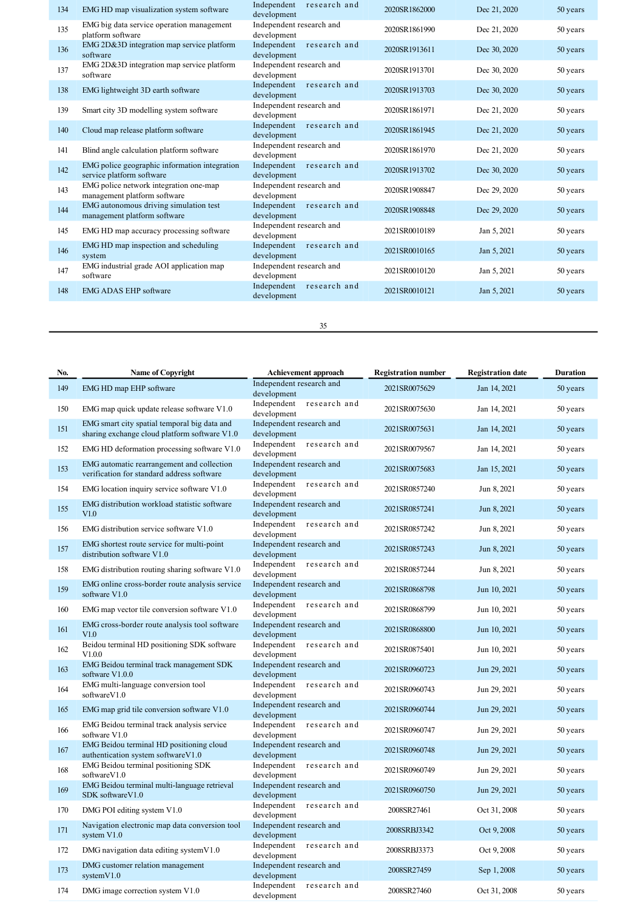| 134 | EMG HD map visualization system software                                   | Independent<br>research and<br>development | 2020SR1862000 | Dec 21, 2020 | 50 years |
|-----|----------------------------------------------------------------------------|--------------------------------------------|---------------|--------------|----------|
| 135 | EMG big data service operation management<br>platform software             | Independent research and<br>development    | 2020SR1861990 | Dec 21, 2020 | 50 years |
| 136 | EMG 2D&3D integration map service platform<br>software                     | Independent<br>research and<br>development | 2020SR1913611 | Dec 30, 2020 | 50 years |
| 137 | EMG 2D&3D integration map service platform<br>software                     | Independent research and<br>development    | 2020SR1913701 | Dec 30, 2020 | 50 years |
| 138 | EMG lightweight 3D earth software                                          | Independent<br>research and<br>development | 2020SR1913703 | Dec 30, 2020 | 50 years |
| 139 | Smart city 3D modelling system software                                    | Independent research and<br>development    | 2020SR1861971 | Dec 21, 2020 | 50 years |
| 140 | Cloud map release platform software                                        | Independent<br>research and<br>development | 2020SR1861945 | Dec 21, 2020 | 50 years |
| 141 | Blind angle calculation platform software                                  | Independent research and<br>development    | 2020SR1861970 | Dec 21, 2020 | 50 years |
| 142 | EMG police geographic information integration<br>service platform software | Independent<br>research and<br>development | 2020SR1913702 | Dec 30, 2020 | 50 years |
| 143 | EMG police network integration one-map<br>management platform software     | Independent research and<br>development    | 2020SR1908847 | Dec 29, 2020 | 50 years |
| 144 | EMG autonomous driving simulation test<br>management platform software     | Independent<br>research and<br>development | 2020SR1908848 | Dec 29, 2020 | 50 years |
| 145 | EMG HD map accuracy processing software                                    | Independent research and<br>development    | 2021SR0010189 | Jan 5, 2021  | 50 years |
| 146 | EMG HD map inspection and scheduling<br>system                             | Independent<br>research and<br>development | 2021SR0010165 | Jan 5, 2021  | 50 years |
| 147 | EMG industrial grade AOI application map<br>software                       | Independent research and<br>development    | 2021SR0010120 | Jan 5, 2021  | 50 years |
| 148 | <b>EMG ADAS EHP software</b>                                               | Independent<br>research and<br>development | 2021SR0010121 | Jan 5, 2021  | 50 years |
|     |                                                                            |                                            |               |              |          |

| No. | <b>Name of Copyright</b>                                                                      | Achievement approach                       | <b>Registration number</b> | <b>Registration date</b> | <b>Duration</b> |
|-----|-----------------------------------------------------------------------------------------------|--------------------------------------------|----------------------------|--------------------------|-----------------|
| 149 | EMG HD map EHP software                                                                       | Independent research and<br>development    | 2021SR0075629              | Jan 14, 2021             | 50 years        |
| 150 | EMG map quick update release software V1.0                                                    | Independent<br>research and<br>development | 2021SR0075630              | Jan 14, 2021             | 50 years        |
| 151 | EMG smart city spatial temporal big data and<br>sharing exchange cloud platform software V1.0 | Independent research and<br>development    | 2021SR0075631              | Jan 14, 2021             | 50 years        |
| 152 | EMG HD deformation processing software V1.0                                                   | Independent<br>research and<br>development | 2021SR0079567              | Jan 14, 2021             | 50 years        |
| 153 | EMG automatic rearrangement and collection<br>verification for standard address software      | Independent research and<br>development    | 2021SR0075683              | Jan 15, 2021             | 50 years        |
| 154 | EMG location inquiry service software V1.0                                                    | Independent<br>research and<br>development | 2021SR0857240              | Jun 8, 2021              | 50 years        |
| 155 | EMG distribution workload statistic software<br>V1.0                                          | Independent research and<br>development    | 2021SR0857241              | Jun 8, 2021              | 50 years        |
| 156 | EMG distribution service software V1.0                                                        | Independent<br>research and<br>development | 2021SR0857242              | Jun 8, 2021              | 50 years        |
| 157 | EMG shortest route service for multi-point<br>distribution software V1.0                      | Independent research and<br>development    | 2021SR0857243              | Jun 8, 2021              | 50 years        |
| 158 | EMG distribution routing sharing software V1.0                                                | Independent<br>research and<br>development | 2021SR0857244              | Jun 8, 2021              | 50 years        |
| 159 | EMG online cross-border route analysis service<br>software V1.0                               | Independent research and<br>development    | 2021SR0868798              | Jun 10, 2021             | 50 years        |
| 160 | EMG map vector tile conversion software V1.0                                                  | Independent<br>research and<br>development | 2021SR0868799              | Jun 10, 2021             | 50 years        |
| 161 | EMG cross-border route analysis tool software<br>V1.0                                         | Independent research and<br>development    | 2021SR0868800              | Jun 10, 2021             | 50 years        |
| 162 | Beidou terminal HD positioning SDK software<br>V1.0.0                                         | Independent<br>research and<br>development | 2021SR0875401              | Jun 10, 2021             | 50 years        |
| 163 | EMG Beidou terminal track management SDK<br>software V1.0.0                                   | Independent research and<br>development    | 2021SR0960723              | Jun 29, 2021             | 50 years        |
| 164 | EMG multi-language conversion tool<br>software V1.0                                           | Independent<br>research and<br>development | 2021SR0960743              | Jun 29, 2021             | 50 years        |
| 165 | EMG map grid tile conversion software V1.0                                                    | Independent research and<br>development    | 2021SR0960744              | Jun 29, 2021             | 50 years        |
| 166 | EMG Beidou terminal track analysis service<br>software V1.0                                   | Independent<br>research and<br>development | 2021SR0960747              | Jun 29, 2021             | 50 years        |
| 167 | EMG Beidou terminal HD positioning cloud<br>authentication system software V1.0               | Independent research and<br>development    | 2021SR0960748              | Jun 29, 2021             | 50 years        |
| 168 | EMG Beidou terminal positioning SDK<br>software V1.0                                          | Independent<br>research and<br>development | 2021SR0960749              | Jun 29, 2021             | 50 years        |
| 169 | EMG Beidou terminal multi-language retrieval<br>SDK software V1.0                             | Independent research and<br>development    | 2021SR0960750              | Jun 29, 2021             | 50 years        |
| 170 | DMG POI editing system V1.0                                                                   | Independent<br>research and<br>development | 2008SR27461                | Oct 31, 2008             | 50 years        |
| 171 | Navigation electronic map data conversion tool<br>system V1.0                                 | Independent research and<br>development    | 2008SRBJ3342               | Oct 9, 2008              | 50 years        |
| 172 | DMG navigation data editing systemV1.0                                                        | Independent<br>research and<br>development | 2008SRBJ3373               | Oct 9, 2008              | 50 years        |
| 173 | DMG customer relation management<br>systemV1.0                                                | Independent research and<br>development    | 2008SR27459                | Sep 1, 2008              | 50 years        |
| 174 | DMG image correction system V1.0                                                              | Independent<br>research and<br>development | 2008SR27460                | Oct 31, 2008             | 50 years        |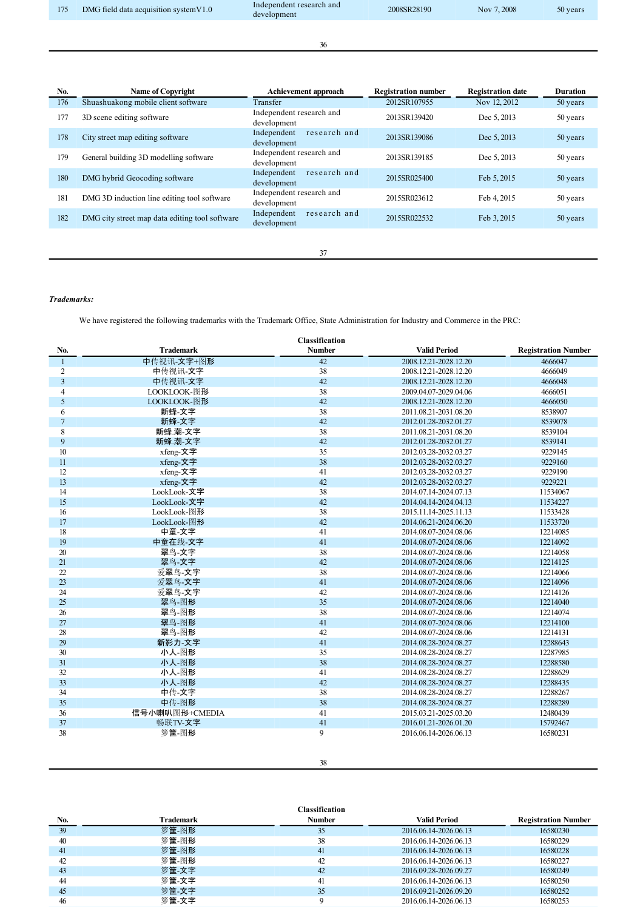| 175 | DMG field data acquisition system V1.0 | Independent research and<br>development | 2008SR28190 | 7.2008<br>Nov | 50 years |
|-----|----------------------------------------|-----------------------------------------|-------------|---------------|----------|
|-----|----------------------------------------|-----------------------------------------|-------------|---------------|----------|

| No. | <b>Name of Copyright</b>                       | <b>Achievement approach</b>                | <b>Registration number</b> | <b>Registration date</b> | <b>Duration</b> |
|-----|------------------------------------------------|--------------------------------------------|----------------------------|--------------------------|-----------------|
| 176 | Shuashuakong mobile client software            | Transfer                                   | 2012SR107955               | Nov 12, 2012             | 50 years        |
| 177 | 3D scene editing software                      | Independent research and<br>development    | 2013SR139420               | Dec 5, 2013              | 50 years        |
| 178 | City street map editing software               | research and<br>Independent<br>development | 2013SR139086               | Dec 5, 2013              | 50 years        |
| 179 | General building 3D modelling software         | Independent research and<br>development    | 2013SR139185               | Dec 5, 2013              | 50 years        |
| 180 | DMG hybrid Geocoding software                  | research and<br>Independent<br>development | 2015SR025400               | Feb 5, 2015              | 50 years        |
| 181 | DMG 3D induction line editing tool software    | Independent research and<br>development    | 2015SR023612               | Feb 4, 2015              | 50 years        |
| 182 | DMG city street map data editing tool software | Independent<br>research and<br>development | 2015SR022532               | Feb 3, 2015              | 50 years        |
|     |                                                |                                            |                            |                          |                 |

# *Trademarks:*

We have registered the following trademarks with the Trademark Office, State Administration for Industry and Commerce in the PRC:

|                         |                  | <b>Classification</b> |                       |                            |
|-------------------------|------------------|-----------------------|-----------------------|----------------------------|
| No.                     | <b>Trademark</b> | Number                | <b>Valid Period</b>   | <b>Registration Number</b> |
| 1                       | 中传视讯-文字+图形       | 42                    | 2008.12.21-2028.12.20 | 4666047                    |
| $\overline{c}$          | 中传视讯-文字          | 38                    | 2008.12.21-2028.12.20 | 4666049                    |
| $\overline{3}$          | 中传视讯-文字          | 42                    | 2008.12.21-2028.12.20 | 4666048                    |
| $\overline{\mathbf{4}}$ | LOOKLOOK-图形      | 38                    | 2009.04.07-2029.04.06 | 4666051                    |
| 5                       | LOOKLOOK-图形      | 42                    | 2008.12.21-2028.12.20 | 4666050                    |
| 6                       | 新蜂-文字            | 38                    | 2011.08.21-2031.08.20 | 8538907                    |
| $\overline{7}$          | 新蜂-文字            | 42                    | 2012.01.28-2032.01.27 | 8539078                    |
| $\overline{8}$          | 新蜂.潮-文字          | 38                    | 2011.08.21-2031.08.20 | 8539104                    |
| 9                       | 新蜂.潮-文字          | 42                    | 2012.01.28-2032.01.27 | 8539141                    |
| 10                      | xfeng-文字         | 35                    | 2012.03.28-2032.03.27 | 9229145                    |
| 11                      | xfeng-文字         | 38                    | 2012.03.28-2032.03.27 | 9229160                    |
| 12                      | xfeng-文字         | 41                    | 2012.03.28-2032.03.27 | 9229190                    |
| 13                      | xfeng-文字         | 42                    | 2012.03.28-2032.03.27 | 9229221                    |
| 14                      | LookLook-文字      | 38                    | 2014.07.14-2024.07.13 | 11534067                   |
| 15                      | LookLook-文字      | 42                    | 2014.04.14-2024.04.13 | 11534227                   |
| 16                      | LookLook-图形      | 38                    | 2015.11.14-2025.11.13 | 11533428                   |
| 17                      | LookLook-图形      | 42                    | 2014.06.21-2024.06.20 | 11533720                   |
| 18                      | 中章-文字            | 41                    | 2014.08.07-2024.08.06 | 12214085                   |
| 19                      | 中章在线-文字          | 41                    | 2014.08.07-2024.08.06 | 12214092                   |
| 20                      | 翠鸟-文字            | 38                    | 2014.08.07-2024.08.06 | 12214058                   |
| 21                      | 翠鸟-文字            | 42                    | 2014.08.07-2024.08.06 | 12214125                   |
| 22                      | 爱翠鸟-文字           | 38                    | 2014.08.07-2024.08.06 | 12214066                   |
| 23                      | 爱翠鸟-文字           | 41                    | 2014.08.07-2024.08.06 | 12214096                   |
| 24                      | 爱翠鸟-文字           | 42                    | 2014.08.07-2024.08.06 | 12214126                   |
| 25                      | 翠鸟-图形            | 35                    | 2014.08.07-2024.08.06 | 12214040                   |
| 26                      | 翠鸟-图形            | 38                    | 2014.08.07-2024.08.06 | 12214074                   |
| 27                      | 翠鸟-图形            | 41                    | 2014.08.07-2024.08.06 | 12214100                   |
| 28                      | 翠鸟-图形            | 42                    | 2014.08.07-2024.08.06 | 12214131                   |
| 29                      | 新影力-文字           | 41                    | 2014.08.28-2024.08.27 | 12288643                   |
| 30                      | 小人-图形            | 35                    | 2014.08.28-2024.08.27 | 12287985                   |
| 31                      | 小人-图形            | 38                    | 2014.08.28-2024.08.27 | 12288580                   |
| 32                      | 小人-图形            | 41                    | 2014.08.28-2024.08.27 | 12288629                   |
| 33                      | 小人-图形            | 42                    | 2014.08.28-2024.08.27 | 12288435                   |
| 34                      | 中传-文字            | 38                    | 2014.08.28-2024.08.27 | 12288267                   |
| 35                      | 中传-图形            | 38                    | 2014.08.28-2024.08.27 | 12288289                   |
| 36                      | 信号小喇叭图形+CMEDIA   | 41                    | 2015.03.21-2025.03.20 | 12480439                   |
| 37                      | 畅联TV-文字          | 41                    | 2016.01.21-2026.01.20 | 15792467                   |
| 38                      | 箩筐-图形            | 9                     | 2016.06.14-2026.06.13 | 16580231                   |
|                         |                  |                       |                       |                            |

|     |           | Classification |                       |                            |
|-----|-----------|----------------|-----------------------|----------------------------|
| No. | Trademark | Number         | Valid Period          | <b>Registration Number</b> |
| 39  | 箩筐-图形     | 35             | 2016.06.14-2026.06.13 | 16580230                   |
| 40  | 箩筐-图形     | 38             | 2016.06.14-2026.06.13 | 16580229                   |
| 41  | 箩筐-图形     | 41             | 2016.06.14-2026.06.13 | 16580228                   |
| 42  | 箩筐-图形     | 42             | 2016.06.14-2026.06.13 | 16580227                   |
| 43  | 箩筐-文字     | 42             | 2016.09.28-2026.09.27 | 16580249                   |
| 44  | 箩筐-文字     | 41             | 2016.06.14-2026.06.13 | 16580250                   |
| 45  | 箩筐-文字     | 35             | 2016.09.21-2026.09.20 | 16580252                   |
| 46  | 箩筐-文字     |                | 2016.06.14-2026.06.13 | 16580253                   |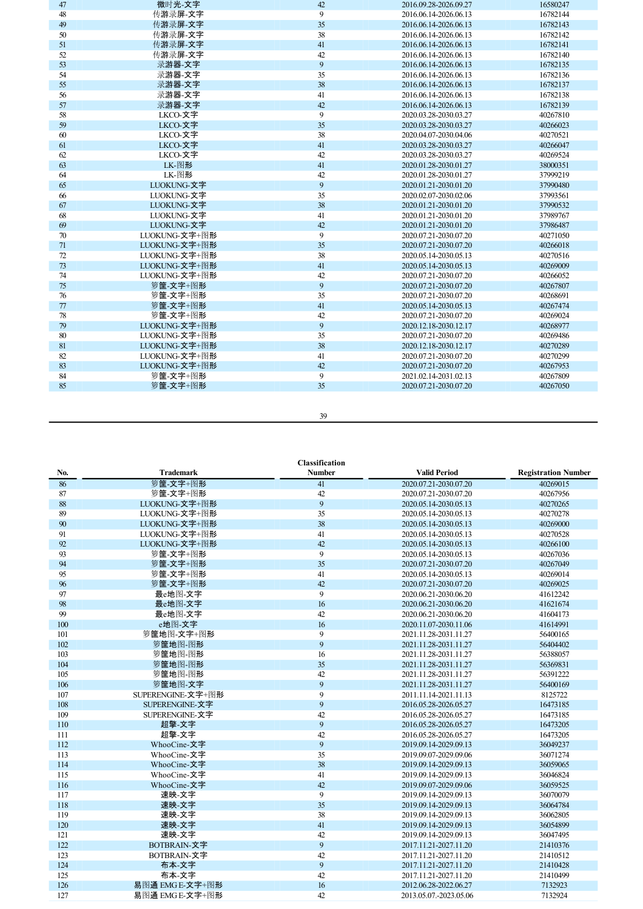| 47 | 微时光-文字        | 42             | 2016.09.28-2026.09.27 | 16580247 |
|----|---------------|----------------|-----------------------|----------|
| 48 | 传游录屏-文字       | 9              | 2016.06.14-2026.06.13 | 16782144 |
| 49 | 传游录屏-文字       | 35             | 2016.06.14-2026.06.13 | 16782143 |
| 50 | 传游录屏-文字       | 38             | 2016.06.14-2026.06.13 | 16782142 |
| 51 | 传游录屏-文字       | 41             | 2016.06.14-2026.06.13 | 16782141 |
| 52 | 传游录屏-文字       | 42             | 2016.06.14-2026.06.13 | 16782140 |
| 53 | 录游器-文字        | $\overline{9}$ | 2016.06.14-2026.06.13 | 16782135 |
| 54 | 录游器-文字        | 35             | 2016.06.14-2026.06.13 | 16782136 |
| 55 | 录游器-文字        | 38             | 2016.06.14-2026.06.13 | 16782137 |
| 56 | 录游器-文字        | 41             | 2016.06.14-2026.06.13 | 16782138 |
| 57 | 录游器-文字        | 42             | 2016.06.14-2026.06.13 | 16782139 |
| 58 | LKCO-文字       | 9              | 2020.03.28-2030.03.27 | 40267810 |
| 59 | LKCO-文字       | 35             | 2020.03.28-2030.03.27 | 40266023 |
| 60 | LKCO-文字       | 38             | 2020.04.07-2030.04.06 | 40270521 |
| 61 | $LKCO-$ 文字    | 41             | 2020.03.28-2030.03.27 | 40266047 |
| 62 | $LKCO-$ 文字    | 42             | 2020.03.28-2030.03.27 | 40269524 |
| 63 | LK-图形         | 41             | 2020.01.28-2030.01.27 | 38000351 |
| 64 | LK-图形         | 42             | 2020.01.28-2030.01.27 | 37999219 |
| 65 | LUOKUNG-文字    | 9              | 2020.01.21-2030.01.20 | 37990480 |
| 66 | LUOKUNG-文字    | 35             | 2020.02.07-2030.02.06 | 37993561 |
| 67 | LUOKUNG-文字    | 38             | 2020.01.21-2030.01.20 | 37990532 |
| 68 | LUOKUNG-文字    | 41             | 2020.01.21-2030.01.20 | 37989767 |
| 69 | LUOKUNG-文字    | 42             | 2020.01.21-2030.01.20 | 37986487 |
| 70 | LUOKUNG-文字+图形 | 9              | 2020.07.21-2030.07.20 | 40271050 |
| 71 | LUOKUNG-文字+图形 | 35             | 2020.07.21-2030.07.20 | 40266018 |
| 72 | LUOKUNG-文字+图形 | 38             | 2020.05.14-2030.05.13 | 40270516 |
| 73 | LUOKUNG-文字+图形 | 41             | 2020.05.14-2030.05.13 | 40269009 |
| 74 | LUOKUNG-文字+图形 | 42             | 2020.07.21-2030.07.20 | 40266052 |
| 75 | 箩筐-文字+图形      | 9              | 2020.07.21-2030.07.20 | 40267807 |
| 76 | 箩筐-文字+图形      | 35             | 2020.07.21-2030.07.20 | 40268691 |
| 77 | 箩筐-文字+图形      | 41             | 2020.05.14-2030.05.13 | 40267474 |
| 78 | 箩筐-文字+图形      | 42             | 2020.07.21-2030.07.20 | 40269024 |
| 79 | LUOKUNG-文字+图形 | 9              | 2020.12.18-2030.12.17 | 40268977 |
| 80 | LUOKUNG-文字+图形 | 35             | 2020.07.21-2030.07.20 | 40269486 |
| 81 | LUOKUNG-文字+图形 | 38             | 2020.12.18-2030.12.17 | 40270289 |
| 82 | LUOKUNG-文字+图形 | 41             | 2020.07.21-2030.07.20 | 40270299 |
| 83 | LUOKUNG-文字+图形 | 42             | 2020.07.21-2030.07.20 | 40267953 |
| 84 | 箩筐-文字+图形      | 9              | 2021.02.14-2031.02.13 | 40267809 |
| 85 | 箩筐-文字+图形      | 35             | 2020.07.21-2030.07.20 | 40267050 |
|    |               |                |                       |          |

| Classification |                   |               |                        |                            |  |
|----------------|-------------------|---------------|------------------------|----------------------------|--|
| No.            | <b>Trademark</b>  | <b>Number</b> | <b>Valid Period</b>    | <b>Registration Number</b> |  |
| 86             | 箩筐-文字+图形          | 41            | 2020.07.21-2030.07.20  | 40269015                   |  |
| 87             | 箩筐-文字+图形          | 42            | 2020.07.21-2030.07.20  | 40267956                   |  |
| 88             | LUOKUNG-文字+图形     | 9             | 2020.05.14-2030.05.13  | 40270265                   |  |
| 89             | LUOKUNG-文字+图形     | 35            | 2020.05.14-2030.05.13  | 40270278                   |  |
| 90             | LUOKUNG-文字+图形     | 38            | 2020.05.14-2030.05.13  | 40269000                   |  |
| 91             | LUOKUNG-文字+图形     | 41            | 2020.05.14-2030.05.13  | 40270528                   |  |
| 92             | LUOKUNG-文字+图形     | 42            | 2020.05.14-2030.05.13  | 40266100                   |  |
| 93             | 箩筐-文字+图形          | 9             | 2020.05.14-2030.05.13  | 40267036                   |  |
| 94             | 箩筐-文字+图形          | 35            | 2020.07.21-2030.07.20  | 40267049                   |  |
| 95             | 箩筐-文字+图形          | 41            | 2020.05.14-2030.05.13  | 40269014                   |  |
| 96             | 箩筐-文字+图形          | 42            | 2020.07.21-2030.07.20  | 40269025                   |  |
| 97             | 最e地图-文字           | 9             | 2020.06.21-2030.06.20  | 41612242                   |  |
| 98             | 最e地图-文字           | 16            | 2020.06.21-2030.06.20  | 41621674                   |  |
| 99             | 最e地图-文字           | 42            | 2020.06.21-2030.06.20  | 41604173                   |  |
| 100            | e地图-文字            | 16            | 2020.11.07-2030.11.06  | 41614991                   |  |
| 101            | 箩筐地图-文字+图形        | 9             | 2021.11.28-2031.11.27  | 56400165                   |  |
| 102            | 箩筐地图-图形           | 9             | 2021.11.28-2031.11.27  | 56404402                   |  |
| 103            | 箩筐地图-图形           | 16            | 2021.11.28-2031.11.27  | 56388057                   |  |
| 104            | 箩筐地图-图形           | 35            | 2021.11.28-2031.11.27  | 56369831                   |  |
| 105            | 箩筐地图-图形           | 42            | 2021.11.28-2031.11.27  | 56391222                   |  |
| 106            | 箩筐地图-文字           | 9             | 2021.11.28-2031.11.27  | 56400169                   |  |
| 107            | SUPERENGINE-文字+图形 | $\mathbf{Q}$  | 2011.11.14-2021.11.13  | 8125722                    |  |
| 108            | SUPERENGINE-文字    | 9             | 2016.05.28-2026.05.27  | 16473185                   |  |
| 109            | SUPERENGINE-文字    | 42            | 2016.05.28-2026.05.27  | 16473185                   |  |
| 110            | 超擎-文字             | 9             | 2016.05.28-2026.05.27  | 16473205                   |  |
| 111            | 超擎-文字             | 42            | 2016.05.28-2026.05.27  | 16473205                   |  |
| 112            | WhooCine-文字       | 9             | 2019.09.14-2029.09.13  | 36049237                   |  |
| 113            | WhooCine-文字       | 35            | 2019.09.07-2029.09.06  | 36071274                   |  |
| 114            | WhooCine-文字       | 38            | 2019.09.14-2029.09.13  | 36059065                   |  |
| 115            | WhooCine-文字       | 41            | 2019.09.14-2029.09.13  | 36046824                   |  |
| 116            | WhooCine-文字       | 42            | 2019.09.07-2029.09.06  | 36059525                   |  |
| 117            | 速映-文字             | 9             | 2019.09.14-2029.09.13  | 36070079                   |  |
| 118            | 速映-文字             | 35            | 2019.09.14-2029.09.13  | 36064784                   |  |
| 119            | 速映-文字             | 38            | 2019.09.14-2029.09.13  | 36062805                   |  |
| 120            | 速映-文字             | 41            | 2019.09.14-2029.09.13  | 36054899                   |  |
| 121            | 速映-文字             | 42            | 2019.09.14-2029.09.13  | 36047495                   |  |
| 122            | BOTBRAIN-文字       | 9             | 2017.11.21-2027.11.20  | 21410376                   |  |
| 123            | BOTBRAIN-文字       | 42            | 2017.11.21-2027.11.20  | 21410512                   |  |
| 124            | 布本-文字             | 9             | 2017.11.21-2027.11.20  | 21410428                   |  |
| 125            | 布本-文字             | 42            | 2017.11.21-2027.11.20  | 21410499                   |  |
| 126            | 易图通 EMGE-文字+图形    | 16            | 2012.06.28-2022.06.27  | 7132923                    |  |
| 127            | 易图通 EMG E-文字+图形   | 42            | 2013.05.07.-2023.05.06 | 7132924                    |  |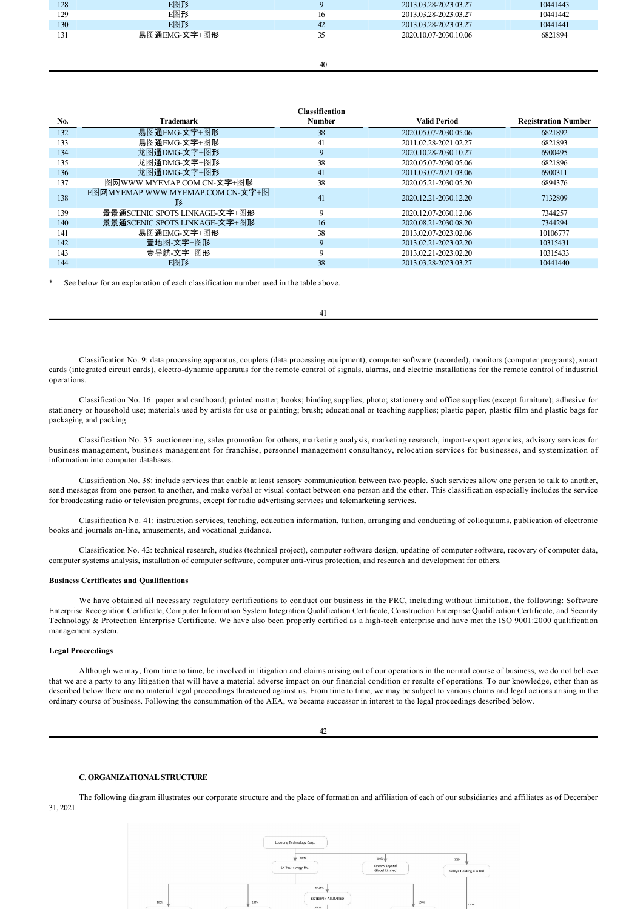| 128 | 图形           |    | 2013.03.28-2023.03.27 | 10441443 |
|-----|--------------|----|-----------------------|----------|
| 129 | 圈形           |    | 2013.03.28-2023.03.27 | 10441442 |
| 130 | 图形           | 42 | 2013.03.28-2023.03.27 | 10441441 |
| 131 | 易图通EMG-文字+图形 |    | 2020.10.07-2030.10.06 | 6821894  |

|     |                                       | <b>Classification</b> |                       |                            |
|-----|---------------------------------------|-----------------------|-----------------------|----------------------------|
| No. | Trademark                             | <b>Number</b>         | <b>Valid Period</b>   | <b>Registration Number</b> |
| 132 | 易图通EMG-文字+图形                          | 38                    | 2020.05.07-2030.05.06 | 6821892                    |
| 133 | 易图通EMG-文字+图形                          | 41                    | 2011.02.28-2021.02.27 | 6821893                    |
| 134 | 龙图通DMG-文字+图形                          | 9                     | 2020.10.28-2030.10.27 | 6900495                    |
| 135 | 龙图通DMG-文字+图形                          | 38                    | 2020.05.07-2030.05.06 | 6821896                    |
| 136 | 龙图通DMG-文字+图形                          | 41                    | 2011.03.07-2021.03.06 | 6900311                    |
| 137 | 图网WWW.MYEMAP.COM.CN-文字+图形             | 38                    | 2020.05.21-2030.05.20 | 6894376                    |
| 138 | E图网MYEMAP WWW.MYEMAP.COM.CN-文字+图<br>形 | 41                    | 2020.12.21-2030.12.20 | 7132809                    |
| 139 | 景景通SCENIC SPOTS LINKAGE-文字+图形         | 9                     | 2020.12.07-2030.12.06 | 7344257                    |
| 140 | 景景通SCENIC SPOTS LINKAGE-文字+图形         | 16                    | 2020.08.21-2030.08.20 | 7344294                    |
| 141 | 易图通EMG-文字+图形                          | 38                    | 2013.02.07-2023.02.06 | 10106777                   |
| 142 | 壹地图-文字+图形                             | 9                     | 2013.02.21-2023.02.20 | 10315431                   |
| 143 | 壹导航-文字+图形                             | 9                     | 2013.02.21-2023.02.20 | 10315433                   |
| 144 | E图形                                   | 38                    | 2013.03.28-2023.03.27 | 10441440                   |

See below for an explanation of each classification number used in the table above.

41

Classification No. 9: data processing apparatus, couplers (data processing equipment), computer software (recorded), monitors (computer programs), smart cards (integrated circuit cards), electro-dynamic apparatus for the remote control of signals, alarms, and electric installations for the remote control of industrial operations.

Classification No. 16: paper and cardboard; printed matter; books; binding supplies; photo; stationery and office supplies (except furniture); adhesive for stationery or household use; materials used by artists for use or painting; brush; educational or teaching supplies; plastic paper, plastic film and plastic bags for packaging and packing.

Classification No. 35: auctioneering, sales promotion for others, marketing analysis, marketing research, importexport agencies, advisory services for business management, business management for franchise, personnel management consultancy, relocation services for businesses, and systemization of information into computer databases.

Classification No. 38: include services that enable at least sensory communication between two people. Such services allow one person to talk to another, send messages from one person to another, and make verbal or visual contact between one person and the other. This classification especially includes the service for broadcasting radio or television programs, except for radio advertising services and telemarketing services.

Classification No. 41: instruction services, teaching, education information, tuition, arranging and conducting of colloquiums, publication of electronic books and journals on-line, amusements, and vocational guidance.

Classification No. 42: technical research, studies (technical project), computer software design, updating of computer software, recovery of computer data, computer systems analysis, installation of computer software, computer anti-virus protection, and research and development for others.

### **Business Certificates and Qualifications**

We have obtained all necessary regulatory certifications to conduct our business in the PRC, including without limitation, the following: Software Enterprise Recognition Certificate, Computer Information System Integration Qualification Certificate, Construction Enterprise Qualification Certificate, and Security Technology & Protection Enterprise Certificate. We have also been properly certified as a hightech enterprise and have met the ISO 9001:2000 qualification management system.

### **Legal Proceedings**

Although we may, from time to time, be involved in litigation and claims arising out of our operations in the normal course of business, we do not believe that we are a party to any litigation that will have a material adverse impact on our financial condition or results of operations. To our knowledge, other than as described below there are no material legal proceedings threatened against us. From time to time, we may be subject to various claims and legal actions arising in the ordinary course of business. Following the consummation of the AEA, we became successor in interest to the legal proceedings described below.

42

#### **C. ORGANIZATIONAL STRUCTURE**

The following diagram illustrates our corporate structure and the place of formation and affiliation of each of our subsidiaries and affiliates as of December 31, 2021.

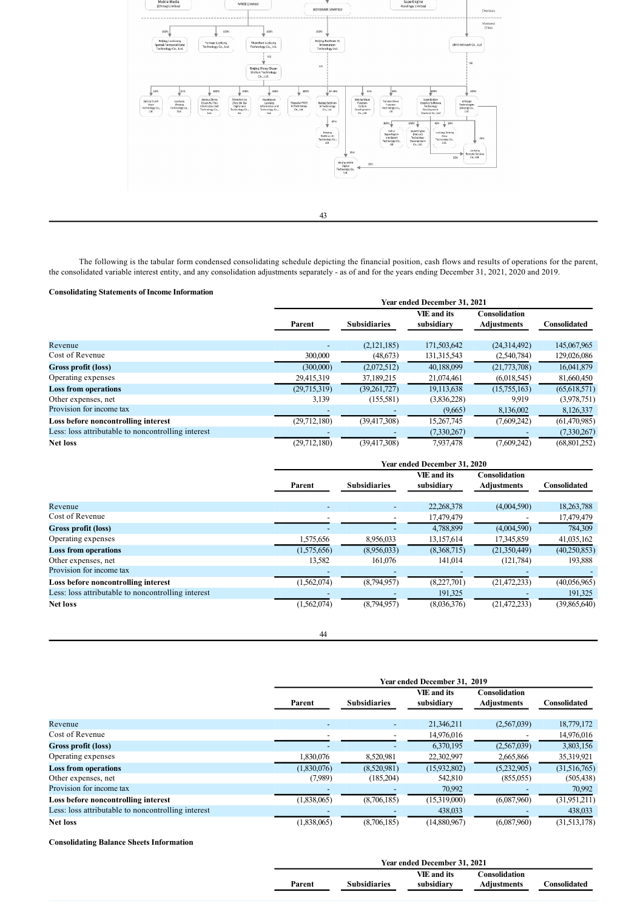

The following is the tabular form condensed consolidating schedule depicting the financial position, cash flows and results of operations for the parent, the consolidated variable interest entity, and any consolidation adjustments separately - as of and for the years ending December 31, 2021, 2020 and 2019.

# **Consolidating Statements of Income Information**

|                                                    |              | Year ended December 31, 2021 |                                  |                                     |                |  |
|----------------------------------------------------|--------------|------------------------------|----------------------------------|-------------------------------------|----------------|--|
|                                                    | Parent       | <b>Subsidiaries</b>          | <b>VIE</b> and its<br>subsidiary | Consolidation<br><b>Adjustments</b> | Consolidated   |  |
| Revenue                                            |              | (2,121,185)                  | 171,503,642                      | (24,314,492)                        | 145,067,965    |  |
| Cost of Revenue                                    | 300,000      | (48, 673)                    | 131,315,543                      | (2,540,784)                         | 129,026,086    |  |
| Gross profit (loss)                                | (300,000)    | (2,072,512)                  | 40,188,099                       | (21,773,708)                        | 16,041,879     |  |
| Operating expenses                                 | 29,415,319   | 37,189,215                   | 21,074,461                       | (6,018,545)                         | 81,660,450     |  |
| <b>Loss from operations</b>                        | (29,715,319) | (39,261,727)                 | 19,113,638                       | (15,755,163)                        | (65,618,571)   |  |
| Other expenses, net                                | 3,139        | (155, 581)                   | (3,836,228)                      | 9.919                               | (3,978,751)    |  |
| Provision for income tax                           |              |                              | (9,665)                          | 8,136,002                           | 8,126,337      |  |
| Loss before noncontrolling interest                | (29,712,180) | (39, 417, 308)               | 15,267,745                       | (7,609,242)                         | (61,470,985)   |  |
| Less: loss attributable to noncontrolling interest |              |                              | (7,330,267)                      |                                     | (7,330,267)    |  |
| <b>Net loss</b>                                    | (29,712,180) | (39, 417, 308)               | 7,937,478                        | (7,609,242)                         | (68, 801, 252) |  |

|                                                    | Year ended December 31, 2020 |                     |                                  |                                            |              |
|----------------------------------------------------|------------------------------|---------------------|----------------------------------|--------------------------------------------|--------------|
|                                                    | Parent                       | <b>Subsidiaries</b> | <b>VIE</b> and its<br>subsidiary | <b>Consolidation</b><br><b>Adjustments</b> | Consolidated |
| Revenue                                            |                              |                     | 22,268,378                       | (4,004,590)                                | 18,263,788   |
| Cost of Revenue                                    |                              |                     | 17,479,479                       |                                            | 17,479,479   |
| Gross profit (loss)                                |                              |                     | 4,788,899                        | (4,004,590)                                | 784,309      |
| Operating expenses                                 | 1,575,656                    | 8,956,033           | 13,157,614                       | 17,345,859                                 | 41,035,162   |
| <b>Loss from operations</b>                        | (1,575,656)                  | (8,956,033)         | (8,368,715)                      | (21,350,449)                               | (40,250,853) |
| Other expenses, net                                | 13,582                       | 161.076             | 141,014                          | (121,784)                                  | 193,888      |
| Provision for income tax                           |                              |                     |                                  |                                            |              |
| Loss before noncontrolling interest                | (1,562,074)                  | (8,794,957)         | (8,227,701)                      | (21, 472, 233)                             | (40,056,965) |
| Less: loss attributable to noncontrolling interest |                              |                     | 191,325                          |                                            | 191,325      |
| <b>Net loss</b>                                    | (1,562,074)                  | (8,794,957)         | (8,036,376)                      | (21, 472, 233)                             | (39,865,640) |

44

|                                                    |             | Year ended December 31, 2019 |                                  |                                     |              |  |
|----------------------------------------------------|-------------|------------------------------|----------------------------------|-------------------------------------|--------------|--|
|                                                    | Parent      | <b>Subsidiaries</b>          | <b>VIE</b> and its<br>subsidiary | Consolidation<br><b>Adjustments</b> | Consolidated |  |
| Revenue                                            |             | $\overline{\phantom{0}}$     | 21,346,211                       | (2,567,039)                         | 18,779,172   |  |
| Cost of Revenue                                    |             |                              | 14,976,016                       |                                     | 14,976,016   |  |
| Gross profit (loss)                                |             |                              | 6,370,195                        | (2,567,039)                         | 3,803,156    |  |
| Operating expenses                                 | 1,830,076   | 8,520,981                    | 22,302,997                       | 2,665,866                           | 35,319,921   |  |
| <b>Loss from operations</b>                        | (1,830,076) | (8,520,981)                  | (15,932,802)                     | (5,232,905)                         | (31,516,765) |  |
| Other expenses, net                                | (7,989)     | (185,204)                    | 542,810                          | (855,055)                           | (505, 438)   |  |
| Provision for income tax                           |             |                              | 70,992                           |                                     | 70,992       |  |
| Loss before noncontrolling interest                | (1,838,065) | (8,706,185)                  | (15,319,000)                     | (6,087,960)                         | (31,951,211) |  |
| Less: loss attributable to noncontrolling interest |             |                              | 438,033                          |                                     | 438,033      |  |
| <b>Net loss</b>                                    | (1,838,065) | (8,706,185)                  | (14,880,967)                     | (6,087,960)                         | (31,513,178) |  |

**Consolidating Balance Sheets Information**

| Year ended December 31, 2021 |                     |                           |                                            |              |  |  |  |
|------------------------------|---------------------|---------------------------|--------------------------------------------|--------------|--|--|--|
| Parent                       | <b>Subsidiaries</b> | VIE and its<br>subsidiary | <b>Consolidation</b><br><b>Adjustments</b> | Consolidated |  |  |  |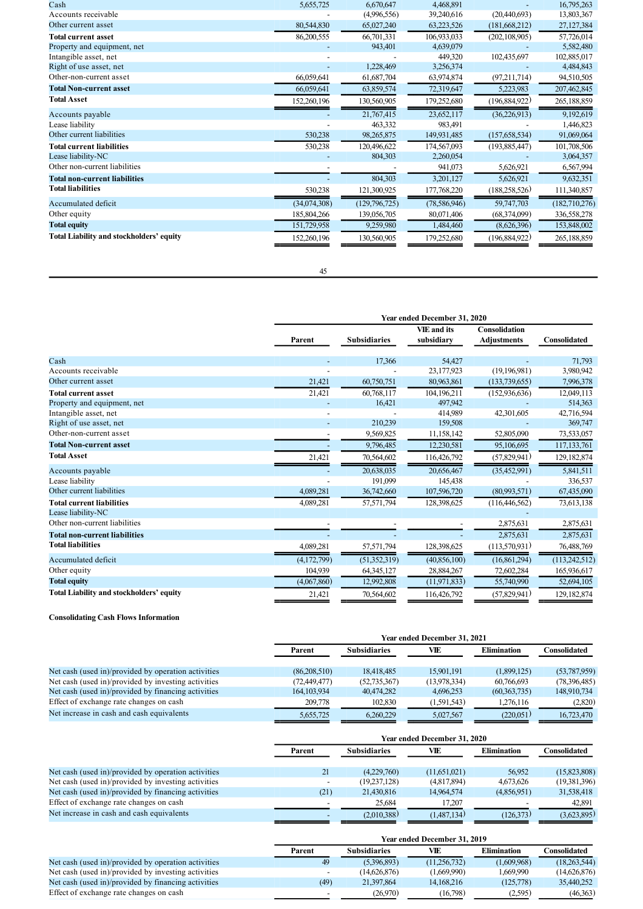| Cash                                            | 5,655,725    | 6,670,647     | 4,468,891      |                 | 16,795,263    |
|-------------------------------------------------|--------------|---------------|----------------|-----------------|---------------|
| Accounts receivable                             |              | (4,996,556)   | 39,240,616     | (20, 440, 693)  | 13,803,367    |
| Other current asset                             | 80,544,830   | 65,027,240    | 63,223,526     | (181, 668, 212) | 27,127,384    |
| Total current asset                             | 86,200,555   | 66,701,331    | 106,933,033    | (202, 108, 905) | 57,726,014    |
| Property and equipment, net                     |              | 943,401       | 4,639,079      |                 | 5,582,480     |
| Intangible asset, net                           |              |               | 449,320        | 102,435,697     | 102,885,017   |
| Right of use asset, net                         |              | 1,228,469     | 3,256,374      |                 | 4,484,843     |
| Other-non-current asset                         | 66,059,641   | 61,687,704    | 63,974,874     | (97,211,714)    | 94,510,505    |
| <b>Total Non-current asset</b>                  | 66,059,641   | 63,859,574    | 72,319,647     | 5,223,983       | 207,462,845   |
| <b>Total Asset</b>                              | 152,260,196  | 130,560,905   | 179,252,680    | (196, 884, 922) | 265,188,859   |
| Accounts payable                                |              | 21,767,415    | 23,652,117     | (36,226,913)    | 9,192,619     |
| Lease liability                                 |              | 463,332       | 983,491        |                 | 1,446,823     |
| Other current liabilities                       | 530,238      | 98,265,875    | 149,931,485    | (157, 658, 534) | 91,069,064    |
| <b>Total current liabilities</b>                | 530,238      | 120,496,622   | 174,567,093    | (193,885,447)   | 101,708,506   |
| Lease liability-NC                              |              | 804,303       | 2,260,054      |                 | 3,064,357     |
| Other non-current liabilities                   |              |               | 941,073        | 5,626,921       | 6,567,994     |
| <b>Total non-current liabilities</b>            |              | 804,303       | 3,201,127      | 5,626,921       | 9,632,351     |
| <b>Total liabilities</b>                        | 530,238      | 121,300,925   | 177,768,220    | (188, 258, 526) | 111,340,857   |
| Accumulated deficit                             | (34,074,308) | (129,796,725) | (78, 586, 946) | 59,747,703      | (182,710,276) |
| Other equity                                    | 185,804,266  | 139,056,705   | 80,071,406     | (68,374,099)    | 336,558,278   |
| <b>Total equity</b>                             | 151,729,958  | 9,259,980     | 1,484,460      | (8,626,396)     | 153,848,002   |
| <b>Total Liability and stockholders' equity</b> | 152,260,196  | 130,560,905   | 179,252,680    | (196,884,922)   | 265,188,859   |

|                                                 |                          | Year ended December 31, 2020 |                           |                                     |                 |  |  |  |  |
|-------------------------------------------------|--------------------------|------------------------------|---------------------------|-------------------------------------|-----------------|--|--|--|--|
|                                                 | Parent                   | <b>Subsidiaries</b>          | VIE and its<br>subsidiarv | Consolidation<br><b>Adjustments</b> | Consolidated    |  |  |  |  |
| Cash                                            |                          | 17,366                       | 54,427                    |                                     | 71,793          |  |  |  |  |
| Accounts receivable                             |                          |                              | 23,177,923                | (19, 196, 981)                      | 3,980,942       |  |  |  |  |
| Other current asset                             | 21,421                   | 60,750,751                   | 80,963,861                | (133, 739, 655)                     | 7,996,378       |  |  |  |  |
| <b>Total current asset</b>                      | 21,421                   | 60,768,117                   | 104,196,211               | (152, 936, 636)                     | 12,049,113      |  |  |  |  |
| Property and equipment, net                     |                          | 16,421                       | 497.942                   |                                     | 514,363         |  |  |  |  |
| Intangible asset, net                           | $\overline{\phantom{a}}$ |                              | 414.989                   | 42,301,605                          | 42,716,594      |  |  |  |  |
| Right of use asset, net                         |                          | 210,239                      | 159,508                   |                                     | 369,747         |  |  |  |  |
| Other-non-current asset                         |                          | 9,569,825                    | 11,158,142                | 52,805,090                          | 73,533,057      |  |  |  |  |
| <b>Total Non-current asset</b>                  |                          | 9,796,485                    | 12,230,581                | 95,106,695                          | 117, 133, 761   |  |  |  |  |
| <b>Total Asset</b>                              | 21,421                   | 70,564,602                   | 116,426,792               | (57,829,941)                        | 129,182,874     |  |  |  |  |
| Accounts payable                                |                          | 20,638,035                   | 20,656,467                | (35, 452, 991)                      | 5,841,511       |  |  |  |  |
| Lease liability                                 |                          | 191.099                      | 145,438                   |                                     | 336,537         |  |  |  |  |
| Other current liabilities                       | 4,089,281                | 36,742,660                   | 107,596,720               | (80,993,571)                        | 67,435,090      |  |  |  |  |
| <b>Total current liabilities</b>                | 4,089,281                | 57,571,794                   | 128,398,625               | (116, 446, 562)                     | 73,613,138      |  |  |  |  |
| Lease liability-NC                              |                          |                              |                           |                                     |                 |  |  |  |  |
| Other non-current liabilities                   |                          |                              |                           | 2,875,631                           | 2,875,631       |  |  |  |  |
| <b>Total non-current liabilities</b>            |                          |                              |                           | 2,875,631                           | 2,875,631       |  |  |  |  |
| <b>Total liabilities</b>                        | 4,089,281                | 57,571,794                   | 128,398,625               | (113,570,931)                       | 76,488,769      |  |  |  |  |
| Accumulated deficit                             | (4,172,799)              | (51, 352, 319)               | (40, 856, 100)            | (16, 861, 294)                      | (113, 242, 512) |  |  |  |  |
| Other equity                                    | 104,939                  | 64, 345, 127                 | 28,884,267                | 72,602,284                          | 165,936,617     |  |  |  |  |
| <b>Total equity</b>                             | (4,067,860)              | 12,992,808                   | (11, 971, 833)            | 55,740,990                          | 52,694,105      |  |  |  |  |
| <b>Total Liability and stockholders' equity</b> | 21,421                   | 70,564,602                   | 116,426,792               | (57,829,941)                        | 129, 182, 874   |  |  |  |  |

# **Consolidating Cash Flows Information**

|                                                     |                | Year ended December 31, 2021 |              |                |                      |  |  |  |  |
|-----------------------------------------------------|----------------|------------------------------|--------------|----------------|----------------------|--|--|--|--|
|                                                     | Parent         | <b>Subsidiaries</b>          | VIE          | Elimination    | C <b>onsolidated</b> |  |  |  |  |
| Net cash (used in)/provided by operation activities | (86,208,510)   | 18.418.485                   | 15.901.191   | (1,899,125)    | (53,787,959)         |  |  |  |  |
| Net cash (used in)/provided by investing activities | (72, 449, 477) | (52, 735, 367)               | (13,978,334) | 60.766.693     | (78,396,485)         |  |  |  |  |
| Net cash (used in)/provided by financing activities | 164, 103, 934  | 40.474.282                   | 4,696,253    | (60, 363, 735) | 148,910,734          |  |  |  |  |
| Effect of exchange rate changes on cash             | 209,778        | 102.830                      | (1,591,543)  | 1,276,116      | (2,820)              |  |  |  |  |
| Net increase in cash and cash equivalents           | 5,655,725      | 6.260.229                    | 5,027,567    | (220,051)      | 16,723,470           |  |  |  |  |

|                                                     |                          | Year ended December 31, 2020 |              |             |                      |  |  |  |  |
|-----------------------------------------------------|--------------------------|------------------------------|--------------|-------------|----------------------|--|--|--|--|
|                                                     | Parent                   | <b>Subsidiaries</b>          | VIE          | Elimination | C <b>onsolidated</b> |  |  |  |  |
| Net cash (used in)/provided by operation activities | 21                       | (4,229,760)                  | (11,651,021) | 56.952      | (15,823,808)         |  |  |  |  |
| Net cash (used in)/provided by investing activities | $\overline{\phantom{a}}$ | (19,237,128)                 | (4,817,894)  | 4.673.626   | (19,381,396)         |  |  |  |  |
| Net cash (used in)/provided by financing activities | (21)                     | 21.430.816                   | 14.964.574   | (4,856,951) | 31,538,418           |  |  |  |  |
| Effect of exchange rate changes on cash             |                          | 25.684                       | 17.207       |             | 42.891               |  |  |  |  |
| Net increase in cash and cash equivalents           |                          | (2,010,388)                  | (1,487,134)  | (126,373)   | (3,623,895)          |  |  |  |  |

|                                                     | Year ended December 31, 2019 |                     |              |             |              |  |  |  |
|-----------------------------------------------------|------------------------------|---------------------|--------------|-------------|--------------|--|--|--|
|                                                     | Parent                       | <b>Subsidiaries</b> | VIE          | Elimination | Consolidated |  |  |  |
| Net cash (used in)/provided by operation activities | 49                           | (5,396,893)         | (11,256,732) | (1,609,968) | (18,263,544) |  |  |  |
| Net cash (used in)/provided by investing activities | $\overline{\phantom{0}}$     | (14,626,876)        | (1,669,990)  | 1.669.990   | (14,626,876) |  |  |  |
| Net cash (used in)/provided by financing activities | (49)                         | 21.397.864          | 14.168.216   | (125.778)   | 35,440,252   |  |  |  |
| Effect of exchange rate changes on cash             |                              | (26,970)            | (16,798)     | (2,595)     | (46,363)     |  |  |  |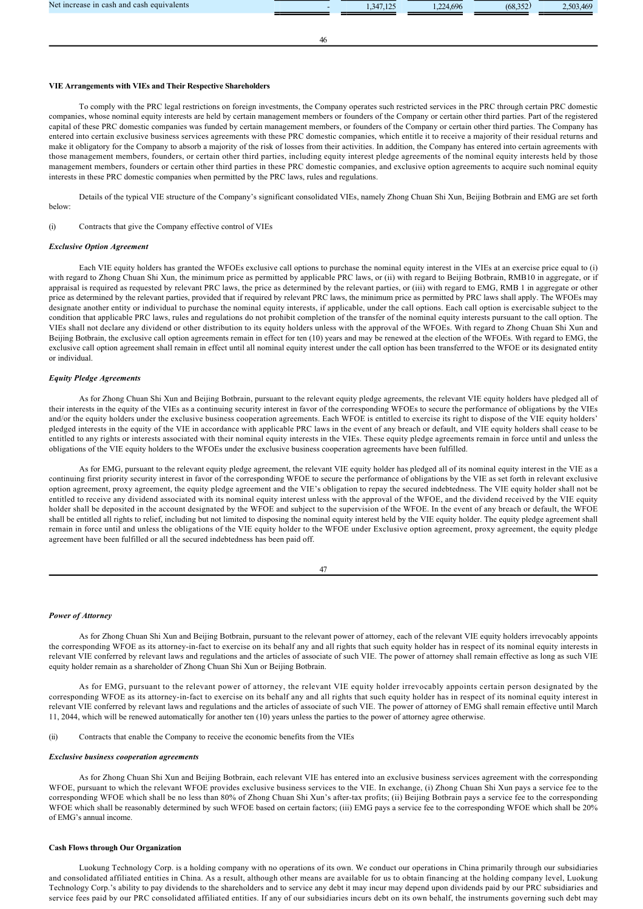| Net increase in cash and cash equivalents | 247125<br>-14<br>$\frac{1}{2}$ | 4.696<br>. | (0.25)<br>108.352 | 2.503.469<br>$-102$ |
|-------------------------------------------|--------------------------------|------------|-------------------|---------------------|
|                                           |                                |            |                   |                     |

### **VIE Arrangements with VIEs and Their Respective Shareholders**

To comply with the PRC legal restrictions on foreign investments, the Company operates such restricted services in the PRC through certain PRC domestic companies, whose nominal equity interests are held by certain management members or founders of the Company or certain other third parties. Part of the registered capital of these PRC domestic companies was funded by certain management members, or founders of the Company or certain other third parties. The Company has entered into certain exclusive business services agreements with these PRC domestic companies, which entitle it to receive a majority of their residual returns and make it obligatory for the Company to absorb a majority of the risk of losses from their activities. In addition, the Company has entered into certain agreements with those management members, founders, or certain other third parties, including equity interest pledge agreements of the nominal equity interests held by those management members, founders or certain other third parties in these PRC domestic companies, and exclusive option agreements to acquire such nominal equity interests in these PRC domestic companies when permitted by the PRC laws, rules and regulations.

Details of the typical VIE structure of the Company's significant consolidated VIEs, namely Zhong Chuan Shi Xun, Beijing Botbrain and EMG are set forth below:

(i) Contracts that give the Company effective control of VIEs

### *Exclusive Option Agreement*

Each VIE equity holders has granted the WFOEs exclusive call options to purchase the nominal equity interest in the VIEs at an exercise price equal to (i) with regard to Zhong Chuan Shi Xun, the minimum price as permitted by applicable PRC laws, or (ii) with regard to Beijing Botbrain, RMB10 in aggregate, or if appraisal is required as requested by relevant PRC laws, the price as determined by the relevant parties, or (iii) with regard to EMG, RMB 1 in aggregate or other price as determined by the relevant parties, provided that if required by relevant PRC laws, the minimum price as permitted by PRC laws shall apply. The WFOEs may designate another entity or individual to purchase the nominal equity interests, if applicable, under the call options. Each call option is exercisable subject to the condition that applicable PRC laws, rules and regulations do not prohibit completion of the transfer of the nominal equity interests pursuant to the call option. The VIEs shall not declare any dividend or other distribution to its equity holders unless with the approval of the WFOEs. With regard to Zhong Chuan Shi Xun and Beijing Botbrain, the exclusive call option agreements remain in effect for ten (10) years and may be renewed at the election of the WFOEs. With regard to EMG, the exclusive call option agreement shall remain in effect until all nominal equity interest under the call option has been transferred to the WFOE or its designated entity or individual.

#### *Equity Pledge Agreements*

As for Zhong Chuan Shi Xun and Beijing Botbrain, pursuant to the relevant equity pledge agreements, the relevant VIE equity holders have pledged all of their interests in the equity of the VIEs as a continuing security interest in favor of the corresponding WFOEs to secure the performance of obligations by the VIEs and/or the equity holders under the exclusive business cooperation agreements. Each WFOE is entitled to exercise its right to dispose of the VIE equity holders' pledged interests in the equity of the VIE in accordance with applicable PRC laws in the event of any breach or default, and VIE equity holders shall cease to be entitled to any rights or interests associated with their nominal equity interests in the VIEs. These equity pledge agreements remain in force until and unless the obligations of the VIE equity holders to the WFOEs under the exclusive business cooperation agreements have been fulfilled.

As for EMG, pursuant to the relevant equity pledge agreement, the relevant VIE equity holder has pledged all of its nominal equity interest in the VIE as a continuing first priority security interest in favor of the corresponding WFOE to secure the performance of obligations by the VIE as set forth in relevant exclusive option agreement, proxy agreement, the equity pledge agreement and the VIE's obligation to repay the secured indebtedness. The VIE equity holder shall not be entitled to receive any dividend associated with its nominal equity interest unless with the approval of the WFOE, and the dividend received by the VIE equity holder shall be deposited in the account designated by the WFOE and subject to the supervision of the WFOE. In the event of any breach or default, the WFOE shall be entitled all rights to relief, including but not limited to disposing the nominal equity interest held by the VIE equity holder. The equity pledge agreement shall remain in force until and unless the obligations of the VIE equity holder to the WFOE under Exclusive option agreement, proxy agreement, the equity pledge agreement have been fulfilled or all the secured indebtedness has been paid off.

## *Power of Attorney*

As for Zhong Chuan Shi Xun and Beijing Botbrain, pursuant to the relevant power of attorney, each of the relevant VIE equity holders irrevocably appoints the corresponding WFOE as its attorney-in-fact to exercise on its behalf any and all rights that such equity holder has in respect of its nominal equity interests in relevant VIE conferred by relevant laws and regulations and the articles of associate of such VIE. The power of attorney shall remain effective as long as such VIE equity holder remain as a shareholder of Zhong Chuan Shi Xun or Beijing Botbrain.

As for EMG, pursuant to the relevant power of attorney, the relevant VIE equity holder irrevocably appoints certain person designated by the corresponding WFOE as its attorney-in-fact to exercise on its behalf any and all rights that such equity holder has in respect of its nominal equity interest in relevant VIE conferred by relevant laws and regulations and the articles of associate of such VIE. The power of attorney of EMG shall remain effective until March 11, 2044, which will be renewed automatically for another ten (10) years unless the parties to the power of attorney agree otherwise.

(ii) Contracts that enable the Company to receive the economic benefits from the VIEs

# *Exclusive business cooperation agreements*

As for Zhong Chuan Shi Xun and Beijing Botbrain, each relevant VIE has entered into an exclusive business services agreement with the corresponding WFOE, pursuant to which the relevant WFOE provides exclusive business services to the VIE. In exchange, (i) Zhong Chuan Shi Xun pays a service fee to the corresponding WFOE which shall be no less than 80% of Zhong Chuan Shi Xun's aftertax profits; (ii) Beijing Botbrain pays a service fee to the corresponding WFOE which shall be reasonably determined by such WFOE based on certain factors; (iii) EMG pays a service fee to the corresponding WFOE which shall be 20% of EMG's annual income.

# **Cash Flows through Our Organization**

Luokung Technology Corp. is a holding company with no operations of its own. We conduct our operations in China primarily through our subsidiaries and consolidated affiliated entities in China. As a result, although other means are available for us to obtain financing at the holding company level, Luokung Technology Corp.'s ability to pay dividends to the shareholders and to service any debt it may incur may depend upon dividends paid by our PRC subsidiaries and service fees paid by our PRC consolidated affiliated entities. If any of our subsidiaries incurs debt on its own behalf, the instruments governing such debt may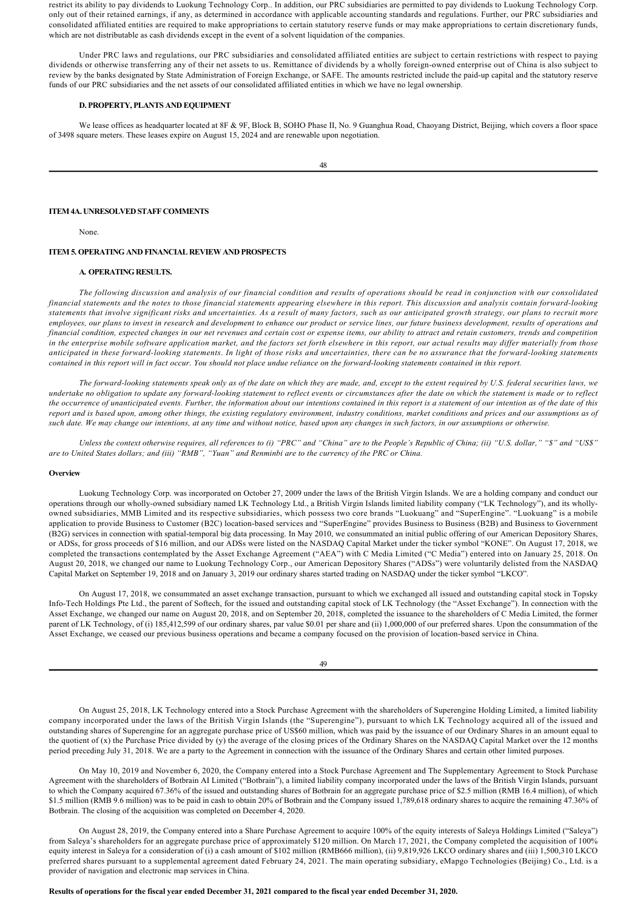restrict its ability to pay dividends to Luokung Technology Corp.. In addition, our PRC subsidiaries are permitted to pay dividends to Luokung Technology Corp. only out of their retained earnings, if any, as determined in accordance with applicable accounting standards and regulations. Further, our PRC subsidiaries and consolidated affiliated entities are required to make appropriations to certain statutory reserve funds or may make appropriations to certain discretionary funds, which are not distributable as cash dividends except in the event of a solvent liquidation of the companies.

Under PRC laws and regulations, our PRC subsidiaries and consolidated affiliated entities are subject to certain restrictions with respect to paying dividends or otherwise transferring any of their net assets to us. Remittance of dividends by a wholly foreign-owned enterprise out of China is also subject to review by the banks designated by State Administration of Foreign Exchange, or SAFE. The amounts restricted include the paidup capital and the statutory reserve funds of our PRC subsidiaries and the net assets of our consolidated affiliated entities in which we have no legal ownership.

### **D. PROPERTY, PLANTS AND EQUIPMENT**

We lease offices as headquarter located at 8F & 9F, Block B, SOHO Phase II, No. 9 Guanghua Road, Chaoyang District, Beijing, which covers a floor space of 3498 square meters. These leases expire on August 15, 2024 and are renewable upon negotiation.

### **ITEM 4A. UNRESOLVED STAFF COMMENTS**

None.

### **ITEM 5. OPERATING AND FINANCIAL REVIEW AND PROSPECTS**

#### **A***.* **OPERATING RESULTS.**

*The following discussion and analysis of our financial condition and results of operations should be read in conjunction with our consolidated* financial statements and the notes to those financial statements appearing elsewhere in this report. This discussion and analysis contain forward-looking *statements that involve significant risks and uncertainties. As a result of many factors, such as our anticipated growth strategy, our plans to recruit more employees, our plans to invest in research and development to enhance our product or service lines, our future business development, results of operations and financial condition, expected changes in our net revenues and certain cost or expense items, our ability to attract and retain customers, trends and competition in the enterprise mobile software application market, and the factors set forth elsewhere in this report, our actual results may differ materially from those* anticipated in these forward-looking statements. In light of those risks and uncertainties, there can be no assurance that the forward-looking statements contained in this report will in fact occur. You should not place undue reliance on the forward-looking statements contained in this report.

*The forwardlooking statements speak only as of the date on which they are made, and, except to the extent required by U.S. federal securities laws, we undertake no obligation to update any forwardlooking statement to reflect events or circumstances after the date on which the statement is made or to reflect the occurrence of unanticipated events. Further, the information about our intentions contained in this report is a statement of our intention as of the date of this report and is based upon, among other things, the existing regulatory environment, industry conditions, market conditions and prices and our assumptions as of such date. We may change our intentions, at any time and without notice, based upon any changes in such factors, in our assumptions or otherwise.*

*Unless the context otherwise requires, all references to (i) "PRC" and "China" are to the People's Republic of China; (ii) "U.S. dollar," "\$" and "US\$" are to United States dollars; and (iii) "RMB", "Yuan" and Renminbi are to the currency of the PRC or China.*

## **Overview**

Luokung Technology Corp. was incorporated on October 27, 2009 under the laws of the British Virgin Islands. We are a holding company and conduct our operations through our wholly-owned subsidiary named LK Technology Ltd., a British Virgin Islands limited liability company ("LK Technology"), and its whollyowned subsidiaries, MMB Limited and its respective subsidiaries, which possess two core brands "Luokuang" and "SuperEngine". "Luokuang" is a mobile application to provide Business to Customer (B2C) location-based services and "SuperEngine" provides Business to Business (B2B) and Business to Government (B2G) services in connection with spatial-temporal big data processing. In May 2010, we consummated an initial public offering of our American Depository Shares, or ADSs, for gross proceeds of \$16 million, and our ADSs were listed on the NASDAQ Capital Market under the ticker symbol "KONE". On August 17, 2018, we completed the transactions contemplated by the Asset Exchange Agreement ("AEA") with C Media Limited ("C Media") entered into on January 25, 2018. On August 20, 2018, we changed our name to Luokung Technology Corp., our American Depository Shares ("ADSs") were voluntarily delisted from the NASDAQ Capital Market on September 19, 2018 and on January 3, 2019 our ordinary shares started trading on NASDAQ under the ticker symbol "LKCO".

On August 17, 2018, we consummated an asset exchange transaction, pursuant to which we exchanged all issued and outstanding capital stock in Topsky Info-Tech Holdings Pte Ltd., the parent of Softech, for the issued and outstanding capital stock of LK Technology (the "Asset Exchange"). In connection with the Asset Exchange, we changed our name on August 20, 2018, and on September 20, 2018, completed the issuance to the shareholders of C Media Limited, the former parent of LK Technology, of (i) 185,412,599 of our ordinary shares, par value \$0.01 per share and (ii) 1,000,000 of our preferred shares. Upon the consummation of the Asset Exchange, we ceased our previous business operations and became a company focused on the provision of location-based service in China.

49

On August 25, 2018, LK Technology entered into a Stock Purchase Agreement with the shareholders of Superengine Holding Limited, a limited liability company incorporated under the laws of the British Virgin Islands (the "Superengine"), pursuant to which LK Technology acquired all of the issued and outstanding shares of Superengine for an aggregate purchase price of US\$60 million, which was paid by the issuance of our Ordinary Shares in an amount equal to the quotient of (x) the Purchase Price divided by (y) the average of the closing prices of the Ordinary Shares on the NASDAQ Capital Market over the 12 months period preceding July 31, 2018. We are a party to the Agreement in connection with the issuance of the Ordinary Shares and certain other limited purposes.

On May 10, 2019 and November 6, 2020, the Company entered into a Stock Purchase Agreement and The Supplementary Agreement to Stock Purchase Agreement with the shareholders of Botbrain AI Limited ("Botbrain"), a limited liability company incorporated under the laws of the British Virgin Islands, pursuant to which the Company acquired 67.36% of the issued and outstanding shares of Botbrain for an aggregate purchase price of \$2.5 million (RMB 16.4 million), of which \$1.5 million (RMB 9.6 million) was to be paid in cash to obtain 20% of Botbrain and the Company issued 1,789,618 ordinary shares to acquire the remaining 47.36% of Botbrain. The closing of the acquisition was completed on December 4, 2020.

On August 28, 2019, the Company entered into a Share Purchase Agreement to acquire 100% of the equity interests of Saleya Holdings Limited ("Saleya") from Saleya's shareholders for an aggregate purchase price of approximately \$120 million. On March 17, 2021, the Company completed the acquisition of 100% equity interest in Saleya for a consideration of (i) a cash amount of \$102 million (RMB666 million), (ii) 9,819,926 LKCO ordinary shares and (iii) 1,500,310 LKCO preferred shares pursuant to a supplemental agreement dated February 24, 2021. The main operating subsidiary, eMapgo Technologies (Beijing) Co., Ltd. is a provider of navigation and electronic map services in China.

**Results of operations for the fiscal year ended December 31, 2021 compared to the fiscal year ended December 31, 2020.**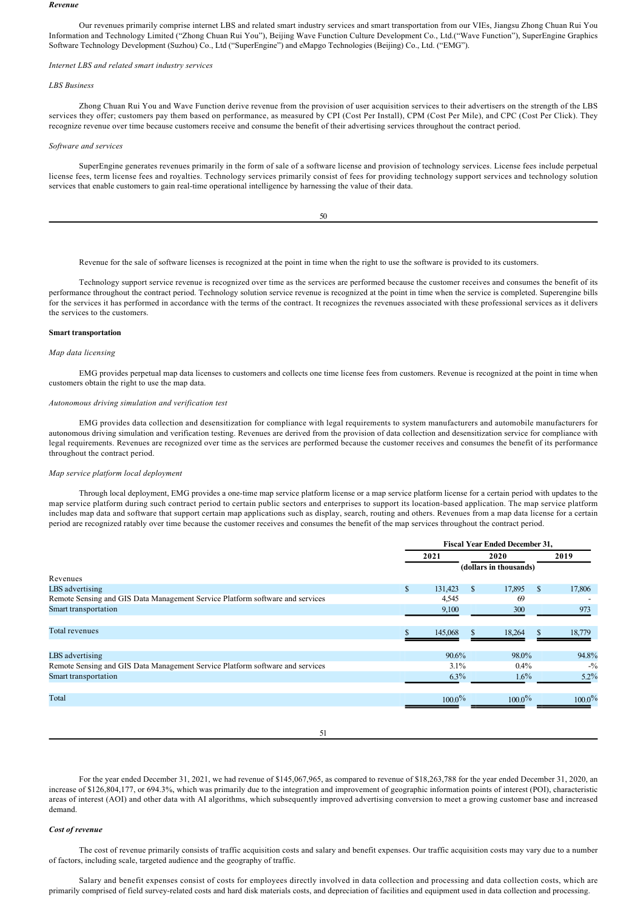#### *Revenue*

Our revenues primarily comprise internet LBS and related smart industry services and smart transportation from our VIEs, Jiangsu Zhong Chuan Rui You Information and Technology Limited ("Zhong Chuan Rui You"), Beijing Wave Function Culture Development Co., Ltd.("Wave Function"), SuperEngine Graphics Software Technology Development (Suzhou) Co., Ltd ("SuperEngine") and eMapgo Technologies (Beijing) Co., Ltd. ("EMG").

#### *Internet LBS and related smart industry services*

# *LBS Business*

Zhong Chuan Rui You and Wave Function derive revenue from the provision of user acquisition services to their advertisers on the strength of the LBS services they offer; customers pay them based on performance, as measured by CPI (Cost Per Install), CPM (Cost Per Mile), and CPC (Cost Per Click). They recognize revenue over time because customers receive and consume the benefit of their advertising services throughout the contract period.

### *Software and services*

SuperEngine generates revenues primarily in the form of sale of a software license and provision of technology services. License fees include perpetual license fees, term license fees and royalties. Technology services primarily consist of fees for providing technology support services and technology solution services that enable customers to gain real-time operational intelligence by harnessing the value of their data.

Revenue for the sale of software licenses is recognized at the point in time when the right to use the software is provided to its customers.

Technology support service revenue is recognized over time as the services are performed because the customer receives and consumes the benefit of its performance throughout the contract period. Technology solution service revenue is recognized at the point in time when the service is completed. Superengine bills for the services it has performed in accordance with the terms of the contract. It recognizes the revenues associated with these professional services as it delivers the services to the customers.

#### **Smart transportation**

#### *Map data licensing*

EMG provides perpetual map data licenses to customers and collects one time license fees from customers. Revenue is recognized at the point in time when customers obtain the right to use the map data.

### *Autonomous driving simulation and verification test*

EMG provides data collection and desensitization for compliance with legal requirements to system manufacturers and automobile manufacturers for autonomous driving simulation and verification testing. Revenues are derived from the provision of data collection and desensitization service for compliance with legal requirements. Revenues are recognized over time as the services are performed because the customer receives and consumes the benefit of its performance throughout the contract period.

#### *Map service platform local deployment*

Through local deployment, EMG provides a one-time map service platform license or a map service platform license for a certain period with updates to the map service platform during such contract period to certain public sectors and enterprises to support its locationbased application. The map service platform includes map data and software that support certain map applications such as display, search, routing and others. Revenues from a map data license for a certain period are recognized ratably over time because the customer receives and consumes the benefit of the map services throughout the contract period.

|                                                                               | <b>Fiscal Year Ended December 31,</b> |           |    |                        |    |           |
|-------------------------------------------------------------------------------|---------------------------------------|-----------|----|------------------------|----|-----------|
|                                                                               | 2021                                  |           |    | 2020                   |    | 2019      |
|                                                                               |                                       |           |    | (dollars in thousands) |    |           |
| Revenues                                                                      |                                       |           |    |                        |    |           |
| LBS advertising                                                               | $\mathbb{S}$                          | 131,423   | S. | 17,895                 | \$ | 17,806    |
| Remote Sensing and GIS Data Management Service Platform software and services |                                       | 4,545     |    | 69                     |    |           |
| Smart transportation                                                          |                                       | 9,100     |    | 300                    |    | 973       |
| <b>Total revenues</b>                                                         | S                                     | 145,068   | \$ | 18,264                 | \$ | 18,779    |
| LBS advertising                                                               |                                       | $90.6\%$  |    | 98.0%                  |    | 94.8%     |
| Remote Sensing and GIS Data Management Service Platform software and services |                                       | 3.1%      |    | $0.4\%$                |    | $-9/0$    |
| Smart transportation                                                          |                                       | $6.3\%$   |    | $1.6\%$                |    | $5.2\%$   |
| Total                                                                         |                                       | $100.0\%$ |    | $100.0\%$              |    | $100.0\%$ |
| 51                                                                            |                                       |           |    |                        |    |           |
|                                                                               |                                       |           |    |                        |    |           |

For the year ended December 31, 2021, we had revenue of \$145,067,965, as compared to revenue of \$18,263,788 for the year ended December 31, 2020, an increase of \$126,804,177, or 694.3%, which was primarily due to the integration and improvement of geographic information points of interest (POI), characteristic areas of interest (AOI) and other data with AI algorithms, which subsequently improved advertising conversion to meet a growing customer base and increased demand.

#### *Cost of revenue*

The cost of revenue primarily consists of traffic acquisition costs and salary and benefit expenses. Our traffic acquisition costs may vary due to a number of factors, including scale, targeted audience and the geography of traffic.

Salary and benefit expenses consist of costs for employees directly involved in data collection and processing and data collection costs, which are primarily comprised of field survey-related costs and hard disk materials costs, and depreciation of facilities and equipment used in data collection and processing.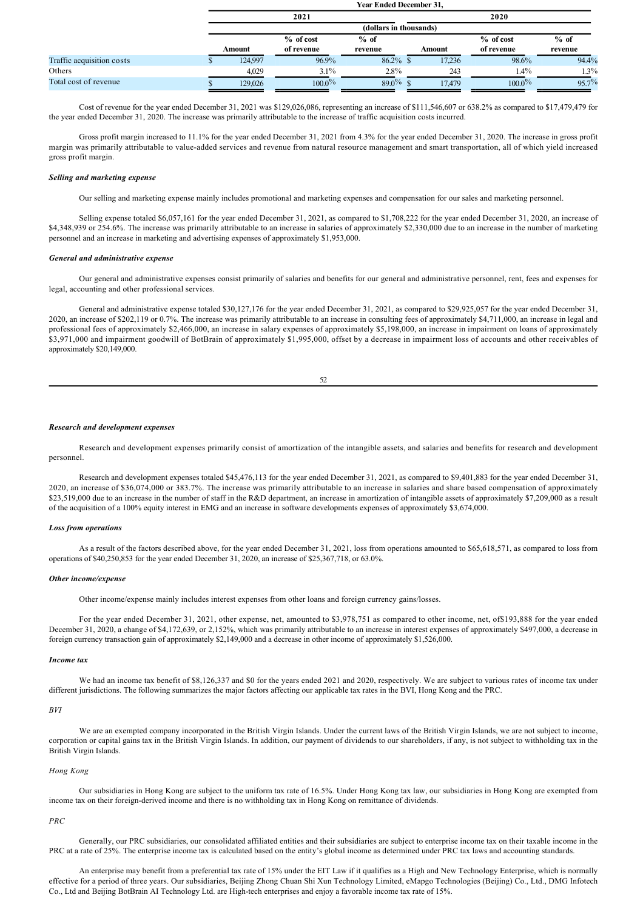|                           |                        |            | <b>Year Ended December 31,</b> |        |            |          |  |  |
|---------------------------|------------------------|------------|--------------------------------|--------|------------|----------|--|--|
|                           | 2021<br>2020           |            |                                |        |            |          |  |  |
|                           | (dollars in thousands) |            |                                |        |            |          |  |  |
|                           |                        | % of cost  | $%$ of                         |        | % of cost  | $%$ of   |  |  |
|                           | Amount                 | of revenue | revenue                        | Amount | of revenue | revenue  |  |  |
| Traffic acquisition costs | 124,997                | 96.9%      | $86.2\%$ \$                    | 17.236 | 98.6%      | 94.4%    |  |  |
| Others                    | 4,029                  | $3.1\%$    | 2.8%                           | 243    | 1.4%       | 1.3%     |  |  |
| Total cost of revenue     | 129,026                | $100.0\%$  | $89.0\%$                       | 17.479 | $100.0\%$  | $95.7\%$ |  |  |

Cost of revenue for the year ended December 31, 2021 was \$129,026,086, representing an increase of \$111,546,607 or 638.2% as compared to \$17,479,479 for the year ended December 31, 2020. The increase was primarily attributable to the increase of traffic acquisition costs incurred.

Gross profit margin increased to 11.1% for the year ended December 31, 2021 from 4.3% for the year ended December 31, 2020. The increase in gross profit margin was primarily attributable to value-added services and revenue from natural resource management and smart transportation, all of which yield increased gross profit margin.

### *Selling and marketing expense*

Our selling and marketing expense mainly includes promotional and marketing expenses and compensation for our sales and marketing personnel.

Selling expense totaled \$6,057,161 for the year ended December 31, 2021, as compared to \$1,708,222 for the year ended December 31, 2020, an increase of \$4,348,939 or 254.6%. The increase was primarily attributable to an increase in salaries of approximately \$2,330,000 due to an increase in the number of marketing personnel and an increase in marketing and advertising expenses of approximately \$1,953,000.

## *General and administrative expense*

Our general and administrative expenses consist primarily of salaries and benefits for our general and administrative personnel, rent, fees and expenses for legal, accounting and other professional services.

General and administrative expense totaled \$30,127,176 for the year ended December 31, 2021, as compared to \$29,925,057 for the year ended December 31, 2020, an increase of \$202,119 or 0.7%. The increase was primarily attributable to an increase in consulting fees of approximately \$4,711,000, an increase in legal and professional fees of approximately \$2,466,000, an increase in salary expenses of approximately \$5,198,000, an increase in impairment on loans of approximately \$3,971,000 and impairment goodwill of BotBrain of approximately \$1,995,000, offset by a decrease in impairment loss of accounts and other receivables of approximately \$20,149,000.

52

#### *Research and development expenses*

Research and development expenses primarily consist of amortization of the intangible assets, and salaries and benefits for research and development personnel.

Research and development expenses totaled \$45,476,113 for the year ended December 31, 2021, as compared to \$9,401,883 for the year ended December 31, 2020, an increase of \$36,074,000 or 383.7%. The increase was primarily attributable to an increase in salaries and share based compensation of approximately \$23,519,000 due to an increase in the number of staff in the R&D department, an increase in amortization of intangible assets of approximately \$7,209,000 as a result of the acquisition of a 100% equity interest in EMG and an increase in software developments expenses of approximately \$3,674,000.

### *Loss from operations*

As a result of the factors described above, for the year ended December 31, 2021, loss from operations amounted to \$65,618,571, as compared to loss from operations of \$40,250,853 for the year ended December 31, 2020, an increase of \$25,367,718, or 63.0%.

### *Other income/expense*

Other income/expense mainly includes interest expenses from other loans and foreign currency gains/losses.

For the year ended December 31, 2021, other expense, net, amounted to \$3,978,751 as compared to other income, net, of\$193,888 for the year ended December 31, 2020, a change of \$4,172,639, or 2,152%, which was primarily attributable to an increase in interest expenses of approximately \$497,000, a decrease in foreign currency transaction gain of approximately \$2,149,000 and a decrease in other income of approximately \$1,526,000.

#### *Income tax*

We had an income tax benefit of \$8,126,337 and \$0 for the years ended 2021 and 2020, respectively. We are subject to various rates of income tax under different jurisdictions. The following summarizes the major factors affecting our applicable tax rates in the BVI, Hong Kong and the PRC.

#### *BVI*

We are an exempted company incorporated in the British Virgin Islands. Under the current laws of the British Virgin Islands, we are not subject to income, corporation or capital gains tax in the British Virgin Islands. In addition, our payment of dividends to our shareholders, if any, is not subject to withholding tax in the British Virgin Islands.

# *Hong Kong*

Our subsidiaries in Hong Kong are subject to the uniform tax rate of 16.5%. Under Hong Kong tax law, our subsidiaries in Hong Kong are exempted from income tax on their foreign-derived income and there is no withholding tax in Hong Kong on remittance of dividends.

### *PRC*

Generally, our PRC subsidiaries, our consolidated affiliated entities and their subsidiaries are subject to enterprise income tax on their taxable income in the PRC at a rate of 25%. The enterprise income tax is calculated based on the entity's global income as determined under PRC tax laws and accounting standards.

An enterprise may benefit from a preferential tax rate of 15% under the EIT Law if it qualifies as a High and New Technology Enterprise, which is normally effective for a period of three years. Our subsidiaries, Beijing Zhong Chuan Shi Xun Technology Limited, eMapgo Technologies (Beijing) Co., Ltd., DMG Infotech Co., Ltd and Beijing BotBrain AI Technology Ltd. are High-tech enterprises and enjoy a favorable income tax rate of 15%.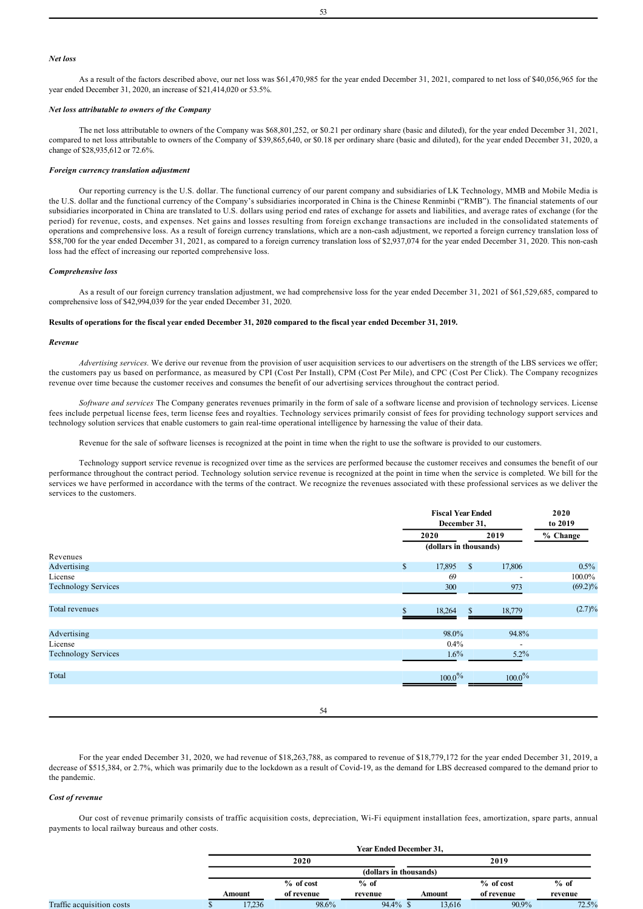#### *Net loss*

As a result of the factors described above, our net loss was \$61,470,985 for the year ended December 31, 2021, compared to net loss of \$40,056,965 for the year ended December 31, 2020, an increase of \$21,414,020 or 53.5%.

### *Net loss attributable to owners of the Company*

The net loss attributable to owners of the Company was \$68,801,252, or \$0.21 per ordinary share (basic and diluted), for the year ended December 31, 2021, compared to net loss attributable to owners of the Company of \$39,865,640, or \$0.18 per ordinary share (basic and diluted), for the year ended December 31, 2020, a change of \$28,935,612 or 72.6%.

# *Foreign currency translation adjustment*

Our reporting currency is the U.S. dollar. The functional currency of our parent company and subsidiaries of LK Technology, MMB and Mobile Media is the U.S. dollar and the functional currency of the Company's subsidiaries incorporated in China is the Chinese Renminbi ("RMB"). The financial statements of our subsidiaries incorporated in China are translated to U.S. dollars using period end rates of exchange for assets and liabilities, and average rates of exchange (for the period) for revenue, costs, and expenses. Net gains and losses resulting from foreign exchange transactions are included in the consolidated statements of operations and comprehensive loss. As a result of foreign currency translations, which are a noncash adjustment, we reported a foreign currency translation loss of \$58,700 for the year ended December 31, 2021, as compared to a foreign currency translation loss of \$2,937,074 for the year ended December 31, 2020. This non-cash loss had the effect of increasing our reported comprehensive loss.

#### *Comprehensive loss*

As a result of our foreign currency translation adjustment, we had comprehensive loss for the year ended December 31, 2021 of \$61,529,685, compared to comprehensive loss of \$42,994,039 for the year ended December 31, 2020.

#### **Results of operations for the fiscal year ended December 31, 2020 compared to the fiscal year ended December 31, 2019.**

#### *Revenue*

*Advertising services.* We derive our revenue from the provision of user acquisition services to our advertisers on the strength of the LBS services we offer; the customers pay us based on performance, as measured by CPI (Cost Per Install), CPM (Cost Per Mile), and CPC (Cost Per Click). The Company recognizes revenue over time because the customer receives and consumes the benefit of our advertising services throughout the contract period.

*Software and services* The Company generates revenues primarily in the form of sale of a software license and provision of technology services. License fees include perpetual license fees, term license fees and royalties. Technology services primarily consist of fees for providing technology support services and technology solution services that enable customers to gain real-time operational intelligence by harnessing the value of their data.

Revenue for the sale of software licenses is recognized at the point in time when the right to use the software is provided to our customers.

Technology support service revenue is recognized over time as the services are performed because the customer receives and consumes the benefit of our performance throughout the contract period. Technology solution service revenue is recognized at the point in time when the service is completed. We bill for the services we have performed in accordance with the terms of the contract. We recognize the revenues associated with these professional services as we deliver the services to the customers.

|                            |    | <b>Fiscal Year Ended</b><br>December 31, |                        |              | 2020<br>to 2019 |            |  |
|----------------------------|----|------------------------------------------|------------------------|--------------|-----------------|------------|--|
|                            |    |                                          | 2020<br>2019           |              |                 | % Change   |  |
|                            |    |                                          | (dollars in thousands) |              |                 |            |  |
| Revenues                   |    |                                          |                        |              |                 |            |  |
| Advertising                |    | \$                                       | 17,895                 | $\mathbb{S}$ | 17,806          | $0.5\%$    |  |
| License                    |    |                                          | 69                     |              |                 | 100.0%     |  |
| <b>Technology Services</b> |    |                                          | 300                    |              | 973             | $(69.2)\%$ |  |
| Total revenues             |    |                                          | 18,264                 | S.           | 18,779          | (2.7)%     |  |
| Advertising                |    |                                          | 98.0%                  |              | 94.8%           |            |  |
| License                    |    |                                          | $0.4\%$                |              |                 |            |  |
| <b>Technology Services</b> |    |                                          | $1.6\%$                |              | $5.2\%$         |            |  |
| Total                      |    |                                          | $100.0\%$              |              | $100.0\%$       |            |  |
|                            |    |                                          |                        |              |                 |            |  |
|                            | 54 |                                          |                        |              |                 |            |  |

For the year ended December 31, 2020, we had revenue of \$18,263,788, as compared to revenue of \$18,779,172 for the year ended December 31, 2019, a decrease of \$515,384, or 2.7%, which was primarily due to the lockdown as a result of Covid-19, as the demand for LBS decreased compared to the demand prior to the pandemic.

#### *Cost of revenue*

Traffic acquisition costs

Our cost of revenue primarily consists of traffic acquisition costs, depreciation, Wi-Fi equipment installation fees, amortization, spare parts, annual payments to local railway bureaus and other costs.

|              | Year Ended December 31, |          |        |            |         |  |  |  |  |  |  |  |  |  |
|--------------|-------------------------|----------|--------|------------|---------|--|--|--|--|--|--|--|--|--|
| 2020<br>2019 |                         |          |        |            |         |  |  |  |  |  |  |  |  |  |
|              | (dollars in thousands)  |          |        |            |         |  |  |  |  |  |  |  |  |  |
|              | $%$ of cost             | $%$ of   |        | % of cost  | $%$ of  |  |  |  |  |  |  |  |  |  |
| Amount       | of revenue              | revenue  | Amount | of revenue | revenue |  |  |  |  |  |  |  |  |  |
| 7.236<br>٠D  | 98.6%                   | 94.4% \$ | 13.616 | 90.9%      | 72.5%   |  |  |  |  |  |  |  |  |  |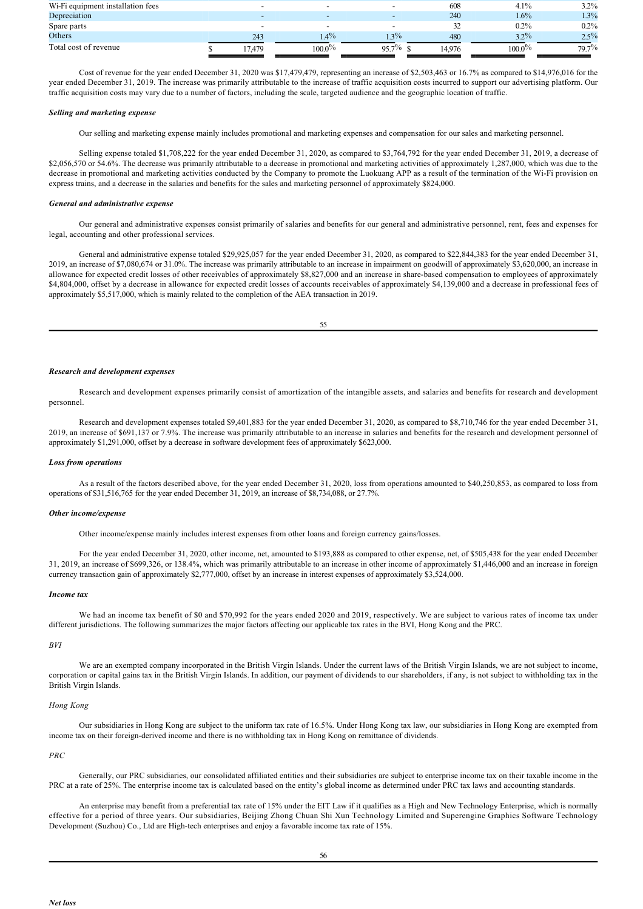| Wi-Fi equipment installation fees |        | $\overline{\phantom{0}}$ | -                        | 608    | 4.1%      | $3.2\%$ |
|-----------------------------------|--------|--------------------------|--------------------------|--------|-----------|---------|
| Depreciation                      |        | . .                      | $\overline{\phantom{a}}$ | 240    | 1.6%      | 1.3%    |
| Spare parts                       |        |                          | -                        | عد     | 0.2%      | $0.2\%$ |
| Others                            | 243    | $1.4\%$                  | .3%                      | 480    | $3.2\%$   | 2.5%    |
| Total cost of revenue             | 17,479 | $100.0\%$                | $95.7\%$                 | 14.976 | $100.0\%$ | 79.7%   |

Cost of revenue for the year ended December 31, 2020 was \$17,479,479, representing an increase of \$2,503,463 or 16.7% as compared to \$14,976,016 for the year ended December 31, 2019. The increase was primarily attributable to the increase of traffic acquisition costs incurred to support our advertising platform. Our traffic acquisition costs may vary due to a number of factors, including the scale, targeted audience and the geographic location of traffic.

# *Selling and marketing expense*

Our selling and marketing expense mainly includes promotional and marketing expenses and compensation for our sales and marketing personnel.

Selling expense totaled \$1,708,222 for the year ended December 31, 2020, as compared to \$3,764,792 for the year ended December 31, 2019, a decrease of \$2,056,570 or 54.6%. The decrease was primarily attributable to a decrease in promotional and marketing activities of approximately 1,287,000, which was due to the decrease in promotional and marketing activities conducted by the Company to promote the Luokuang APP as a result of the termination of the Wi-Fi provision on express trains, and a decrease in the salaries and benefits for the sales and marketing personnel of approximately \$824,000.

### *General and administrative expense*

Our general and administrative expenses consist primarily of salaries and benefits for our general and administrative personnel, rent, fees and expenses for legal, accounting and other professional services.

General and administrative expense totaled \$29,925,057 for the year ended December 31, 2020, as compared to \$22,844,383 for the year ended December 31, 2019, an increase of \$7,080,674 or 31.0%. The increase was primarily attributable to an increase in impairment on goodwill of approximately \$3,620,000, an increase in allowance for expected credit losses of other receivables of approximately \$8,827,000 and an increase in sharebased compensation to employees of approximately \$4,804,000, offset by a decrease in allowance for expected credit losses of accounts receivables of approximately \$4,139,000 and a decrease in professional fees of approximately \$5,517,000, which is mainly related to the completion of the AEA transaction in 2019.

55

# *Research and development expenses*

Research and development expenses primarily consist of amortization of the intangible assets, and salaries and benefits for research and development personnel.

Research and development expenses totaled \$9,401,883 for the year ended December 31, 2020, as compared to \$8,710,746 for the year ended December 31, 2019, an increase of \$691,137 or 7.9%. The increase was primarily attributable to an increase in salaries and benefits for the research and development personnel of approximately \$1,291,000, offset by a decrease in software development fees of approximately \$623,000.

#### *Loss from operations*

As a result of the factors described above, for the year ended December 31, 2020, loss from operations amounted to \$40,250,853, as compared to loss from operations of \$31,516,765 for the year ended December 31, 2019, an increase of \$8,734,088, or 27.7%.

### *Other income/expense*

Other income/expense mainly includes interest expenses from other loans and foreign currency gains/losses.

For the year ended December 31, 2020, other income, net, amounted to \$193,888 as compared to other expense, net, of \$505,438 for the year ended December 31, 2019, an increase of \$699,326, or 138.4%, which was primarily attributable to an increase in other income of approximately \$1,446,000 and an increase in foreign currency transaction gain of approximately \$2,777,000, offset by an increase in interest expenses of approximately \$3,524,000.

### *Income tax*

We had an income tax benefit of \$0 and \$70,992 for the years ended 2020 and 2019, respectively. We are subject to various rates of income tax under different jurisdictions. The following summarizes the major factors affecting our applicable tax rates in the BVI, Hong Kong and the PRC.

# *BVI*

We are an exempted company incorporated in the British Virgin Islands. Under the current laws of the British Virgin Islands, we are not subject to income, corporation or capital gains tax in the British Virgin Islands. In addition, our payment of dividends to our shareholders, if any, is not subject to withholding tax in the British Virgin Islands.

# *Hong Kong*

Our subsidiaries in Hong Kong are subject to the uniform tax rate of 16.5%. Under Hong Kong tax law, our subsidiaries in Hong Kong are exempted from income tax on their foreign-derived income and there is no withholding tax in Hong Kong on remittance of dividends.

# *PRC*

Generally, our PRC subsidiaries, our consolidated affiliated entities and their subsidiaries are subject to enterprise income tax on their taxable income in the PRC at a rate of 25%. The enterprise income tax is calculated based on the entity's global income as determined under PRC tax laws and accounting standards.

An enterprise may benefit from a preferential tax rate of 15% under the EIT Law if it qualifies as a High and New Technology Enterprise, which is normally effective for a period of three years. Our subsidiaries, Beijing Zhong Chuan Shi Xun Technology Limited and Superengine Graphics Software Technology Development (Suzhou) Co., Ltd are High-tech enterprises and enjoy a favorable income tax rate of 15%.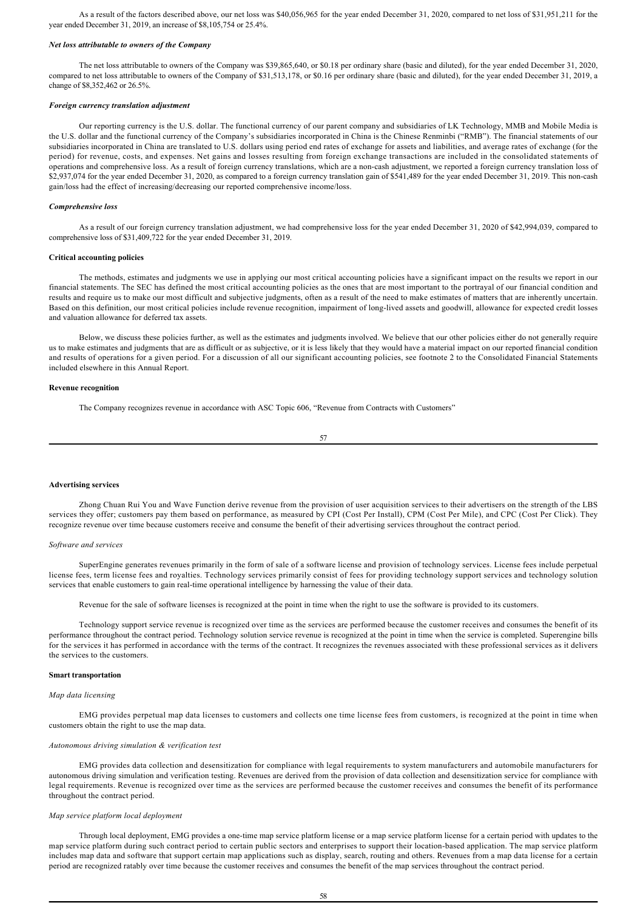As a result of the factors described above, our net loss was \$40,056,965 for the year ended December 31, 2020, compared to net loss of \$31,951,211 for the year ended December 31, 2019, an increase of \$8,105,754 or 25.4%.

#### *Net loss attributable to owners of the Company*

The net loss attributable to owners of the Company was \$39,865,640, or \$0.18 per ordinary share (basic and diluted), for the year ended December 31, 2020, compared to net loss attributable to owners of the Company of \$31,513,178, or \$0.16 per ordinary share (basic and diluted), for the year ended December 31, 2019, a change of \$8,352,462 or 26.5%.

#### *Foreign currency translation adjustment*

Our reporting currency is the U.S. dollar. The functional currency of our parent company and subsidiaries of LK Technology, MMB and Mobile Media is the U.S. dollar and the functional currency of the Company's subsidiaries incorporated in China is the Chinese Renminbi ("RMB"). The financial statements of our subsidiaries incorporated in China are translated to U.S. dollars using period end rates of exchange for assets and liabilities, and average rates of exchange (for the period) for revenue, costs, and expenses. Net gains and losses resulting from foreign exchange transactions are included in the consolidated statements of operations and comprehensive loss. As a result of foreign currency translations, which are a noncash adjustment, we reported a foreign currency translation loss of \$2,937,074 for the year ended December 31, 2020, as compared to a foreign currency translation gain of \$541,489 for the year ended December 31, 2019. This non-cash gain/loss had the effect of increasing/decreasing our reported comprehensive income/loss.

#### *Comprehensive loss*

As a result of our foreign currency translation adjustment, we had comprehensive loss for the year ended December 31, 2020 of \$42,994,039, compared to comprehensive loss of \$31,409,722 for the year ended December 31, 2019.

### **Critical accounting policies**

The methods, estimates and judgments we use in applying our most critical accounting policies have a significant impact on the results we report in our financial statements. The SEC has defined the most critical accounting policies as the ones that are most important to the portrayal of our financial condition and results and require us to make our most difficult and subjective judgments, often as a result of the need to make estimates of matters that are inherently uncertain. Based on this definition, our most critical policies include revenue recognition, impairment of long-lived assets and goodwill, allowance for expected credit losses and valuation allowance for deferred tax assets.

Below, we discuss these policies further, as well as the estimates and judgments involved. We believe that our other policies either do not generally require us to make estimates and judgments that are as difficult or as subjective, or it is less likely that they would have a material impact on our reported financial condition and results of operations for a given period. For a discussion of all our significant accounting policies, see footnote 2 to the Consolidated Financial Statements included elsewhere in this Annual Report.

#### **Revenue recognition**

The Company recognizes revenue in accordance with ASC Topic 606, "Revenue from Contracts with Customers"

57

#### **Advertising services**

Zhong Chuan Rui You and Wave Function derive revenue from the provision of user acquisition services to their advertisers on the strength of the LBS services they offer; customers pay them based on performance, as measured by CPI (Cost Per Install), CPM (Cost Per Mile), and CPC (Cost Per Click). They recognize revenue over time because customers receive and consume the benefit of their advertising services throughout the contract period.

#### *Software and services*

SuperEngine generates revenues primarily in the form of sale of a software license and provision of technology services. License fees include perpetual license fees, term license fees and royalties. Technology services primarily consist of fees for providing technology support services and technology solution services that enable customers to gain real-time operational intelligence by harnessing the value of their data.

Revenue for the sale of software licenses is recognized at the point in time when the right to use the software is provided to its customers.

Technology support service revenue is recognized over time as the services are performed because the customer receives and consumes the benefit of its performance throughout the contract period. Technology solution service revenue is recognized at the point in time when the service is completed. Superengine bills for the services it has performed in accordance with the terms of the contract. It recognizes the revenues associated with these professional services as it delivers the services to the customers.

#### **Smart transportation**

# *Map data licensing*

EMG provides perpetual map data licenses to customers and collects one time license fees from customers, is recognized at the point in time when customers obtain the right to use the map data.

### *Autonomous driving simulation & verification test*

EMG provides data collection and desensitization for compliance with legal requirements to system manufacturers and automobile manufacturers for autonomous driving simulation and verification testing. Revenues are derived from the provision of data collection and desensitization service for compliance with legal requirements. Revenue is recognized over time as the services are performed because the customer receives and consumes the benefit of its performance throughout the contract period.

### *Map service platform local deployment*

Through local deployment, EMG provides a one-time map service platform license or a map service platform license for a certain period with updates to the map service platform during such contract period to certain public sectors and enterprises to support their locationbased application. The map service platform includes map data and software that support certain map applications such as display, search, routing and others. Revenues from a map data license for a certain period are recognized ratably over time because the customer receives and consumes the benefit of the map services throughout the contract period.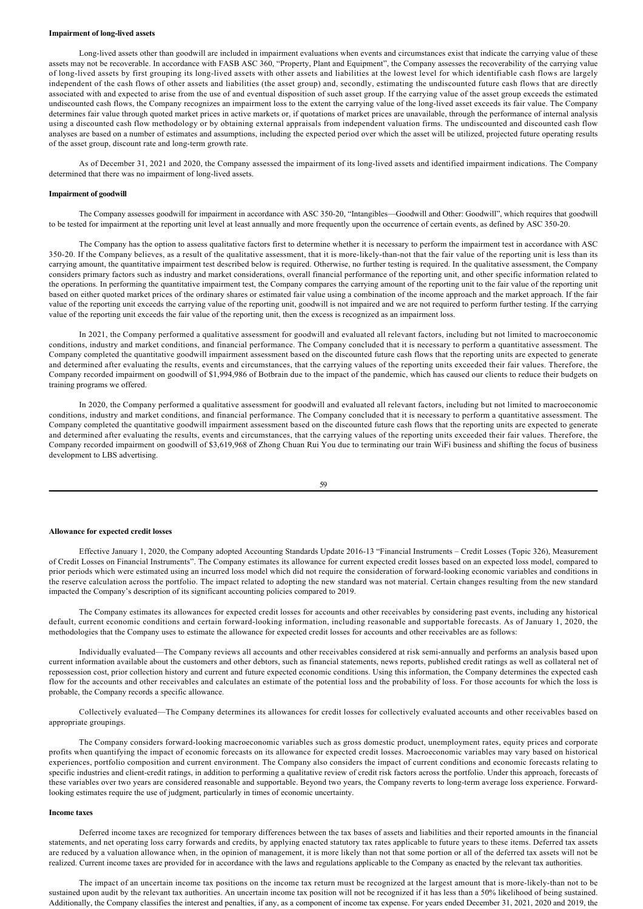#### **Impairment of long-lived assets**

Long-lived assets other than goodwill are included in impairment evaluations when events and circumstances exist that indicate the carrying value of these assets may not be recoverable. In accordance with FASB ASC 360, "Property, Plant and Equipment", the Company assesses the recoverability of the carrying value of long-lived assets by first grouping its long-lived assets with other assets and liabilities at the lowest level for which identifiable cash flows are largely independent of the cash flows of other assets and liabilities (the asset group) and, secondly, estimating the undiscounted future cash flows that are directly associated with and expected to arise from the use of and eventual disposition of such asset group. If the carrying value of the asset group exceeds the estimated undiscounted cash flows, the Company recognizes an impairment loss to the extent the carrying value of the long-lived asset exceeds its fair value. The Company determines fair value through quoted market prices in active markets or, if quotations of market prices are unavailable, through the performance of internal analysis using a discounted cash flow methodology or by obtaining external appraisals from independent valuation firms. The undiscounted and discounted cash flow analyses are based on a number of estimates and assumptions, including the expected period over which the asset will be utilized, projected future operating results of the asset group, discount rate and long-term growth rate.

As of December 31, 2021 and 2020, the Company assessed the impairment of its long-lived assets and identified impairment indications. The Company determined that there was no impairment of long-lived assets.

#### **Impairment of goodwill**

The Company assesses goodwill for impairment in accordance with ASC 350-20, "Intangibles—Goodwill and Other: Goodwill", which requires that goodwill to be tested for impairment at the reporting unit level at least annually and more frequently upon the occurrence of certain events, as defined by ASC 35020.

The Company has the option to assess qualitative factors first to determine whether it is necessary to perform the impairment test in accordance with ASC 350-20. If the Company believes, as a result of the qualitative assessment, that it is more-likely-than-not that the fair value of the reporting unit is less than its carrying amount, the quantitative impairment test described below is required. Otherwise, no further testing is required. In the qualitative assessment, the Company considers primary factors such as industry and market considerations, overall financial performance of the reporting unit, and other specific information related to the operations. In performing the quantitative impairment test, the Company compares the carrying amount of the reporting unit to the fair value of the reporting unit based on either quoted market prices of the ordinary shares or estimated fair value using a combination of the income approach and the market approach. If the fair value of the reporting unit exceeds the carrying value of the reporting unit, goodwill is not impaired and we are not required to perform further testing. If the carrying value of the reporting unit exceeds the fair value of the reporting unit, then the excess is recognized as an impairment loss.

In 2021, the Company performed a qualitative assessment for goodwill and evaluated all relevant factors, including but not limited to macroeconomic conditions, industry and market conditions, and financial performance. The Company concluded that it is necessary to perform a quantitative assessment. The Company completed the quantitative goodwill impairment assessment based on the discounted future cash flows that the reporting units are expected to generate and determined after evaluating the results, events and circumstances, that the carrying values of the reporting units exceeded their fair values. Therefore, the Company recorded impairment on goodwill of \$1,994,986 of Botbrain due to the impact of the pandemic, which has caused our clients to reduce their budgets on training programs we offered.

In 2020, the Company performed a qualitative assessment for goodwill and evaluated all relevant factors, including but not limited to macroeconomic conditions, industry and market conditions, and financial performance. The Company concluded that it is necessary to perform a quantitative assessment. The Company completed the quantitative goodwill impairment assessment based on the discounted future cash flows that the reporting units are expected to generate and determined after evaluating the results, events and circumstances, that the carrying values of the reporting units exceeded their fair values. Therefore, the Company recorded impairment on goodwill of \$3,619,968 of Zhong Chuan Rui You due to terminating our train WiFi business and shifting the focus of business development to LBS advertising.

# **Allowance for expected credit losses**

Effective January 1, 2020, the Company adopted Accounting Standards Update 201613 "Financial Instruments – Credit Losses (Topic 326), Measurement of Credit Losses on Financial Instruments". The Company estimates its allowance for current expected credit losses based on an expected loss model, compared to prior periods which were estimated using an incurred loss model which did not require the consideration of forward-looking economic variables and conditions in the reserve calculation across the portfolio. The impact related to adopting the new standard was not material. Certain changes resulting from the new standard impacted the Company's description of its significant accounting policies compared to 2019.

The Company estimates its allowances for expected credit losses for accounts and other receivables by considering past events, including any historical default, current economic conditions and certain forward-looking information, including reasonable and supportable forecasts. As of January 1, 2020, the methodologies that the Company uses to estimate the allowance for expected credit losses for accounts and other receivables are as follows:

Individually evaluated—The Company reviews all accounts and other receivables considered at risk semi-annually and performs an analysis based upon current information available about the customers and other debtors, such as financial statements, news reports, published credit ratings as well as collateral net of repossession cost, prior collection history and current and future expected economic conditions. Using this information, the Company determines the expected cash flow for the accounts and other receivables and calculates an estimate of the potential loss and the probability of loss. For those accounts for which the loss is probable, the Company records a specific allowance.

Collectively evaluated—The Company determines its allowances for credit losses for collectively evaluated accounts and other receivables based on appropriate groupings.

The Company considers forward-looking macroeconomic variables such as gross domestic product, unemployment rates, equity prices and corporate profits when quantifying the impact of economic forecasts on its allowance for expected credit losses. Macroeconomic variables may vary based on historical experiences, portfolio composition and current environment. The Company also considers the impact of current conditions and economic forecasts relating to specific industries and client-credit ratings, in addition to performing a qualitative review of credit risk factors across the portfolio. Under this approach, forecasts of these variables over two years are considered reasonable and supportable. Beyond two years, the Company reverts to long-term average loss experience. Forwardlooking estimates require the use of judgment, particularly in times of economic uncertainty.

#### **Income taxes**

Deferred income taxes are recognized for temporary differences between the tax bases of assets and liabilities and their reported amounts in the financial statements, and net operating loss carry forwards and credits, by applying enacted statutory tax rates applicable to future years to these items. Deferred tax assets are reduced by a valuation allowance when, in the opinion of management, it is more likely than not that some portion or all of the deferred tax assets will not be realized. Current income taxes are provided for in accordance with the laws and regulations applicable to the Company as enacted by the relevant tax authorities.

The impact of an uncertain income tax positions on the income tax return must be recognized at the largest amount that is more-likely-than not to be sustained upon audit by the relevant tax authorities. An uncertain income tax position will not be recognized if it has less than a 50% likelihood of being sustained. Additionally, the Company classifies the interest and penalties, if any, as a component of income tax expense. For years ended December 31, 2021, 2020 and 2019, the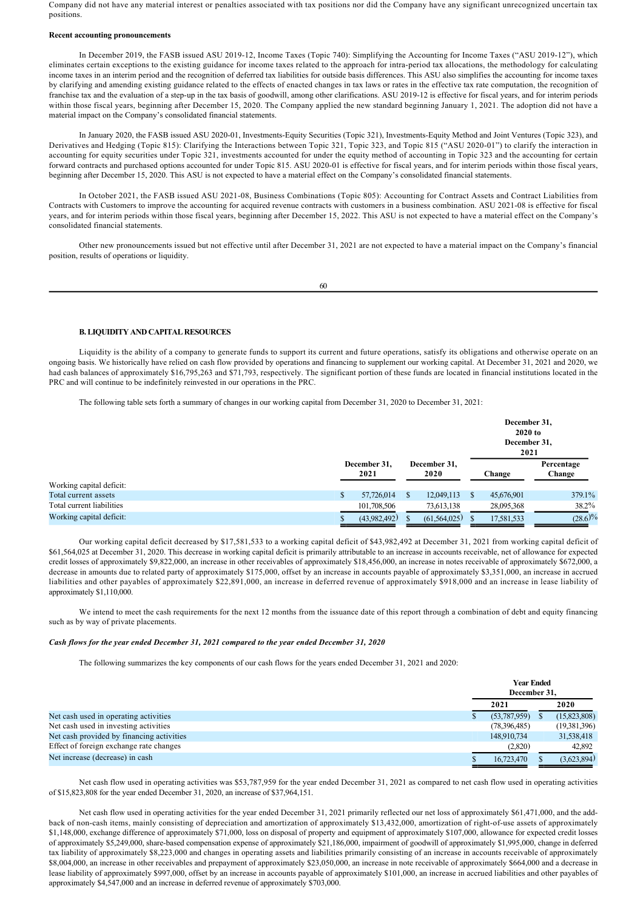Company did not have any material interest or penalties associated with tax positions nor did the Company have any significant unrecognized uncertain tax positions.

#### **Recent accounting pronouncements**

In December 2019, the FASB issued ASU 2019-12, Income Taxes (Topic 740): Simplifying the Accounting for Income Taxes ("ASU 2019-12"), which eliminates certain exceptions to the existing guidance for income taxes related to the approach for intra-period tax allocations, the methodology for calculating income taxes in an interim period and the recognition of deferred tax liabilities for outside basis differences. This ASU also simplifies the accounting for income taxes by clarifying and amending existing guidance related to the effects of enacted changes in tax laws or rates in the effective tax rate computation, the recognition of franchise tax and the evaluation of a step-up in the tax basis of goodwill, among other clarifications. ASU 2019-12 is effective for fiscal years, and for interim periods within those fiscal years, beginning after December 15, 2020. The Company applied the new standard beginning January 1, 2021. The adoption did not have a material impact on the Company's consolidated financial statements.

In January 2020, the FASB issued ASU 2020-01, Investments-Equity Securities (Topic 321), Investments-Equity Method and Joint Ventures (Topic 323), and Derivatives and Hedging (Topic 815): Clarifying the Interactions between Topic 321, Topic 323, and Topic 815 ("ASU 202001") to clarify the interaction in accounting for equity securities under Topic 321, investments accounted for under the equity method of accounting in Topic 323 and the accounting for certain forward contracts and purchased options accounted for under Topic 815. ASU 2020-01 is effective for fiscal years, and for interim periods within those fiscal years, beginning after December 15, 2020. This ASU is not expected to have a material effect on the Company's consolidated financial statements.

In October 2021, the FASB issued ASU 202108, Business Combinations (Topic 805): Accounting for Contract Assets and Contract Liabilities from Contracts with Customers to improve the accounting for acquired revenue contracts with customers in a business combination. ASU 202108 is effective for fiscal years, and for interim periods within those fiscal years, beginning after December 15, 2022. This ASU is not expected to have a material effect on the Company's consolidated financial statements.

Other new pronouncements issued but not effective until after December 31, 2021 are not expected to have a material impact on the Company's financial position, results of operations or liquidity.

60

#### **B. LIQUIDITY AND CAPITAL RESOURCES**

Liquidity is the ability of a company to generate funds to support its current and future operations, satisfy its obligations and otherwise operate on an ongoing basis. We historically have relied on cash flow provided by operations and financing to supplement our working capital. At December 31, 2021 and 2020, we had cash balances of approximately \$16,795,263 and \$71,793, respectively. The significant portion of these funds are located in financial institutions located in the PRC and will continue to be indefinitely reinvested in our operations in the PRC.

The following table sets forth a summary of changes in our working capital from December 31, 2020 to December 31, 2021:

|                           |   |                      |                      |          | December 31,<br>$2020$ to<br>December 31,<br>2021 |                      |  |
|---------------------------|---|----------------------|----------------------|----------|---------------------------------------------------|----------------------|--|
|                           |   | December 31,<br>2021 | December 31,<br>2020 |          | Change                                            | Percentage<br>Change |  |
| Working capital deficit:  |   |                      |                      |          |                                                   |                      |  |
| Total current assets      | S | 57,726,014           | 12,049,113<br>S      | <b>S</b> | 45,676,901                                        | 379.1%               |  |
| Total current liabilities |   | 101,708,506          | 73,613,138           |          | 28,095,368                                        | 38.2%                |  |
| Working capital deficit:  |   | (43,982,492)         | (61, 564, 025)       |          | 17,581,533                                        | $(28.6)$ %           |  |

Our working capital deficit decreased by \$17,581,533 to a working capital deficit of \$43,982,492 at December 31, 2021 from working capital deficit of \$61,564,025 at December 31, 2020. This decrease in working capital deficit is primarily attributable to an increase in accounts receivable, net of allowance for expected credit losses of approximately \$9,822,000, an increase in other receivables of approximately \$18,456,000, an increase in notes receivable of approximately \$672,000, a decrease in amounts due to related party of approximately \$175,000, offset by an increase in accounts payable of approximately \$3,351,000, an increase in accrued liabilities and other payables of approximately \$22,891,000, an increase in deferred revenue of approximately \$918,000 and an increase in lease liability of approximately \$1,110,000.

We intend to meet the cash requirements for the next 12 months from the issuance date of this report through a combination of debt and equity financing such as by way of private placements.

### *Cash flows for the year ended December 31, 2021 compared to the year ended December 31, 2020*

The following summarizes the key components of our cash flows for the years ended December 31, 2021 and 2020:

|                                           |                | <b>Year Ended</b><br>December 31. |              |
|-------------------------------------------|----------------|-----------------------------------|--------------|
|                                           | 2021           |                                   | 2020         |
| Net cash used in operating activities     | (53,787,959)   |                                   | (15,823,808) |
| Net cash used in investing activities     | (78, 396, 485) |                                   | (19,381,396) |
| Net cash provided by financing activities | 148,910,734    |                                   | 31,538,418   |
| Effect of foreign exchange rate changes   | (2,820)        |                                   | 42,892       |
| Net increase (decrease) in cash           | 16.723.470     |                                   | (3,623,894)  |

Net cash flow used in operating activities was \$53,787,959 for the year ended December 31, 2021 as compared to net cash flow used in operating activities of \$15,823,808 for the year ended December 31, 2020, an increase of \$37,964,151.

Net cash flow used in operating activities for the year ended December 31, 2021 primarily reflected our net loss of approximately \$61,471,000, and the addback of non-cash items, mainly consisting of depreciation and amortization of approximately \$13,432,000, amortization of right-of-use assets of approximately \$1,148,000, exchange difference of approximately \$71,000, loss on disposal of property and equipment of approximately \$107,000, allowance for expected credit losses of approximately \$5,249,000, sharebased compensation expense of approximately \$21,186,000, impairment of goodwill of approximately \$1,995,000, change in deferred tax liability of approximately \$8,223,000 and changes in operating assets and liabilities primarily consisting of an increase in accounts receivable of approximately \$8,004,000, an increase in other receivables and prepayment of approximately \$23,050,000, an increase in note receivable of approximately \$664,000 and a decrease in lease liability of approximately \$997,000, offset by an increase in accounts payable of approximately \$101,000, an increase in accrued liabilities and other payables of approximately \$4,547,000 and an increase in deferred revenue of approximately \$703,000.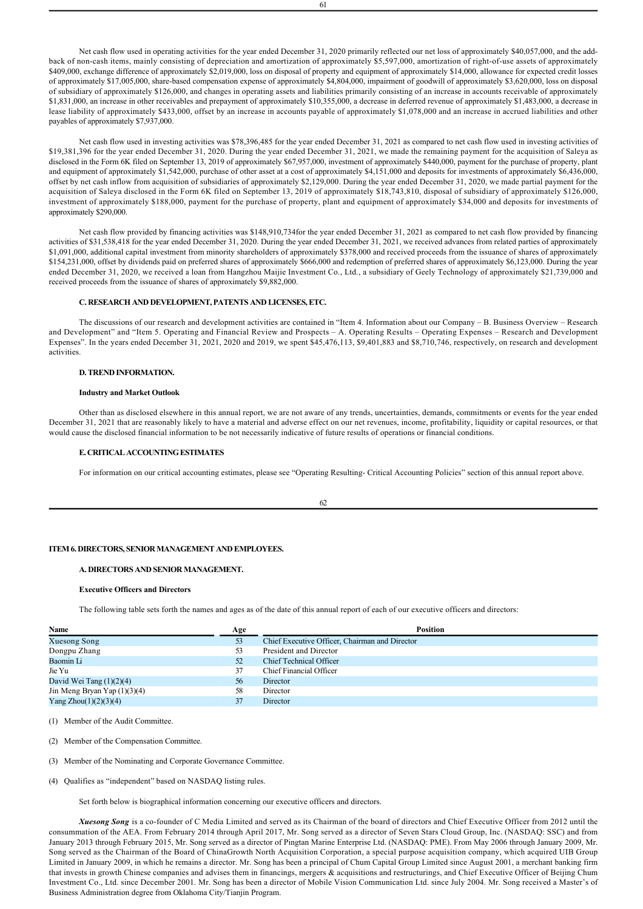Net cash flow used in operating activities for the year ended December 31, 2020 primarily reflected our net loss of approximately \$40,057,000, and the addback of non-cash items, mainly consisting of depreciation and amortization of approximately \$5,597,000, amortization of right-of-use assets of approximately \$409,000, exchange difference of approximately \$2,019,000, loss on disposal of property and equipment of approximately \$14,000, allowance for expected credit losses of approximately \$17,005,000, sharebased compensation expense of approximately \$4,804,000, impairment of goodwill of approximately \$3,620,000, loss on disposal of subsidiary of approximately \$126,000, and changes in operating assets and liabilities primarily consisting of an increase in accounts receivable of approximately \$1,831,000, an increase in other receivables and prepayment of approximately \$10,355,000, a decrease in deferred revenue of approximately \$1,483,000, a decrease in lease liability of approximately \$433,000, offset by an increase in accounts payable of approximately \$1,078,000 and an increase in accrued liabilities and other payables of approximately \$7,937,000.

Net cash flow used in investing activities was \$78,396,485 for the year ended December 31, 2021 as compared to net cash flow used in investing activities of \$19,381,396 for the year ended December 31, 2020. During the year ended December 31, 2021, we made the remaining payment for the acquisition of Saleya as disclosed in the Form 6K filed on September 13, 2019 of approximately \$67,957,000, investment of approximately \$440,000, payment for the purchase of property, plant and equipment of approximately \$1,542,000, purchase of other asset at a cost of approximately \$4,151,000 and deposits for investments of approximately \$6,436,000, offset by net cash inflow from acquisition of subsidiaries of approximately \$2,129,000. During the year ended December 31, 2020, we made partial payment for the acquisition of Saleya disclosed in the Form 6K filed on September 13, 2019 of approximately \$18,743,810, disposal of subsidiary of approximately \$126,000, investment of approximately \$188,000, payment for the purchase of property, plant and equipment of approximately \$34,000 and deposits for investments of approximately \$290,000.

Net cash flow provided by financing activities was \$148,910,734for the year ended December 31, 2021 as compared to net cash flow provided by financing activities of \$31,538,418 for the year ended December 31, 2020. During the year ended December 31, 2021, we received advances from related parties of approximately \$1,091,000, additional capital investment from minority shareholders of approximately \$378,000 and received proceeds from the issuance of shares of approximately \$154,231,000, offset by dividends paid on preferred shares of approximately \$666,000 and redemption of preferred shares of approximately \$6,123,000. During the year ended December 31, 2020, we received a loan from Hangzhou Maijie Investment Co., Ltd., a subsidiary of Geely Technology of approximately \$21,739,000 and received proceeds from the issuance of shares of approximately \$9,882,000.

## **C. RESEARCH AND DEVELOPMENT, PATENTS AND LICENSES, ETC.**

The discussions of our research and development activities are contained in "Item 4. Information about our Company – B. Business Overview – Research and Development" and "Item 5. Operating and Financial Review and Prospects – A. Operating Results – Operating Expenses – Research and Development Expenses". In the years ended December 31, 2021, 2020 and 2019, we spent \$45,476,113, \$9,401,883 and \$8,710,746, respectively, on research and development activities.

## **D. TREND INFORMATION.**

### **Industry and Market Outlook**

Other than as disclosed elsewhere in this annual report, we are not aware of any trends, uncertainties, demands, commitments or events for the year ended December 31, 2021 that are reasonably likely to have a material and adverse effect on our net revenues, income, profitability, liquidity or capital resources, or that would cause the disclosed financial information to be not necessarily indicative of future results of operations or financial conditions.

## **E. CRITICAL ACCOUNTING ESTIMATES**

For information on our critical accounting estimates, please see "Operating Resulting-Critical Accounting Policies" section of this annual report above.

# **ITEM 6. DIRECTORS, SENIOR MANAGEMENT AND EMPLOYEES.**

# **A. DIRECTORS AND SENIOR MANAGEMENT.**

# **Executive Officers and Directors**

The following table sets forth the names and ages as of the date of this annual report of each of our executive officers and directors:

| <b>Name</b>                    | Age | <b>Position</b>                                |
|--------------------------------|-----|------------------------------------------------|
| Xuesong Song                   | 53  | Chief Executive Officer, Chairman and Director |
| Dongpu Zhang                   | 53  | President and Director                         |
| Baomin Li                      | 52  | <b>Chief Technical Officer</b>                 |
| Jie Yu                         | 37  | Chief Financial Officer                        |
| David Wei Tang $(1)(2)(4)$     | -56 | Director                                       |
| Jin Meng Bryan Yap $(1)(3)(4)$ | 58  | Director                                       |
| Yang Zhou $(1)(2)(3)(4)$       | 37  | Director                                       |

(1) Member of the Audit Committee.

(2) Member of the Compensation Committee.

(3) Member of the Nominating and Corporate Governance Committee.

(4) Qualifies as "independent" based on NASDAQ listing rules.

Set forth below is biographical information concerning our executive officers and directors.

Xuesong Song is a co-founder of C Media Limited and served as its Chairman of the board of directors and Chief Executive Officer from 2012 until the consummation of the AEA. From February 2014 through April 2017, Mr. Song served as a director of Seven Stars Cloud Group, Inc. (NASDAQ: SSC) and from January 2013 through February 2015, Mr. Song served as a director of Pingtan Marine Enterprise Ltd. (NASDAQ: PME). From May 2006 through January 2009, Mr. Song served as the Chairman of the Board of ChinaGrowth North Acquisition Corporation, a special purpose acquisition company, which acquired UIB Group Limited in January 2009, in which he remains a director. Mr. Song has been a principal of Chum Capital Group Limited since August 2001, a merchant banking firm that invests in growth Chinese companies and advises them in financings, mergers & acquisitions and restructurings, and Chief Executive Officer of Beijing Chum Investment Co., Ltd. since December 2001. Mr. Song has been a director of Mobile Vision Communication Ltd. since July 2004. Mr. Song received a Master's of Business Administration degree from Oklahoma City/Tianjin Program.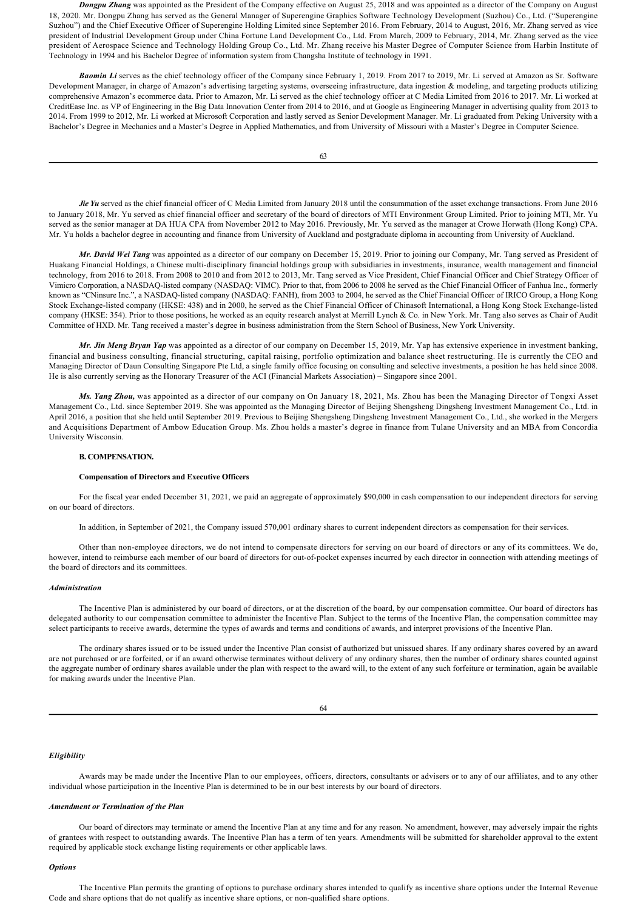*Dongpu Zhang* was appointed as the President of the Company effective on August 25, 2018 and was appointed as a director of the Company on August 18, 2020. Mr. Dongpu Zhang has served as the General Manager of Superengine Graphics Software Technology Development (Suzhou) Co., Ltd. ("Superengine Suzhou") and the Chief Executive Officer of Superengine Holding Limited since September 2016. From February, 2014 to August, 2016, Mr. Zhang served as vice president of Industrial Development Group under China Fortune Land Development Co., Ltd. From March, 2009 to February, 2014, Mr. Zhang served as the vice president of Aerospace Science and Technology Holding Group Co., Ltd. Mr. Zhang receive his Master Degree of Computer Science from Harbin Institute of Technology in 1994 and his Bachelor Degree of information system from Changsha Institute of technology in 1991.

*Baomin Li* serves as the chief technology officer of the Company since February 1, 2019. From 2017 to 2019, Mr. Li served at Amazon as Sr. Software Development Manager, in charge of Amazon's advertising targeting systems, overseeing infrastructure, data ingestion & modeling, and targeting products utilizing comprehensive Amazon's ecommerce data. Prior to Amazon, Mr. Li served as the chief technology officer at C Media Limited from 2016 to 2017. Mr. Li worked at CreditEase Inc. as VP of Engineering in the Big Data Innovation Center from 2014 to 2016, and at Google as Engineering Manager in advertising quality from 2013 to 2014. From 1999 to 2012, Mr. Li worked at Microsoft Corporation and lastly served as Senior Development Manager. Mr. Li graduated from Peking University with a Bachelor's Degree in Mechanics and a Master's Degree in Applied Mathematics, and from University of Missouri with a Master's Degree in Computer Science.

Jie Yu served as the chief financial officer of C Media Limited from January 2018 until the consummation of the asset exchange transactions. From June 2016 to January 2018, Mr. Yu served as chief financial officer and secretary of the board of directors of MTI Environment Group Limited. Prior to joining MTI, Mr. Yu served as the senior manager at DA HUA CPA from November 2012 to May 2016. Previously, Mr. Yu served as the manager at Crowe Horwath (Hong Kong) CPA. Mr. Yu holds a bachelor degree in accounting and finance from University of Auckland and postgraduate diploma in accounting from University of Auckland.

*Mr. David Wei Tang* was appointed as a director of our company on December 15, 2019. Prior to joining our Company, Mr. Tang served as President of Huakang Financial Holdings, a Chinese multi-disciplinary financial holdings group with subsidiaries in investments, insurance, wealth management and financial technology, from 2016 to 2018. From 2008 to 2010 and from 2012 to 2013, Mr. Tang served as Vice President, Chief Financial Officer and Chief Strategy Officer of Vimicro Corporation, a NASDAQ-listed company (NASDAQ: VIMC). Prior to that, from 2006 to 2008 he served as the Chief Financial Officer of Fanhua Inc., formerly known as "CNinsure Inc.", a NASDAQ-listed company (NASDAQ: FANH), from 2003 to 2004, he served as the Chief Financial Officer of IRICO Group, a Hong Kong Stock Exchange-listed company (HKSE: 438) and in 2000, he served as the Chief Financial Officer of Chinasoft International, a Hong Kong Stock Exchange-listed company (HKSE: 354). Prior to those positions, he worked as an equity research analyst at Merrill Lynch & Co. in New York. Mr. Tang also serves as Chair of Audit Committee of HXD. Mr. Tang received a master's degree in business administration from the Stern School of Business, New York University.

*Mr. Jin Meng Bryan Yap* was appointed as a director of our company on December 15, 2019, Mr. Yap has extensive experience in investment banking, financial and business consulting, financial structuring, capital raising, portfolio optimization and balance sheet restructuring. He is currently the CEO and Managing Director of Daun Consulting Singapore Pte Ltd, a single family office focusing on consulting and selective investments, a position he has held since 2008. He is also currently serving as the Honorary Treasurer of the ACI (Financial Markets Association) – Singapore since 2001.

*Ms. Yang Zhou,* was appointed as a director of our company on On January 18, 2021, Ms. Zhou has been the Managing Director of Tongxi Asset Management Co., Ltd. since September 2019. She was appointed as the Managing Director of Beijing Shengsheng Dingsheng Investment Management Co., Ltd. in April 2016, a position that she held until September 2019. Previous to Beijing Shengsheng Dingsheng Investment Management Co., Ltd., she worked in the Mergers and Acquisitions Department of Ambow Education Group. Ms. Zhou holds a master's degree in finance from Tulane University and an MBA from Concordia University Wisconsin.

# **B. COMPENSATION.**

### **Compensation of Directors and Executive Officers**

For the fiscal year ended December 31, 2021, we paid an aggregate of approximately \$90,000 in cash compensation to our independent directors for serving on our board of directors.

In addition, in September of 2021, the Company issued 570,001 ordinary shares to current independent directors as compensation for their services.

Other than nonemployee directors, we do not intend to compensate directors for serving on our board of directors or any of its committees. We do, however, intend to reimburse each member of our board of directors for out-of-pocket expenses incurred by each director in connection with attending meetings of the board of directors and its committees.

# *Administration*

The Incentive Plan is administered by our board of directors, or at the discretion of the board, by our compensation committee. Our board of directors has delegated authority to our compensation committee to administer the Incentive Plan. Subject to the terms of the Incentive Plan, the compensation committee may select participants to receive awards, determine the types of awards and terms and conditions of awards, and interpret provisions of the Incentive Plan.

The ordinary shares issued or to be issued under the Incentive Plan consist of authorized but unissued shares. If any ordinary shares covered by an award are not purchased or are forfeited, or if an award otherwise terminates without delivery of any ordinary shares, then the number of ordinary shares counted against the aggregate number of ordinary shares available under the plan with respect to the award will, to the extent of any such forfeiture or termination, again be available for making awards under the Incentive Plan.

### 64

### *Eligibility*

Awards may be made under the Incentive Plan to our employees, officers, directors, consultants or advisers or to any of our affiliates, and to any other individual whose participation in the Incentive Plan is determined to be in our best interests by our board of directors.

## *Amendment or Termination of the Plan*

Our board of directors may terminate or amend the Incentive Plan at any time and for any reason. No amendment, however, may adversely impair the rights of grantees with respect to outstanding awards. The Incentive Plan has a term of ten years. Amendments will be submitted for shareholder approval to the extent required by applicable stock exchange listing requirements or other applicable laws.

### *Options*

The Incentive Plan permits the granting of options to purchase ordinary shares intended to qualify as incentive share options under the Internal Revenue Code and share options that do not qualify as incentive share options, or non-qualified share options.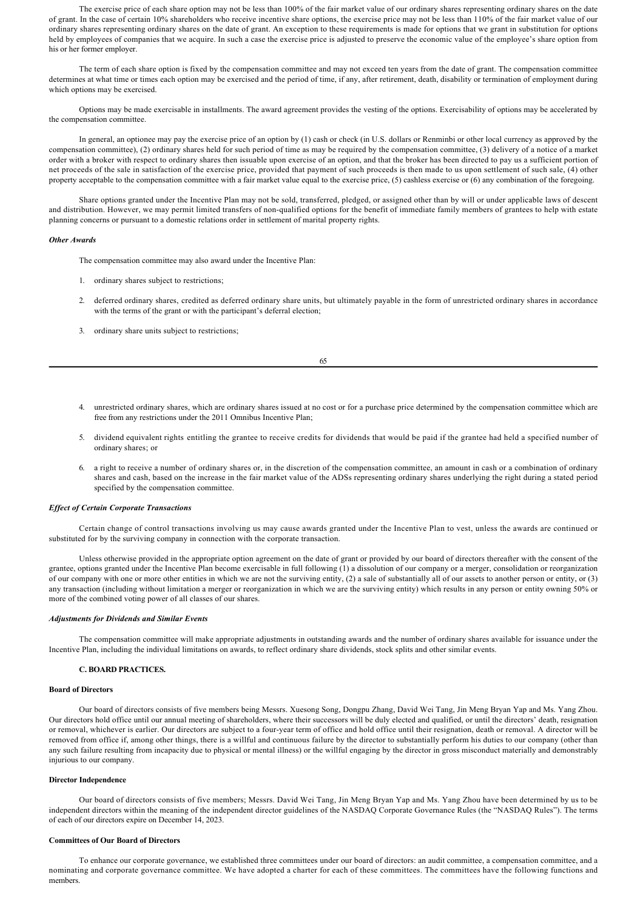The exercise price of each share option may not be less than 100% of the fair market value of our ordinary shares representing ordinary shares on the date of grant. In the case of certain 10% shareholders who receive incentive share options, the exercise price may not be less than 110% of the fair market value of our ordinary shares representing ordinary shares on the date of grant. An exception to these requirements is made for options that we grant in substitution for options held by employees of companies that we acquire. In such a case the exercise price is adjusted to preserve the economic value of the employee's share option from his or her former employer.

The term of each share option is fixed by the compensation committee and may not exceed ten years from the date of grant. The compensation committee determines at what time or times each option may be exercised and the period of time, if any, after retirement, death, disability or termination of employment during which options may be exercised.

Options may be made exercisable in installments. The award agreement provides the vesting of the options. Exercisability of options may be accelerated by the compensation committee.

In general, an optionee may pay the exercise price of an option by (1) cash or check (in U.S. dollars or Renminbi or other local currency as approved by the compensation committee), (2) ordinary shares held for such period of time as may be required by the compensation committee, (3) delivery of a notice of a market order with a broker with respect to ordinary shares then issuable upon exercise of an option, and that the broker has been directed to pay us a sufficient portion of net proceeds of the sale in satisfaction of the exercise price, provided that payment of such proceeds is then made to us upon settlement of such sale, (4) other property acceptable to the compensation committee with a fair market value equal to the exercise price, (5) cashless exercise or (6) any combination of the foregoing.

Share options granted under the Incentive Plan may not be sold, transferred, pledged, or assigned other than by will or under applicable laws of descent and distribution. However, we may permit limited transfers of nonqualified options for the benefit of immediate family members of grantees to help with estate planning concerns or pursuant to a domestic relations order in settlement of marital property rights.

### *Other Awards*

The compensation committee may also award under the Incentive Plan:

- 1. ordinary shares subject to restrictions;
- 2. deferred ordinary shares, credited as deferred ordinary share units, but ultimately payable in the form of unrestricted ordinary shares in accordance with the terms of the grant or with the participant's deferral election;
- 3. ordinary share units subject to restrictions;

65

- 4. unrestricted ordinary shares, which are ordinary shares issued at no cost or for a purchase price determined by the compensation committee which are free from any restrictions under the 2011 Omnibus Incentive Plan;
- 5. dividend equivalent rights entitling the grantee to receive credits for dividends that would be paid if the grantee had held a specified number of ordinary shares; or
- 6. a right to receive a number of ordinary shares or, in the discretion of the compensation committee, an amount in cash or a combination of ordinary shares and cash, based on the increase in the fair market value of the ADSs representing ordinary shares underlying the right during a stated period specified by the compensation committee.

## *Effect of Certain Corporate Transactions*

Certain change of control transactions involving us may cause awards granted under the Incentive Plan to vest, unless the awards are continued or substituted for by the surviving company in connection with the corporate transaction.

Unless otherwise provided in the appropriate option agreement on the date of grant or provided by our board of directors thereafter with the consent of the grantee, options granted under the Incentive Plan become exercisable in full following (1) a dissolution of our company or a merger, consolidation or reorganization of our company with one or more other entities in which we are not the surviving entity, (2) a sale of substantially all of our assets to another person or entity, or (3) any transaction (including without limitation a merger or reorganization in which we are the surviving entity) which results in any person or entity owning 50% or more of the combined voting power of all classes of our shares.

## *Adjustments for Dividends and Similar Events*

The compensation committee will make appropriate adjustments in outstanding awards and the number of ordinary shares available for issuance under the Incentive Plan, including the individual limitations on awards, to reflect ordinary share dividends, stock splits and other similar events.

## **C. BOARD PRACTICES.**

## **Board of Directors**

Our board of directors consists of five members being Messrs. Xuesong Song, Dongpu Zhang, David Wei Tang, Jin Meng Bryan Yap and Ms. Yang Zhou. Our directors hold office until our annual meeting of shareholders, where their successors will be duly elected and qualified, or until the directors' death, resignation or removal, whichever is earlier. Our directors are subject to a fouryear term of office and hold office until their resignation, death or removal. A director will be removed from office if, among other things, there is a willful and continuous failure by the director to substantially perform his duties to our company (other than any such failure resulting from incapacity due to physical or mental illness) or the willful engaging by the director in gross misconduct materially and demonstrably injurious to our company.

### **Director Independence**

Our board of directors consists of five members; Messrs. David Wei Tang, Jin Meng Bryan Yap and Ms. Yang Zhou have been determined by us to be independent directors within the meaning of the independent director guidelines of the NASDAQ Corporate Governance Rules (the "NASDAQ Rules"). The terms of each of our directors expire on December 14, 2023.

## **Committees of Our Board of Directors**

To enhance our corporate governance, we established three committees under our board of directors: an audit committee, a compensation committee, and a nominating and corporate governance committee. We have adopted a charter for each of these committees. The committees have the following functions and members.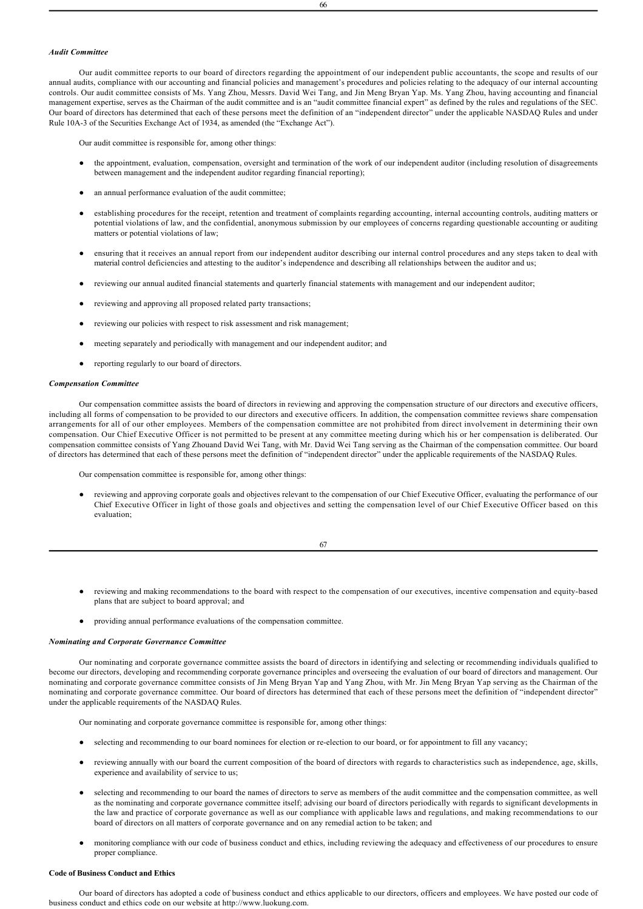## *Audit Committee*

Our audit committee reports to our board of directors regarding the appointment of our independent public accountants, the scope and results of our annual audits, compliance with our accounting and financial policies and management's procedures and policies relating to the adequacy of our internal accounting controls. Our audit committee consists of Ms. Yang Zhou, Messrs. David Wei Tang, and Jin Meng Bryan Yap. Ms. Yang Zhou, having accounting and financial management expertise, serves as the Chairman of the audit committee and is an "audit committee financial expert" as defined by the rules and regulations of the SEC. Our board of directors has determined that each of these persons meet the definition of an "independent director" under the applicable NASDAQ Rules and under Rule 10A-3 of the Securities Exchange Act of 1934, as amended (the "Exchange Act").

Our audit committee is responsible for, among other things:

- the appointment, evaluation, compensation, oversight and termination of the work of our independent auditor (including resolution of disagreements between management and the independent auditor regarding financial reporting);
- an annual performance evaluation of the audit committee;
- establishing procedures for the receipt, retention and treatment of complaints regarding accounting, internal accounting controls, auditing matters or potential violations of law, and the confidential, anonymous submission by our employees of concerns regarding questionable accounting or auditing matters or potential violations of law;
- ensuring that it receives an annual report from our independent auditor describing our internal control procedures and any steps taken to deal with material control deficiencies and attesting to the auditor's independence and describing all relationships between the auditor and us;
- reviewing our annual audited financial statements and quarterly financial statements with management and our independent auditor;
- reviewing and approving all proposed related party transactions;
- reviewing our policies with respect to risk assessment and risk management;
- meeting separately and periodically with management and our independent auditor; and
- reporting regularly to our board of directors.

### *Compensation Committee*

Our compensation committee assists the board of directors in reviewing and approving the compensation structure of our directors and executive officers, including all forms of compensation to be provided to our directors and executive officers. In addition, the compensation committee reviews share compensation arrangements for all of our other employees. Members of the compensation committee are not prohibited from direct involvement in determining their own compensation. Our Chief Executive Officer is not permitted to be present at any committee meeting during which his or her compensation is deliberated. Our compensation committee consists of Yang Zhouand David Wei Tang, with Mr. David Wei Tang serving as the Chairman of the compensation committee. Our board of directors has determined that each of these persons meet the definition of "independent director" under the applicable requirements of the NASDAQ Rules.

Our compensation committee is responsible for, among other things:

reviewing and approving corporate goals and objectives relevant to the compensation of our Chief Executive Officer, evaluating the performance of our Chief Executive Officer in light of those goals and objectives and setting the compensation level of our Chief Executive Officer based on this evaluation;

- reviewing and making recommendations to the board with respect to the compensation of our executives, incentive compensation and equity-based plans that are subject to board approval; and
- providing annual performance evaluations of the compensation committee.

# *Nominating and Corporate Governance Committee*

Our nominating and corporate governance committee assists the board of directors in identifying and selecting or recommending individuals qualified to become our directors, developing and recommending corporate governance principles and overseeing the evaluation of our board of directors and management. Our nominating and corporate governance committee consists of Jin Meng Bryan Yap and Yang Zhou, with Mr. Jin Meng Bryan Yap serving as the Chairman of the nominating and corporate governance committee. Our board of directors has determined that each of these persons meet the definition of "independent director" under the applicable requirements of the NASDAQ Rules.

Our nominating and corporate governance committee is responsible for, among other things:

- selecting and recommending to our board nominees for election or re-election to our board, or for appointment to fill any vacancy;
- reviewing annually with our board the current composition of the board of directors with regards to characteristics such as independence, age, skills, experience and availability of service to us;
- selecting and recommending to our board the names of directors to serve as members of the audit committee and the compensation committee, as well as the nominating and corporate governance committee itself; advising our board of directors periodically with regards to significant developments in the law and practice of corporate governance as well as our compliance with applicable laws and regulations, and making recommendations to our board of directors on all matters of corporate governance and on any remedial action to be taken; and
- monitoring compliance with our code of business conduct and ethics, including reviewing the adequacy and effectiveness of our procedures to ensure proper compliance.

# **Code of Business Conduct and Ethics**

Our board of directors has adopted a code of business conduct and ethics applicable to our directors, officers and employees. We have posted our code of business conduct and ethics code on our website at http://www.luokung.com.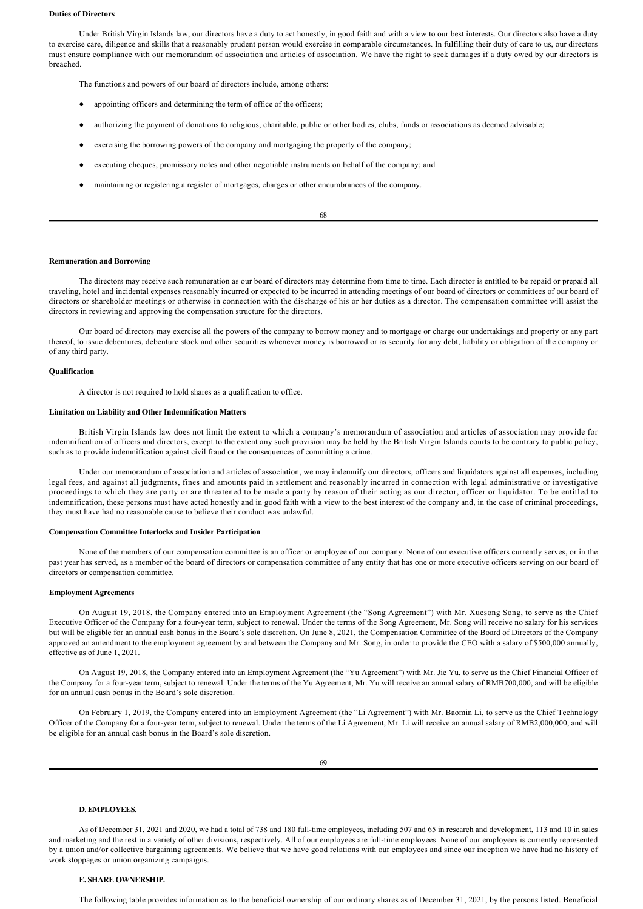#### **Duties of Directors**

Under British Virgin Islands law, our directors have a duty to act honestly, in good faith and with a view to our best interests. Our directors also have a duty to exercise care, diligence and skills that a reasonably prudent person would exercise in comparable circumstances. In fulfilling their duty of care to us, our directors must ensure compliance with our memorandum of association and articles of association. We have the right to seek damages if a duty owed by our directors is breached.

The functions and powers of our board of directors include, among others:

- appointing officers and determining the term of office of the officers:
- authorizing the payment of donations to religious, charitable, public or other bodies, clubs, funds or associations as deemed advisable;
- exercising the borrowing powers of the company and mortgaging the property of the company;
- executing cheques, promissory notes and other negotiable instruments on behalf of the company; and
- maintaining or registering a register of mortgages, charges or other encumbrances of the company.

### **Remuneration and Borrowing**

The directors may receive such remuneration as our board of directors may determine from time to time. Each director is entitled to be repaid or prepaid all traveling, hotel and incidental expenses reasonably incurred or expected to be incurred in attending meetings of our board of directors or committees of our board of directors or shareholder meetings or otherwise in connection with the discharge of his or her duties as a director. The compensation committee will assist the directors in reviewing and approving the compensation structure for the directors.

Our board of directors may exercise all the powers of the company to borrow money and to mortgage or charge our undertakings and property or any part thereof, to issue debentures, debenture stock and other securities whenever money is borrowed or as security for any debt, liability or obligation of the company or of any third party.

## **Qualification**

A director is not required to hold shares as a qualification to office.

### **Limitation on Liability and Other Indemnification Matters**

British Virgin Islands law does not limit the extent to which a company's memorandum of association and articles of association may provide for indemnification of officers and directors, except to the extent any such provision may be held by the British Virgin Islands courts to be contrary to public policy, such as to provide indemnification against civil fraud or the consequences of committing a crime.

Under our memorandum of association and articles of association, we may indemnify our directors, officers and liquidators against all expenses, including legal fees, and against all judgments, fines and amounts paid in settlement and reasonably incurred in connection with legal administrative or investigative proceedings to which they are party or are threatened to be made a party by reason of their acting as our director, officer or liquidator. To be entitled to indemnification, these persons must have acted honestly and in good faith with a view to the best interest of the company and, in the case of criminal proceedings, they must have had no reasonable cause to believe their conduct was unlawful.

### **Compensation Committee Interlocks and Insider Participation**

None of the members of our compensation committee is an officer or employee of our company. None of our executive officers currently serves, or in the past year has served, as a member of the board of directors or compensation committee of any entity that has one or more executive officers serving on our board of directors or compensation committee.

### **Employment Agreements**

On August 19, 2018, the Company entered into an Employment Agreement (the "Song Agreement") with Mr. Xuesong Song, to serve as the Chief Executive Officer of the Company for a fouryear term, subject to renewal. Under the terms of the Song Agreement, Mr. Song will receive no salary for his services but will be eligible for an annual cash bonus in the Board's sole discretion. On June 8, 2021, the Compensation Committee of the Board of Directors of the Company approved an amendment to the employment agreement by and between the Company and Mr. Song, in order to provide the CEO with a salary of \$500,000 annually, effective as of June 1, 2021.

On August 19, 2018, the Company entered into an Employment Agreement (the "Yu Agreement") with Mr. Jie Yu, to serve as the Chief Financial Officer of the Company for a four-year term, subject to renewal. Under the terms of the Yu Agreement, Mr. Yu will receive an annual salary of RMB700,000, and will be eligible for an annual cash bonus in the Board's sole discretion.

On February 1, 2019, the Company entered into an Employment Agreement (the "Li Agreement") with Mr. Baomin Li, to serve as the Chief Technology Officer of the Company for a fouryear term, subject to renewal. Under the terms of the Li Agreement, Mr. Li will receive an annual salary of RMB2,000,000, and will be eligible for an annual cash bonus in the Board's sole discretion.

# **D. EMPLOYEES.**

As of December 31, 2021 and 2020, we had a total of 738 and 180 fulltime employees, including 507 and 65 in research and development, 113 and 10 in sales and marketing and the rest in a variety of other divisions, respectively. All of our employees are full-time employees. None of our employees is currently represented by a union and/or collective bargaining agreements. We believe that we have good relations with our employees and since our inception we have had no history of work stoppages or union organizing campaigns.

# **E. SHARE OWNERSHIP.**

The following table provides information as to the beneficial ownership of our ordinary shares as of December 31, 2021, by the persons listed. Beneficial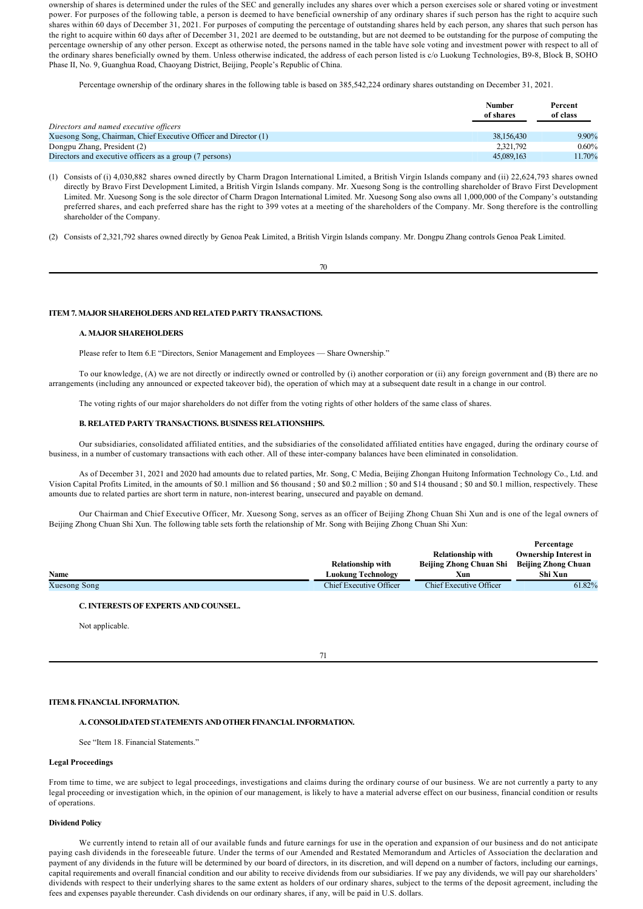ownership of shares is determined under the rules of the SEC and generally includes any shares over which a person exercises sole or shared voting or investment power. For purposes of the following table, a person is deemed to have beneficial ownership of any ordinary shares if such person has the right to acquire such shares within 60 days of December 31, 2021. For purposes of computing the percentage of outstanding shares held by each person, any shares that such person has the right to acquire within 60 days after of December 31, 2021 are deemed to be outstanding, but are not deemed to be outstanding for the purpose of computing the percentage ownership of any other person. Except as otherwise noted, the persons named in the table have sole voting and investment power with respect to all of the ordinary shares beneficially owned by them. Unless otherwise indicated, the address of each person listed is c/o Luokung Technologies, B98, Block B, SOHO Phase II, No. 9, Guanghua Road, Chaoyang District, Beijing, People's Republic of China.

Percentage ownership of the ordinary shares in the following table is based on 385,542,224 ordinary shares outstanding on December 31, 2021.

|                                                                  | Number<br>of shares | Percent<br>of class |
|------------------------------------------------------------------|---------------------|---------------------|
| Directors and named executive officers                           |                     |                     |
| Xuesong Song, Chairman, Chief Executive Officer and Director (1) | 38,156,430          | 9.90%               |
| Dongpu Zhang, President (2)                                      | 2.321.792           | $0.60\%$            |
| Directors and executive officers as a group (7 persons)          | 45,089,163          | 11.70%              |

(1) Consists of (i) 4,030,882 shares owned directly by Charm Dragon International Limited, a British Virgin Islands company and (ii) 22,624,793 shares owned directly by Bravo First Development Limited, a British Virgin Islands company. Mr. Xuesong Song is the controlling shareholder of Bravo First Development Limited. Mr. Xuesong Song is the sole director of Charm Dragon International Limited. Mr. Xuesong Song also owns all 1,000,000 of the Company's outstanding preferred shares, and each preferred share has the right to 399 votes at a meeting of the shareholders of the Company. Mr. Song therefore is the controlling shareholder of the Company.

(2) Consists of 2,321,792 shares owned directly by Genoa Peak Limited, a British Virgin Islands company. Mr. Dongpu Zhang controls Genoa Peak Limited.

| I | ٦            |  |
|---|--------------|--|
|   | ۰.<br>×<br>٧ |  |
|   |              |  |

## **ITEM 7. MAJOR SHAREHOLDERS AND RELATED PARTY TRANSACTIONS.**

### **A. MAJOR SHAREHOLDERS**

Please refer to Item 6.E "Directors, Senior Management and Employees — Share Ownership."

To our knowledge, (A) we are not directly or indirectly owned or controlled by (i) another corporation or (ii) any foreign government and (B) there are no arrangements (including any announced or expected takeover bid), the operation of which may at a subsequent date result in a change in our control.

The voting rights of our major shareholders do not differ from the voting rights of other holders of the same class of shares.

# **B. RELATED PARTY TRANSACTIONS. BUSINESS RELATIONSHIPS.**

Our subsidiaries, consolidated affiliated entities, and the subsidiaries of the consolidated affiliated entities have engaged, during the ordinary course of business, in a number of customary transactions with each other. All of these inter-company balances have been eliminated in consolidation.

As of December 31, 2021 and 2020 had amounts due to related parties, Mr. Song, C Media, Beijing Zhongan Huitong Information Technology Co., Ltd. and Vision Capital Profits Limited, in the amounts of \$0.1 million and \$6 thousand ; \$0 and \$0.2 million ; \$0 and \$14 thousand ; \$0 and \$0.1 million, respectively. These amounts due to related parties are short term in nature, non-interest bearing, unsecured and payable on demand.

Our Chairman and Chief Executive Officer, Mr. Xuesong Song, serves as an officer of Beijing Zhong Chuan Shi Xun and is one of the legal owners of Beijing Zhong Chuan Shi Xun. The following table sets forth the relationship of Mr. Song with Beijing Zhong Chuan Shi Xun:

|              |                                |                                | Percentage                   |
|--------------|--------------------------------|--------------------------------|------------------------------|
|              |                                | <b>Relationship with</b>       | <b>Ownership Interest in</b> |
|              | <b>Relationship with</b>       | Beijing Zhong Chuan Shi        | <b>Beijing Zhong Chuan</b>   |
| Name         | <b>Luokung Technology</b>      | Xun                            | Shi Xun                      |
| Xuesong Song | <b>Chief Executive Officer</b> | <b>Chief Executive Officer</b> | 61.82%                       |

### **C. INTERESTS OF EXPERTS AND COUNSEL.**

Not applicable.

71

# **ITEM 8. FINANCIAL INFORMATION.**

## **A. CONSOLIDATED STATEMENTS AND OTHER FINANCIAL INFORMATION.**

See "Item 18. Financial Statements."

### **Legal Proceedings**

From time to time, we are subject to legal proceedings, investigations and claims during the ordinary course of our business. We are not currently a party to any legal proceeding or investigation which, in the opinion of our management, is likely to have a material adverse effect on our business, financial condition or results of operations.

### **Dividend Policy**

We currently intend to retain all of our available funds and future earnings for use in the operation and expansion of our business and do not anticipate paying cash dividends in the foreseeable future. Under the terms of our Amended and Restated Memorandum and Articles of Association the declaration and payment of any dividends in the future will be determined by our board of directors, in its discretion, and will depend on a number of factors, including our earnings, capital requirements and overall financial condition and our ability to receive dividends from our subsidiaries. If we pay any dividends, we will pay our shareholders' dividends with respect to their underlying shares to the same extent as holders of our ordinary shares, subject to the terms of the deposit agreement, including the fees and expenses payable thereunder. Cash dividends on our ordinary shares, if any, will be paid in U.S. dollars.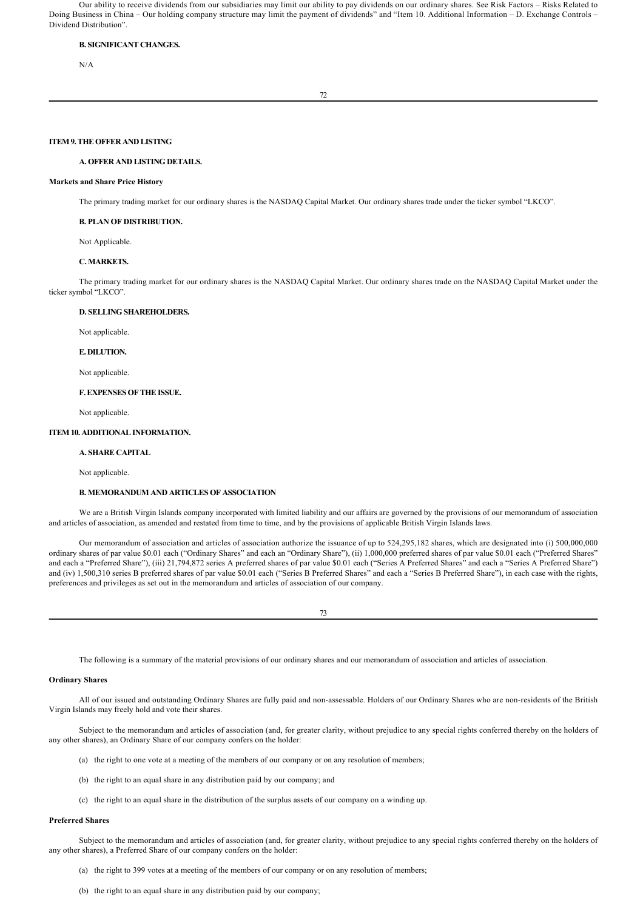Our ability to receive dividends from our subsidiaries may limit our ability to pay dividends on our ordinary shares. See Risk Factors – Risks Related to Doing Business in China – Our holding company structure may limit the payment of dividends" and "Item 10. Additional Information – D. Exchange Controls – Dividend Distribution".

## **B. SIGNIFICANT CHANGES.**

N/A

## **ITEM 9. THE OFFER AND LISTING**

# **A. OFFER AND LISTING DETAILS.**

## **Markets and Share Price History**

The primary trading market for our ordinary shares is the NASDAQ Capital Market. Our ordinary shares trade under the ticker symbol "LKCO".

# **B. PLAN OF DISTRIBUTION.**

Not Applicable.

## **C. MARKETS.**

The primary trading market for our ordinary shares is the NASDAQ Capital Market. Our ordinary shares trade on the NASDAQ Capital Market under the ticker symbol "LKCO".

# **D. SELLING SHAREHOLDERS.**

Not applicable.

# **E. DILUTION.**

Not applicable.

## **F. EXPENSES OF THE ISSUE.**

Not applicable.

## **ITEM 10. ADDITIONAL INFORMATION.**

### **A. SHARE CAPITAL**

Not applicable.

# **B. MEMORANDUM AND ARTICLES OF ASSOCIATION**

We are a British Virgin Islands company incorporated with limited liability and our affairs are governed by the provisions of our memorandum of association and articles of association, as amended and restated from time to time, and by the provisions of applicable British Virgin Islands laws.

Our memorandum of association and articles of association authorize the issuance of up to 524,295,182 shares, which are designated into (i) 500,000,000 ordinary shares of par value \$0.01 each ("Ordinary Shares" and each an "Ordinary Share"), (ii) 1,000,000 preferred shares of par value \$0.01 each ("Preferred Shares" and each a "Preferred Share"), (iii) 21,794,872 series A preferred shares of par value \$0.01 each ("Series A Preferred Shares" and each a "Series A Preferred Share") and (iv) 1,500,310 series B preferred shares of par value \$0.01 each ("Series B Preferred Shares" and each a "Series B Preferred Share"), in each case with the rights, preferences and privileges as set out in the memorandum and articles of association of our company.

73

The following is a summary of the material provisions of our ordinary shares and our memorandum of association and articles of association.

# **Ordinary Shares**

All of our issued and outstanding Ordinary Shares are fully paid and non-assessable. Holders of our Ordinary Shares who are non-residents of the British Virgin Islands may freely hold and vote their shares.

Subject to the memorandum and articles of association (and, for greater clarity, without prejudice to any special rights conferred thereby on the holders of any other shares), an Ordinary Share of our company confers on the holder:

- (a) the right to one vote at a meeting of the members of our company or on any resolution of members;
- (b) the right to an equal share in any distribution paid by our company; and
- (c) the right to an equal share in the distribution of the surplus assets of our company on a winding up.

# **Preferred Shares**

Subject to the memorandum and articles of association (and, for greater clarity, without prejudice to any special rights conferred thereby on the holders of any other shares), a Preferred Share of our company confers on the holder:

- (a) the right to 399 votes at a meeting of the members of our company or on any resolution of members;
- (b) the right to an equal share in any distribution paid by our company;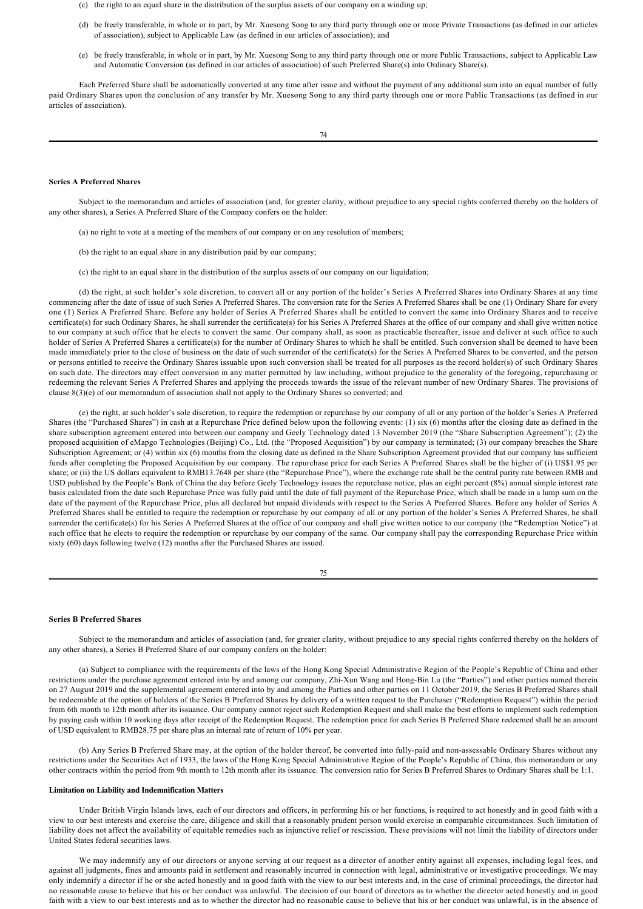- (c) the right to an equal share in the distribution of the surplus assets of our company on a winding up;
- (d) be freely transferable, in whole or in part, by Mr. Xuesong Song to any third party through one or more Private Transactions (as defined in our articles of association), subject to Applicable Law (as defined in our articles of association); and
- (e) be freely transferable, in whole or in part, by Mr. Xuesong Song to any third party through one or more Public Transactions, subject to Applicable Law and Automatic Conversion (as defined in our articles of association) of such Preferred Share(s) into Ordinary Share(s).

Each Preferred Share shall be automatically converted at any time after issue and without the payment of any additional sum into an equal number of fully paid Ordinary Shares upon the conclusion of any transfer by Mr. Xuesong Song to any third party through one or more Public Transactions (as defined in our articles of association).

## **Series A Preferred Shares**

Subject to the memorandum and articles of association (and, for greater clarity, without prejudice to any special rights conferred thereby on the holders of any other shares), a Series A Preferred Share of the Company confers on the holder:

- (a) no right to vote at a meeting of the members of our company or on any resolution of members;
- (b) the right to an equal share in any distribution paid by our company;
- (c) the right to an equal share in the distribution of the surplus assets of our company on our liquidation;

(d) the right, at such holder's sole discretion, to convert all or any portion of the holder's Series A Preferred Shares into Ordinary Shares at any time commencing after the date of issue of such Series A Preferred Shares. The conversion rate for the Series A Preferred Shares shall be one (1) Ordinary Share for every one (1) Series A Preferred Share. Before any holder of Series A Preferred Shares shall be entitled to convert the same into Ordinary Shares and to receive certificate(s) for such Ordinary Shares, he shall surrender the certificate(s) for his Series A Preferred Shares at the office of our company and shall give written notice to our company at such office that he elects to convert the same. Our company shall, as soon as practicable thereafter, issue and deliver at such office to such holder of Series A Preferred Shares a certificate(s) for the number of Ordinary Shares to which he shall be entitled. Such conversion shall be deemed to have been made immediately prior to the close of business on the date of such surrender of the certificate(s) for the Series A Preferred Shares to be converted, and the person or persons entitled to receive the Ordinary Shares issuable upon such conversion shall be treated for all purposes as the record holder(s) of such Ordinary Shares on such date. The directors may effect conversion in any matter permitted by law including, without prejudice to the generality of the foregoing, repurchasing or redeeming the relevant Series A Preferred Shares and applying the proceeds towards the issue of the relevant number of new Ordinary Shares. The provisions of clause 8(3)(e) of our memorandum of association shall not apply to the Ordinary Shares so converted; and

(e) the right, at such holder's sole discretion, to require the redemption or repurchase by our company of all or any portion of the holder's Series A Preferred Shares (the "Purchased Shares") in cash at a Repurchase Price defined below upon the following events: (1) six (6) months after the closing date as defined in the share subscription agreement entered into between our company and Geely Technology dated 13 November 2019 (the "Share Subscription Agreement"); (2) the proposed acquisition of eMapgo Technologies (Beijing) Co., Ltd. (the "Proposed Acquisition") by our company is terminated; (3) our company breaches the Share Subscription Agreement; or (4) within six (6) months from the closing date as defined in the Share Subscription Agreement provided that our company has sufficient funds after completing the Proposed Acquisition by our company. The repurchase price for each Series A Preferred Shares shall be the higher of (i) US\$1.95 per share; or (ii) the US dollars equivalent to RMB13.7648 per share (the "Repurchase Price"), where the exchange rate shall be the central parity rate between RMB and USD published by the People's Bank of China the day before Geely Technology issues the repurchase notice, plus an eight percent (8%) annual simple interest rate basis calculated from the date such Repurchase Price was fully paid until the date of full payment of the Repurchase Price, which shall be made in a lump sum on the date of the payment of the Repurchase Price, plus all declared but unpaid dividends with respect to the Series A Preferred Shares. Before any holder of Series A Preferred Shares shall be entitled to require the redemption or repurchase by our company of all or any portion of the holder's Series A Preferred Shares, he shall surrender the certificate(s) for his Series A Preferred Shares at the office of our company and shall give written notice to our company (the "Redemption Notice") at such office that he elects to require the redemption or repurchase by our company of the same. Our company shall pay the corresponding Repurchase Price within sixty (60) days following twelve (12) months after the Purchased Shares are issued.

## **Series B Preferred Shares**

Subject to the memorandum and articles of association (and, for greater clarity, without prejudice to any special rights conferred thereby on the holders of any other shares), a Series B Preferred Share of our company confers on the holder:

(a) Subject to compliance with the requirements of the laws of the Hong Kong Special Administrative Region of the People's Republic of China and other restrictions under the purchase agreement entered into by and among our company, Zhi-Xun Wang and Hong-Bin Lu (the "Parties") and other parties named therein on 27 August 2019 and the supplemental agreement entered into by and among the Parties and other parties on 11 October 2019, the Series B Preferred Shares shall be redeemable at the option of holders of the Series B Preferred Shares by delivery of a written request to the Purchaser ("Redemption Request") within the period from 6th month to 12th month after its issuance. Our company cannot reject such Redemption Request and shall make the best efforts to implement such redemption by paying cash within 10 working days after receipt of the Redemption Request. The redemption price for each Series B Preferred Share redeemed shall be an amount of USD equivalent to RMB28.75 per share plus an internal rate of return of 10% per year.

(b) Any Series B Preferred Share may, at the option of the holder thereof, be converted into fully-paid and non-assessable Ordinary Shares without any restrictions under the Securities Act of 1933, the laws of the Hong Kong Special Administrative Region of the People's Republic of China, this memorandum or any other contracts within the period from 9th month to 12th month after its issuance. The conversion ratio for Series B Preferred Shares to Ordinary Shares shall be 1:1.

## **Limitation on Liability and Indemnification Matters**

Under British Virgin Islands laws, each of our directors and officers, in performing his or her functions, is required to act honestly and in good faith with a view to our best interests and exercise the care, diligence and skill that a reasonably prudent person would exercise in comparable circumstances. Such limitation of liability does not affect the availability of equitable remedies such as injunctive relief or rescission. These provisions will not limit the liability of directors under United States federal securities laws.

We may indemnify any of our directors or anyone serving at our request as a director of another entity against all expenses, including legal fees, and against all judgments, fines and amounts paid in settlement and reasonably incurred in connection with legal, administrative or investigative proceedings. We may only indemnify a director if he or she acted honestly and in good faith with the view to our best interests and, in the case of criminal proceedings, the director had no reasonable cause to believe that his or her conduct was unlawful. The decision of our board of directors as to whether the director acted honestly and in good faith with a view to our best interests and as to whether the director had no reasonable cause to believe that his or her conduct was unlawful, is in the absence of

<sup>75</sup>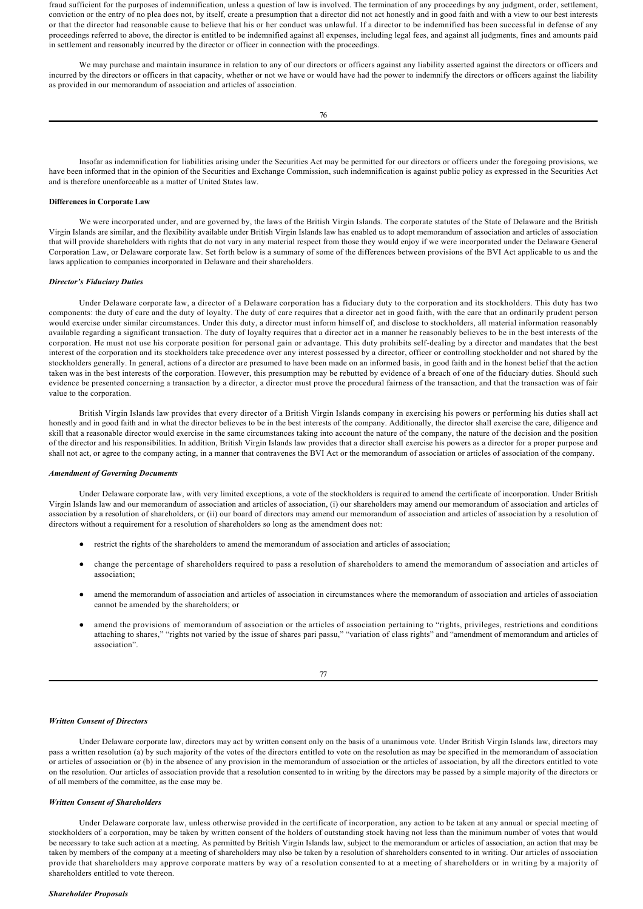fraud sufficient for the purposes of indemnification, unless a question of law is involved. The termination of any proceedings by any judgment, order, settlement, conviction or the entry of no plea does not, by itself, create a presumption that a director did not act honestly and in good faith and with a view to our best interests or that the director had reasonable cause to believe that his or her conduct was unlawful. If a director to be indemnified has been successful in defense of any proceedings referred to above, the director is entitled to be indemnified against all expenses, including legal fees, and against all judgments, fines and amounts paid in settlement and reasonably incurred by the director or officer in connection with the proceedings.

We may purchase and maintain insurance in relation to any of our directors or officers against any liability asserted against the directors or officers and incurred by the directors or officers in that capacity, whether or not we have or would have had the power to indemnify the directors or officers against the liability as provided in our memorandum of association and articles of association.

Insofar as indemnification for liabilities arising under the Securities Act may be permitted for our directors or officers under the foregoing provisions, we have been informed that in the opinion of the Securities and Exchange Commission, such indemnification is against public policy as expressed in the Securities Act and is therefore unenforceable as a matter of United States law.

### **Differences in Corporate Law**

We were incorporated under, and are governed by, the laws of the British Virgin Islands. The corporate statutes of the State of Delaware and the British Virgin Islands are similar, and the flexibility available under British Virgin Islands law has enabled us to adopt memorandum of association and articles of association that will provide shareholders with rights that do not vary in any material respect from those they would enjoy if we were incorporated under the Delaware General Corporation Law, or Delaware corporate law. Set forth below is a summary of some of the differences between provisions of the BVI Act applicable to us and the laws application to companies incorporated in Delaware and their shareholders.

# *Director's Fiduciary Duties*

Under Delaware corporate law, a director of a Delaware corporation has a fiduciary duty to the corporation and its stockholders. This duty has two components: the duty of care and the duty of loyalty. The duty of care requires that a director act in good faith, with the care that an ordinarily prudent person would exercise under similar circumstances. Under this duty, a director must inform himself of, and disclose to stockholders, all material information reasonably available regarding a significant transaction. The duty of loyalty requires that a director act in a manner he reasonably believes to be in the best interests of the corporation. He must not use his corporate position for personal gain or advantage. This duty prohibits self-dealing by a director and mandates that the best interest of the corporation and its stockholders take precedence over any interest possessed by a director, officer or controlling stockholder and not shared by the stockholders generally. In general, actions of a director are presumed to have been made on an informed basis, in good faith and in the honest belief that the action taken was in the best interests of the corporation. However, this presumption may be rebutted by evidence of a breach of one of the fiduciary duties. Should such evidence be presented concerning a transaction by a director, a director must prove the procedural fairness of the transaction, and that the transaction was of fair value to the corporation.

British Virgin Islands law provides that every director of a British Virgin Islands company in exercising his powers or performing his duties shall act honestly and in good faith and in what the director believes to be in the best interests of the company. Additionally, the director shall exercise the care, diligence and skill that a reasonable director would exercise in the same circumstances taking into account the nature of the company, the nature of the decision and the position of the director and his responsibilities. In addition, British Virgin Islands law provides that a director shall exercise his powers as a director for a proper purpose and shall not act, or agree to the company acting, in a manner that contravenes the BVI Act or the memorandum of association or articles of association of the company.

### *Amendment of Governing Documents*

Under Delaware corporate law, with very limited exceptions, a vote of the stockholders is required to amend the certificate of incorporation. Under British Virgin Islands law and our memorandum of association and articles of association, (i) our shareholders may amend our memorandum of association and articles of association by a resolution of shareholders, or (ii) our board of directors may amend our memorandum of association and articles of association by a resolution of directors without a requirement for a resolution of shareholders so long as the amendment does not:

- restrict the rights of the shareholders to amend the memorandum of association and articles of association;
- change the percentage of shareholders required to pass a resolution of shareholders to amend the memorandum of association and articles of association;
- amend the memorandum of association and articles of association in circumstances where the memorandum of association and articles of association cannot be amended by the shareholders; or
- amend the provisions of memorandum of association or the articles of association pertaining to "rights, privileges, restrictions and conditions attaching to shares," "rights not varied by the issue of shares pari passu," "variation of class rights" and "amendment of memorandum and articles of association".

### 77

### *Written Consent of Directors*

Under Delaware corporate law, directors may act by written consent only on the basis of a unanimous vote. Under British Virgin Islands law, directors may pass a written resolution (a) by such majority of the votes of the directors entitled to vote on the resolution as may be specified in the memorandum of association or articles of association or (b) in the absence of any provision in the memorandum of association or the articles of association, by all the directors entitled to vote on the resolution. Our articles of association provide that a resolution consented to in writing by the directors may be passed by a simple majority of the directors or of all members of the committee, as the case may be.

### *Written Consent of Shareholders*

Under Delaware corporate law, unless otherwise provided in the certificate of incorporation, any action to be taken at any annual or special meeting of stockholders of a corporation, may be taken by written consent of the holders of outstanding stock having not less than the minimum number of votes that would be necessary to take such action at a meeting. As permitted by British Virgin Islands law, subject to the memorandum or articles of association, an action that may be taken by members of the company at a meeting of shareholders may also be taken by a resolution of shareholders consented to in writing. Our articles of association provide that shareholders may approve corporate matters by way of a resolution consented to at a meeting of shareholders or in writing by a majority of shareholders entitled to vote thereon.

### *Shareholder Proposals*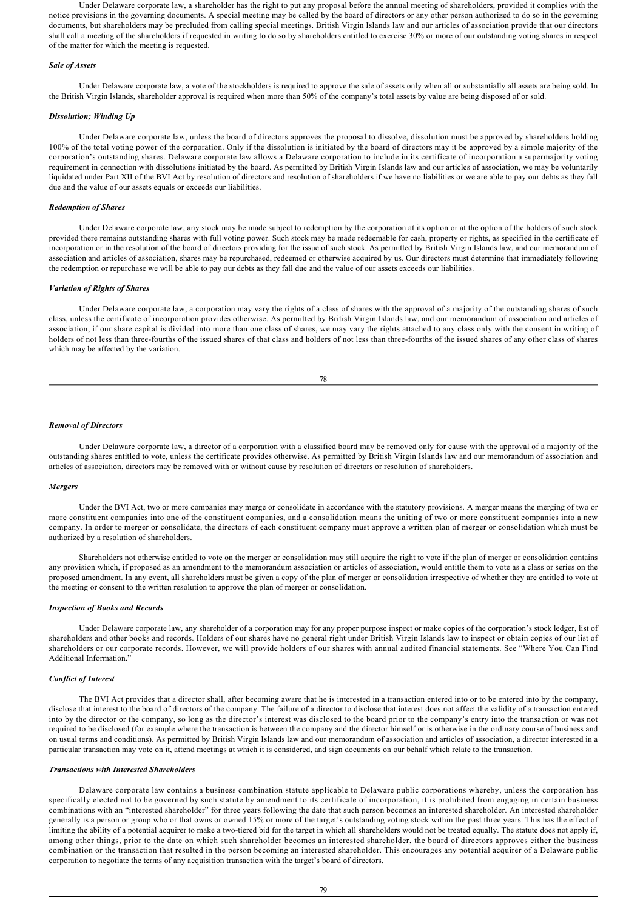Under Delaware corporate law, a shareholder has the right to put any proposal before the annual meeting of shareholders, provided it complies with the notice provisions in the governing documents. A special meeting may be called by the board of directors or any other person authorized to do so in the governing documents, but shareholders may be precluded from calling special meetings. British Virgin Islands law and our articles of association provide that our directors shall call a meeting of the shareholders if requested in writing to do so by shareholders entitled to exercise 30% or more of our outstanding voting shares in respect of the matter for which the meeting is requested.

## *Sale of Assets*

Under Delaware corporate law, a vote of the stockholders is required to approve the sale of assets only when all or substantially all assets are being sold. In the British Virgin Islands, shareholder approval is required when more than 50% of the company's total assets by value are being disposed of or sold.

### *Dissolution; Winding Up*

Under Delaware corporate law, unless the board of directors approves the proposal to dissolve, dissolution must be approved by shareholders holding 100% of the total voting power of the corporation. Only if the dissolution is initiated by the board of directors may it be approved by a simple majority of the corporation's outstanding shares. Delaware corporate law allows a Delaware corporation to include in its certificate of incorporation a supermajority voting requirement in connection with dissolutions initiated by the board. As permitted by British Virgin Islands law and our articles of association, we may be voluntarily liquidated under Part XII of the BVI Act by resolution of directors and resolution of shareholders if we have no liabilities or we are able to pay our debts as they fall due and the value of our assets equals or exceeds our liabilities.

### *Redemption of Shares*

Under Delaware corporate law, any stock may be made subject to redemption by the corporation at its option or at the option of the holders of such stock provided there remains outstanding shares with full voting power. Such stock may be made redeemable for cash, property or rights, as specified in the certificate of incorporation or in the resolution of the board of directors providing for the issue of such stock. As permitted by British Virgin Islands law, and our memorandum of association and articles of association, shares may be repurchased, redeemed or otherwise acquired by us. Our directors must determine that immediately following the redemption or repurchase we will be able to pay our debts as they fall due and the value of our assets exceeds our liabilities.

### *Variation of Rights of Shares*

Under Delaware corporate law, a corporation may vary the rights of a class of shares with the approval of a majority of the outstanding shares of such class, unless the certificate of incorporation provides otherwise. As permitted by British Virgin Islands law, and our memorandum of association and articles of association, if our share capital is divided into more than one class of shares, we may vary the rights attached to any class only with the consent in writing of holders of not less than three-fourths of the issued shares of that class and holders of not less than three-fourths of the issued shares of any other class of shares which may be affected by the variation.

| ٦<br>۰, |
|---------|
|---------|

### *Removal of Directors*

Under Delaware corporate law, a director of a corporation with a classified board may be removed only for cause with the approval of a majority of the outstanding shares entitled to vote, unless the certificate provides otherwise. As permitted by British Virgin Islands law and our memorandum of association and articles of association, directors may be removed with or without cause by resolution of directors or resolution of shareholders.

### *Mergers*

Under the BVI Act, two or more companies may merge or consolidate in accordance with the statutory provisions. A merger means the merging of two or more constituent companies into one of the constituent companies, and a consolidation means the uniting of two or more constituent companies into a new company. In order to merger or consolidate, the directors of each constituent company must approve a written plan of merger or consolidation which must be authorized by a resolution of shareholders.

Shareholders not otherwise entitled to vote on the merger or consolidation may still acquire the right to vote if the plan of merger or consolidation contains any provision which, if proposed as an amendment to the memorandum association or articles of association, would entitle them to vote as a class or series on the proposed amendment. In any event, all shareholders must be given a copy of the plan of merger or consolidation irrespective of whether they are entitled to vote at the meeting or consent to the written resolution to approve the plan of merger or consolidation.

## *Inspection of Books and Records*

Under Delaware corporate law, any shareholder of a corporation may for any proper purpose inspect or make copies of the corporation's stock ledger, list of shareholders and other books and records. Holders of our shares have no general right under British Virgin Islands law to inspect or obtain copies of our list of shareholders or our corporate records. However, we will provide holders of our shares with annual audited financial statements. See "Where You Can Find Additional Information."

## *Conflict of Interest*

The BVI Act provides that a director shall, after becoming aware that he is interested in a transaction entered into or to be entered into by the company, disclose that interest to the board of directors of the company. The failure of a director to disclose that interest does not affect the validity of a transaction entered into by the director or the company, so long as the director's interest was disclosed to the board prior to the company's entry into the transaction or was not required to be disclosed (for example where the transaction is between the company and the director himself or is otherwise in the ordinary course of business and on usual terms and conditions). As permitted by British Virgin Islands law and our memorandum of association and articles of association, a director interested in a particular transaction may vote on it, attend meetings at which it is considered, and sign documents on our behalf which relate to the transaction.

### *Transactions with Interested Shareholders*

Delaware corporate law contains a business combination statute applicable to Delaware public corporations whereby, unless the corporation has specifically elected not to be governed by such statute by amendment to its certificate of incorporation, it is prohibited from engaging in certain business combinations with an "interested shareholder" for three years following the date that such person becomes an interested shareholder. An interested shareholder generally is a person or group who or that owns or owned 15% or more of the target's outstanding voting stock within the past three years. This has the effect of limiting the ability of a potential acquirer to make a two-tiered bid for the target in which all shareholders would not be treated equally. The statute does not apply if, among other things, prior to the date on which such shareholder becomes an interested shareholder, the board of directors approves either the business combination or the transaction that resulted in the person becoming an interested shareholder. This encourages any potential acquirer of a Delaware public corporation to negotiate the terms of any acquisition transaction with the target's board of directors.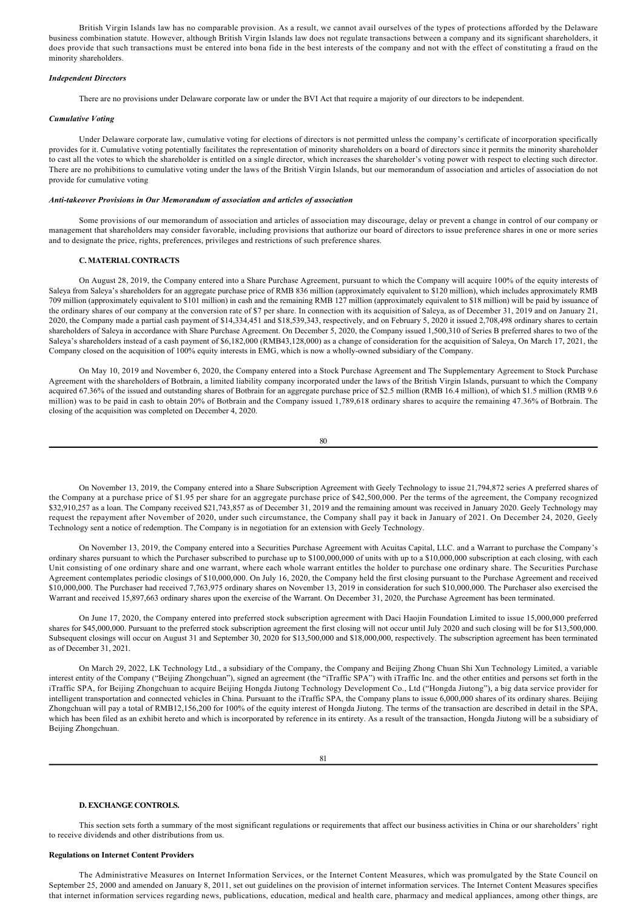British Virgin Islands law has no comparable provision. As a result, we cannot avail ourselves of the types of protections afforded by the Delaware business combination statute. However, although British Virgin Islands law does not regulate transactions between a company and its significant shareholders, it does provide that such transactions must be entered into bona fide in the best interests of the company and not with the effect of constituting a fraud on the minority shareholders.

# *Independent Directors*

There are no provisions under Delaware corporate law or under the BVI Act that require a majority of our directors to be independent.

### *Cumulative Voting*

Under Delaware corporate law, cumulative voting for elections of directors is not permitted unless the company's certificate of incorporation specifically provides for it. Cumulative voting potentially facilitates the representation of minority shareholders on a board of directors since it permits the minority shareholder to cast all the votes to which the shareholder is entitled on a single director, which increases the shareholder's voting power with respect to electing such director. There are no prohibitions to cumulative voting under the laws of the British Virgin Islands, but our memorandum of association and articles of association do not provide for cumulative voting

### *Antitakeover Provisions in Our Memorandum of association and articles of association*

Some provisions of our memorandum of association and articles of association may discourage, delay or prevent a change in control of our company or management that shareholders may consider favorable, including provisions that authorize our board of directors to issue preference shares in one or more series and to designate the price, rights, preferences, privileges and restrictions of such preference shares.

## **C. MATERIAL CONTRACTS**

On August 28, 2019, the Company entered into a Share Purchase Agreement, pursuant to which the Company will acquire 100% of the equity interests of Saleya from Saleya's shareholders for an aggregate purchase price of RMB 836 million (approximately equivalent to \$120 million), which includes approximately RMB 709 million (approximately equivalent to \$101 million) in cash and the remaining RMB 127 million (approximately equivalent to \$18 million) will be paid by issuance of the ordinary shares of our company at the conversion rate of \$7 per share. In connection with its acquisition of Saleya, as of December 31, 2019 and on January 21, 2020, the Company made a partial cash payment of \$14,334,451 and \$18,539,343, respectively, and on February 5, 2020 it issued 2,708,498 ordinary shares to certain shareholders of Saleya in accordance with Share Purchase Agreement. On December 5, 2020, the Company issued 1,500,310 of Series B preferred shares to two of the Saleya's shareholders instead of a cash payment of \$6,182,000 (RMB43,128,000) as a change of consideration for the acquisition of Saleya, On March 17, 2021, the Company closed on the acquisition of 100% equity interests in EMG, which is now a wholly-owned subsidiary of the Company.

On May 10, 2019 and November 6, 2020, the Company entered into a Stock Purchase Agreement and The Supplementary Agreement to Stock Purchase Agreement with the shareholders of Botbrain, a limited liability company incorporated under the laws of the British Virgin Islands, pursuant to which the Company acquired 67.36% of the issued and outstanding shares of Botbrain for an aggregate purchase price of \$2.5 million (RMB 16.4 million), of which \$1.5 million (RMB 9.6 million) was to be paid in cash to obtain 20% of Botbrain and the Company issued 1,789,618 ordinary shares to acquire the remaining 47.36% of Botbrain. The closing of the acquisition was completed on December 4, 2020.

$$
80\,
$$

On November 13, 2019, the Company entered into a Share Subscription Agreement with Geely Technology to issue 21,794,872 series A preferred shares of the Company at a purchase price of \$1.95 per share for an aggregate purchase price of \$42,500,000. Per the terms of the agreement, the Company recognized \$32,910,257 as a loan. The Company received \$21,743,857 as of December 31, 2019 and the remaining amount was received in January 2020. Geely Technology may request the repayment after November of 2020, under such circumstance, the Company shall pay it back in January of 2021. On December 24, 2020, Geely Technology sent a notice of redemption. The Company is in negotiation for an extension with Geely Technology.

On November 13, 2019, the Company entered into a Securities Purchase Agreement with Acuitas Capital, LLC. and a Warrant to purchase the Company's ordinary shares pursuant to which the Purchaser subscribed to purchase up to \$100,000,000 of units with up to a \$10,000,000 subscription at each closing, with each Unit consisting of one ordinary share and one warrant, where each whole warrant entitles the holder to purchase one ordinary share. The Securities Purchase Agreement contemplates periodic closings of \$10,000,000. On July 16, 2020, the Company held the first closing pursuant to the Purchase Agreement and received \$10,000,000. The Purchaser had received 7,763,975 ordinary shares on November 13, 2019 in consideration for such \$10,000,000. The Purchaser also exercised the Warrant and received 15,897,663 ordinary shares upon the exercise of the Warrant. On December 31, 2020, the Purchase Agreement has been terminated.

On June 17, 2020, the Company entered into preferred stock subscription agreement with Daci Haojin Foundation Limited to issue 15,000,000 preferred shares for \$45,000,000. Pursuant to the preferred stock subscription agreement the first closing will not occur until July 2020 and such closing will be for \$13,500,000. Subsequent closings will occur on August 31 and September 30, 2020 for \$13,500,000 and \$18,000,000, respectively. The subscription agreement has been terminated as of December 31, 2021.

On March 29, 2022, LK Technology Ltd., a subsidiary of the Company, the Company and Beijing Zhong Chuan Shi Xun Technology Limited, a variable interest entity of the Company ("Beijing Zhongchuan"), signed an agreement (the "iTraffic SPA") with iTraffic Inc. and the other entities and persons set forth in the iTraffic SPA, for Beijing Zhongchuan to acquire Beijing Hongda Jiutong Technology Development Co., Ltd ("Hongda Jiutong"), a big data service provider for intelligent transportation and connected vehicles in China. Pursuant to the iTraffic SPA, the Company plans to issue 6,000,000 shares of its ordinary shares. Beijing Zhongchuan will pay a total of RMB12,156,200 for 100% of the equity interest of Hongda Jiutong. The terms of the transaction are described in detail in the SPA, which has been filed as an exhibit hereto and which is incorporated by reference in its entirety. As a result of the transaction, Hongda Jiutong will be a subsidiary of Beijing Zhongchuan.

### **D. EXCHANGE CONTROLS.**

This section sets forth a summary of the most significant regulations or requirements that affect our business activities in China or our shareholders' right to receive dividends and other distributions from us.

## **Regulations on Internet Content Providers**

The Administrative Measures on Internet Information Services, or the Internet Content Measures, which was promulgated by the State Council on September 25, 2000 and amended on January 8, 2011, set out guidelines on the provision of internet information services. The Internet Content Measures specifies that internet information services regarding news, publications, education, medical and health care, pharmacy and medical appliances, among other things, are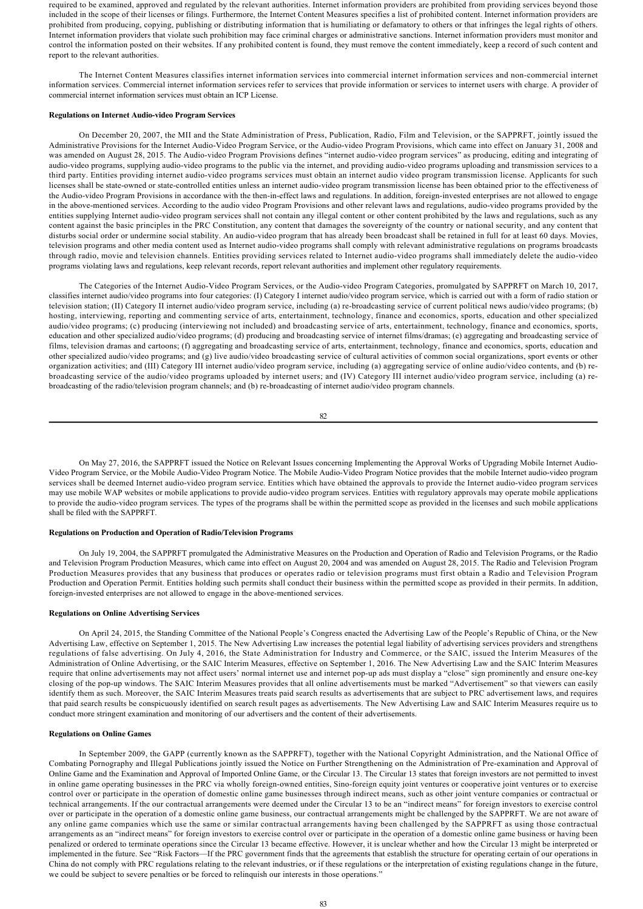required to be examined, approved and regulated by the relevant authorities. Internet information providers are prohibited from providing services beyond those included in the scope of their licenses or filings. Furthermore, the Internet Content Measures specifies a list of prohibited content. Internet information providers are prohibited from producing, copying, publishing or distributing information that is humiliating or defamatory to others or that infringes the legal rights of others. Internet information providers that violate such prohibition may face criminal charges or administrative sanctions. Internet information providers must monitor and control the information posted on their websites. If any prohibited content is found, they must remove the content immediately, keep a record of such content and report to the relevant authorities.

The Internet Content Measures classifies internet information services into commercial internet information services and noncommercial internet information services. Commercial internet information services refer to services that provide information or services to internet users with charge. A provider of commercial internet information services must obtain an ICP License.

# **Regulations on Internet Audio-video Program Services**

On December 20, 2007, the MII and the State Administration of Press, Publication, Radio, Film and Television, or the SAPPRFT, jointly issued the Administrative Provisions for the Internet Audio-Video Program Service, or the Audio-video Program Provisions, which came into effect on January 31, 2008 and was amended on August 28, 2015. The Audio-video Program Provisions defines "internet audio-video program services" as producing, editing and integrating of audio-video programs, supplying audio-video programs to the public via the internet, and providing audio-video programs uploading and transmission services to a third party. Entities providing internet audio-video programs services must obtain an internet audio video program transmission license. Applicants for such licenses shall be state-owned or state-controlled entities unless an internet audio-video program transmission license has been obtained prior to the effectiveness of the Audio-video Program Provisions in accordance with the then-in-effect laws and regulations. In addition, foreign-invested enterprises are not allowed to engage in the above-mentioned services. According to the audio video Program Provisions and other relevant laws and regulations, audio-video programs provided by the entities supplying Internet audio-video program services shall not contain any illegal content or other content prohibited by the laws and regulations, such as any content against the basic principles in the PRC Constitution, any content that damages the sovereignty of the country or national security, and any content that disturbs social order or undermine social stability. An audio-video program that has already been broadcast shall be retained in full for at least 60 days. Movies, television programs and other media content used as Internet audio-video programs shall comply with relevant administrative regulations on programs broadcasts through radio, movie and television channels. Entities providing services related to Internet audio-video programs shall immediately delete the audio-video programs violating laws and regulations, keep relevant records, report relevant authorities and implement other regulatory requirements.

The Categories of the Internet Audio-Video Program Services, or the Audio-video Program Categories, promulgated by SAPPRFT on March 10, 2017, classifies internet audio/video programs into four categories: (I) Category I internet audio/video program service, which is carried out with a form of radio station or television station; (II) Category II internet audio/video program service, including (a) rebroadcasting service of current political news audio/video programs; (b) hosting, interviewing, reporting and commenting service of arts, entertainment, technology, finance and economics, sports, education and other specialized audio/video programs; (c) producing (interviewing not included) and broadcasting service of arts, entertainment, technology, finance and economics, sports, education and other specialized audio/video programs; (d) producing and broadcasting service of internet films/dramas; (e) aggregating and broadcasting service of films, television dramas and cartoons; (f) aggregating and broadcasting service of arts, entertainment, technology, finance and economics, sports, education and other specialized audio/video programs; and (g) live audio/video broadcasting service of cultural activities of common social organizations, sport events or other organization activities; and (III) Category III internet audio/video program service, including (a) aggregating service of online audio/video contents, and (b) rebroadcasting service of the audio/video programs uploaded by internet users; and (IV) Category III internet audio/video program service, including (a) rebroadcasting of the radio/television program channels; and (b) rebroadcasting of internet audio/video program channels.

82

On May 27, 2016, the SAPPRFT issued the Notice on Relevant Issues concerning Implementing the Approval Works of Upgrading Mobile Internet Audio-Video Program Service, or the Mobile Audio-Video Program Notice. The Mobile Audio-Video Program Notice provides that the mobile Internet audio-video program services shall be deemed Internet audio-video program service. Entities which have obtained the approvals to provide the Internet audio-video program services may use mobile WAP websites or mobile applications to provide audio-video program services. Entities with regulatory approvals may operate mobile applications to provide the audio-video program services. The types of the programs shall be within the permitted scope as provided in the licenses and such mobile applications shall be filed with the SAPPRFT.

### **Regulations on Production and Operation of Radio/Television Programs**

On July 19, 2004, the SAPPRFT promulgated the Administrative Measures on the Production and Operation of Radio and Television Programs, or the Radio and Television Program Production Measures, which came into effect on August 20, 2004 and was amended on August 28, 2015. The Radio and Television Program Production Measures provides that any business that produces or operates radio or television programs must first obtain a Radio and Television Program Production and Operation Permit. Entities holding such permits shall conduct their business within the permitted scope as provided in their permits. In addition, foreign-invested enterprises are not allowed to engage in the above-mentioned services.

### **Regulations on Online Advertising Services**

On April 24, 2015, the Standing Committee of the National People's Congress enacted the Advertising Law of the People's Republic of China, or the New Advertising Law, effective on September 1, 2015. The New Advertising Law increases the potential legal liability of advertising services providers and strengthens regulations of false advertising. On July 4, 2016, the State Administration for Industry and Commerce, or the SAIC, issued the Interim Measures of the Administration of Online Advertising, or the SAIC Interim Measures, effective on September 1, 2016. The New Advertising Law and the SAIC Interim Measures require that online advertisements may not affect users' normal internet use and internet pop-up ads must display a "close" sign prominently and ensure one-key closing of the popup windows. The SAIC Interim Measures provides that all online advertisements must be marked "Advertisement" so that viewers can easily identify them as such. Moreover, the SAIC Interim Measures treats paid search results as advertisements that are subject to PRC advertisement laws, and requires that paid search results be conspicuously identified on search result pages as advertisements. The New Advertising Law and SAIC Interim Measures require us to conduct more stringent examination and monitoring of our advertisers and the content of their advertisements.

## **Regulations on Online Games**

In September 2009, the GAPP (currently known as the SAPPRFT), together with the National Copyright Administration, and the National Office of Combating Pornography and Illegal Publications jointly issued the Notice on Further Strengthening on the Administration of Preexamination and Approval of Online Game and the Examination and Approval of Imported Online Game, or the Circular 13. The Circular 13 states that foreign investors are not permitted to invest in online game operating businesses in the PRC via wholly foreign-owned entities, Sino-foreign equity joint ventures or cooperative joint ventures or to exercise control over or participate in the operation of domestic online game businesses through indirect means, such as other joint venture companies or contractual or technical arrangements. If the our contractual arrangements were deemed under the Circular 13 to be an "indirect means" for foreign investors to exercise control over or participate in the operation of a domestic online game business, our contractual arrangements might be challenged by the SAPPRFT. We are not aware of any online game companies which use the same or similar contractual arrangements having been challenged by the SAPPRFT as using those contractual arrangements as an "indirect means" for foreign investors to exercise control over or participate in the operation of a domestic online game business or having been penalized or ordered to terminate operations since the Circular 13 became effective. However, it is unclear whether and how the Circular 13 might be interpreted or implemented in the future. See "Risk Factors—If the PRC government finds that the agreements that establish the structure for operating certain of our operations in China do not comply with PRC regulations relating to the relevant industries, or if these regulations or the interpretation of existing regulations change in the future, we could be subject to severe penalties or be forced to relinquish our interests in those operations."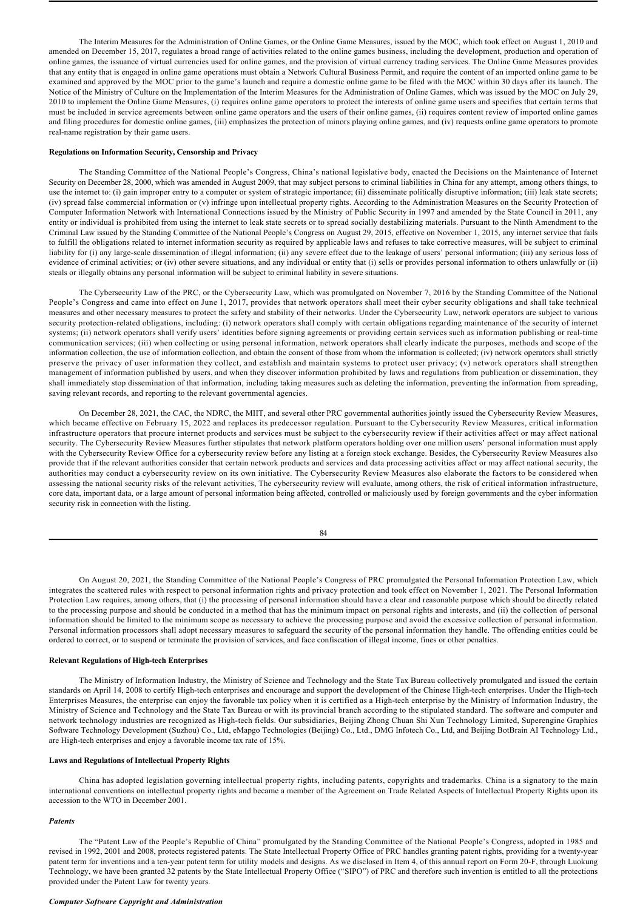The Interim Measures for the Administration of Online Games, or the Online Game Measures, issued by the MOC, which took effect on August 1, 2010 and amended on December 15, 2017, regulates a broad range of activities related to the online games business, including the development, production and operation of online games, the issuance of virtual currencies used for online games, and the provision of virtual currency trading services. The Online Game Measures provides that any entity that is engaged in online game operations must obtain a Network Cultural Business Permit, and require the content of an imported online game to be examined and approved by the MOC prior to the game's launch and require a domestic online game to be filed with the MOC within 30 days after its launch. The Notice of the Ministry of Culture on the Implementation of the Interim Measures for the Administration of Online Games, which was issued by the MOC on July 29, 2010 to implement the Online Game Measures, (i) requires online game operators to protect the interests of online game users and specifies that certain terms that must be included in service agreements between online game operators and the users of their online games, (ii) requires content review of imported online games and filing procedures for domestic online games, (iii) emphasizes the protection of minors playing online games, and (iv) requests online game operators to promote real-name registration by their game users.

## **Regulations on Information Security, Censorship and Privacy**

The Standing Committee of the National People's Congress, China's national legislative body, enacted the Decisions on the Maintenance of Internet Security on December 28, 2000, which was amended in August 2009, that may subject persons to criminal liabilities in China for any attempt, among others things, to use the internet to: (i) gain improper entry to a computer or system of strategic importance; (ii) disseminate politically disruptive information; (iii) leak state secrets; (iv) spread false commercial information or (v) infringe upon intellectual property rights. According to the Administration Measures on the Security Protection of Computer Information Network with International Connections issued by the Ministry of Public Security in 1997 and amended by the State Council in 2011, any entity or individual is prohibited from using the internet to leak state secrets or to spread socially destabilizing materials. Pursuant to the Ninth Amendment to the Criminal Law issued by the Standing Committee of the National People's Congress on August 29, 2015, effective on November 1, 2015, any internet service that fails to fulfill the obligations related to internet information security as required by applicable laws and refuses to take corrective measures, will be subject to criminal liability for (i) any large-scale dissemination of illegal information; (ii) any severe effect due to the leakage of users' personal information; (iii) any serious loss of evidence of criminal activities; or (iv) other severe situations, and any individual or entity that (i) sells or provides personal information to others unlawfully or (ii) steals or illegally obtains any personal information will be subject to criminal liability in severe situations.

The Cybersecurity Law of the PRC, or the Cybersecurity Law, which was promulgated on November 7, 2016 by the Standing Committee of the National People's Congress and came into effect on June 1, 2017, provides that network operators shall meet their cyber security obligations and shall take technical measures and other necessary measures to protect the safety and stability of their networks. Under the Cybersecurity Law, network operators are subject to various security protection-related obligations, including: (i) network operators shall comply with certain obligations regarding maintenance of the security of internet systems; (ii) network operators shall verify users' identities before signing agreements or providing certain services such as information publishing or real-time communication services; (iii) when collecting or using personal information, network operators shall clearly indicate the purposes, methods and scope of the information collection, the use of information collection, and obtain the consent of those from whom the information is collected; (iv) network operators shall strictly preserve the privacy of user information they collect, and establish and maintain systems to protect user privacy; (v) network operators shall strengthen management of information published by users, and when they discover information prohibited by laws and regulations from publication or dissemination, they shall immediately stop dissemination of that information, including taking measures such as deleting the information, preventing the information from spreading, saving relevant records, and reporting to the relevant governmental agencies.

On December 28, 2021, the CAC, the NDRC, the MIIT, and several other PRC governmental authorities jointly issued the Cybersecurity Review Measures, which became effective on February 15, 2022 and replaces its predecessor regulation. Pursuant to the Cybersecurity Review Measures, critical information infrastructure operators that procure internet products and services must be subject to the cybersecurity review if their activities affect or may affect national security. The Cybersecurity Review Measures further stipulates that network platform operators holding over one million users' personal information must apply with the Cybersecurity Review Office for a cybersecurity review before any listing at a foreign stock exchange. Besides, the Cybersecurity Review Measures also provide that if the relevant authorities consider that certain network products and services and data processing activities affect or may affect national security, the authorities may conduct a cybersecurity review on its own initiative. The Cybersecurity Review Measures also elaborate the factors to be considered when assessing the national security risks of the relevant activities, The cybersecurity review will evaluate, among others, the risk of critical information infrastructure, core data, important data, or a large amount of personal information being affected, controlled or maliciously used by foreign governments and the cyber information security risk in connection with the listing.

84

On August 20, 2021, the Standing Committee of the National People's Congress of PRC promulgated the Personal Information Protection Law, which integrates the scattered rules with respect to personal information rights and privacy protection and took effect on November 1, 2021. The Personal Information Protection Law requires, among others, that (i) the processing of personal information should have a clear and reasonable purpose which should be directly related to the processing purpose and should be conducted in a method that has the minimum impact on personal rights and interests, and (ii) the collection of personal information should be limited to the minimum scope as necessary to achieve the processing purpose and avoid the excessive collection of personal information. Personal information processors shall adopt necessary measures to safeguard the security of the personal information they handle. The offending entities could be ordered to correct, or to suspend or terminate the provision of services, and face confiscation of illegal income, fines or other penalties.

## **Relevant Regulations of High-tech Enterprises**

The Ministry of Information Industry, the Ministry of Science and Technology and the State Tax Bureau collectively promulgated and issued the certain standards on April 14, 2008 to certify High-tech enterprises and encourage and support the development of the Chinese High-tech enterprises. Under the High-tech Enterprises Measures, the enterprise can enjoy the favorable tax policy when it is certified as a Hightech enterprise by the Ministry of Information Industry, the Ministry of Science and Technology and the State Tax Bureau or with its provincial branch according to the stipulated standard. The software and computer and network technology industries are recognized as Hightech fields. Our subsidiaries, Beijing Zhong Chuan Shi Xun Technology Limited, Superengine Graphics Software Technology Development (Suzhou) Co., Ltd, eMapgo Technologies (Beijing) Co., Ltd., DMG Infotech Co., Ltd, and Beijing BotBrain AI Technology Ltd., are High-tech enterprises and enjoy a favorable income tax rate of 15%.

## **Laws and Regulations of Intellectual Property Rights**

China has adopted legislation governing intellectual property rights, including patents, copyrights and trademarks. China is a signatory to the main international conventions on intellectual property rights and became a member of the Agreement on Trade Related Aspects of Intellectual Property Rights upon its accession to the WTO in December 2001.

### *Patents*

The "Patent Law of the People's Republic of China" promulgated by the Standing Committee of the National People's Congress, adopted in 1985 and revised in 1992, 2001 and 2008, protects registered patents. The State Intellectual Property Office of PRC handles granting patent rights, providing for a twentyyear patent term for inventions and a ten-year patent term for utility models and designs. As we disclosed in Item 4, of this annual report on Form 20-F, through Luokung Technology, we have been granted 32 patents by the State Intellectual Property Office ("SIPO") of PRC and therefore such invention is entitled to all the protections provided under the Patent Law for twenty years.

## *Computer Software Copyright and Administration*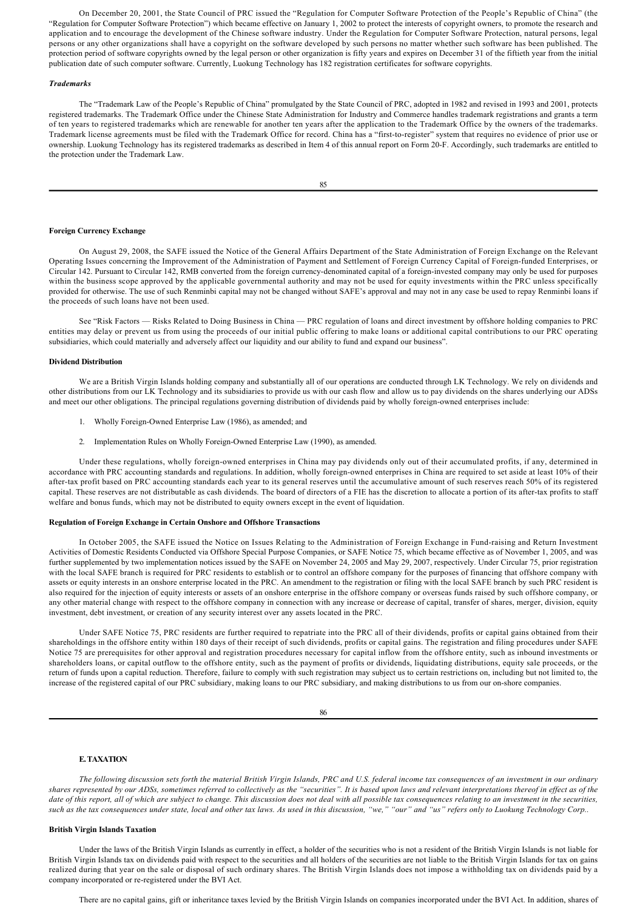On December 20, 2001, the State Council of PRC issued the "Regulation for Computer Software Protection of the People's Republic of China" (the "Regulation for Computer Software Protection") which became effective on January 1, 2002 to protect the interests of copyright owners, to promote the research and application and to encourage the development of the Chinese software industry. Under the Regulation for Computer Software Protection, natural persons, legal persons or any other organizations shall have a copyright on the software developed by such persons no matter whether such software has been published. The protection period of software copyrights owned by the legal person or other organization is fifty years and expires on December 31 of the fiftieth year from the initial publication date of such computer software. Currently, Luokung Technology has 182 registration certificates for software copyrights.

# *Trademarks*

The "Trademark Law of the People's Republic of China" promulgated by the State Council of PRC, adopted in 1982 and revised in 1993 and 2001, protects registered trademarks. The Trademark Office under the Chinese State Administration for Industry and Commerce handles trademark registrations and grants a term of ten years to registered trademarks which are renewable for another ten years after the application to the Trademark Office by the owners of the trademarks. Trademark license agreements must be filed with the Trademark Office for record. China has a "first-to-register" system that requires no evidence of prior use or ownership. Luokung Technology has its registered trademarks as described in Item 4 of this annual report on Form 20F. Accordingly, such trademarks are entitled to the protection under the Trademark Law.

### **Foreign Currency Exchange**

On August 29, 2008, the SAFE issued the Notice of the General Affairs Department of the State Administration of Foreign Exchange on the Relevant Operating Issues concerning the Improvement of the Administration of Payment and Settlement of Foreign Currency Capital of Foreign-funded Enterprises, or Circular 142. Pursuant to Circular 142, RMB converted from the foreign currency-denominated capital of a foreign-invested company may only be used for purposes within the business scope approved by the applicable governmental authority and may not be used for equity investments within the PRC unless specifically provided for otherwise. The use of such Renminbi capital may not be changed without SAFE's approval and may not in any case be used to repay Renminbi loans if the proceeds of such loans have not been used.

See "Risk Factors — Risks Related to Doing Business in China — PRC regulation of loans and direct investment by offshore holding companies to PRC entities may delay or prevent us from using the proceeds of our initial public offering to make loans or additional capital contributions to our PRC operating subsidiaries, which could materially and adversely affect our liquidity and our ability to fund and expand our business".

### **Dividend Distribution**

We are a British Virgin Islands holding company and substantially all of our operations are conducted through LK Technology. We rely on dividends and other distributions from our LK Technology and its subsidiaries to provide us with our cash flow and allow us to pay dividends on the shares underlying our ADSs and meet our other obligations. The principal regulations governing distribution of dividends paid by wholly foreign-owned enterprises include:

- 1. Wholly Foreign-Owned Enterprise Law (1986), as amended; and
- 2. Implementation Rules on Wholly Foreign-Owned Enterprise Law (1990), as amended.

Under these regulations, wholly foreign-owned enterprises in China may pay dividends only out of their accumulated profits, if any, determined in accordance with PRC accounting standards and regulations. In addition, wholly foreign-owned enterprises in China are required to set aside at least 10% of their after-tax profit based on PRC accounting standards each year to its general reserves until the accumulative amount of such reserves reach 50% of its registered capital. These reserves are not distributable as cash dividends. The board of directors of a FIE has the discretion to allocate a portion of its after-tax profits to staff welfare and bonus funds, which may not be distributed to equity owners except in the event of liquidation.

### **Regulation of Foreign Exchange in Certain Onshore and Offshore Transactions**

In October 2005, the SAFE issued the Notice on Issues Relating to the Administration of Foreign Exchange in Fundraising and Return Investment Activities of Domestic Residents Conducted via Offshore Special Purpose Companies, or SAFE Notice 75, which became effective as of November 1, 2005, and was further supplemented by two implementation notices issued by the SAFE on November 24, 2005 and May 29, 2007, respectively. Under Circular 75, prior registration with the local SAFE branch is required for PRC residents to establish or to control an offshore company for the purposes of financing that offshore company with assets or equity interests in an onshore enterprise located in the PRC. An amendment to the registration or filing with the local SAFE branch by such PRC resident is also required for the injection of equity interests or assets of an onshore enterprise in the offshore company or overseas funds raised by such offshore company, or any other material change with respect to the offshore company in connection with any increase or decrease of capital, transfer of shares, merger, division, equity investment, debt investment, or creation of any security interest over any assets located in the PRC.

Under SAFE Notice 75, PRC residents are further required to repatriate into the PRC all of their dividends, profits or capital gains obtained from their shareholdings in the offshore entity within 180 days of their receipt of such dividends, profits or capital gains. The registration and filing procedures under SAFE Notice 75 are prerequisites for other approval and registration procedures necessary for capital inflow from the offshore entity, such as inbound investments or shareholders loans, or capital outflow to the offshore entity, such as the payment of profits or dividends, liquidating distributions, equity sale proceeds, or the return of funds upon a capital reduction. Therefore, failure to comply with such registration may subject us to certain restrictions on, including but not limited to, the increase of the registered capital of our PRC subsidiary, making loans to our PRC subsidiary, and making distributions to us from our onshore companies.

86

### **E. TAXATION**

*The following discussion sets forth the material British Virgin Islands, PRC and U.S. federal income tax consequences of an investment in our ordinary shares represented by our ADSs, sometimes referred to collectively as the "securities". It is based upon laws and relevant interpretations thereof in effect as of the date of this report, all of which are subject to change. This discussion does not deal with all possible tax consequences relating to an investment in the securities, such as the tax consequences under state, local and other tax laws. As used in this discussion, "we," "our" and "us" refers only to Luokung Technology Corp..*

### **British Virgin Islands Taxation**

Under the laws of the British Virgin Islands as currently in effect, a holder of the securities who is not a resident of the British Virgin Islands is not liable for British Virgin Islands tax on dividends paid with respect to the securities and all holders of the securities are not liable to the British Virgin Islands for tax on gains realized during that year on the sale or disposal of such ordinary shares. The British Virgin Islands does not impose a withholding tax on dividends paid by a company incorporated or re-registered under the BVI Act.

There are no capital gains, gift or inheritance taxes levied by the British Virgin Islands on companies incorporated under the BVI Act. In addition, shares of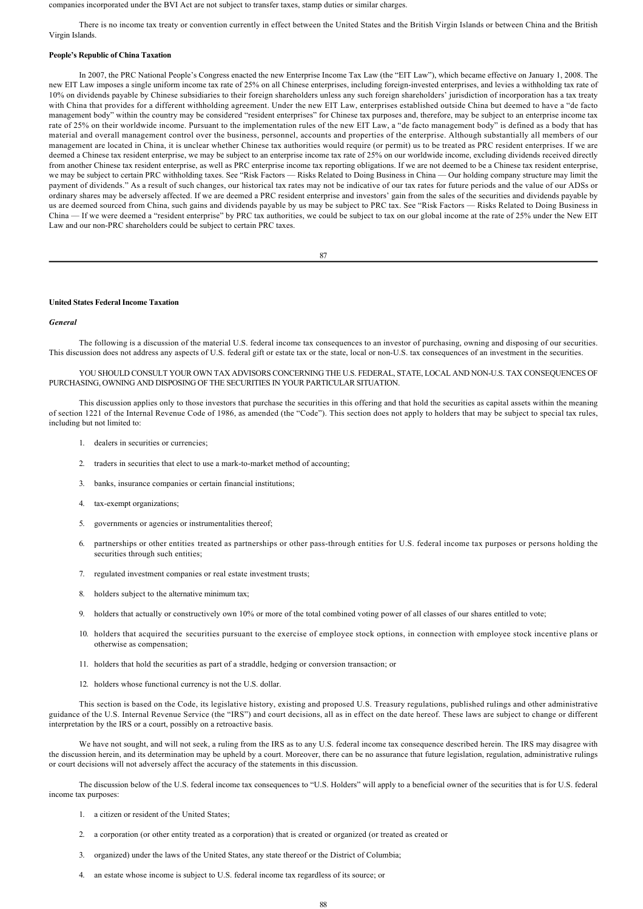companies incorporated under the BVI Act are not subject to transfer taxes, stamp duties or similar charges.

There is no income tax treaty or convention currently in effect between the United States and the British Virgin Islands or between China and the British Virgin Islands.

# **People's Republic of China Taxation**

In 2007, the PRC National People's Congress enacted the new Enterprise Income Tax Law (the "EIT Law"), which became effective on January 1, 2008. The new EIT Law imposes a single uniform income tax rate of 25% on all Chinese enterprises, including foreign-invested enterprises, and levies a withholding tax rate of 10% on dividends payable by Chinese subsidiaries to their foreign shareholders unless any such foreign shareholders' jurisdiction of incorporation has a tax treaty with China that provides for a different withholding agreement. Under the new EIT Law, enterprises established outside China but deemed to have a "de facto management body" within the country may be considered "resident enterprises" for Chinese tax purposes and, therefore, may be subject to an enterprise income tax rate of 25% on their worldwide income. Pursuant to the implementation rules of the new EIT Law, a "de facto management body" is defined as a body that has material and overall management control over the business, personnel, accounts and properties of the enterprise. Although substantially all members of our management are located in China, it is unclear whether Chinese tax authorities would require (or permit) us to be treated as PRC resident enterprises. If we are deemed a Chinese tax resident enterprise, we may be subject to an enterprise income tax rate of 25% on our worldwide income, excluding dividends received directly from another Chinese tax resident enterprise, as well as PRC enterprise income tax reporting obligations. If we are not deemed to be a Chinese tax resident enterprise, we may be subject to certain PRC withholding taxes. See "Risk Factors — Risks Related to Doing Business in China — Our holding company structure may limit the payment of dividends." As a result of such changes, our historical tax rates may not be indicative of our tax rates for future periods and the value of our ADSs or ordinary shares may be adversely affected. If we are deemed a PRC resident enterprise and investors' gain from the sales of the securities and dividends payable by us are deemed sourced from China, such gains and dividends payable by us may be subject to PRC tax. See "Risk Factors — Risks Related to Doing Business in China — If we were deemed a "resident enterprise" by PRC tax authorities, we could be subject to tax on our global income at the rate of 25% under the New EIT Law and our non-PRC shareholders could be subject to certain PRC taxes.

87

## **United States Federal Income Taxation**

### *General*

The following is a discussion of the material U.S. federal income tax consequences to an investor of purchasing, owning and disposing of our securities. This discussion does not address any aspects of U.S. federal gift or estate tax or the state, local or non-U.S. tax consequences of an investment in the securities.

YOU SHOULD CONSULT YOUR OWN TAX ADVISORS CONCERNING THE U.S. FEDERAL, STATE, LOCAL AND NON-U.S. TAX CONSEQUENCES OF PURCHASING, OWNING AND DISPOSING OF THE SECURITIES IN YOUR PARTICULAR SITUATION.

This discussion applies only to those investors that purchase the securities in this offering and that hold the securities as capital assets within the meaning of section 1221 of the Internal Revenue Code of 1986, as amended (the "Code"). This section does not apply to holders that may be subject to special tax rules, including but not limited to:

- 1. dealers in securities or currencies;
- 2. traders in securities that elect to use a mark-to-market method of accounting;
- 3. banks, insurance companies or certain financial institutions;
- 4. tax-exempt organizations;
- 5. governments or agencies or instrumentalities thereof;
- 6. partnerships or other entities treated as partnerships or other passthrough entities for U.S. federal income tax purposes or persons holding the securities through such entities;
- 7. regulated investment companies or real estate investment trusts;
- 8. holders subject to the alternative minimum tax;
- 9. holders that actually or constructively own 10% or more of the total combined voting power of all classes of our shares entitled to vote;
- 10. holders that acquired the securities pursuant to the exercise of employee stock options, in connection with employee stock incentive plans or otherwise as compensation;
- 11. holders that hold the securities as part of a straddle, hedging or conversion transaction; or
- 12. holders whose functional currency is not the U.S. dollar.

This section is based on the Code, its legislative history, existing and proposed U.S. Treasury regulations, published rulings and other administrative guidance of the U.S. Internal Revenue Service (the "IRS") and court decisions, all as in effect on the date hereof. These laws are subject to change or different interpretation by the IRS or a court, possibly on a retroactive basis.

We have not sought, and will not seek, a ruling from the IRS as to any U.S. federal income tax consequence described herein. The IRS may disagree with the discussion herein, and its determination may be upheld by a court. Moreover, there can be no assurance that future legislation, regulation, administrative rulings or court decisions will not adversely affect the accuracy of the statements in this discussion.

The discussion below of the U.S. federal income tax consequences to "U.S. Holders" will apply to a beneficial owner of the securities that is for U.S. federal income tax purposes:

- 1. a citizen or resident of the United States;
- 2. a corporation (or other entity treated as a corporation) that is created or organized (or treated as created or
- 3. organized) under the laws of the United States, any state thereof or the District of Columbia;
- 4. an estate whose income is subject to U.S. federal income tax regardless of its source; or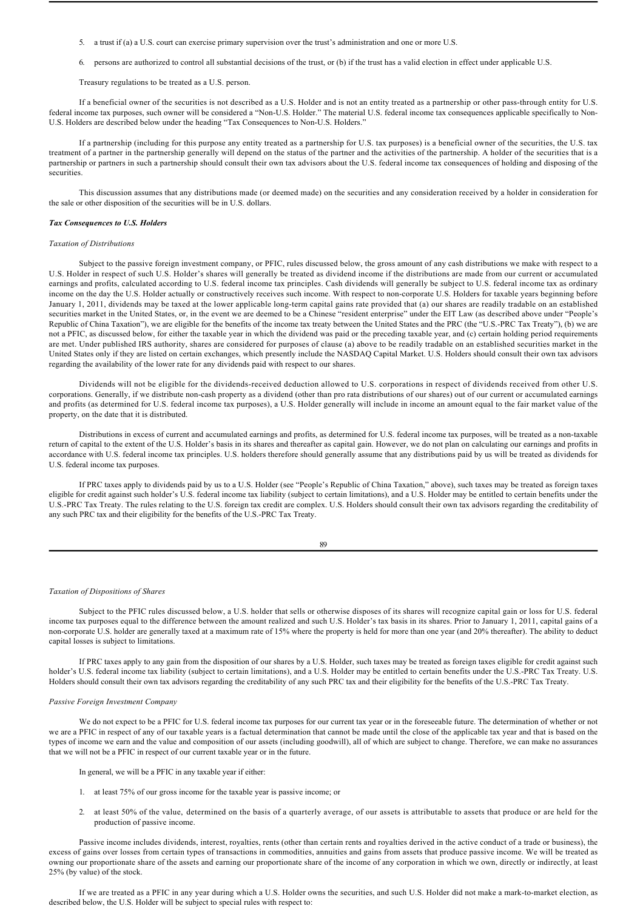5. a trust if (a) a U.S. court can exercise primary supervision over the trust's administration and one or more U.S.

6. persons are authorized to control all substantial decisions of the trust, or (b) if the trust has a valid election in effect under applicable U.S.

Treasury regulations to be treated as a U.S. person.

If a beneficial owner of the securities is not described as a U.S. Holder and is not an entity treated as a partnership or other pass-through entity for U.S. federal income tax purposes, such owner will be considered a "Non-U.S. Holder." The material U.S. federal income tax consequences applicable specifically to Non-U.S. Holders are described below under the heading "Tax Consequences to Non-U.S. Holders."

If a partnership (including for this purpose any entity treated as a partnership for U.S. tax purposes) is a beneficial owner of the securities, the U.S. tax treatment of a partner in the partnership generally will depend on the status of the partner and the activities of the partnership. A holder of the securities that is a partnership or partners in such a partnership should consult their own tax advisors about the U.S. federal income tax consequences of holding and disposing of the securities.

This discussion assumes that any distributions made (or deemed made) on the securities and any consideration received by a holder in consideration for the sale or other disposition of the securities will be in U.S. dollars.

### *Tax Consequences to U.S. Holders*

# *Taxation of Distributions*

Subject to the passive foreign investment company, or PFIC, rules discussed below, the gross amount of any cash distributions we make with respect to a U.S. Holder in respect of such U.S. Holder's shares will generally be treated as dividend income if the distributions are made from our current or accumulated earnings and profits, calculated according to U.S. federal income tax principles. Cash dividends will generally be subject to U.S. federal income tax as ordinary income on the day the U.S. Holder actually or constructively receives such income. With respect to noncorporate U.S. Holders for taxable years beginning before January 1, 2011, dividends may be taxed at the lower applicable long-term capital gains rate provided that (a) our shares are readily tradable on an established securities market in the United States, or, in the event we are deemed to be a Chinese "resident enterprise" under the EIT Law (as described above under "People's Republic of China Taxation"), we are eligible for the benefits of the income tax treaty between the United States and the PRC (the "U.S.-PRC Tax Treaty"), (b) we are not a PFIC, as discussed below, for either the taxable year in which the dividend was paid or the preceding taxable year, and (c) certain holding period requirements are met. Under published IRS authority, shares are considered for purposes of clause (a) above to be readily tradable on an established securities market in the United States only if they are listed on certain exchanges, which presently include the NASDAQ Capital Market. U.S. Holders should consult their own tax advisors regarding the availability of the lower rate for any dividends paid with respect to our shares.

Dividends will not be eligible for the dividends-received deduction allowed to U.S. corporations in respect of dividends received from other U.S. corporations. Generally, if we distribute non-cash property as a dividend (other than pro rata distributions of our shares) out of our current or accumulated earnings and profits (as determined for U.S. federal income tax purposes), a U.S. Holder generally will include in income an amount equal to the fair market value of the property, on the date that it is distributed.

Distributions in excess of current and accumulated earnings and profits, as determined for U.S. federal income tax purposes, will be treated as a non-taxable return of capital to the extent of the U.S. Holder's basis in its shares and thereafter as capital gain. However, we do not plan on calculating our earnings and profits in accordance with U.S. federal income tax principles. U.S. holders therefore should generally assume that any distributions paid by us will be treated as dividends for U.S. federal income tax purposes.

If PRC taxes apply to dividends paid by us to a U.S. Holder (see "People's Republic of China Taxation," above), such taxes may be treated as foreign taxes eligible for credit against such holder's U.S. federal income tax liability (subject to certain limitations), and a U.S. Holder may be entitled to certain benefits under the U.S.PRC Tax Treaty. The rules relating to the U.S. foreign tax credit are complex. U.S. Holders should consult their own tax advisors regarding the creditability of any such PRC tax and their eligibility for the benefits of the U.S.-PRC Tax Treaty.

89

## *Taxation of Dispositions of Shares*

Subject to the PFIC rules discussed below, a U.S. holder that sells or otherwise disposes of its shares will recognize capital gain or loss for U.S. federal income tax purposes equal to the difference between the amount realized and such U.S. Holder's tax basis in its shares. Prior to January 1, 2011, capital gains of a non-corporate U.S. holder are generally taxed at a maximum rate of 15% where the property is held for more than one year (and 20% thereafter). The ability to deduct capital losses is subject to limitations.

If PRC taxes apply to any gain from the disposition of our shares by a U.S. Holder, such taxes may be treated as foreign taxes eligible for credit against such holder's U.S. federal income tax liability (subject to certain limitations), and a U.S. Holder may be entitled to certain benefits under the U.S.-PRC Tax Treaty. U.S. Holders should consult their own tax advisors regarding the creditability of any such PRC tax and their eligibility for the benefits of the U.S.-PRC Tax Treaty.

# *Passive Foreign Investment Company*

We do not expect to be a PFIC for U.S. federal income tax purposes for our current tax year or in the foreseeable future. The determination of whether or not we are a PFIC in respect of any of our taxable years is a factual determination that cannot be made until the close of the applicable tax year and that is based on the types of income we earn and the value and composition of our assets (including goodwill), all of which are subject to change. Therefore, we can make no assurances that we will not be a PFIC in respect of our current taxable year or in the future.

In general, we will be a PFIC in any taxable year if either:

- 1. at least 75% of our gross income for the taxable year is passive income; or
- 2. at least 50% of the value, determined on the basis of a quarterly average, of our assets is attributable to assets that produce or are held for the production of passive income.

Passive income includes dividends, interest, royalties, rents (other than certain rents and royalties derived in the active conduct of a trade or business), the excess of gains over losses from certain types of transactions in commodities, annuities and gains from assets that produce passive income. We will be treated as owning our proportionate share of the assets and earning our proportionate share of the income of any corporation in which we own, directly or indirectly, at least 25% (by value) of the stock.

If we are treated as a PFIC in any year during which a U.S. Holder owns the securities, and such U.S. Holder did not make a mark-to-market election, as described below, the U.S. Holder will be subject to special rules with respect to: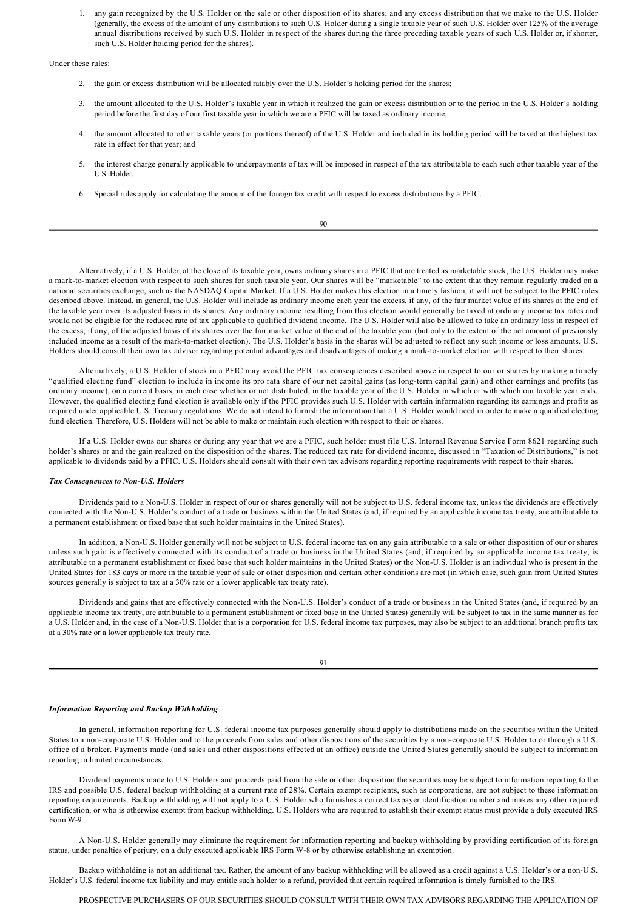1. any gain recognized by the U.S. Holder on the sale or other disposition of its shares; and any excess distribution that we make to the U.S. Holder (generally, the excess of the amount of any distributions to such U.S. Holder during a single taxable year of such U.S. Holder over 125% of the average annual distributions received by such U.S. Holder in respect of the shares during the three preceding taxable years of such U.S. Holder or, if shorter, such U.S. Holder holding period for the shares).

Under these rules:

- 2. the gain or excess distribution will be allocated ratably over the U.S. Holder's holding period for the shares;
- 3. the amount allocated to the U.S. Holder's taxable year in which it realized the gain or excess distribution or to the period in the U.S. Holder's holding period before the first day of our first taxable year in which we are a PFIC will be taxed as ordinary income;
- 4. the amount allocated to other taxable years (or portions thereof) of the U.S. Holder and included in its holding period will be taxed at the highest tax rate in effect for that year; and
- 5. the interest charge generally applicable to underpayments of tax will be imposed in respect of the tax attributable to each such other taxable year of the U.S. Holder.
- 6. Special rules apply for calculating the amount of the foreign tax credit with respect to excess distributions by a PFIC.

## 90

Alternatively, if a U.S. Holder, at the close of its taxable year, owns ordinary shares in a PFIC that are treated as marketable stock, the U.S. Holder may make a mark-to-market election with respect to such shares for such taxable year. Our shares will be "marketable" to the extent that they remain regularly traded on a national securities exchange, such as the NASDAQ Capital Market. If a U.S. Holder makes this election in a timely fashion, it will not be subject to the PFIC rules described above. Instead, in general, the U.S. Holder will include as ordinary income each year the excess, if any, of the fair market value of its shares at the end of the taxable year over its adjusted basis in its shares. Any ordinary income resulting from this election would generally be taxed at ordinary income tax rates and would not be eligible for the reduced rate of tax applicable to qualified dividend income. The U.S. Holder will also be allowed to take an ordinary loss in respect of the excess, if any, of the adjusted basis of its shares over the fair market value at the end of the taxable year (but only to the extent of the net amount of previously included income as a result of the mark-to-market election). The U.S. Holder's basis in the shares will be adjusted to reflect any such income or loss amounts. U.S. Holders should consult their own tax advisor regarding potential advantages and disadvantages of making a mark-to-market election with respect to their shares.

Alternatively, a U.S. Holder of stock in a PFIC may avoid the PFIC tax consequences described above in respect to our or shares by making a timely "qualified electing fund" election to include in income its pro rata share of our net capital gains (as long-term capital gain) and other earnings and profits (as ordinary income), on a current basis, in each case whether or not distributed, in the taxable year of the U.S. Holder in which or with which our taxable year ends. However, the qualified electing fund election is available only if the PFIC provides such U.S. Holder with certain information regarding its earnings and profits as required under applicable U.S. Treasury regulations. We do not intend to furnish the information that a U.S. Holder would need in order to make a qualified electing fund election. Therefore, U.S. Holders will not be able to make or maintain such election with respect to their or shares.

If a U.S. Holder owns our shares or during any year that we are a PFIC, such holder must file U.S. Internal Revenue Service Form 8621 regarding such holder's shares or and the gain realized on the disposition of the shares. The reduced tax rate for dividend income, discussed in "Taxation of Distributions," is not applicable to dividends paid by a PFIC. U.S. Holders should consult with their own tax advisors regarding reporting requirements with respect to their shares.

### **Tax Consequences to Non-U.S. Holders**

Dividends paid to a Non-U.S. Holder in respect of our or shares generally will not be subject to U.S. federal income tax, unless the dividends are effectively connected with the Non-U.S. Holder's conduct of a trade or business within the United States (and, if required by an applicable income tax treaty, are attributable to a permanent establishment or fixed base that such holder maintains in the United States).

In addition, a Non-U.S. Holder generally will not be subject to U.S. federal income tax on any gain attributable to a sale or other disposition of our or shares unless such gain is effectively connected with its conduct of a trade or business in the United States (and, if required by an applicable income tax treaty, is attributable to a permanent establishment or fixed base that such holder maintains in the United States) or the Non-U.S. Holder is an individual who is present in the United States for 183 days or more in the taxable year of sale or other disposition and certain other conditions are met (in which case, such gain from United States sources generally is subject to tax at a 30% rate or a lower applicable tax treaty rate).

Dividends and gains that are effectively connected with the Non-U.S. Holder's conduct of a trade or business in the United States (and, if required by an applicable income tax treaty, are attributable to a permanent establishment or fixed base in the United States) generally will be subject to tax in the same manner as for a U.S. Holder and, in the case of a Non-U.S. Holder that is a corporation for U.S. federal income tax purposes, may also be subject to an additional branch profits tax at a 30% rate or a lower applicable tax treaty rate.

### 91

### *Information Reporting and Backup Withholding*

In general, information reporting for U.S. federal income tax purposes generally should apply to distributions made on the securities within the United States to a non-corporate U.S. Holder and to the proceeds from sales and other dispositions of the securities by a non-corporate U.S. Holder to or through a U.S. office of a broker. Payments made (and sales and other dispositions effected at an office) outside the United States generally should be subject to information reporting in limited circumstances.

Dividend payments made to U.S. Holders and proceeds paid from the sale or other disposition the securities may be subject to information reporting to the IRS and possible U.S. federal backup withholding at a current rate of 28%. Certain exempt recipients, such as corporations, are not subject to these information reporting requirements. Backup withholding will not apply to a U.S. Holder who furnishes a correct taxpayer identification number and makes any other required certification, or who is otherwise exempt from backup withholding. U.S. Holders who are required to establish their exempt status must provide a duly executed IRS Form W-9.

A Non-U.S. Holder generally may eliminate the requirement for information reporting and backup withholding by providing certification of its foreign status, under penalties of perjury, on a duly executed applicable IRS Form W-8 or by otherwise establishing an exemption.

Backup withholding is not an additional tax. Rather, the amount of any backup withholding will be allowed as a credit against a U.S. Holder's or a non-U.S. Holder's U.S. federal income tax liability and may entitle such holder to a refund, provided that certain required information is timely furnished to the IRS.

PROSPECTIVE PURCHASERS OF OUR SECURITIES SHOULD CONSULT WITH THEIR OWN TAX ADVISORS REGARDING THE APPLICATION OF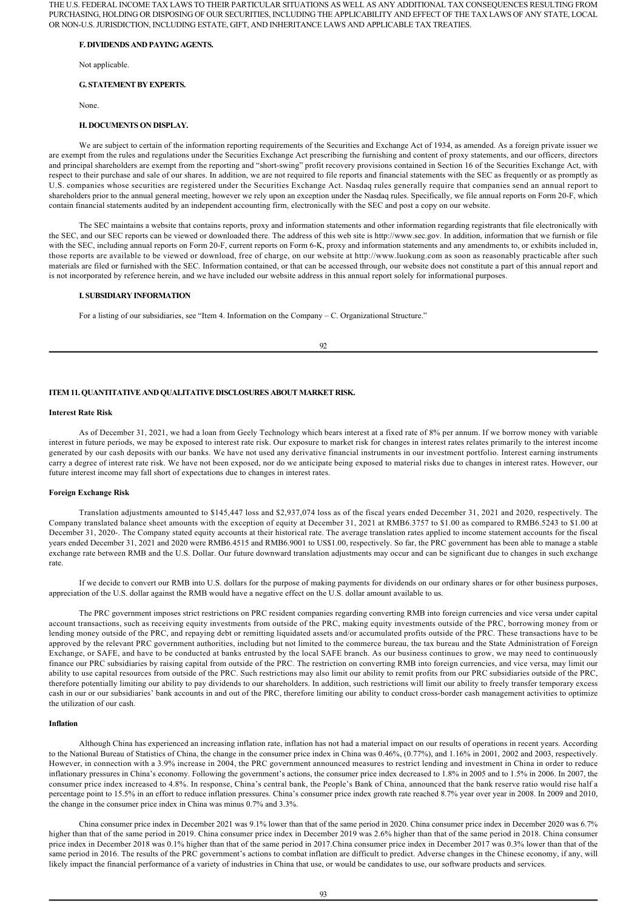THE U.S. FEDERAL INCOME TAX LAWS TO THEIR PARTICULAR SITUATIONS AS WELL AS ANY ADDITIONAL TAX CONSEQUENCES RESULTING FROM PURCHASING, HOLDING OR DISPOSING OF OUR SECURITIES, INCLUDING THE APPLICABILITY AND EFFECT OF THE TAX LAWS OF ANY STATE, LOCAL OR NON-U.S. JURISDICTION, INCLUDING ESTATE, GIFT, AND INHERITANCE LAWS AND APPLICABLE TAX TREATIES.

# **F. DIVIDENDS AND PAYING AGENTS.**

Not applicable.

## **G. STATEMENT BY EXPERTS.**

None.

# **H. DOCUMENTS ON DISPLAY.**

We are subject to certain of the information reporting requirements of the Securities and Exchange Act of 1934, as amended. As a foreign private issuer we are exempt from the rules and regulations under the Securities Exchange Act prescribing the furnishing and content of proxy statements, and our officers, directors and principal shareholders are exempt from the reporting and "short-swing" profit recovery provisions contained in Section 16 of the Securities Exchange Act, with respect to their purchase and sale of our shares. In addition, we are not required to file reports and financial statements with the SEC as frequently or as promptly as U.S. companies whose securities are registered under the Securities Exchange Act. Nasdaq rules generally require that companies send an annual report to shareholders prior to the annual general meeting, however we rely upon an exception under the Nasdaq rules. Specifically, we file annual reports on Form 20-F, which contain financial statements audited by an independent accounting firm, electronically with the SEC and post a copy on our website.

The SEC maintains a website that contains reports, proxy and information statements and other information regarding registrants that file electronically with the SEC, and our SEC reports can be viewed or downloaded there. The address of this web site is http://www.sec.gov. In addition, information that we furnish or file with the SEC, including annual reports on Form 20-F, current reports on Form 6-K, proxy and information statements and any amendments to, or exhibits included in, those reports are available to be viewed or download, free of charge, on our website at http://www.luokung.com as soon as reasonably practicable after such materials are filed or furnished with the SEC. Information contained, or that can be accessed through, our website does not constitute a part of this annual report and is not incorporated by reference herein, and we have included our website address in this annual report solely for informational purposes.

### **I. SUBSIDIARY INFORMATION**

For a listing of our subsidiaries, see "Item 4. Information on the Company – C. Organizational Structure."

### **ITEM 11. QUANTITATIVE AND QUALITATIVE DISCLOSURES ABOUT MARKET RISK.**

### **Interest Rate Risk**

As of December 31, 2021, we had a loan from Geely Technology which bears interest at a fixed rate of 8% per annum. If we borrow money with variable interest in future periods, we may be exposed to interest rate risk. Our exposure to market risk for changes in interest rates relates primarily to the interest income generated by our cash deposits with our banks. We have not used any derivative financial instruments in our investment portfolio. Interest earning instruments carry a degree of interest rate risk. We have not been exposed, nor do we anticipate being exposed to material risks due to changes in interest rates. However, our future interest income may fall short of expectations due to changes in interest rates.

# **Foreign Exchange Risk**

Translation adjustments amounted to \$145,447 loss and \$2,937,074 loss as of the fiscal years ended December 31, 2021 and 2020, respectively. The Company translated balance sheet amounts with the exception of equity at December 31, 2021 at RMB6.3757 to \$1.00 as compared to RMB6.5243 to \$1.00 at December 31, 2020. The Company stated equity accounts at their historical rate. The average translation rates applied to income statement accounts for the fiscal years ended December 31, 2021 and 2020 were RMB6.4515 and RMB6.9001 to US\$1.00, respectively. So far, the PRC government has been able to manage a stable exchange rate between RMB and the U.S. Dollar. Our future downward translation adjustments may occur and can be significant due to changes in such exchange rate.

If we decide to convert our RMB into U.S. dollars for the purpose of making payments for dividends on our ordinary shares or for other business purposes, appreciation of the U.S. dollar against the RMB would have a negative effect on the U.S. dollar amount available to us.

The PRC government imposes strict restrictions on PRC resident companies regarding converting RMB into foreign currencies and vice versa under capital account transactions, such as receiving equity investments from outside of the PRC, making equity investments outside of the PRC, borrowing money from or lending money outside of the PRC, and repaying debt or remitting liquidated assets and/or accumulated profits outside of the PRC. These transactions have to be approved by the relevant PRC government authorities, including but not limited to the commerce bureau, the tax bureau and the State Administration of Foreign Exchange, or SAFE, and have to be conducted at banks entrusted by the local SAFE branch. As our business continues to grow, we may need to continuously finance our PRC subsidiaries by raising capital from outside of the PRC. The restriction on converting RMB into foreign currencies, and vice versa, may limit our ability to use capital resources from outside of the PRC. Such restrictions may also limit our ability to remit profits from our PRC subsidiaries outside of the PRC, therefore potentially limiting our ability to pay dividends to our shareholders. In addition, such restrictions will limit our ability to freely transfer temporary excess cash in our or our subsidiaries' bank accounts in and out of the PRC, therefore limiting our ability to conduct cross-border cash management activities to optimize the utilization of our cash.

#### **Inflation**

Although China has experienced an increasing inflation rate, inflation has not had a material impact on our results of operations in recent years. According to the National Bureau of Statistics of China, the change in the consumer price index in China was 0.46%, (0.77%), and 1.16% in 2001, 2002 and 2003, respectively. However, in connection with a 3.9% increase in 2004, the PRC government announced measures to restrict lending and investment in China in order to reduce inflationary pressures in China's economy. Following the government's actions, the consumer price index decreased to 1.8% in 2005 and to 1.5% in 2006. In 2007, the consumer price index increased to 4.8%. In response, China's central bank, the People's Bank of China, announced that the bank reserve ratio would rise half a percentage point to 15.5% in an effort to reduce inflation pressures. China's consumer price index growth rate reached 8.7% year over year in 2008. In 2009 and 2010, the change in the consumer price index in China was minus 0.7% and 3.3%.

China consumer price index in December 2021 was 9.1% lower than that of the same period in 2020. China consumer price index in December 2020 was 6.7% higher than that of the same period in 2019. China consumer price index in December 2019 was 2.6% higher than that of the same period in 2018. China consumer price index in December 2018 was 0.1% higher than that of the same period in 2017. China consumer price index in December 2017 was 0.3% lower than that of the same period in 2016. The results of the PRC government's actions to combat inflation are difficult to predict. Adverse changes in the Chinese economy, if any, will likely impact the financial performance of a variety of industries in China that use, or would be candidates to use, our software products and services.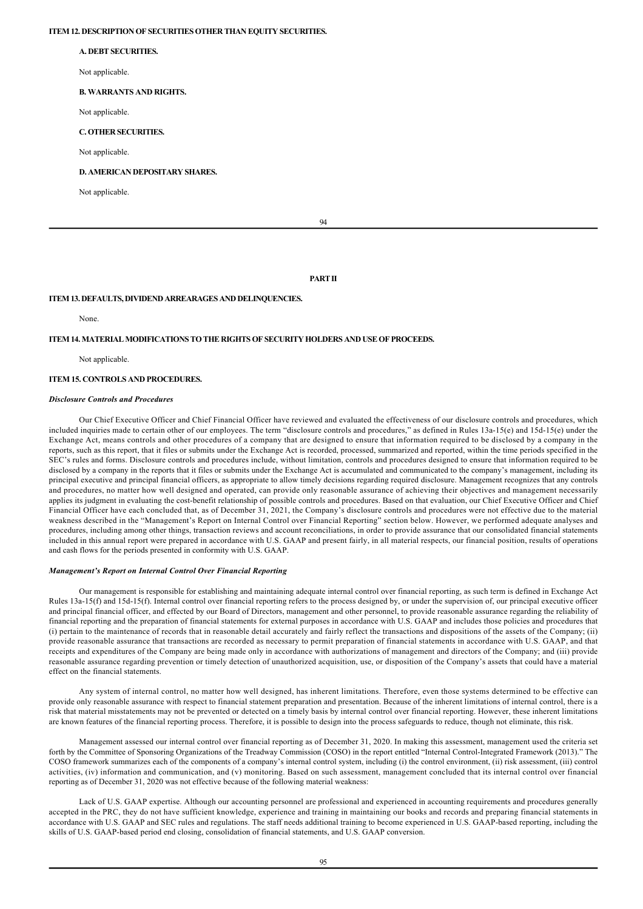# **ITEM 12. DESCRIPTION OF SECURITIES OTHER THAN EQUITY SECURITIES.**

### **A. DEBT SECURITIES.**

Not applicable.

### **B. WARRANTS AND RIGHTS.**

Not applicable.

## **C. OTHER SECURITIES.**

Not applicable.

# **D. AMERICAN DEPOSITARY SHARES.**

Not applicable.

94

## **PART II**

## **ITEM 13. DEFAULTS, DIVIDEND ARREARAGES AND DELINQUENCIES.**

None.

# **ITEM 14. MATERIAL MODIFICATIONS TO THE RIGHTS OF SECURITY HOLDERS AND USE OF PROCEEDS.**

Not applicable.

# **ITEM 15. CONTROLS AND PROCEDURES.**

# *Disclosure Controls and Procedures*

Our Chief Executive Officer and Chief Financial Officer have reviewed and evaluated the effectiveness of our disclosure controls and procedures, which included inquiries made to certain other of our employees. The term "disclosure controls and procedures," as defined in Rules 13a-15(e) and 15d-15(e) under the Exchange Act, means controls and other procedures of a company that are designed to ensure that information required to be disclosed by a company in the reports, such as this report, that it files or submits under the Exchange Act is recorded, processed, summarized and reported, within the time periods specified in the SEC's rules and forms. Disclosure controls and procedures include, without limitation, controls and procedures designed to ensure that information required to be disclosed by a company in the reports that it files or submits under the Exchange Act is accumulated and communicated to the company's management, including its principal executive and principal financial officers, as appropriate to allow timely decisions regarding required disclosure. Management recognizes that any controls and procedures, no matter how well designed and operated, can provide only reasonable assurance of achieving their objectives and management necessarily applies its judgment in evaluating the cost-benefit relationship of possible controls and procedures. Based on that evaluation, our Chief Executive Officer and Chief Financial Officer have each concluded that, as of December 31, 2021, the Company's disclosure controls and procedures were not effective due to the material weakness described in the "Management's Report on Internal Control over Financial Reporting" section below. However, we performed adequate analyses and procedures, including among other things, transaction reviews and account reconciliations, in order to provide assurance that our consolidated financial statements included in this annual report were prepared in accordance with U.S. GAAP and present fairly, in all material respects, our financial position, results of operations and cash flows for the periods presented in conformity with U.S. GAAP.

### *Management's Report on Internal Control Over Financial Reporting*

Our management is responsible for establishing and maintaining adequate internal control over financial reporting, as such term is defined in Exchange Act Rules 13a-15(f) and 15d-15(f). Internal control over financial reporting refers to the process designed by, or under the supervision of, our principal executive officer and principal financial officer, and effected by our Board of Directors, management and other personnel, to provide reasonable assurance regarding the reliability of financial reporting and the preparation of financial statements for external purposes in accordance with U.S. GAAP and includes those policies and procedures that (i) pertain to the maintenance of records that in reasonable detail accurately and fairly reflect the transactions and dispositions of the assets of the Company; (ii) provide reasonable assurance that transactions are recorded as necessary to permit preparation of financial statements in accordance with U.S. GAAP, and that receipts and expenditures of the Company are being made only in accordance with authorizations of management and directors of the Company; and (iii) provide reasonable assurance regarding prevention or timely detection of unauthorized acquisition, use, or disposition of the Company's assets that could have a material effect on the financial statements.

Any system of internal control, no matter how well designed, has inherent limitations. Therefore, even those systems determined to be effective can provide only reasonable assurance with respect to financial statement preparation and presentation. Because of the inherent limitations of internal control, there is a risk that material misstatements may not be prevented or detected on a timely basis by internal control over financial reporting. However, these inherent limitations are known features of the financial reporting process. Therefore, it is possible to design into the process safeguards to reduce, though not eliminate, this risk.

Management assessed our internal control over financial reporting as of December 31, 2020. In making this assessment, management used the criteria set forth by the Committee of Sponsoring Organizations of the Treadway Commission (COSO) in the report entitled "Internal Control-Integrated Framework (2013)." The COSO framework summarizes each of the components of a company's internal control system, including (i) the control environment, (ii) risk assessment, (iii) control activities, (iv) information and communication, and (v) monitoring. Based on such assessment, management concluded that its internal control over financial reporting as of December 31, 2020 was not effective because of the following material weakness:

Lack of U.S. GAAP expertise. Although our accounting personnel are professional and experienced in accounting requirements and procedures generally accepted in the PRC, they do not have sufficient knowledge, experience and training in maintaining our books and records and preparing financial statements in accordance with U.S. GAAP and SEC rules and regulations. The staff needs additional training to become experienced in U.S. GAAP-based reporting, including the skills of U.S. GAAP-based period end closing, consolidation of financial statements, and U.S. GAAP conversion.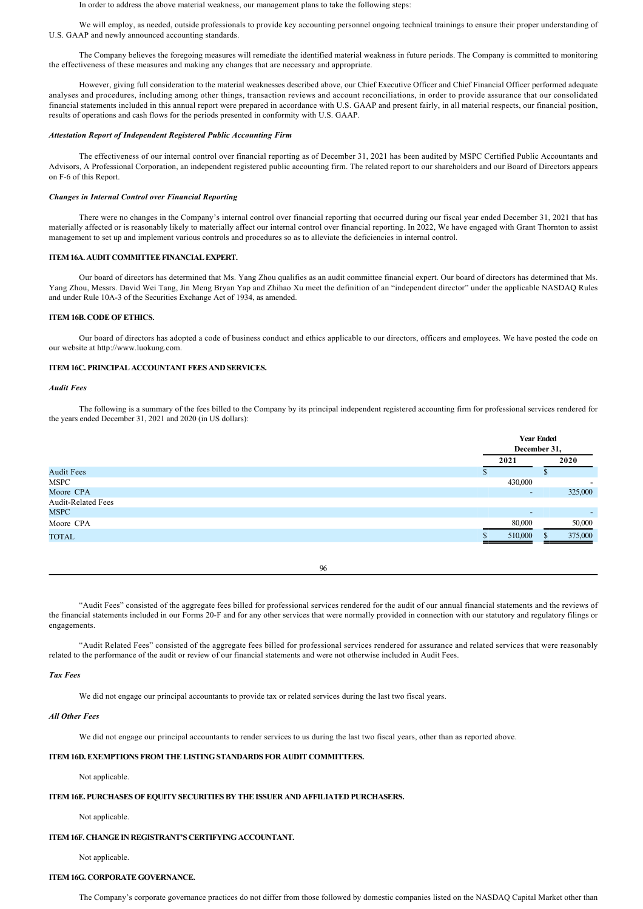In order to address the above material weakness, our management plans to take the following steps:

We will employ, as needed, outside professionals to provide key accounting personnel ongoing technical trainings to ensure their proper understanding of U.S. GAAP and newly announced accounting standards.

The Company believes the foregoing measures will remediate the identified material weakness in future periods. The Company is committed to monitoring the effectiveness of these measures and making any changes that are necessary and appropriate.

However, giving full consideration to the material weaknesses described above, our Chief Executive Officer and Chief Financial Officer performed adequate analyses and procedures, including among other things, transaction reviews and account reconciliations, in order to provide assurance that our consolidated financial statements included in this annual report were prepared in accordance with U.S. GAAP and present fairly, in all material respects, our financial position, results of operations and cash flows for the periods presented in conformity with U.S. GAAP.

## *Attestation Report of Independent Registered Public Accounting Firm*

The effectiveness of our internal control over financial reporting as of December 31, 2021 has been audited by MSPC Certified Public Accountants and Advisors, A Professional Corporation, an independent registered public accounting firm. The related report to our shareholders and our Board of Directors appears on F-6 of this Report.

# *Changes in Internal Control over Financial Reporting*

There were no changes in the Company's internal control over financial reporting that occurred during our fiscal year ended December 31, 2021 that has materially affected or is reasonably likely to materially affect our internal control over financial reporting. In 2022, We have engaged with Grant Thornton to assist management to set up and implement various controls and procedures so as to alleviate the deficiencies in internal control.

### **ITEM 16A. AUDIT COMMITTEE FINANCIAL EXPERT.**

Our board of directors has determined that Ms. Yang Zhou qualifies as an audit committee financial expert. Our board of directors has determined that Ms. Yang Zhou, Messrs. David Wei Tang, Jin Meng Bryan Yap and Zhihao Xu meet the definition of an "independent director" under the applicable NASDAQ Rules and under Rule 10A-3 of the Securities Exchange Act of 1934, as amended.

## **ITEM 16B. CODE OF ETHICS.**

Our board of directors has adopted a code of business conduct and ethics applicable to our directors, officers and employees. We have posted the code on our website at http://www.luokung.com.

### **ITEM 16C. PRINCIPAL ACCOUNTANT FEES AND SERVICES.**

## *Audit Fees*

The following is a summary of the fees billed to the Company by its principal independent registered accounting firm for professional services rendered for the years ended December 31, 2021 and 2020 (in US dollars):

|                           |                          | <b>Year Ended</b><br>December 31, |  |
|---------------------------|--------------------------|-----------------------------------|--|
|                           | 2021                     | 2020                              |  |
| <b>Audit Fees</b>         | - 0                      | D                                 |  |
| MSPC                      | 430,000                  |                                   |  |
| Moore CPA                 | $\overline{\phantom{0}}$ | 325,000                           |  |
| <b>Audit-Related Fees</b> |                          |                                   |  |
| <b>MSPC</b>               | $\overline{\phantom{0}}$ |                                   |  |
| Moore CPA                 | 80,000                   | 50,000                            |  |
| <b>TOTAL</b>              | 510,000                  | 375,000                           |  |
|                           |                          |                                   |  |
|                           |                          |                                   |  |

96

"Audit Fees" consisted of the aggregate fees billed for professional services rendered for the audit of our annual financial statements and the reviews of the financial statements included in our Forms 20-F and for any other services that were normally provided in connection with our statutory and regulatory filings or engagements.

"Audit Related Fees" consisted of the aggregate fees billed for professional services rendered for assurance and related services that were reasonably related to the performance of the audit or review of our financial statements and were not otherwise included in Audit Fees.

### *Tax Fees*

We did not engage our principal accountants to provide tax or related services during the last two fiscal years.

## *All Other Fees*

We did not engage our principal accountants to render services to us during the last two fiscal years, other than as reported above.

## **ITEM 16D. EXEMPTIONS FROM THE LISTING STANDARDS FOR AUDIT COMMITTEES.**

Not applicable.

# **ITEM 16E. PURCHASES OF EQUITY SECURITIES BY THE ISSUER AND AFFILIATED PURCHASERS.**

### Not applicable.

# **ITEM 16F. CHANGE IN REGISTRANT'S CERTIFYING ACCOUNTANT.**

Not applicable.

# **ITEM 16G. CORPORATE GOVERNANCE.**

The Company's corporate governance practices do not differ from those followed by domestic companies listed on the NASDAQ Capital Market other than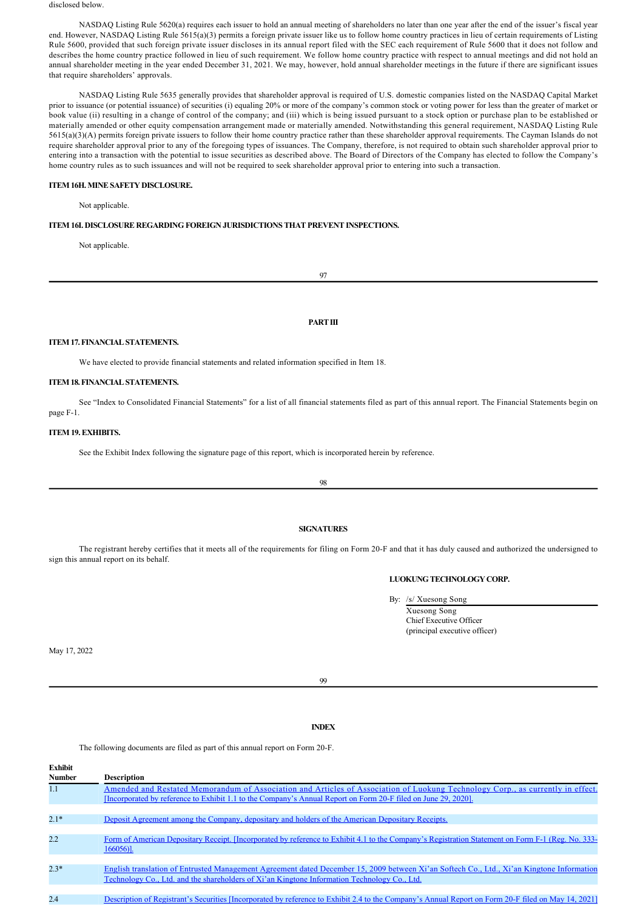#### disclosed below.

NASDAQ Listing Rule 5620(a) requires each issuer to hold an annual meeting of shareholders no later than one year after the end of the issuer's fiscal year end. However, NASDAQ Listing Rule 5615(a)(3) permits a foreign private issuer like us to follow home country practices in lieu of certain requirements of Listing Rule 5600, provided that such foreign private issuer discloses in its annual report filed with the SEC each requirement of Rule 5600 that it does not follow and describes the home country practice followed in lieu of such requirement. We follow home country practice with respect to annual meetings and did not hold an annual shareholder meeting in the year ended December 31, 2021. We may, however, hold annual shareholder meetings in the future if there are significant issues that require shareholders' approvals.

NASDAQ Listing Rule 5635 generally provides that shareholder approval is required of U.S. domestic companies listed on the NASDAQ Capital Market prior to issuance (or potential issuance) of securities (i) equaling 20% or more of the company's common stock or voting power for less than the greater of market or book value (ii) resulting in a change of control of the company; and (iii) which is being issued pursuant to a stock option or purchase plan to be established or materially amended or other equity compensation arrangement made or materially amended. Notwithstanding this general requirement, NASDAQ Listing Rule 5615(a)(3)(A) permits foreign private issuers to follow their home country practice rather than these shareholder approval requirements. The Cayman Islands do not require shareholder approval prior to any of the foregoing types of issuances. The Company, therefore, is not required to obtain such shareholder approval prior to entering into a transaction with the potential to issue securities as described above. The Board of Directors of the Company has elected to follow the Company's home country rules as to such issuances and will not be required to seek shareholder approval prior to entering into such a transaction.

# **ITEM 16H. MINE SAFETY DISCLOSURE.**

Not applicable.

# **ITEM 16I. DISCLOSURE REGARDING FOREIGN JURISDICTIONS THAT PREVENT INSPECTIONS.**

Not applicable.

97

# **PART III**

### **ITEM 17. FINANCIAL STATEMENTS.**

We have elected to provide financial statements and related information specified in Item 18.

# **ITEM 18. FINANCIAL STATEMENTS.**

See "Index to Consolidated Financial Statements" for a list of all financial statements filed as part of this annual report. The Financial Statements begin on page F-1.

## **ITEM 19. EXHIBITS.**

See the Exhibit Index following the signature page of this report, which is incorporated herein by reference.

98

# **SIGNATURES**

The registrant hereby certifies that it meets all of the requirements for filing on Form 20F and that it has duly caused and authorized the undersigned to sign this annual report on its behalf.

# **LUOKUNG TECHNOLOGY CORP.**

By: /s/ Xuesong Song

Xuesong Song Chief Executive Officer (principal executive officer)

May 17, 2022

99

# **INDEX**

The following documents are filed as part of this annual report on Form 20-F.

| <b>Exhibit</b> |                                                                                                                                                     |
|----------------|-----------------------------------------------------------------------------------------------------------------------------------------------------|
| <b>Number</b>  | <b>Description</b>                                                                                                                                  |
| 1.1            | Amended and Restated Memorandum of Association and Articles of Association of Luokung Technology Corp., as currently in effect.                     |
|                | [Incorporated by reference to Exhibit 1.1 to the Company's Annual Report on Form 20-F filed on June 29, 2020].                                      |
|                |                                                                                                                                                     |
| $2.1*$         | Deposit Agreement among the Company, depositary and holders of the American Depositary Receipts.                                                    |
|                |                                                                                                                                                     |
| 2.2            | Form of American Depositary Receipt. [Incorporated by reference to Exhibit 4.1 to the Company's Registration Statement on Form F-1 (Reg. No. 333-   |
|                | $166056$ ].                                                                                                                                         |
|                |                                                                                                                                                     |
| $2.3*$         | English translation of Entrusted Management Agreement dated December 15, 2009 between Xi'an Softech Co., Ltd., Xi'an Kingtone Information           |
|                | Technology Co., Ltd. and the shareholders of Xi'an Kingtone Information Technology Co., Ltd.                                                        |
|                |                                                                                                                                                     |
| 2.4            | Description of Registrant's Securities [Incorporated by reference to Exhibit 2.4 to the Company's Annual Report on Form 20-F filed on May 14, 2021] |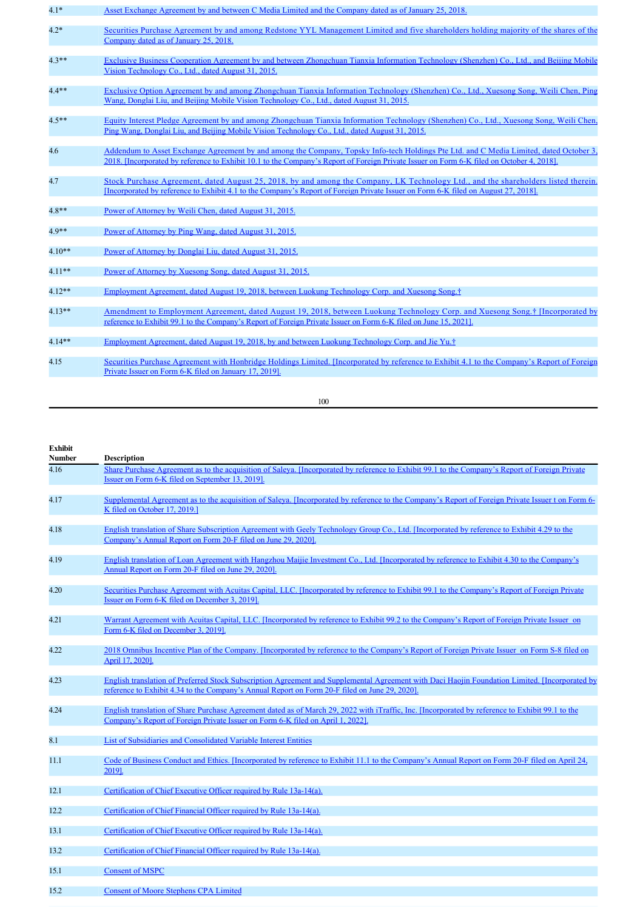| $4.1*$   | Asset Exchange Agreement by and between C Media Limited and the Company dated as of January 25, 2018.                                                                                                                                                                                |
|----------|--------------------------------------------------------------------------------------------------------------------------------------------------------------------------------------------------------------------------------------------------------------------------------------|
| $4.2*$   | Securities Purchase Agreement by and among Redstone YYL Management Limited and five shareholders holding majority of the shares of the<br>Company dated as of January 25, 2018.                                                                                                      |
| $4.3**$  | Exclusive Business Cooperation Agreement by and between Zhongchuan Tianxia Information Technology (Shenzhen) Co., Ltd., and Beijing Mobile<br>Vision Technology Co., Ltd., dated August 31, 2015.                                                                                    |
| $4.4**$  | Exclusive Option Agreement by and among Zhongchuan Tianxia Information Technology (Shenzhen) Co., Ltd., Xuesong Song, Weili Chen, Ping<br>Wang, Donglai Liu, and Beijing Mobile Vision Technology Co., Ltd., dated August 31, 2015.                                                  |
| $4.5**$  | Equity Interest Pledge Agreement by and among Zhongchuan Tianxia Information Technology (Shenzhen) Co., Ltd., Xuesong Song, Weili Chen,<br>Ping Wang, Donglai Liu, and Beijing Mobile Vision Technology Co., Ltd., dated August 31, 2015.                                            |
| 4.6      | Addendum to Asset Exchange Agreement by and among the Company, Topsky Info-tech Holdings Pte Ltd. and C Media Limited, dated October 3.<br>2018. [Incorporated by reference to Exhibit 10.1 to the Company's Report of Foreign Private Issuer on Form 6-K filed on October 4, 2018]. |
| 4.7      | Stock Purchase Agreement, dated August 25, 2018, by and among the Company, LK Technology Ltd., and the shareholders listed therein.<br>[Incorporated by reference to Exhibit 4.1 to the Company's Report of Foreign Private Issuer on Form 6-K filed on August 27, 2018].            |
| $4.8**$  | Power of Attorney by Weili Chen, dated August 31, 2015.                                                                                                                                                                                                                              |
| 4.9**    | Power of Attorney by Ping Wang, dated August 31, 2015.                                                                                                                                                                                                                               |
| $4.10**$ | Power of Attorney by Donglai Liu, dated August 31, 2015.                                                                                                                                                                                                                             |
| $4.11**$ | Power of Attorney by Xuesong Song, dated August 31, 2015.                                                                                                                                                                                                                            |
| $4.12**$ | Employment Agreement, dated August 19, 2018, between Luokung Technology Corp. and Xuesong Song.†                                                                                                                                                                                     |
| $4.13**$ | Amendment to Employment Agreement, dated August 19, 2018, between Luokung Technology Corp. and Xuesong Song.† [Incorporated by<br>reference to Exhibit 99.1 to the Company's Report of Foreign Private Issuer on Form 6-K filed on June 15, 2021].                                   |
| $4.14**$ | Employment Agreement, dated August 19, 2018, by and between Luokung Technology Corp. and Jie Yu.†                                                                                                                                                                                    |
| 4.15     | Securities Purchase Agreement with Honbridge Holdings Limited. [Incorporated by reference to Exhibit 4.1 to the Company's Report of Foreign<br>Private Issuer on Form 6-K filed on January 17, 2019].                                                                                |

| I<br>۰.<br>×<br>۰.<br>٠<br>۰. |  |
|-------------------------------|--|

# **Exhibit**

| Number | <b>Description</b>                                                                                                                                                                                                                              |
|--------|-------------------------------------------------------------------------------------------------------------------------------------------------------------------------------------------------------------------------------------------------|
| 4.16   | Share Purchase Agreement as to the acquisition of Saleva. Hncorporated by reference to Exhibit 99.1 to the Company's Report of Foreign Private<br>Issuer on Form 6-K filed on September 13, 2019]                                               |
| 4.17   | Supplemental Agreement as to the acquisition of Saleya. [Incorporated by reference to the Company's Report of Foreign Private Issuer t on Form 6-<br>K filed on October 17, 2019.]                                                              |
| 4.18   | English translation of Share Subscription Agreement with Geely Technology Group Co., Ltd. [Incorporated by reference to Exhibit 4.29 to the<br>Company's Annual Report on Form 20-F filed on June 29, 2020].                                    |
| 4.19   | English translation of Loan Agreement with Hangzhou Maijie Investment Co., Ltd. [Incorporated by reference to Exhibit 4.30 to the Company's<br>Annual Report on Form 20-F filed on June 29, 2020].                                              |
| 4.20   | Securities Purchase Agreement with Acuitas Capital, LLC. [Incorporated by reference to Exhibit 99.1 to the Company's Report of Foreign Private<br>Issuer on Form 6-K filed on December 3, 2019]                                                 |
| 4.21   | Warrant Agreement with Acuitas Capital, LLC. [Incorporated by reference to Exhibit 99.2 to the Company's Report of Foreign Private Issuer on<br>Form 6-K filed on December 3, 2019].                                                            |
| 4.22   | 2018 Omnibus Incentive Plan of the Company. Hncorporated by reference to the Company's Report of Foreign Private Issuer on Form S-8 filed on<br>April 17, 2020].                                                                                |
| 4.23   | English translation of Preferred Stock Subscription Agreement and Supplemental Agreement with Daci Haojin Foundation Limited. [Incorporated by<br>reference to Exhibit 4.34 to the Company's Annual Report on Form 20-F filed on June 29, 2020] |
| 4.24   | English translation of Share Purchase Agreement dated as of March 29, 2022 with iTraffic, Inc. [Incorporated by reference to Exhibit 99.1 to the<br>Company's Report of Foreign Private Issuer on Form 6-K filed on April 1, 2022].             |
| 8.1    | List of Subsidiaries and Consolidated Variable Interest Entities                                                                                                                                                                                |
| 11.1   | Code of Business Conduct and Ethics. [Incorporated by reference to Exhibit 11.1 to the Company's Annual Report on Form 20-F filed on April 24.<br>2019].                                                                                        |
| 12.1   | Certification of Chief Executive Officer required by Rule 13a-14(a).                                                                                                                                                                            |
| 12.2   | Certification of Chief Financial Officer required by Rule 13a-14(a).                                                                                                                                                                            |
| 13.1   | Certification of Chief Executive Officer required by Rule 13a-14(a).                                                                                                                                                                            |
| 13.2   | Certification of Chief Financial Officer required by Rule 13a-14(a).                                                                                                                                                                            |
| 15.1   | <b>Consent of MSPC</b>                                                                                                                                                                                                                          |
| 15.2   | <b>Consent of Moore Stephens CPA Limited</b>                                                                                                                                                                                                    |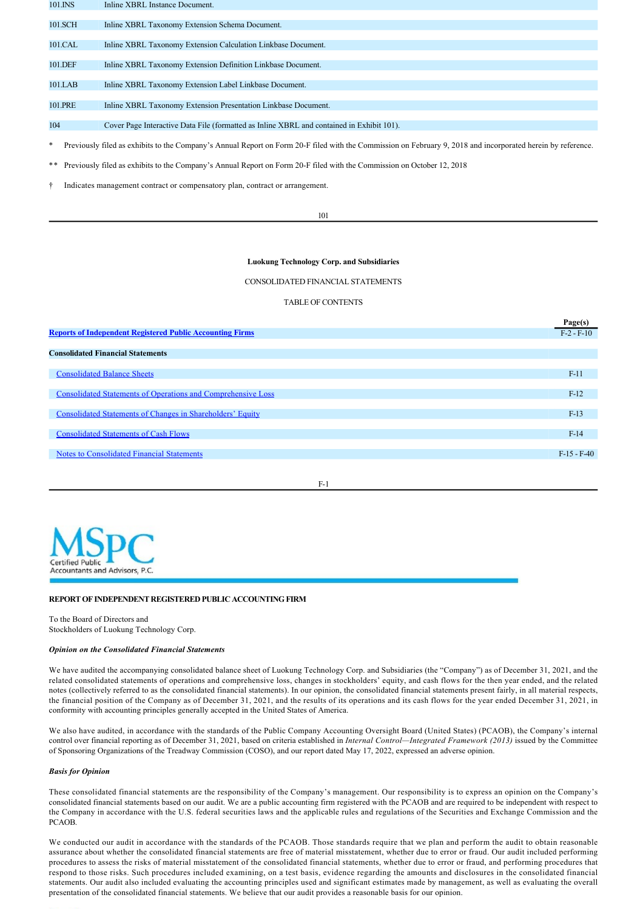| 101.INS        | Inline XBRL Instance Document.                                                            |
|----------------|-------------------------------------------------------------------------------------------|
|                |                                                                                           |
| 101.SCH        | Inline XBRL Taxonomy Extension Schema Document.                                           |
|                |                                                                                           |
| 101.CAL        | Inline XBRL Taxonomy Extension Calculation Linkbase Document.                             |
|                |                                                                                           |
| 101.DEF        | Inline XBRL Taxonomy Extension Definition Linkbase Document.                              |
|                |                                                                                           |
| $101$ LAB      | Inline XBRL Taxonomy Extension Label Linkbase Document.                                   |
|                |                                                                                           |
| <b>101.PRE</b> | Inline XBRL Taxonomy Extension Presentation Linkbase Document.                            |
|                |                                                                                           |
| 104            | Cover Page Interactive Data File (formatted as Inline XBRL and contained in Exhibit 101). |

Previously filed as exhibits to the Company's Annual Report on Form 20-F filed with the Commission on February 9, 2018 and incorporated herein by reference.

Previously filed as exhibits to the Company's Annual Report on Form 20-F filed with the Commission on October 12, 2018

† Indicates management contract or compensatory plan, contract or arrangement.

101

# **Luokung Technology Corp. and Subsidiaries**

# CONSOLIDATED FINANCIAL STATEMENTS

# TABLE OF CONTENTS

|                                                                  | Page(s)       |
|------------------------------------------------------------------|---------------|
| <b>Reports of Independent Registered Public Accounting Firms</b> | $F-2 - F-10$  |
|                                                                  |               |
| <b>Consolidated Financial Statements</b>                         |               |
|                                                                  |               |
| <b>Consolidated Balance Sheets</b>                               | $F-11$        |
|                                                                  |               |
| Consolidated Statements of Operations and Comprehensive Loss     | $F-12$        |
|                                                                  |               |
| Consolidated Statements of Changes in Shareholders' Equity       | $F-13$        |
|                                                                  |               |
| <b>Consolidated Statements of Cash Flows</b>                     | $F-14$        |
|                                                                  |               |
| Notes to Consolidated Financial Statements                       | $F-15 - F-40$ |
|                                                                  |               |

 $E-1$ 



## **REPORT OF INDEPENDENT REGISTERED PUBLIC ACCOUNTING FIRM**

To the Board of Directors and Stockholders of Luokung Technology Corp.

## *Opinion on the Consolidated Financial Statements*

We have audited the accompanying consolidated balance sheet of Luokung Technology Corp. and Subsidiaries (the "Company") as of December 31, 2021, and the related consolidated statements of operations and comprehensive loss, changes in stockholders' equity, and cash flows for the then year ended, and the related notes (collectively referred to as the consolidated financial statements). In our opinion, the consolidated financial statements present fairly, in all material respects, the financial position of the Company as of December 31, 2021, and the results of its operations and its cash flows for the year ended December 31, 2021, in conformity with accounting principles generally accepted in the United States of America.

We also have audited, in accordance with the standards of the Public Company Accounting Oversight Board (United States) (PCAOB), the Company's internal control over financial reporting as of December 31, 2021, based on criteria established in *Internal Control—Integrated Framework (2013)* issued by the Committee of Sponsoring Organizations of the Treadway Commission (COSO), and our report dated May 17, 2022, expressed an adverse opinion.

# *Basis for Opinion*

These consolidated financial statements are the responsibility of the Company's management. Our responsibility is to express an opinion on the Company's consolidated financial statements based on our audit. We are a public accounting firm registered with the PCAOB and are required to be independent with respect to the Company in accordance with the U.S. federal securities laws and the applicable rules and regulations of the Securities and Exchange Commission and the PCAOB.

We conducted our audit in accordance with the standards of the PCAOB. Those standards require that we plan and perform the audit to obtain reasonable assurance about whether the consolidated financial statements are free of material misstatement, whether due to error or fraud. Our audit included performing procedures to assess the risks of material misstatement of the consolidated financial statements, whether due to error or fraud, and performing procedures that respond to those risks. Such procedures included examining, on a test basis, evidence regarding the amounts and disclosures in the consolidated financial statements. Our audit also included evaluating the accounting principles used and significant estimates made by management, as well as evaluating the overall presentation of the consolidated financial statements. We believe that our audit provides a reasonable basis for our opinion.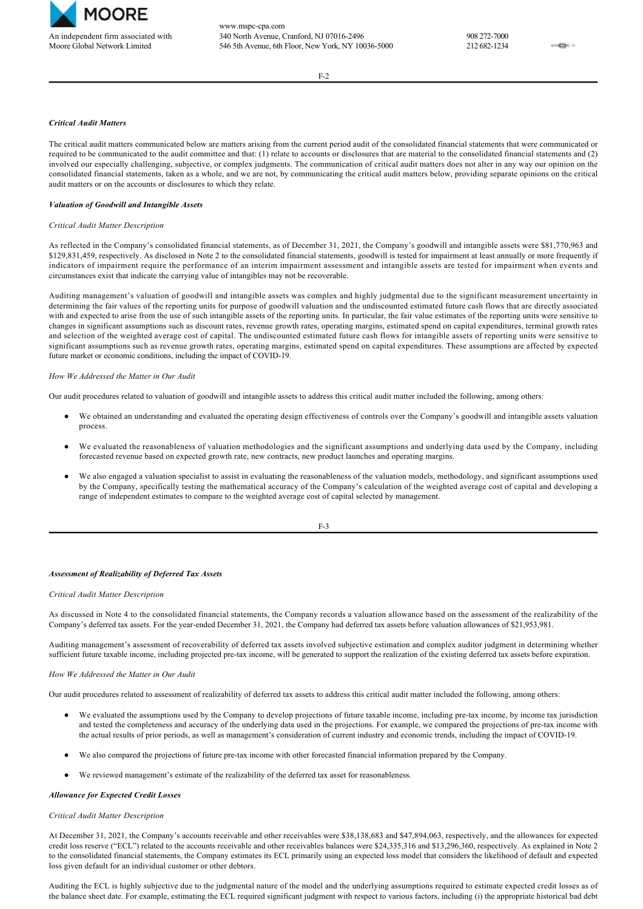

 $-455$ 

# $F-2$

## *Critical Audit Matters*

The critical audit matters communicated below are matters arising from the current period audit of the consolidated financial statements that were communicated or required to be communicated to the audit committee and that: (1) relate to accounts or disclosures that are material to the consolidated financial statements and (2) involved our especially challenging, subjective, or complex judgments. The communication of critical audit matters does not alter in any way our opinion on the consolidated financial statements, taken as a whole, and we are not, by communicating the critical audit matters below, providing separate opinions on the critical audit matters or on the accounts or disclosures to which they relate.

# *Valuation of Goodwill and Intangible Assets*

## *Critical Audit Matter Description*

As reflected in the Company's consolidated financial statements, as of December 31, 2021, the Company's goodwill and intangible assets were \$81,770,963 and \$129,831,459, respectively. As disclosed in Note 2 to the consolidated financial statements, goodwill is tested for impairment at least annually or more frequently if indicators of impairment require the performance of an interim impairment assessment and intangible assets are tested for impairment when events and circumstances exist that indicate the carrying value of intangibles may not be recoverable.

Auditing management's valuation of goodwill and intangible assets was complex and highly judgmental due to the significant measurement uncertainty in determining the fair values of the reporting units for purpose of goodwill valuation and the undiscounted estimated future cash flows that are directly associated with and expected to arise from the use of such intangible assets of the reporting units. In particular, the fair value estimates of the reporting units were sensitive to changes in significant assumptions such as discount rates, revenue growth rates, operating margins, estimated spend on capital expenditures, terminal growth rates and selection of the weighted average cost of capital. The undiscounted estimated future cash flows for intangible assets of reporting units were sensitive to significant assumptions such as revenue growth rates, operating margins, estimated spend on capital expenditures. These assumptions are affected by expected future market or economic conditions, including the impact of COVID-19.

## *How We Addressed the Matter in Our Audit*

Our audit procedures related to valuation of goodwill and intangible assets to address this critical audit matter included the following, among others:

- We obtained an understanding and evaluated the operating design effectiveness of controls over the Company's goodwill and intangible assets valuation process.
- We evaluated the reasonableness of valuation methodologies and the significant assumptions and underlying data used by the Company, including forecasted revenue based on expected growth rate, new contracts, new product launches and operating margins.
- We also engaged a valuation specialist to assist in evaluating the reasonableness of the valuation models, methodology, and significant assumptions used by the Company, specifically testing the mathematical accuracy of the Company's calculation of the weighted average cost of capital and developing a range of independent estimates to compare to the weighted average cost of capital selected by management.

 $F-3$ 

# *Assessment of Realizability of Deferred Tax Assets*

# *Critical Audit Matter Description*

As discussed in Note 4 to the consolidated financial statements, the Company records a valuation allowance based on the assessment of the realizability of the Company's deferred tax assets. For the yearended December 31, 2021, the Company had deferred tax assets before valuation allowances of \$21,953,981.

Auditing management's assessment of recoverability of deferred tax assets involved subjective estimation and complex auditor judgment in determining whether sufficient future taxable income, including projected pre-tax income, will be generated to support the realization of the existing deferred tax assets before expiration.

# *How We Addressed the Matter in Our Audit*

Our audit procedures related to assessment of realizability of deferred tax assets to address this critical audit matter included the following, among others:

- We evaluated the assumptions used by the Company to develop projections of future taxable income, including pre-tax income, by income tax jurisdiction and tested the completeness and accuracy of the underlying data used in the projections. For example, we compared the projections of pre-tax income with the actual results of prior periods, as well as management's consideration of current industry and economic trends, including the impact of COVID-19.
- We also compared the projections of future pre-tax income with other forecasted financial information prepared by the Company.
- We reviewed management's estimate of the realizability of the deferred tax asset for reasonableness.

# *Allowance for Expected Credit Losses*

# *Critical Audit Matter Description*

At December 31, 2021, the Company's accounts receivable and other receivables were \$38,138,683 and \$47,894,063, respectively, and the allowances for expected credit loss reserve ("ECL") related to the accounts receivable and other receivables balances were \$24,335,316 and \$13,296,360, respectively. As explained in Note 2 to the consolidated financial statements, the Company estimates its ECL primarily using an expected loss model that considers the likelihood of default and expected loss given default for an individual customer or other debtors.

Auditing the ECL is highly subjective due to the judgmental nature of the model and the underlying assumptions required to estimate expected credit losses as of the balance sheet date. For example, estimating the ECL required significant judgment with respect to various factors, including (i) the appropriate historical bad debt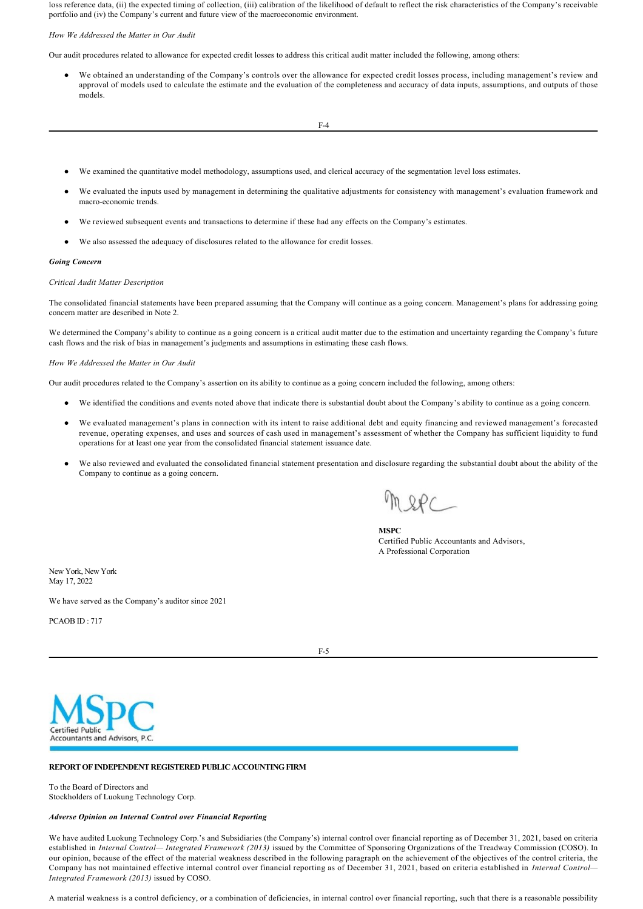loss reference data, (ii) the expected timing of collection, (iii) calibration of the likelihood of default to reflect the risk characteristics of the Company's receivable portfolio and (iv) the Company's current and future view of the macroeconomic environment.

### *How We Addressed the Matter in Our Audit*

Our audit procedures related to allowance for expected credit losses to address this critical audit matter included the following, among others:

We obtained an understanding of the Company's controls over the allowance for expected credit losses process, including management's review and approval of models used to calculate the estimate and the evaluation of the completeness and accuracy of data inputs, assumptions, and outputs of those models.

- We examined the quantitative model methodology, assumptions used, and clerical accuracy of the segmentation level loss estimates.
- We evaluated the inputs used by management in determining the qualitative adjustments for consistency with management's evaluation framework and macro-economic trends.
- We reviewed subsequent events and transactions to determine if these had any effects on the Company's estimates.
- We also assessed the adequacy of disclosures related to the allowance for credit losses.

#### *Going Concern*

### *Critical Audit Matter Description*

The consolidated financial statements have been prepared assuming that the Company will continue as a going concern. Management's plans for addressing going concern matter are described in Note 2.

We determined the Company's ability to continue as a going concern is a critical audit matter due to the estimation and uncertainty regarding the Company's future cash flows and the risk of bias in management's judgments and assumptions in estimating these cash flows.

### *How We Addressed the Matter in Our Audit*

Our audit procedures related to the Company's assertion on its ability to continue as a going concern included the following, among others:

- We identified the conditions and events noted above that indicate there is substantial doubt about the Company's ability to continue as a going concern.
- We evaluated management's plans in connection with its intent to raise additional debt and equity financing and reviewed management's forecasted revenue, operating expenses, and uses and sources of cash used in management's assessment of whether the Company has sufficient liquidity to fund operations for at least one year from the consolidated financial statement issuance date.
- We also reviewed and evaluated the consolidated financial statement presentation and disclosure regarding the substantial doubt about the ability of the Company to continue as a going concern.

 $QPC$ 

**MSPC** Certified Public Accountants and Advisors, A Professional Corporation

New York, New York May 17, 2022

We have served as the Company's auditor since 2021

PCAOB ID : 717

 $F-5$ 



### **REPORT OF INDEPENDENT REGISTERED PUBLIC ACCOUNTING FIRM**

To the Board of Directors and Stockholders of Luokung Technology Corp.

### *Adverse Opinion on Internal Control over Financial Reporting*

We have audited Luokung Technology Corp.'s and Subsidiaries (the Company's) internal control over financial reporting as of December 31, 2021, based on criteria established in *Internal Control— Integrated Framework (2013)* issued by the Committee of Sponsoring Organizations of the Treadway Commission (COSO). In our opinion, because of the effect of the material weakness described in the following paragraph on the achievement of the objectives of the control criteria, the Company has not maintained effective internal control over financial reporting as of December 31, 2021, based on criteria established in *Internal Control— Integrated Framework (2013)* issued by COSO.

A material weakness is a control deficiency, or a combination of deficiencies, in internal control over financial reporting, such that there is a reasonable possibility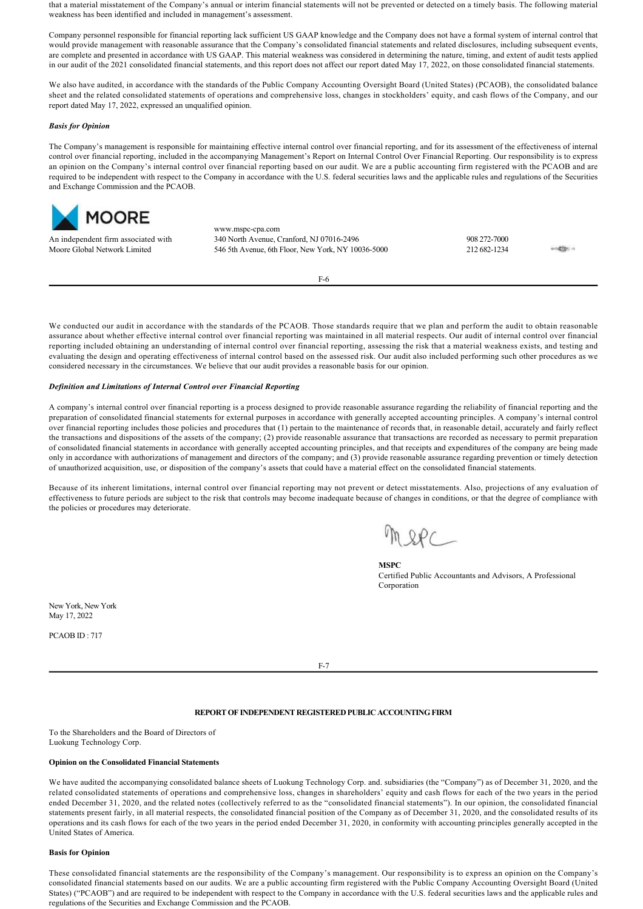that a material misstatement of the Company's annual or interim financial statements will not be prevented or detected on a timely basis. The following material weakness has been identified and included in management's assessment.

Company personnel responsible for financial reporting lack sufficient US GAAP knowledge and the Company does not have a formal system of internal control that would provide management with reasonable assurance that the Company's consolidated financial statements and related disclosures, including subsequent events, are complete and presented in accordance with US GAAP. This material weakness was considered in determining the nature, timing, and extent of audit tests applied in our audit of the 2021 consolidated financial statements, and this report does not affect our report dated May 17, 2022, on those consolidated financial statements.

We also have audited, in accordance with the standards of the Public Company Accounting Oversight Board (United States) (PCAOB), the consolidated balance sheet and the related consolidated statements of operations and comprehensive loss, changes in stockholders' equity, and cash flows of the Company, and our report dated May 17, 2022, expressed an unqualified opinion.

# *Basis for Opinion*

The Company's management is responsible for maintaining effective internal control over financial reporting, and for its assessment of the effectiveness of internal control over financial reporting, included in the accompanying Management's Report on Internal Control Over Financial Reporting. Our responsibility is to express an opinion on the Company's internal control over financial reporting based on our audit. We are a public accounting firm registered with the PCAOB and are required to be independent with respect to the Company in accordance with the U.S. federal securities laws and the applicable rules and regulations of the Securities and Exchange Commission and the PCAOB.



www.mspc-cpa.com An independent firm associated with 340 North Avenue, Cranford, NJ 07016-2496 908 272-7000 Moore Global Network Limited 546 5th Avenue, 6th Floor, New York, NY 10036-5000 212 682-1234

 $-455$ 

 $F-6$ 

We conducted our audit in accordance with the standards of the PCAOB. Those standards require that we plan and perform the audit to obtain reasonable assurance about whether effective internal control over financial reporting was maintained in all material respects. Our audit of internal control over financial reporting included obtaining an understanding of internal control over financial reporting, assessing the risk that a material weakness exists, and testing and evaluating the design and operating effectiveness of internal control based on the assessed risk. Our audit also included performing such other procedures as we considered necessary in the circumstances. We believe that our audit provides a reasonable basis for our opinion.

## *Definition and Limitations of Internal Control over Financial Reporting*

A company's internal control over financial reporting is a process designed to provide reasonable assurance regarding the reliability of financial reporting and the preparation of consolidated financial statements for external purposes in accordance with generally accepted accounting principles. A company's internal control over financial reporting includes those policies and procedures that (1) pertain to the maintenance of records that, in reasonable detail, accurately and fairly reflect the transactions and dispositions of the assets of the company; (2) provide reasonable assurance that transactions are recorded as necessary to permit preparation of consolidated financial statements in accordance with generally accepted accounting principles, and that receipts and expenditures of the company are being made only in accordance with authorizations of management and directors of the company; and (3) provide reasonable assurance regarding prevention or timely detection of unauthorized acquisition, use, or disposition of the company's assets that could have a material effect on the consolidated financial statements.

Because of its inherent limitations, internal control over financial reporting may not prevent or detect misstatements. Also, projections of any evaluation of effectiveness to future periods are subject to the risk that controls may become inadequate because of changes in conditions, or that the degree of compliance with the policies or procedures may deteriorate.

**MSPC** Certified Public Accountants and Advisors, A Professional **Corporation** 

New York, New York May 17, 2022

PCAOB ID : 717

 $F-7$ 

# **REPORT OF INDEPENDENT REGISTERED PUBLIC ACCOUNTING FIRM**

To the Shareholders and the Board of Directors of Luokung Technology Corp.

## **Opinion on the Consolidated Financial Statements**

We have audited the accompanying consolidated balance sheets of Luokung Technology Corp. and. subsidiaries (the "Company") as of December 31, 2020, and the related consolidated statements of operations and comprehensive loss, changes in shareholders' equity and cash flows for each of the two years in the period ended December 31, 2020, and the related notes (collectively referred to as the "consolidated financial statements"). In our opinion, the consolidated financial statements present fairly, in all material respects, the consolidated financial position of the Company as of December 31, 2020, and the consolidated results of its operations and its cash flows for each of the two years in the period ended December 31, 2020, in conformity with accounting principles generally accepted in the United States of America.

### **Basis for Opinion**

These consolidated financial statements are the responsibility of the Company's management. Our responsibility is to express an opinion on the Company's consolidated financial statements based on our audits. We are a public accounting firm registered with the Public Company Accounting Oversight Board (United States) ("PCAOB") and are required to be independent with respect to the Company in accordance with the U.S. federal securities laws and the applicable rules and regulations of the Securities and Exchange Commission and the PCAOB.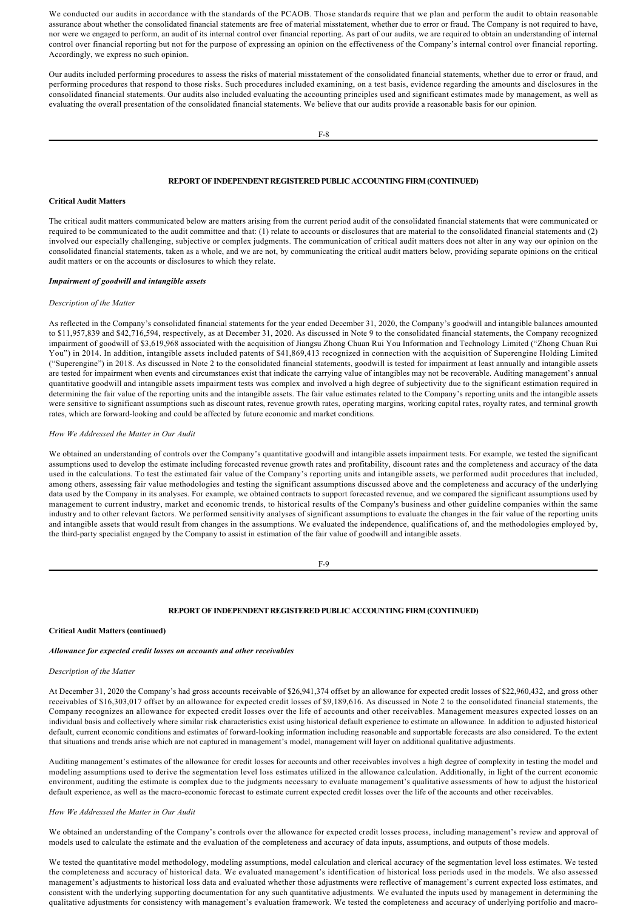We conducted our audits in accordance with the standards of the PCAOB. Those standards require that we plan and perform the audit to obtain reasonable assurance about whether the consolidated financial statements are free of material misstatement, whether due to error or fraud. The Company is not required to have, nor were we engaged to perform, an audit of its internal control over financial reporting. As part of our audits, we are required to obtain an understanding of internal control over financial reporting but not for the purpose of expressing an opinion on the effectiveness of the Company's internal control over financial reporting. Accordingly, we express no such opinion.

Our audits included performing procedures to assess the risks of material misstatement of the consolidated financial statements, whether due to error or fraud, and performing procedures that respond to those risks. Such procedures included examining, on a test basis, evidence regarding the amounts and disclosures in the consolidated financial statements. Our audits also included evaluating the accounting principles used and significant estimates made by management, as well as evaluating the overall presentation of the consolidated financial statements. We believe that our audits provide a reasonable basis for our opinion.

## **REPORT OF INDEPENDENT REGISTERED PUBLIC ACCOUNTING FIRM (CONTINUED)**

### **Critical Audit Matters**

The critical audit matters communicated below are matters arising from the current period audit of the consolidated financial statements that were communicated or required to be communicated to the audit committee and that: (1) relate to accounts or disclosures that are material to the consolidated financial statements and (2) involved our especially challenging, subjective or complex judgments. The communication of critical audit matters does not alter in any way our opinion on the consolidated financial statements, taken as a whole, and we are not, by communicating the critical audit matters below, providing separate opinions on the critical audit matters or on the accounts or disclosures to which they relate.

### *Impairment of goodwill and intangible assets*

## *Description of the Matter*

As reflected in the Company's consolidated financial statements for the year ended December 31, 2020, the Company's goodwill and intangible balances amounted to \$11,957,839 and \$42,716,594, respectively, as at December 31, 2020. As discussed in Note 9 to the consolidated financial statements, the Company recognized impairment of goodwill of \$3,619,968 associated with the acquisition of Jiangsu Zhong Chuan Rui You Information and Technology Limited ("Zhong Chuan Rui You") in 2014. In addition, intangible assets included patents of \$41,869,413 recognized in connection with the acquisition of Superengine Holding Limited ("Superengine") in 2018. As discussed in Note 2 to the consolidated financial statements, goodwill is tested for impairment at least annually and intangible assets are tested for impairment when events and circumstances exist that indicate the carrying value of intangibles may not be recoverable. Auditing management's annual quantitative goodwill and intangible assets impairment tests was complex and involved a high degree of subjectivity due to the significant estimation required in determining the fair value of the reporting units and the intangible assets. The fair value estimates related to the Company's reporting units and the intangible assets were sensitive to significant assumptions such as discount rates, revenue growth rates, operating margins, working capital rates, royalty rates, and terminal growth rates, which are forward-looking and could be affected by future economic and market conditions.

### *How We Addressed the Matter in Our Audit*

We obtained an understanding of controls over the Company's quantitative goodwill and intangible assets impairment tests. For example, we tested the significant assumptions used to develop the estimate including forecasted revenue growth rates and profitability, discount rates and the completeness and accuracy of the data used in the calculations. To test the estimated fair value of the Company's reporting units and intangible assets, we performed audit procedures that included, among others, assessing fair value methodologies and testing the significant assumptions discussed above and the completeness and accuracy of the underlying data used by the Company in its analyses. For example, we obtained contracts to support forecasted revenue, and we compared the significant assumptions used by management to current industry, market and economic trends, to historical results of the Company's business and other guideline companies within the same industry and to other relevant factors. We performed sensitivity analyses of significant assumptions to evaluate the changes in the fair value of the reporting units and intangible assets that would result from changes in the assumptions. We evaluated the independence, qualifications of, and the methodologies employed by, the third-party specialist engaged by the Company to assist in estimation of the fair value of goodwill and intangible assets.

# **REPORT OF INDEPENDENT REGISTERED PUBLIC ACCOUNTING FIRM (CONTINUED)**

# **Critical Audit Matters (continued)**

# *Allowance for expected credit losses on accounts and other receivables*

# *Description of the Matter*

At December 31, 2020 the Company's had gross accounts receivable of \$26,941,374 offset by an allowance for expected credit losses of \$22,960,432, and gross other receivables of \$16,303,017 offset by an allowance for expected credit losses of \$9,189,616. As discussed in Note 2 to the consolidated financial statements, the Company recognizes an allowance for expected credit losses over the life of accounts and other receivables. Management measures expected losses on an individual basis and collectively where similar risk characteristics exist using historical default experience to estimate an allowance. In addition to adjusted historical default, current economic conditions and estimates of forward-looking information including reasonable and supportable forecasts are also considered. To the extent that situations and trends arise which are not captured in management's model, management will layer on additional qualitative adjustments.

Auditing management's estimates of the allowance for credit losses for accounts and other receivables involves a high degree of complexity in testing the model and modeling assumptions used to derive the segmentation level loss estimates utilized in the allowance calculation. Additionally, in light of the current economic environment, auditing the estimate is complex due to the judgments necessary to evaluate management's qualitative assessments of how to adjust the historical default experience, as well as the macro-economic forecast to estimate current expected credit losses over the life of the accounts and other receivables.

# *How We Addressed the Matter in Our Audit*

We obtained an understanding of the Company's controls over the allowance for expected credit losses process, including management's review and approval of models used to calculate the estimate and the evaluation of the completeness and accuracy of data inputs, assumptions, and outputs of those models.

We tested the quantitative model methodology, modeling assumptions, model calculation and clerical accuracy of the segmentation level loss estimates. We tested the completeness and accuracy of historical data. We evaluated management's identification of historical loss periods used in the models. We also assessed management's adjustments to historical loss data and evaluated whether those adjustments were reflective of management's current expected loss estimates, and consistent with the underlying supporting documentation for any such quantitative adjustments. We evaluated the inputs used by management in determining the qualitative adjustments for consistency with management's evaluation framework. We tested the completeness and accuracy of underlying portfolio and macro-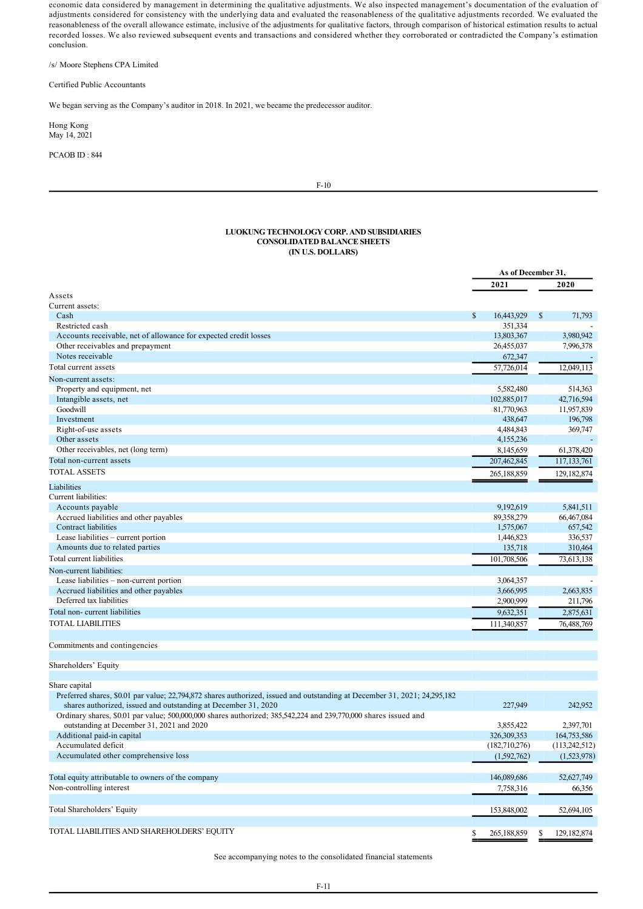economic data considered by management in determining the qualitative adjustments. We also inspected management's documentation of the evaluation of adjustments considered for consistency with the underlying data and evaluated the reasonableness of the qualitative adjustments recorded. We evaluated the reasonableness of the overall allowance estimate, inclusive of the adjustments for qualitative factors, through comparison of historical estimation results to actual recorded losses. We also reviewed subsequent events and transactions and considered whether they corroborated or contradicted the Company's estimation conclusion.

/s/ Moore Stephens CPA Limited

# Certified Public Accountants

We began serving as the Company's auditor in 2018. In 2021, we became the predecessor auditor.

Hong Kong May 14, 2021

PCAOB ID : 844

 $F-10$ 

# **LUOKUNG TECHNOLOGY CORP. AND SUBSIDIARIES CONSOLIDATED BALANCE SHEETS (IN U.S. DOLLARS)**

|                                                                                                                                                              | As of December 31, |               |    |                 |
|--------------------------------------------------------------------------------------------------------------------------------------------------------------|--------------------|---------------|----|-----------------|
|                                                                                                                                                              |                    | 2021          |    | 2020            |
| Assets                                                                                                                                                       |                    |               |    |                 |
| Current assets:                                                                                                                                              |                    |               |    |                 |
| Cash                                                                                                                                                         | $\mathbb{S}$       | 16,443,929    | \$ | 71,793          |
| Restricted cash                                                                                                                                              |                    | 351.334       |    |                 |
| Accounts receivable, net of allowance for expected credit losses                                                                                             |                    | 13,803,367    |    | 3,980,942       |
| Other receivables and prepayment                                                                                                                             |                    | 26,455,037    |    | 7,996,378       |
| Notes receivable                                                                                                                                             |                    | 672,347       |    |                 |
| Total current assets                                                                                                                                         |                    | 57,726,014    |    | 12,049,113      |
| Non-current assets:                                                                                                                                          |                    |               |    |                 |
| Property and equipment, net                                                                                                                                  |                    | 5,582,480     |    | 514,363         |
| Intangible assets, net                                                                                                                                       |                    | 102,885,017   |    | 42,716,594      |
| Goodwill                                                                                                                                                     |                    | 81,770,963    |    | 11,957,839      |
| Investment                                                                                                                                                   |                    | 438,647       |    | 196,798         |
| Right-of-use assets                                                                                                                                          |                    | 4,484,843     |    | 369,747         |
| Other assets                                                                                                                                                 |                    | 4,155,236     |    |                 |
| Other receivables, net (long term)                                                                                                                           |                    | 8,145,659     |    | 61,378,420      |
| Total non-current assets                                                                                                                                     |                    | 207,462,845   |    | 117,133,761     |
| <b>TOTAL ASSETS</b>                                                                                                                                          |                    | 265,188,859   |    | 129,182,874     |
| Liabilities                                                                                                                                                  |                    |               |    |                 |
| Current liabilities:                                                                                                                                         |                    |               |    |                 |
| Accounts payable                                                                                                                                             |                    | 9,192,619     |    | 5,841,511       |
| Accrued liabilities and other payables                                                                                                                       |                    | 89,358,279    |    | 66,467,084      |
| Contract liabilities                                                                                                                                         |                    | 1,575,067     |    | 657,542         |
| Lease liabilities – current portion                                                                                                                          |                    | 1,446,823     |    | 336,537         |
| Amounts due to related parties                                                                                                                               |                    | 135,718       |    | 310,464         |
| Total current liabilities                                                                                                                                    |                    | 101,708,506   |    | 73,613,138      |
| Non-current liabilities:                                                                                                                                     |                    |               |    |                 |
| Lease liabilities – non-current portion                                                                                                                      |                    | 3,064,357     |    |                 |
| Accrued liabilities and other payables                                                                                                                       |                    | 3,666,995     |    | 2,663,835       |
| Deferred tax liabilities                                                                                                                                     |                    | 2,900,999     |    | 211,796         |
| Total non-current liabilities                                                                                                                                |                    | 9,632,351     |    | 2,875,631       |
| <b>TOTAL LIABILITIES</b>                                                                                                                                     |                    | 111.340.857   |    | 76.488.769      |
|                                                                                                                                                              |                    |               |    |                 |
| Commitments and contingencies                                                                                                                                |                    |               |    |                 |
| Shareholders' Equity                                                                                                                                         |                    |               |    |                 |
|                                                                                                                                                              |                    |               |    |                 |
| Share capital                                                                                                                                                |                    |               |    |                 |
| Preferred shares, \$0.01 par value; 22,794,872 shares authorized, issued and outstanding at December 31, 2021; 24,295,182                                    |                    |               |    |                 |
| shares authorized, issued and outstanding at December 31, 2020                                                                                               |                    | 227,949       |    | 242,952         |
| Ordinary shares, \$0.01 par value; 500,000,000 shares authorized; 385,542,224 and 239,770,000 shares issued and<br>outstanding at December 31, 2021 and 2020 |                    | 3,855,422     |    | 2,397,701       |
| Additional paid-in capital                                                                                                                                   |                    | 326,309,353   |    | 164,753,586     |
| Accumulated deficit                                                                                                                                          |                    | (182,710,276) |    | (113, 242, 512) |
| Accumulated other comprehensive loss                                                                                                                         |                    | (1,592,762)   |    | (1,523,978)     |
|                                                                                                                                                              |                    |               |    |                 |

Total equity attributable to owners of the company 146,089,686 52,627,749<br>Non-controlling interest 7.758.316 66.356 Non-controlling interest 66,356 66,356 66,356 66,356 66,356 66,356 66,356 66,356 66,356 66,356 66,356 66,356 66,356 66,356 66,356 66,356 66,356 66,356 66,356 66,356 66,356 66,356 66,356 66,356 67, 10 10 11 12:00 12:00 12:0 Total Shareholders' Equity 153,848,002 52,694,105

TOTAL LIABILITIES AND SHAREHOLDERS' EQUITY SAND SHAREHOLDERS' EQUITY SANDWARE TO TALL ASSESS THE SAND SHAREHOLDERS' EQUITY

See accompanying notes to the consolidated financial statements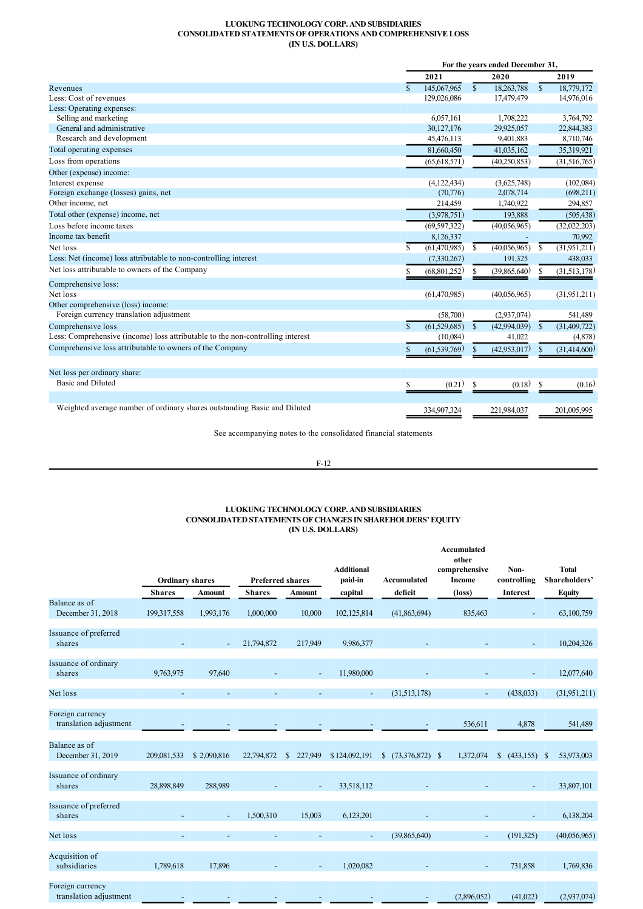# **LUOKUNG TECHNOLOGY CORP. AND SUBSIDIARIES CONSOLIDATED STATEMENTS OF OPERATIONS AND COMPREHENSIVE LOSS (IN U.S. DOLLARS)**

|                                                                                |               | For the years ended December 31, |             |              |               |                |
|--------------------------------------------------------------------------------|---------------|----------------------------------|-------------|--------------|---------------|----------------|
|                                                                                |               | 2021                             |             | 2020         |               | 2019           |
| Revenues                                                                       | $\mathcal{S}$ | 145.067.965                      | $\mathbf S$ | 18.263.788   | $\mathbf S$   | 18,779,172     |
| Less: Cost of revenues                                                         |               | 129,026,086                      |             | 17,479,479   |               | 14,976,016     |
| Less: Operating expenses:                                                      |               |                                  |             |              |               |                |
| Selling and marketing                                                          |               | 6,057,161                        |             | 1,708,222    |               | 3,764,792      |
| General and administrative                                                     |               | 30,127,176                       |             | 29,925,057   |               | 22,844,383     |
| Research and development                                                       |               | 45,476,113                       |             | 9,401,883    |               | 8,710,746      |
| Total operating expenses                                                       |               | 81,660,450                       |             | 41,035,162   |               | 35,319,921     |
| Loss from operations                                                           |               | (65,618,571)                     |             | (40,250,853) |               | (31,516,765)   |
| Other (expense) income:                                                        |               |                                  |             |              |               |                |
| Interest expense                                                               |               | (4,122,434)                      |             | (3,625,748)  |               | (102,084)      |
| Foreign exchange (losses) gains, net                                           |               | (70, 776)                        |             | 2,078,714    |               | (698,211)      |
| Other income, net                                                              |               | 214,459                          |             | 1,740,922    |               | 294,857        |
| Total other (expense) income, net                                              |               | (3,978,751)                      |             | 193,888      |               | (505, 438)     |
| Loss before income taxes                                                       |               | (69, 597, 322)                   |             | (40,056,965) |               | (32,022,203)   |
| Income tax benefit                                                             |               | 8,126,337                        |             |              |               | 70,992         |
| Net loss                                                                       | \$            | (61, 470, 985)                   | S           | (40,056,965) | <sup>\$</sup> | (31,951,211)   |
| Less: Net (income) loss attributable to non-controlling interest               |               | (7,330,267)                      |             | 191,325      |               | 438,033        |
| Net loss attributable to owners of the Company                                 |               | (68, 801, 252)                   | S           | (39,865,640) | S             | (31,513,178)   |
| Comprehensive loss:                                                            |               |                                  |             |              |               |                |
| Net loss                                                                       |               | (61,470,985)                     |             | (40,056,965) |               | (31, 951, 211) |
| Other comprehensive (loss) income:                                             |               |                                  |             |              |               |                |
| Foreign currency translation adjustment                                        |               | (58,700)                         |             | (2,937,074)  |               | 541,489        |
| Comprehensive loss                                                             | $\mathbf{s}$  | (61,529,685)                     | $\mathbf S$ | (42,994,039) | \$            | (31, 409, 722) |
| Less: Comprehensive (income) loss attributable to the non-controlling interest |               | (10,084)                         |             | 41,022       |               | (4,878)        |
| Comprehensive loss attributable to owners of the Company                       | S             | (61, 539, 769)                   | \$          | (42,953,017) | <sup>\$</sup> | (31, 414, 600) |
| Net loss per ordinary share:                                                   |               |                                  |             |              |               |                |
| <b>Basic and Diluted</b>                                                       |               |                                  |             |              |               |                |
|                                                                                | \$            | (0.21)                           | S           | (0.18)       | \$            | (0.16)         |
| Weighted average number of ordinary shares outstanding Basic and Diluted       |               | 334,907,324                      |             | 221,984,037  |               | 201,005,995    |

See accompanying notes to the consolidated financial statements

 $F-12$ 

# **LUOKUNG TECHNOLOGY CORP. AND SUBSIDIARIES CONSOLIDATED STATEMENTS OF CHANGES IN SHAREHOLDERS' EQUITY (IN U.S. DOLLARS)**

|                                            | <b>Ordinary shares</b>   |                          | <b>Preferred shares</b> |               | <b>Additional</b><br>paid-in | <b>Accumulated</b>                | <b>Accumulated</b><br>other<br>comprehensive<br><b>Income</b> | Non-<br>controlling  | <b>Total</b><br>Shareholders' |
|--------------------------------------------|--------------------------|--------------------------|-------------------------|---------------|------------------------------|-----------------------------------|---------------------------------------------------------------|----------------------|-------------------------------|
|                                            | <b>Shares</b>            | <b>Amount</b>            | <b>Shares</b>           | <b>Amount</b> | capital                      | deficit                           | $(\text{loss})$                                               | <b>Interest</b>      | <b>Equity</b>                 |
| Balance as of<br>December 31, 2018         | 199,317,558              | 1,993,176                | 1,000,000               | 10,000        | 102,125,814                  | (41,863,694)                      | 835,463                                                       |                      | 63,100,759                    |
| Issuance of preferred<br>shares            |                          |                          | 21,794,872              | 217,949       | 9,986,377                    |                                   |                                                               |                      | 10,204,326                    |
| Issuance of ordinary<br>shares             | 9,763,975                | 97,640                   |                         |               | 11,980,000                   |                                   |                                                               |                      | 12,077,640                    |
| Net loss                                   | $\overline{\phantom{a}}$ | $\overline{\phantom{a}}$ |                         |               | $\blacksquare$               | (31,513,178)                      | $\sim$                                                        | (438, 033)           | (31,951,211)                  |
| Foreign currency<br>translation adjustment |                          |                          |                         |               |                              |                                   | 536,611                                                       | 4,878                | 541,489                       |
| Balance as of<br>December 31, 2019         | 209,081,533              | \$2,090,816              | 22,794,872              | 227,949<br>\$ | \$124,092,191                | $(73,376,872)$ \$<br>$\mathbb{S}$ | 1,372,074                                                     | $(433,155)$ \$<br>\$ | 53,973,003                    |
| Issuance of ordinary<br>shares             | 28,898,849               | 288,989                  |                         |               | 33,518,112                   |                                   |                                                               |                      | 33,807,101                    |
| Issuance of preferred<br>shares            |                          | $\overline{\phantom{a}}$ | 1,500,310               | 15,003        | 6,123,201                    |                                   |                                                               |                      | 6,138,204                     |
| Net loss                                   |                          |                          |                         |               | $\overline{\phantom{a}}$     | (39,865,640)                      | $\overline{\phantom{a}}$                                      | (191, 325)           | (40,056,965)                  |
| Acquisition of<br>subsidiaries             | 1,789,618                | 17,896                   |                         |               | 1,020,082                    |                                   | $\overline{\phantom{a}}$                                      | 731,858              | 1,769,836                     |
| Foreign currency<br>translation adjustment |                          |                          |                         |               |                              |                                   | (2,896,052)                                                   | (41,022)             | (2,937,074)                   |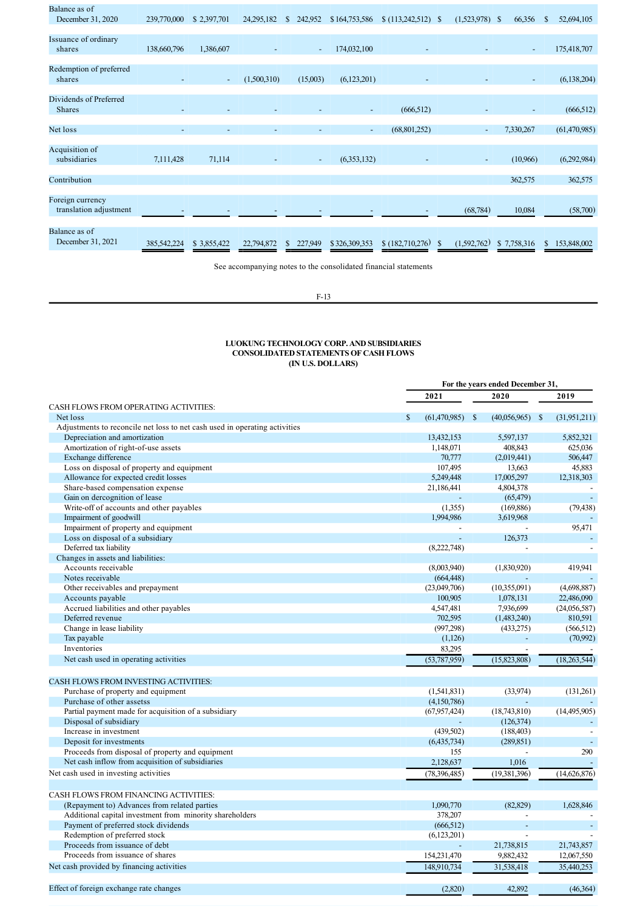| Balance as of           |             |                          |             |   |                          |                          |                    |   |                          |                          |                |
|-------------------------|-------------|--------------------------|-------------|---|--------------------------|--------------------------|--------------------|---|--------------------------|--------------------------|----------------|
| December 31, 2020       | 239,770,000 | \$2,397,701              | 24,295,182  | S | 242,952                  | \$164,753,586            | $(113,242,512)$ \$ |   | (1,523,978)              | 66,356<br><sup>\$</sup>  | 52,694,105     |
|                         |             |                          |             |   |                          |                          |                    |   |                          |                          |                |
| Issuance of ordinary    |             |                          |             |   |                          |                          |                    |   |                          |                          |                |
| shares                  | 138,660,796 | 1,386,607                |             |   | $\overline{\phantom{0}}$ | 174,032,100              |                    |   |                          | $\overline{\phantom{a}}$ | 175,418,707    |
|                         |             |                          |             |   |                          |                          |                    |   |                          |                          |                |
| Redemption of preferred |             |                          |             |   |                          |                          |                    |   |                          |                          |                |
| shares                  |             | $\overline{\phantom{a}}$ | (1,500,310) |   | (15,003)                 | (6,123,201)              |                    |   |                          | $\overline{\phantom{a}}$ | (6,138,204)    |
| Dividends of Preferred  |             |                          |             |   |                          |                          |                    |   |                          |                          |                |
| <b>Shares</b>           |             |                          |             |   |                          | $\overline{\phantom{a}}$ | (666, 512)         |   |                          | $\overline{\phantom{a}}$ | (666, 512)     |
|                         |             |                          |             |   |                          |                          |                    |   |                          |                          |                |
| Net loss                |             |                          |             |   |                          | $\overline{\phantom{a}}$ | (68, 801, 252)     |   | $\overline{\phantom{a}}$ | 7,330,267                | (61, 470, 985) |
|                         |             |                          |             |   |                          |                          |                    |   |                          |                          |                |
| Acquisition of          |             |                          |             |   |                          |                          |                    |   |                          |                          |                |
| subsidiaries            | 7,111,428   | 71,114                   |             |   |                          | (6,353,132)              |                    |   | $\overline{\phantom{a}}$ | (10,966)                 | (6,292,984)    |
|                         |             |                          |             |   |                          |                          |                    |   |                          |                          |                |
| Contribution            |             |                          |             |   |                          |                          |                    |   |                          | 362,575                  | 362,575        |
|                         |             |                          |             |   |                          |                          |                    |   |                          |                          |                |
| Foreign currency        |             |                          |             |   |                          |                          |                    |   |                          |                          |                |
| translation adjustment  |             |                          |             |   |                          |                          |                    |   | (68, 784)                | 10,084                   | (58,700)       |
|                         |             |                          |             |   |                          |                          |                    |   |                          |                          |                |
| Balance as of           |             |                          |             |   |                          |                          |                    |   |                          |                          |                |
| December 31, 2021       | 385,542,224 | \$3,855,422              | 22,794,872  |   | 227,949                  | \$326,309,353            | \$(182,710,276)    | S | (1,592,762)              | S.<br>7,758,316          | 153,848,002    |
|                         |             |                          |             |   |                          |                          |                    |   |                          |                          |                |

See accompanying notes to the consolidated financial statements

 $F-13$ 

### **LUOKUNG TECHNOLOGY CORP. AND SUBSIDIARIES CONSOLIDATED STATEMENTS OF CASH FLOWS (IN U.S. DOLLARS)**

|                                                                                                  |                               | For the years ended December 31,  |                |  |  |
|--------------------------------------------------------------------------------------------------|-------------------------------|-----------------------------------|----------------|--|--|
|                                                                                                  | 2021                          | 2020                              | 2019           |  |  |
| <b>CASH FLOWS FROM OPERATING ACTIVITIES:</b>                                                     |                               |                                   |                |  |  |
| Net loss                                                                                         | $\mathbf S$<br>(61, 470, 985) | $\mathbf{s}$<br>$(40,056,965)$ \$ | (31, 951, 211) |  |  |
| Adjustments to reconcile net loss to net cash used in operating activities                       |                               |                                   |                |  |  |
| Depreciation and amortization                                                                    | 13,432,153                    | 5,597,137                         | 5,852,321      |  |  |
| Amortization of right-of-use assets                                                              | 1,148,071                     | 408,843                           | 625.036        |  |  |
| Exchange difference                                                                              | 70,777                        | (2,019,441)                       | 506,447        |  |  |
| Loss on disposal of property and equipment                                                       | 107,495                       | 13,663                            | 45,883         |  |  |
| Allowance for expected credit losses                                                             | 5,249,448                     | 17,005,297                        | 12,318,303     |  |  |
| Share-based compensation expense                                                                 | 21,186,441                    | 4,804,378                         |                |  |  |
| Gain on dercognition of lease                                                                    |                               | (65, 479)                         |                |  |  |
| Write-off of accounts and other payables                                                         | (1,355)                       | (169, 886)                        | (79, 438)      |  |  |
| Impairment of goodwill                                                                           | 1,994,986                     | 3,619,968                         |                |  |  |
| Impairment of property and equipment                                                             |                               |                                   | 95,471         |  |  |
| Loss on disposal of a subsidiary                                                                 |                               | 126,373                           |                |  |  |
| Deferred tax liability                                                                           | (8,222,748)                   |                                   |                |  |  |
| Changes in assets and liabilities:                                                               |                               |                                   |                |  |  |
| Accounts receivable                                                                              | (8,003,940)                   | (1,830,920)                       | 419,941        |  |  |
| Notes receivable                                                                                 | (664, 448)                    |                                   |                |  |  |
| Other receivables and prepayment                                                                 | (23,049,706)                  | (10,355,091)                      | (4,698,887)    |  |  |
| Accounts payable                                                                                 | 100,905                       | 1,078,131                         | 22,486,090     |  |  |
| Accrued liabilities and other payables                                                           | 4,547,481                     | 7,936,699                         | (24,056,587)   |  |  |
| Deferred revenue                                                                                 | 702,595                       | (1,483,240)                       | 810,591        |  |  |
| Change in lease liability                                                                        | (997,298)                     | (433,275)                         | (566, 512)     |  |  |
| Tax payable                                                                                      | (1,126)                       |                                   | (70, 992)      |  |  |
| Inventories                                                                                      | 83,295                        |                                   |                |  |  |
| Net cash used in operating activities                                                            | (53,787,959)                  | (15,823,808)                      | (18, 263, 544) |  |  |
|                                                                                                  |                               |                                   |                |  |  |
| <b>CASH FLOWS FROM INVESTING ACTIVITIES:</b>                                                     |                               |                                   |                |  |  |
| Purchase of property and equipment                                                               | (1,541,831)                   | (33,974)                          | (131,261)      |  |  |
| Purchase of other assetss                                                                        | (4,150,786)                   |                                   |                |  |  |
| Partial payment made for acquisition of a subsidiary                                             | (67, 957, 424)                | (18,743,810)                      | (14, 495, 905) |  |  |
| Disposal of subsidiary                                                                           |                               | (126, 374)                        |                |  |  |
| Increase in investment                                                                           | (439,502)                     | (188, 403)                        |                |  |  |
| Deposit for investments                                                                          | (6,435,734)                   | (289, 851)                        |                |  |  |
| Proceeds from disposal of property and equipment                                                 | 155                           |                                   | 290            |  |  |
| Net cash inflow from acquisition of subsidiaries                                                 | 2,128,637                     | 1,016                             |                |  |  |
| Net cash used in investing activities                                                            | (78,396,485)                  | (19, 381, 396)                    | (14,626,876)   |  |  |
| <b>CASH FLOWS FROM FINANCING ACTIVITIES:</b>                                                     |                               |                                   |                |  |  |
|                                                                                                  | 1,090,770                     | (82, 829)                         | 1,628,846      |  |  |
| (Repayment to) Advances from related parties                                                     | 378,207                       | $\overline{a}$                    |                |  |  |
| Additional capital investment from minority shareholders<br>Payment of preferred stock dividends |                               | $\overline{a}$                    |                |  |  |
| Redemption of preferred stock                                                                    | (666, 512)                    | $\overline{a}$                    |                |  |  |
| Proceeds from issuance of debt                                                                   | (6,123,201)                   | 21,738,815                        | 21,743,857     |  |  |
| Proceeds from issuance of shares                                                                 |                               |                                   |                |  |  |
|                                                                                                  | 154,231,470                   | 9,882,432                         | 12,067,550     |  |  |
| Net cash provided by financing activities                                                        | 148.910.734                   | 31,538,418                        | 35.440.253     |  |  |
| Effect of foreign exchange rate changes                                                          | (2,820)                       | 42,892                            | (46,364)       |  |  |
|                                                                                                  |                               |                                   |                |  |  |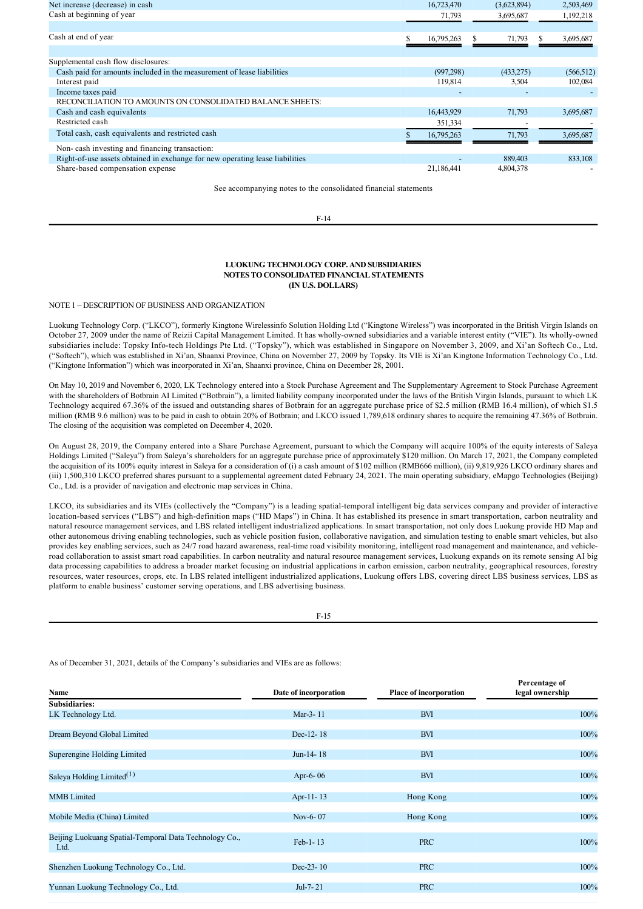| Net increase (decrease) in cash                                              | 16,723,470 | (3,623,894) | 2,503,469  |
|------------------------------------------------------------------------------|------------|-------------|------------|
| Cash at beginning of year                                                    | 71,793     | 3,695,687   | 1,192,218  |
|                                                                              |            |             |            |
| Cash at end of year                                                          | 16,795,263 | 71,793      | 3,695,687  |
|                                                                              |            |             |            |
| Supplemental cash flow disclosures:                                          |            |             |            |
| Cash paid for amounts included in the measurement of lease liabilities       | (997,298)  | (433, 275)  | (566, 512) |
| Interest paid                                                                | 119,814    | 3,504       | 102,084    |
| Income taxes paid                                                            |            |             |            |
| RECONCILIATION TO AMOUNTS ON CONSOLIDATED BALANCE SHEETS:                    |            |             |            |
| Cash and cash equivalents                                                    | 16,443,929 | 71,793      | 3,695,687  |
| Restricted cash                                                              | 351,334    |             |            |
| Total cash, cash equivalents and restricted cash                             | 16,795,263 | 71,793      | 3,695,687  |
| Non-cash investing and financing transaction:                                |            |             |            |
| Right-of-use assets obtained in exchange for new operating lease liabilities |            | 889,403     | 833,108    |
| Share-based compensation expense                                             | 21,186,441 | 4,804,378   |            |

See accompanying notes to the consolidated financial statements

F-14

# **LUOKUNG TECHNOLOGY CORP. AND SUBSIDIARIES NOTES TO CONSOLIDATED FINANCIAL STATEMENTS (IN U.S. DOLLARS)**

NOTE 1 – DESCRIPTION OF BUSINESS AND ORGANIZATION

Luokung Technology Corp. ("LKCO"), formerly Kingtone Wirelessinfo Solution Holding Ltd ("Kingtone Wireless") was incorporated in the British Virgin Islands on October 27, 2009 under the name of Reizii Capital Management Limited. It has wholly-owned subsidiaries and a variable interest entity ("VIE"). Its wholly-owned subsidiaries include: Topsky Infotech Holdings Pte Ltd. ("Topsky"), which was established in Singapore on November 3, 2009, and Xi'an Softech Co., Ltd. ("Softech"), which was established in Xi'an, Shaanxi Province, China on November 27, 2009 by Topsky. Its VIE is Xi'an Kingtone Information Technology Co., Ltd. ("Kingtone Information") which was incorporated in Xi'an, Shaanxi province, China on December 28, 2001.

On May 10, 2019 and November 6, 2020, LK Technology entered into a Stock Purchase Agreement and The Supplementary Agreement to Stock Purchase Agreement with the shareholders of Botbrain AI Limited ("Botbrain"), a limited liability company incorporated under the laws of the British Virgin Islands, pursuant to which LK Technology acquired 67.36% of the issued and outstanding shares of Botbrain for an aggregate purchase price of \$2.5 million (RMB 16.4 million), of which \$1.5 million (RMB 9.6 million) was to be paid in cash to obtain 20% of Botbrain; and LKCO issued 1,789,618 ordinary shares to acquire the remaining 47.36% of Botbrain. The closing of the acquisition was completed on December 4, 2020.

On August 28, 2019, the Company entered into a Share Purchase Agreement, pursuant to which the Company will acquire 100% of the equity interests of Saleya Holdings Limited ("Saleya") from Saleya's shareholders for an aggregate purchase price of approximately \$120 million. On March 17, 2021, the Company completed the acquisition of its 100% equity interest in Saleya for a consideration of (i) a cash amount of \$102 million (RMB666 million), (ii) 9,819,926 LKCO ordinary shares and (iii) 1,500,310 LKCO preferred shares pursuant to a supplemental agreement dated February 24, 2021. The main operating subsidiary, eMapgo Technologies (Beijing) Co., Ltd. is a provider of navigation and electronic map services in China.

LKCO, its subsidiaries and its VIEs (collectively the "Company") is a leading spatial-temporal intelligent big data services company and provider of interactive location-based services ("LBS") and high-definition maps ("HD Maps") in China. It has established its presence in smart transportation, carbon neutrality and natural resource management services, and LBS related intelligent industrialized applications. In smart transportation, not only does Luokung provide HD Map and other autonomous driving enabling technologies, such as vehicle position fusion, collaborative navigation, and simulation testing to enable smart vehicles, but also provides key enabling services, such as 24/7 road hazard awareness, real-time road visibility monitoring, intelligent road management and maintenance, and vehicleroad collaboration to assist smart road capabilities. In carbon neutrality and natural resource management services, Luokung expands on its remote sensing AI big data processing capabilities to address a broader market focusing on industrial applications in carbon emission, carbon neutrality, geographical resources, forestry resources, water resources, crops, etc. In LBS related intelligent industrialized applications, Luokung offers LBS, covering direct LBS business services, LBS as platform to enable business' customer serving operations, and LBS advertising business.

**F-15** 

As of December 31, 2021, details of the Company's subsidiaries and VIEs are as follows:

| Name                                                           | Date of incorporation | <b>Place of incorporation</b> | Percentage of<br>legal ownership |
|----------------------------------------------------------------|-----------------------|-------------------------------|----------------------------------|
| Subsidiaries:                                                  |                       |                               |                                  |
| LK Technology Ltd.                                             | Mar-3-11              | <b>BVI</b>                    | 100%                             |
| Dream Beyond Global Limited                                    | Dec-12-18             | <b>BVI</b>                    | 100%                             |
| Superengine Holding Limited                                    | $Jun-14-18$           | <b>BVI</b>                    | 100%                             |
| Saleya Holding Limited $(1)$                                   | Apr-6- $06$           | <b>BVI</b>                    | 100%                             |
| <b>MMB</b> Limited                                             | Apr-11-13             | Hong Kong                     | 100%                             |
| Mobile Media (China) Limited                                   | Nov-6- $07$           | Hong Kong                     | 100%                             |
| Beijing Luokuang Spatial-Temporal Data Technology Co.,<br>Ltd. | $Feb-1-13$            | <b>PRC</b>                    | 100%                             |
| Shenzhen Luokung Technology Co., Ltd.                          | Dec-23- $10$          | <b>PRC</b>                    | 100%                             |
| Yunnan Luokung Technology Co., Ltd.                            | Jul-7-21              | <b>PRC</b>                    | 100%                             |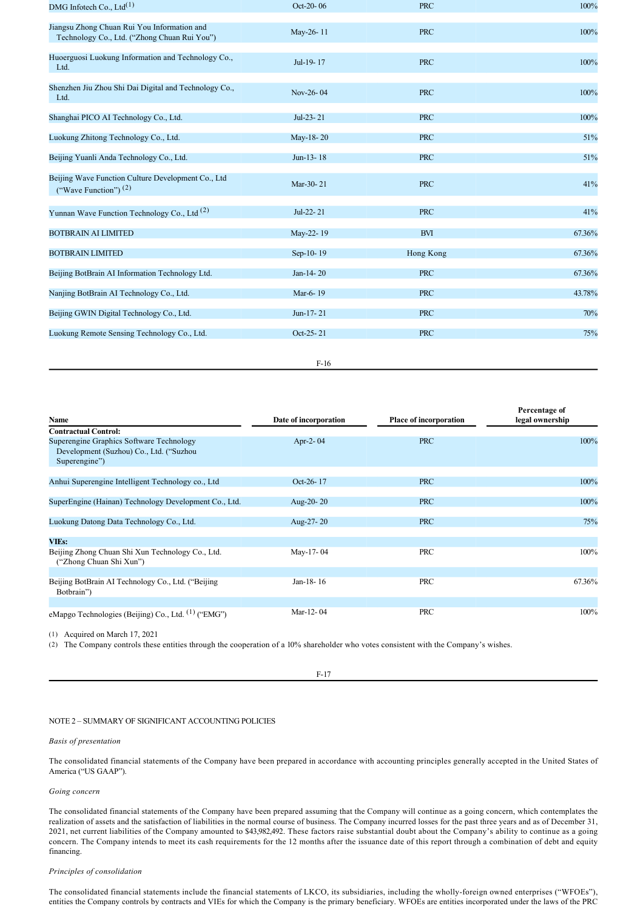| DMG Infotech Co., Ltd <sup>(1)</sup>                                                        | Oct-20-06 | <b>PRC</b> | 100%   |
|---------------------------------------------------------------------------------------------|-----------|------------|--------|
| Jiangsu Zhong Chuan Rui You Information and<br>Technology Co., Ltd. ("Zhong Chuan Rui You") | May-26-11 | <b>PRC</b> | 100%   |
| Huoerguosi Luokung Information and Technology Co.,<br>Ltd.                                  | Jul-19-17 | <b>PRC</b> | 100%   |
| Shenzhen Jiu Zhou Shi Dai Digital and Technology Co.,<br>Ltd.                               | Nov-26-04 | <b>PRC</b> | 100%   |
| Shanghai PICO AI Technology Co., Ltd.                                                       | Jul-23-21 | <b>PRC</b> | 100%   |
| Luokung Zhitong Technology Co., Ltd.                                                        | May-18-20 | <b>PRC</b> | 51%    |
| Beijing Yuanli Anda Technology Co., Ltd.                                                    | Jun-13-18 | <b>PRC</b> | 51%    |
| Beijing Wave Function Culture Development Co., Ltd<br>("Wave Function") $(2)$               | Mar-30-21 | <b>PRC</b> | 41%    |
| Yunnan Wave Function Technology Co., Ltd <sup>(2)</sup>                                     | Jul-22-21 | <b>PRC</b> | 41%    |
| <b>BOTBRAIN AI LIMITED</b>                                                                  | May-22-19 | <b>BVI</b> | 67.36% |
| <b>BOTBRAIN LIMITED</b>                                                                     | Sep-10-19 | Hong Kong  | 67.36% |
| Beijing BotBrain AI Information Technology Ltd.                                             | Jan-14-20 | <b>PRC</b> | 67.36% |
| Nanjing BotBrain AI Technology Co., Ltd.                                                    | Mar-6-19  | <b>PRC</b> | 43.78% |
| Beijing GWIN Digital Technology Co., Ltd.                                                   | Jun-17-21 | <b>PRC</b> | 70%    |
| Luokung Remote Sensing Technology Co., Ltd.                                                 | Oct-25-21 | <b>PRC</b> | 75%    |
|                                                                                             |           |            |        |

F-16

| Name                                                                                                                                 | Date of incorporation | Place of incorporation | Percentage of<br>legal ownership |
|--------------------------------------------------------------------------------------------------------------------------------------|-----------------------|------------------------|----------------------------------|
| <b>Contractual Control:</b><br>Superengine Graphics Software Technology<br>Development (Suzhou) Co., Ltd. ("Suzhou"<br>Superengine") | Apr-2- $04$           | <b>PRC</b>             | 100%                             |
| Anhui Superengine Intelligent Technology co., Ltd                                                                                    | Oct-26-17             | <b>PRC</b>             | 100%                             |
| SuperEngine (Hainan) Technology Development Co., Ltd.                                                                                | Aug-20-20             | <b>PRC</b>             | 100%                             |
| Luokung Datong Data Technology Co., Ltd.                                                                                             | Aug-27-20             | <b>PRC</b>             | 75%                              |
| <b>VIEs:</b><br>Beijing Zhong Chuan Shi Xun Technology Co., Ltd.<br>("Zhong Chuan Shi Xun")                                          | May-17-04             | <b>PRC</b>             | $100\%$                          |
| Beijing BotBrain AI Technology Co., Ltd. ("Beijing<br>Botbrain")                                                                     | Jan-18-16             | <b>PRC</b>             | 67.36%                           |
| eMapgo Technologies (Beijing) Co., Ltd. $^{(1)}$ ("EMG")                                                                             | Mar-12-04             | <b>PRC</b>             | 100%                             |

(1) Acquired on March 17, 2021

(2) The Company controls these entities through the cooperation of a 10% shareholder who votes consistent with the Company's wishes.

F-17

# NOTE 2 – SUMMARY OF SIGNIFICANT ACCOUNTING POLICIES

### *Basis of presentation*

The consolidated financial statements of the Company have been prepared in accordance with accounting principles generally accepted in the United States of America ("US GAAP").

### *Going concern*

The consolidated financial statements of the Company have been prepared assuming that the Company will continue as a going concern, which contemplates the realization of assets and the satisfaction of liabilities in the normal course of business. The Company incurred losses for the past three years and as of December 31, 2021, net current liabilities of the Company amounted to \$43,982,492. These factors raise substantial doubt about the Company's ability to continue as a going concern. The Company intends to meet its cash requirements for the 12 months after the issuance date of this report through a combination of debt and equity financing.

## *Principles of consolidation*

The consolidated financial statements include the financial statements of LKCO, its subsidiaries, including the wholly-foreign owned enterprises ("WFOEs"), entities the Company controls by contracts and VIEs for which the Company is the primary beneficiary. WFOEs are entities incorporated under the laws of the PRC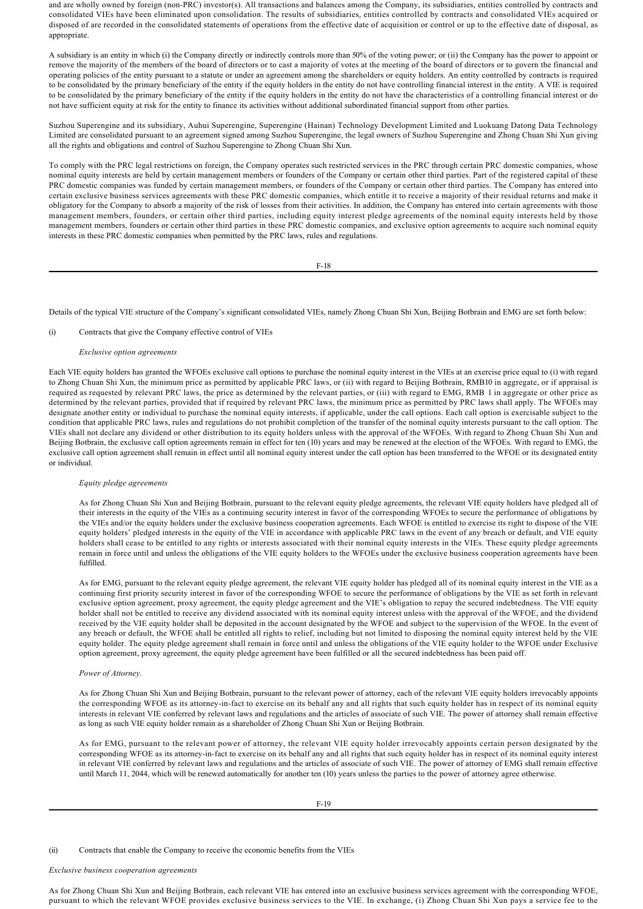and are wholly owned by foreign (non-PRC) investor(s). All transactions and balances among the Company, its subsidiaries, entities controlled by contracts and consolidated VIEs have been eliminated upon consolidation. The results of subsidiaries, entities controlled by contracts and consolidated VIEs acquired or disposed of are recorded in the consolidated statements of operations from the effective date of acquisition or control or up to the effective date of disposal, as appropriate.

A subsidiary is an entity in which (i) the Company directly or indirectly controls more than 50% of the voting power; or (ii) the Company has the power to appoint or remove the majority of the members of the board of directors or to cast a majority of votes at the meeting of the board of directors or to govern the financial and operating policies of the entity pursuant to a statute or under an agreement among the shareholders or equity holders. An entity controlled by contracts is required to be consolidated by the primary beneficiary of the entity if the equity holders in the entity do not have controlling financial interest in the entity. A VIE is required to be consolidated by the primary beneficiary of the entity if the equity holders in the entity do not have the characteristics of a controlling financial interest or do not have sufficient equity at risk for the entity to finance its activities without additional subordinated financial support from other parties.

Suzhou Superengine and its subsidiary, Auhui Superengine, Superengine (Hainan) Technology Development Limited and Luokuang Datong Data Technology Limited are consolidated pursuant to an agreement signed among Suzhou Superengine, the legal owners of Suzhou Superengine and Zhong Chuan Shi Xun giving all the rights and obligations and control of Suzhou Superengine to Zhong Chuan Shi Xun.

To comply with the PRC legal restrictions on foreign, the Company operates such restricted services in the PRC through certain PRC domestic companies, whose nominal equity interests are held by certain management members or founders of the Company or certain other third parties. Part of the registered capital of these PRC domestic companies was funded by certain management members, or founders of the Company or certain other third parties. The Company has entered into certain exclusive business services agreements with these PRC domestic companies, which entitle it to receive a majority of their residual returns and make it obligatory for the Company to absorb a majority of the risk of losses from their activities. In addition, the Company has entered into certain agreements with those management members, founders, or certain other third parties, including equity interest pledge agreements of the nominal equity interests held by those management members, founders or certain other third parties in these PRC domestic companies, and exclusive option agreements to acquire such nominal equity interests in these PRC domestic companies when permitted by the PRC laws, rules and regulations.

Details of the typical VIE structure of the Company's significant consolidated VIEs, namely Zhong Chuan Shi Xun, Beijing Botbrain and EMG are set forth below:

## (i) Contracts that give the Company effective control of VIEs

### *Exclusive option agreements*

Each VIE equity holders has granted the WFOEs exclusive call options to purchase the nominal equity interest in the VIEs at an exercise price equal to (i) with regard to Zhong Chuan Shi Xun, the minimum price as permitted by applicable PRC laws, or (ii) with regard to Beijing Botbrain, RMB10 in aggregate, or if appraisal is required as requested by relevant PRC laws, the price as determined by the relevant parties, or (iii) with regard to EMG, RMB 1 in aggregate or other price as determined by the relevant parties, provided that if required by relevant PRC laws, the minimum price as permitted by PRC laws shall apply. The WFOEs may designate another entity or individual to purchase the nominal equity interests, if applicable, under the call options. Each call option is exercisable subject to the condition that applicable PRC laws, rules and regulations do not prohibit completion of the transfer of the nominal equity interests pursuant to the call option. The VIEs shall not declare any dividend or other distribution to its equity holders unless with the approval of the WFOEs. With regard to Zhong Chuan Shi Xun and Beijing Botbrain, the exclusive call option agreements remain in effect for ten (10) years and may be renewed at the election of the WFOEs. With regard to EMG, the exclusive call option agreement shall remain in effect until all nominal equity interest under the call option has been transferred to the WFOE or its designated entity or individual.

## *Equity pledge agreements*

As for Zhong Chuan Shi Xun and Beijing Botbrain, pursuant to the relevant equity pledge agreements, the relevant VIE equity holders have pledged all of their interests in the equity of the VIEs as a continuing security interest in favor of the corresponding WFOEs to secure the performance of obligations by the VIEs and/or the equity holders under the exclusive business cooperation agreements. Each WFOE is entitled to exercise its right to dispose of the VIE equity holders' pledged interests in the equity of the VIE in accordance with applicable PRC laws in the event of any breach or default, and VIE equity holders shall cease to be entitled to any rights or interests associated with their nominal equity interests in the VIEs. These equity pledge agreements remain in force until and unless the obligations of the VIE equity holders to the WFOEs under the exclusive business cooperation agreements have been fulfilled.

As for EMG, pursuant to the relevant equity pledge agreement, the relevant VIE equity holder has pledged all of its nominal equity interest in the VIE as a continuing first priority security interest in favor of the corresponding WFOE to secure the performance of obligations by the VIE as set forth in relevant exclusive option agreement, proxy agreement, the equity pledge agreement and the VIE's obligation to repay the secured indebtedness. The VIE equity holder shall not be entitled to receive any dividend associated with its nominal equity interest unless with the approval of the WFOE, and the dividend received by the VIE equity holder shall be deposited in the account designated by the WFOE and subject to the supervision of the WFOE. In the event of any breach or default, the WFOE shall be entitled all rights to relief, including but not limited to disposing the nominal equity interest held by the VIE equity holder. The equity pledge agreement shall remain in force until and unless the obligations of the VIE equity holder to the WFOE under Exclusive option agreement, proxy agreement, the equity pledge agreement have been fulfilled or all the secured indebtedness has been paid off.

## *Power of Attorney.*

As for Zhong Chuan Shi Xun and Beijing Botbrain, pursuant to the relevant power of attorney, each of the relevant VIE equity holders irrevocably appoints the corresponding WFOE as its attorney-in-fact to exercise on its behalf any and all rights that such equity holder has in respect of its nominal equity interests in relevant VIE conferred by relevant laws and regulations and the articles of associate of such VIE. The power of attorney shall remain effective as long as such VIE equity holder remain as a shareholder of Zhong Chuan Shi Xun or Beijing Botbrain.

As for EMG, pursuant to the relevant power of attorney, the relevant VIE equity holder irrevocably appoints certain person designated by the corresponding WFOE as its attorney-in-fact to exercise on its behalf any and all rights that such equity holder has in respect of its nominal equity interest in relevant VIE conferred by relevant laws and regulations and the articles of associate of such VIE. The power of attorney of EMG shall remain effective until March 11, 2044, which will be renewed automatically for another ten (10) years unless the parties to the power of attorney agree otherwise.

### (ii) Contracts that enable the Company to receive the economic benefits from the VIEs

#### *Exclusive business cooperation agreements*

As for Zhong Chuan Shi Xun and Beijing Botbrain, each relevant VIE has entered into an exclusive business services agreement with the corresponding WFOE, pursuant to which the relevant WFOE provides exclusive business services to the VIE. In exchange, (i) Zhong Chuan Shi Xun pays a service fee to the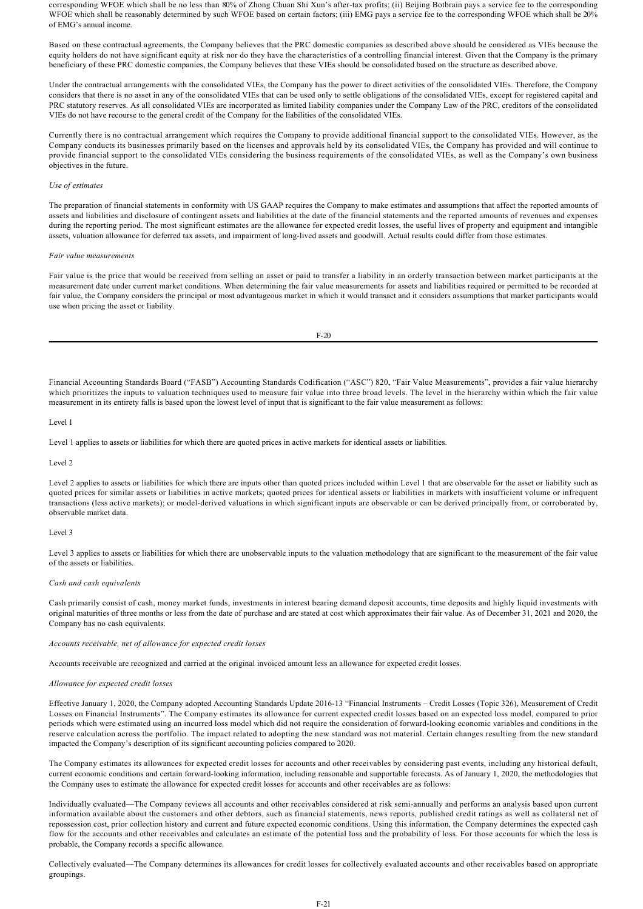corresponding WFOE which shall be no less than 80% of Zhong Chuan Shi Xun's aftertax profits; (ii) Beijing Botbrain pays a service fee to the corresponding WFOE which shall be reasonably determined by such WFOE based on certain factors; (iii) EMG pays a service fee to the corresponding WFOE which shall be 20% of EMG's annual income.

Based on these contractual agreements, the Company believes that the PRC domestic companies as described above should be considered as VIEs because the equity holders do not have significant equity at risk nor do they have the characteristics of a controlling financial interest. Given that the Company is the primary beneficiary of these PRC domestic companies, the Company believes that these VIEs should be consolidated based on the structure as described above.

Under the contractual arrangements with the consolidated VIEs, the Company has the power to direct activities of the consolidated VIEs. Therefore, the Company considers that there is no asset in any of the consolidated VIEs that can be used only to settle obligations of the consolidated VIEs, except for registered capital and PRC statutory reserves. As all consolidated VIEs are incorporated as limited liability companies under the Company Law of the PRC, creditors of the consolidated VIEs do not have recourse to the general credit of the Company for the liabilities of the consolidated VIEs.

Currently there is no contractual arrangement which requires the Company to provide additional financial support to the consolidated VIEs. However, as the Company conducts its businesses primarily based on the licenses and approvals held by its consolidated VIEs, the Company has provided and will continue to provide financial support to the consolidated VIEs considering the business requirements of the consolidated VIEs, as well as the Company's own business objectives in the future.

# *Use of estimates*

The preparation of financial statements in conformity with US GAAP requires the Company to make estimates and assumptions that affect the reported amounts of assets and liabilities and disclosure of contingent assets and liabilities at the date of the financial statements and the reported amounts of revenues and expenses during the reporting period. The most significant estimates are the allowance for expected credit losses, the useful lives of property and equipment and intangible assets, valuation allowance for deferred tax assets, and impairment of long-lived assets and goodwill. Actual results could differ from those estimates.

### *Fair value measurements*

Fair value is the price that would be received from selling an asset or paid to transfer a liability in an orderly transaction between market participants at the measurement date under current market conditions. When determining the fair value measurements for assets and liabilities required or permitted to be recorded at fair value, the Company considers the principal or most advantageous market in which it would transact and it considers assumptions that market participants would use when pricing the asset or liability.

Financial Accounting Standards Board ("FASB") Accounting Standards Codification ("ASC") 820, "Fair Value Measurements", provides a fair value hierarchy which prioritizes the inputs to valuation techniques used to measure fair value into three broad levels. The level in the hierarchy within which the fair value measurement in its entirety falls is based upon the lowest level of input that is significant to the fair value measurement as follows:

### Level 1

Level 1 applies to assets or liabilities for which there are quoted prices in active markets for identical assets or liabilities.

### Level 2

Level 2 applies to assets or liabilities for which there are inputs other than quoted prices included within Level 1 that are observable for the asset or liability such as quoted prices for similar assets or liabilities in active markets; quoted prices for identical assets or liabilities in markets with insufficient volume or infrequent transactions (less active markets); or model-derived valuations in which significant inputs are observable or can be derived principally from, or corroborated by, observable market data.

### Level 3

Level 3 applies to assets or liabilities for which there are unobservable inputs to the valuation methodology that are significant to the measurement of the fair value of the assets or liabilities.

### *Cash and cash equivalents*

Cash primarily consist of cash, money market funds, investments in interest bearing demand deposit accounts, time deposits and highly liquid investments with original maturities of three months or less from the date of purchase and are stated at cost which approximates their fair value. As of December 31, 2021 and 2020, the Company has no cash equivalents.

# *Accounts receivable, net of allowance for expected credit losses*

Accounts receivable are recognized and carried at the original invoiced amount less an allowance for expected credit losses.

### *Allowance for expected credit losses*

Effective January 1, 2020, the Company adopted Accounting Standards Update 2016-13 "Financial Instruments – Credit Losses (Topic 326), Measurement of Credit Losses on Financial Instruments". The Company estimates its allowance for current expected credit losses based on an expected loss model, compared to prior periods which were estimated using an incurred loss model which did not require the consideration of forward-looking economic variables and conditions in the reserve calculation across the portfolio. The impact related to adopting the new standard was not material. Certain changes resulting from the new standard impacted the Company's description of its significant accounting policies compared to 2020.

The Company estimates its allowances for expected credit losses for accounts and other receivables by considering past events, including any historical default, current economic conditions and certain forward-looking information, including reasonable and supportable forecasts. As of January 1, 2020, the methodologies that the Company uses to estimate the allowance for expected credit losses for accounts and other receivables are as follows:

Individually evaluated—The Company reviews all accounts and other receivables considered at risk semi-annually and performs an analysis based upon current information available about the customers and other debtors, such as financial statements, news reports, published credit ratings as well as collateral net of repossession cost, prior collection history and current and future expected economic conditions. Using this information, the Company determines the expected cash flow for the accounts and other receivables and calculates an estimate of the potential loss and the probability of loss. For those accounts for which the loss is probable, the Company records a specific allowance.

Collectively evaluated—The Company determines its allowances for credit losses for collectively evaluated accounts and other receivables based on appropriate groupings.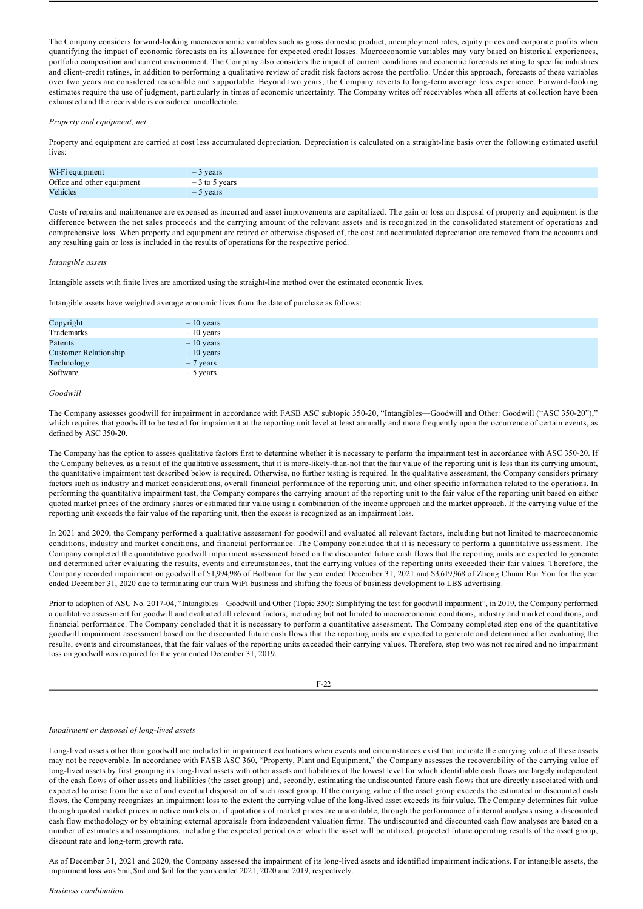The Company considers forward-looking macroeconomic variables such as gross domestic product, unemployment rates, equity prices and corporate profits when quantifying the impact of economic forecasts on its allowance for expected credit losses. Macroeconomic variables may vary based on historical experiences, portfolio composition and current environment. The Company also considers the impact of current conditions and economic forecasts relating to specific industries and client-credit ratings, in addition to performing a qualitative review of credit risk factors across the portfolio. Under this approach, forecasts of these variables over two years are considered reasonable and supportable. Beyond two years, the Company reverts to long-term average loss experience. Forward-looking estimates require the use of judgment, particularly in times of economic uncertainty. The Company writes off receivables when all efforts at collection have been exhausted and the receivable is considered uncollectible.

## *Property and equipment, net*

Property and equipment are carried at cost less accumulated depreciation. Depreciation is calculated on a straight-line basis over the following estimated useful lives:

| Wi-Fi equipment            | 3 years         |
|----------------------------|-----------------|
| Office and other equipment | $-3$ to 5 years |
| <b>Vehicles</b>            | 5 years<br>$-$  |

Costs of repairs and maintenance are expensed as incurred and asset improvements are capitalized. The gain or loss on disposal of property and equipment is the difference between the net sales proceeds and the carrying amount of the relevant assets and is recognized in the consolidated statement of operations and comprehensive loss. When property and equipment are retired or otherwise disposed of, the cost and accumulated depreciation are removed from the accounts and any resulting gain or loss is included in the results of operations for the respective period.

### *Intangible assets*

Intangible assets with finite lives are amortized using the straight-line method over the estimated economic lives.

Intangible assets have weighted average economic lives from the date of purchase as follows:

| Copyright                    | $-10$ years |
|------------------------------|-------------|
| Trademarks                   | $-10$ years |
| Patents                      | $-10$ years |
| <b>Customer Relationship</b> | $-10$ years |
| Technology                   | $-7$ years  |
| Software                     | $-5$ years  |

### *Goodwill*

The Company assesses goodwill for impairment in accordance with FASB ASC subtopic 35020, "Intangibles—Goodwill and Other: Goodwill ("ASC 35020")," which requires that goodwill to be tested for impairment at the reporting unit level at least annually and more frequently upon the occurrence of certain events, as defined by ASC 350-20.

The Company has the option to assess qualitative factors first to determine whether it is necessary to perform the impairment test in accordance with ASC 350-20. If the Company believes, as a result of the qualitative assessment, that it is more-likely-than-not that the fair value of the reporting unit is less than its carrying amount, the quantitative impairment test described below is required. Otherwise, no further testing is required. In the qualitative assessment, the Company considers primary factors such as industry and market considerations, overall financial performance of the reporting unit, and other specific information related to the operations. In performing the quantitative impairment test, the Company compares the carrying amount of the reporting unit to the fair value of the reporting unit based on either quoted market prices of the ordinary shares or estimated fair value using a combination of the income approach and the market approach. If the carrying value of the reporting unit exceeds the fair value of the reporting unit, then the excess is recognized as an impairment loss.

In 2021 and 2020, the Company performed a qualitative assessment for goodwill and evaluated all relevant factors, including but not limited to macroeconomic conditions, industry and market conditions, and financial performance. The Company concluded that it is necessary to perform a quantitative assessment. The Company completed the quantitative goodwill impairment assessment based on the discounted future cash flows that the reporting units are expected to generate and determined after evaluating the results, events and circumstances, that the carrying values of the reporting units exceeded their fair values. Therefore, the Company recorded impairment on goodwill of \$1,994,986 of Botbrain for the year ended December 31, 2021 and \$3,619,968 of Zhong Chuan Rui You for the year ended December 31, 2020 due to terminating our train WiFi business and shifting the focus of business development to LBS advertising.

Prior to adoption of ASU No. 2017-04, "Intangibles – Goodwill and Other (Topic 350): Simplifying the test for goodwill impairment", in 2019, the Company performed a qualitative assessment for goodwill and evaluated all relevant factors, including but not limited to macroeconomic conditions, industry and market conditions, and financial performance. The Company concluded that it is necessary to perform a quantitative assessment. The Company completed step one of the quantitative goodwill impairment assessment based on the discounted future cash flows that the reporting units are expected to generate and determined after evaluating the results, events and circumstances, that the fair values of the reporting units exceeded their carrying values. Therefore, step two was not required and no impairment loss on goodwill was required for the year ended December 31, 2019.

F-22

## *Impairment or disposal of long-lived assets*

Long-lived assets other than goodwill are included in impairment evaluations when events and circumstances exist that indicate the carrying value of these assets may not be recoverable. In accordance with FASB ASC 360, "Property, Plant and Equipment," the Company assesses the recoverability of the carrying value of long-lived assets by first grouping its long-lived assets with other assets and liabilities at the lowest level for which identifiable cash flows are largely independent of the cash flows of other assets and liabilities (the asset group) and, secondly, estimating the undiscounted future cash flows that are directly associated with and expected to arise from the use of and eventual disposition of such asset group. If the carrying value of the asset group exceeds the estimated undiscounted cash flows, the Company recognizes an impairment loss to the extent the carrying value of the long-lived asset exceeds its fair value. The Company determines fair value through quoted market prices in active markets or, if quotations of market prices are unavailable, through the performance of internal analysis using a discounted cash flow methodology or by obtaining external appraisals from independent valuation firms. The undiscounted and discounted cash flow analyses are based on a number of estimates and assumptions, including the expected period over which the asset will be utilized, projected future operating results of the asset group, discount rate and long-term growth rate.

As of December 31, 2021 and 2020, the Company assessed the impairment of its long-lived assets and identified impairment indications. For intangible assets, the impairment loss was \$nil, \$nil and \$nil for the years ended 2021, 2020 and 2019, respectively.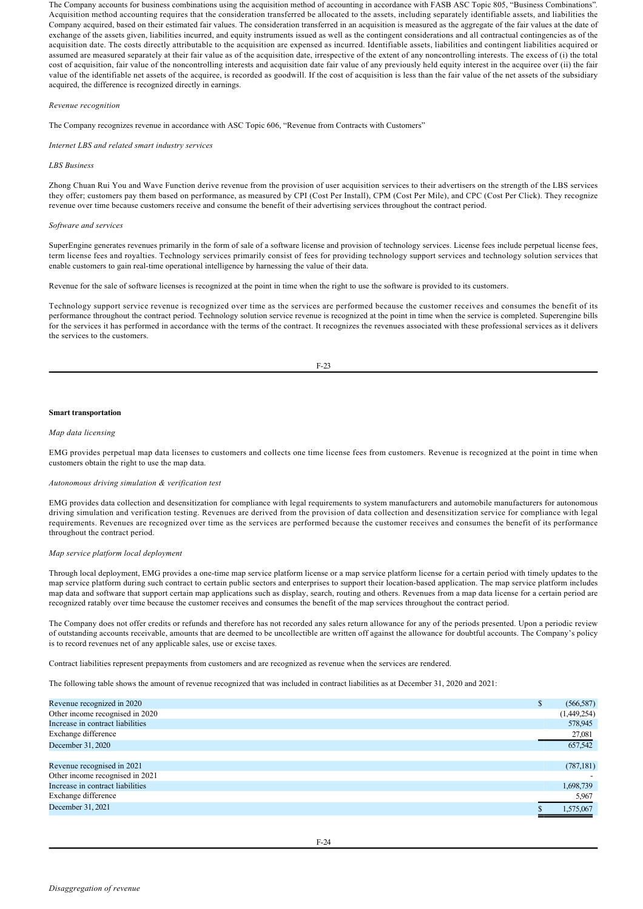The Company accounts for business combinations using the acquisition method of accounting in accordance with FASB ASC Topic 805, "Business Combinations"*.* Acquisition method accounting requires that the consideration transferred be allocated to the assets, including separately identifiable assets, and liabilities the Company acquired, based on their estimated fair values. The consideration transferred in an acquisition is measured as the aggregate of the fair values at the date of exchange of the assets given, liabilities incurred, and equity instruments issued as well as the contingent considerations and all contractual contingencies as of the acquisition date. The costs directly attributable to the acquisition are expensed as incurred. Identifiable assets, liabilities and contingent liabilities acquired or assumed are measured separately at their fair value as of the acquisition date, irrespective of the extent of any noncontrolling interests. The excess of (i) the total cost of acquisition, fair value of the noncontrolling interests and acquisition date fair value of any previously held equity interest in the acquiree over (ii) the fair value of the identifiable net assets of the acquiree, is recorded as goodwill. If the cost of acquisition is less than the fair value of the net assets of the subsidiary acquired, the difference is recognized directly in earnings.

### *Revenue recognition*

The Company recognizes revenue in accordance with ASC Topic 606, "Revenue from Contracts with Customers"

### *Internet LBS and related smart industry services*

### *LBS Business*

Zhong Chuan Rui You and Wave Function derive revenue from the provision of user acquisition services to their advertisers on the strength of the LBS services they offer; customers pay them based on performance, as measured by CPI (Cost Per Install), CPM (Cost Per Mile), and CPC (Cost Per Click). They recognize revenue over time because customers receive and consume the benefit of their advertising services throughout the contract period.

### *Software and services*

SuperEngine generates revenues primarily in the form of sale of a software license and provision of technology services. License fees include perpetual license fees, term license fees and royalties. Technology services primarily consist of fees for providing technology support services and technology solution services that enable customers to gain real-time operational intelligence by harnessing the value of their data.

Revenue for the sale of software licenses is recognized at the point in time when the right to use the software is provided to its customers.

Technology support service revenue is recognized over time as the services are performed because the customer receives and consumes the benefit of its performance throughout the contract period. Technology solution service revenue is recognized at the point in time when the service is completed. Superengine bills for the services it has performed in accordance with the terms of the contract. It recognizes the revenues associated with these professional services as it delivers the services to the customers.

### **Smart transportation**

### *Map data licensing*

EMG provides perpetual map data licenses to customers and collects one time license fees from customers. Revenue is recognized at the point in time when customers obtain the right to use the map data.

### *Autonomous driving simulation & verification test*

EMG provides data collection and desensitization for compliance with legal requirements to system manufacturers and automobile manufacturers for autonomous driving simulation and verification testing. Revenues are derived from the provision of data collection and desensitization service for compliance with legal requirements. Revenues are recognized over time as the services are performed because the customer receives and consumes the benefit of its performance throughout the contract period.

### *Map service platform local deployment*

Through local deployment, EMG provides a one-time map service platform license or a map service platform license for a certain period with timely updates to the map service platform during such contract to certain public sectors and enterprises to support their location-based application. The map service platform includes map data and software that support certain map applications such as display, search, routing and others. Revenues from a map data license for a certain period are recognized ratably over time because the customer receives and consumes the benefit of the map services throughout the contract period.

The Company does not offer credits or refunds and therefore has not recorded any sales return allowance for any of the periods presented. Upon a periodic review of outstanding accounts receivable, amounts that are deemed to be uncollectible are written off against the allowance for doubtful accounts. The Company's policy is to record revenues net of any applicable sales, use or excise taxes.

Contract liabilities represent prepayments from customers and are recognized as revenue when the services are rendered.

The following table shows the amount of revenue recognized that was included in contract liabilities as at December 31, 2020 and 2021:

| Revenue recognized in 2020       | (566, 587)  |
|----------------------------------|-------------|
| Other income recognised in 2020  | (1,449,254) |
| Increase in contract liabilities | 578,945     |
| Exchange difference              | 27,081      |
| December 31, 2020                | 657,542     |
|                                  |             |
| Revenue recognised in 2021       | (787, 181)  |
| Other income recognised in 2021  |             |
| Increase in contract liabilities | 1,698,739   |
| Exchange difference              | 5,967       |
| December 31, 2021                | 1,575,067   |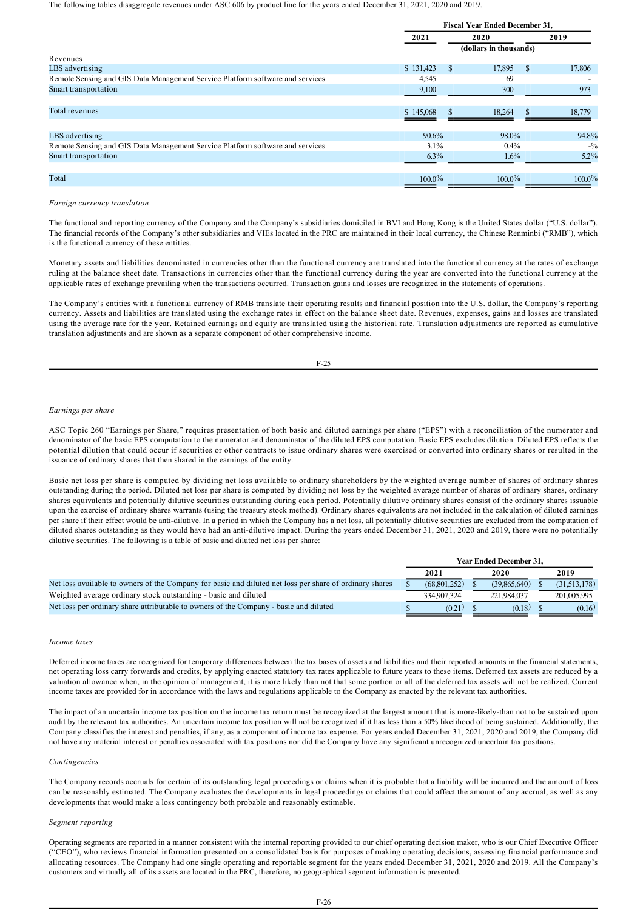The following tables disaggregate revenues under ASC 606 by product line for the years ended December 31, 2021, 2020 and 2019.

|                                                                               | <b>Fiscal Year Ended December 31,</b> |   |                        |              |           |  |  |
|-------------------------------------------------------------------------------|---------------------------------------|---|------------------------|--------------|-----------|--|--|
|                                                                               | 2021                                  |   | 2020                   |              | 2019      |  |  |
|                                                                               |                                       |   | (dollars in thousands) |              |           |  |  |
| Revenues                                                                      |                                       |   |                        |              |           |  |  |
| LBS advertising                                                               | \$131,423                             | S | 17,895                 | <sup>S</sup> | 17,806    |  |  |
| Remote Sensing and GIS Data Management Service Platform software and services | 4,545                                 |   | 69                     |              |           |  |  |
| Smart transportation                                                          | 9,100                                 |   | 300                    |              | 973       |  |  |
| Total revenues                                                                | \$145,068                             |   | 18,264                 |              | 18,779    |  |  |
| LBS advertising                                                               | 90.6%                                 |   | 98.0%                  |              | 94.8%     |  |  |
| Remote Sensing and GIS Data Management Service Platform software and services | 3.1%                                  |   | $0.4\%$                |              | $-2/6$    |  |  |
| Smart transportation                                                          | $6.3\%$                               |   | $1.6\%$                |              | $5.2\%$   |  |  |
| Total                                                                         | $100.0\%$                             |   | $100.0\%$              |              | $100.0\%$ |  |  |

#### *Foreign currency translation*

The functional and reporting currency of the Company and the Company's subsidiaries domiciled in BVI and Hong Kong is the United States dollar ("U.S. dollar"). The financial records of the Company's other subsidiaries and VIEs located in the PRC are maintained in their local currency, the Chinese Renminbi ("RMB"), which is the functional currency of these entities.

Monetary assets and liabilities denominated in currencies other than the functional currency are translated into the functional currency at the rates of exchange ruling at the balance sheet date. Transactions in currencies other than the functional currency during the year are converted into the functional currency at the applicable rates of exchange prevailing when the transactions occurred. Transaction gains and losses are recognized in the statements of operations.

The Company's entities with a functional currency of RMB translate their operating results and financial position into the U.S. dollar, the Company's reporting currency. Assets and liabilities are translated using the exchange rates in effect on the balance sheet date. Revenues, expenses, gains and losses are translated using the average rate for the year. Retained earnings and equity are translated using the historical rate. Translation adjustments are reported as cumulative translation adjustments and are shown as a separate component of other comprehensive income.

| I<br>٧ |
|--------|
|--------|

#### *Earnings per share*

ASC Topic 260 "Earnings per Share," requires presentation of both basic and diluted earnings per share ("EPS") with a reconciliation of the numerator and denominator of the basic EPS computation to the numerator and denominator of the diluted EPS computation. Basic EPS excludes dilution. Diluted EPS reflects the potential dilution that could occur if securities or other contracts to issue ordinary shares were exercised or converted into ordinary shares or resulted in the issuance of ordinary shares that then shared in the earnings of the entity.

Basic net loss per share is computed by dividing net loss available to ordinary shareholders by the weighted average number of shares of ordinary shares outstanding during the period. Diluted net loss per share is computed by dividing net loss by the weighted average number of shares of ordinary shares, ordinary shares equivalents and potentially dilutive securities outstanding during each period. Potentially dilutive ordinary shares consist of the ordinary shares issuable upon the exercise of ordinary shares warrants (using the treasury stock method). Ordinary shares equivalents are not included in the calculation of diluted earnings per share if their effect would be anti-dilutive. In a period in which the Company has a net loss, all potentially dilutive securities are excluded from the computation of diluted shares outstanding as they would have had an anti-dilutive impact. During the years ended December 31, 2021, 2020 and 2019, there were no potentially dilutive securities. The following is a table of basic and diluted net loss per share:

|                                                                                                         | <b>Year Ended December 31.</b> |              |  |              |  |              |
|---------------------------------------------------------------------------------------------------------|--------------------------------|--------------|--|--------------|--|--------------|
|                                                                                                         |                                | 2021         |  | 2020         |  | 2019         |
| Net loss available to owners of the Company for basic and diluted net loss per share of ordinary shares |                                | (68.801.252) |  | (39.865.640) |  | (31,513,178) |
| Weighted average ordinary stock outstanding - basic and diluted                                         |                                | 334,907.324  |  | 221.984.037  |  | 201,005,995  |
| Net loss per ordinary share attributable to owners of the Company - basic and diluted                   |                                | (0.21)       |  | (0.18)       |  | (0.16)       |

### *Income taxes*

Deferred income taxes are recognized for temporary differences between the tax bases of assets and liabilities and their reported amounts in the financial statements, net operating loss carry forwards and credits, by applying enacted statutory tax rates applicable to future years to these items. Deferred tax assets are reduced by a valuation allowance when, in the opinion of management, it is more likely than not that some portion or all of the deferred tax assets will not be realized. Current income taxes are provided for in accordance with the laws and regulations applicable to the Company as enacted by the relevant tax authorities.

The impact of an uncertain income tax position on the income tax return must be recognized at the largest amount that is more-likely-than not to be sustained upon audit by the relevant tax authorities. An uncertain income tax position will not be recognized if it has less than a 50% likelihood of being sustained. Additionally, the Company classifies the interest and penalties, if any, as a component of income tax expense. For years ended December 31, 2021, 2020 and 2019, the Company did not have any material interest or penalties associated with tax positions nor did the Company have any significant unrecognized uncertain tax positions.

### *Contingencies*

The Company records accruals for certain of its outstanding legal proceedings or claims when it is probable that a liability will be incurred and the amount of loss can be reasonably estimated. The Company evaluates the developments in legal proceedings or claims that could affect the amount of any accrual, as well as any developments that would make a loss contingency both probable and reasonably estimable.

### *Segment reporting*

Operating segments are reported in a manner consistent with the internal reporting provided to our chief operating decision maker, who is our Chief Executive Officer ("CEO"), who reviews financial information presented on a consolidated basis for purposes of making operating decisions, assessing financial performance and allocating resources. The Company had one single operating and reportable segment for the years ended December 31, 2021, 2020 and 2019. All the Company's customers and virtually all of its assets are located in the PRC, therefore, no geographical segment information is presented.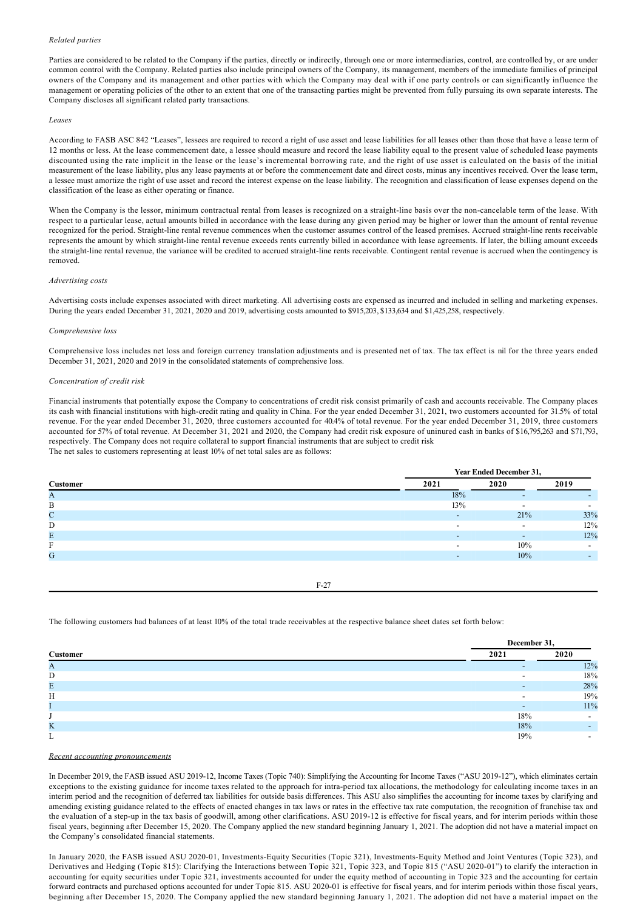## *Related parties*

Parties are considered to be related to the Company if the parties, directly or indirectly, through one or more intermediaries, control, are controlled by, or are under common control with the Company. Related parties also include principal owners of the Company, its management, members of the immediate families of principal owners of the Company and its management and other parties with which the Company may deal with if one party controls or can significantly influence the management or operating policies of the other to an extent that one of the transacting parties might be prevented from fully pursuing its own separate interests. The Company discloses all significant related party transactions.

### *Leases*

According to FASB ASC 842 "Leases", lessees are required to record a right of use asset and lease liabilities for all leases other than those that have a lease term of 12 months or less. At the lease commencement date, a lessee should measure and record the lease liability equal to the present value of scheduled lease payments discounted using the rate implicit in the lease or the lease's incremental borrowing rate, and the right of use asset is calculated on the basis of the initial measurement of the lease liability, plus any lease payments at or before the commencement date and direct costs, minus any incentives received. Over the lease term, a lessee must amortize the right of use asset and record the interest expense on the lease liability. The recognition and classification of lease expenses depend on the classification of the lease as either operating or finance.

When the Company is the lessor, minimum contractual rental from leases is recognized on a straight-line basis over the non-cancelable term of the lease. With respect to a particular lease, actual amounts billed in accordance with the lease during any given period may be higher or lower than the amount of rental revenue recognized for the period. Straight-line rental revenue commences when the customer assumes control of the leased premises. Accrued straight-line rents receivable represents the amount by which straight-line rental revenue exceeds rents currently billed in accordance with lease agreements. If later, the billing amount exceeds the straight-line rental revenue, the variance will be credited to accrued straight-line rents receivable. Contingent rental revenue is accrued when the contingency is removed.

### *Advertising costs*

Advertising costs include expenses associated with direct marketing. All advertising costs are expensed as incurred and included in selling and marketing expenses. During the years ended December 31, 2021, 2020 and 2019, advertising costs amounted to \$915,203, \$133,634 and \$1,425,258, respectively.

## *Comprehensive loss*

Comprehensive loss includes net loss and foreign currency translation adjustments and is presented net of tax. The tax effect is nil for the three years ended December 31, 2021, 2020 and 2019 in the consolidated statements of comprehensive loss.

### *Concentration of credit risk*

Financial instruments that potentially expose the Company to concentrations of credit risk consist primarily of cash and accounts receivable. The Company places its cash with financial institutions with high-credit rating and quality in China. For the year ended December 31, 2021, two customers accounted for 31.5% of total revenue. For the year ended December 31, 2020, three customers accounted for 40.4% of total revenue. For the year ended December 31, 2019, three customers accounted for 57% of total revenue. At December 31, 2021 and 2020, the Company had credit risk exposure of uninured cash in banks of \$16,795,263 and \$71,793, respectively. The Company does not require collateral to support financial instruments that are subject to credit risk The net sales to customers representing at least 10% of net total sales are as follows:

|                 |                          | Year Ended December 31,  |      |  |  |  |  |  |  |
|-----------------|--------------------------|--------------------------|------|--|--|--|--|--|--|
| <b>Customer</b> | 2021                     | 2020                     | 2019 |  |  |  |  |  |  |
| A               | 18%                      | $\overline{\phantom{0}}$ |      |  |  |  |  |  |  |
| B               | 13%                      | $\overline{\phantom{a}}$ |      |  |  |  |  |  |  |
| C               | $\overline{\phantom{0}}$ | 21%                      | 33%  |  |  |  |  |  |  |
| D               | $\overline{\phantom{0}}$ | $\overline{\phantom{a}}$ | 12%  |  |  |  |  |  |  |
| Е               | $\overline{\phantom{0}}$ | $\overline{\phantom{a}}$ | 12%  |  |  |  |  |  |  |
| F               | $\overline{\phantom{0}}$ | 10%                      |      |  |  |  |  |  |  |
| G               | $\overline{\phantom{0}}$ | 10%                      |      |  |  |  |  |  |  |
|                 |                          |                          |      |  |  |  |  |  |  |
|                 |                          |                          |      |  |  |  |  |  |  |

F-27

The following customers had balances of at least 10% of the total trade receivables at the respective balance sheet dates set forth below:

|                 |      | December 31, |  |  |  |  |  |  |
|-----------------|------|--------------|--|--|--|--|--|--|
| <b>Customer</b> | 2021 | 2020         |  |  |  |  |  |  |
| A               |      | 12%          |  |  |  |  |  |  |
| D               |      | 18%          |  |  |  |  |  |  |
| Е               |      | 28%          |  |  |  |  |  |  |
| Η               |      | 19%          |  |  |  |  |  |  |
|                 |      | 11%          |  |  |  |  |  |  |
|                 | 18%  |              |  |  |  |  |  |  |
| K               | 18%  |              |  |  |  |  |  |  |
|                 | 19%  |              |  |  |  |  |  |  |

*Recent accounting pronouncements*

In December 2019, the FASB issued ASU 2019-12. Income Taxes (Topic 740): Simplifying the Accounting for Income Taxes ("ASU 2019-12"), which eliminates certain exceptions to the existing guidance for income taxes related to the approach for intra-period tax allocations, the methodology for calculating income taxes in an interim period and the recognition of deferred tax liabilities for outside basis differences. This ASU also simplifies the accounting for income taxes by clarifying and amending existing guidance related to the effects of enacted changes in tax laws or rates in the effective tax rate computation, the recognition of franchise tax and the evaluation of a step-up in the tax basis of goodwill, among other clarifications. ASU 2019-12 is effective for fiscal years, and for interim periods within those fiscal years, beginning after December 15, 2020. The Company applied the new standard beginning January 1, 2021. The adoption did not have a material impact on the Company's consolidated financial statements.

In January 2020, the FASB issued ASU 2020-01, Investments-Equity Securities (Topic 321), Investments-Equity Method and Joint Ventures (Topic 323), and Derivatives and Hedging (Topic 815): Clarifying the Interactions between Topic 321, Topic 323, and Topic 815 ("ASU 2020-01") to clarify the interaction in accounting for equity securities under Topic 321, investments accounted for under the equity method of accounting in Topic 323 and the accounting for certain forward contracts and purchased options accounted for under Topic 815. ASU 2020-01 is effective for fiscal years, and for interim periods within those fiscal years, beginning after December 15, 2020. The Company applied the new standard beginning January 1, 2021. The adoption did not have a material impact on the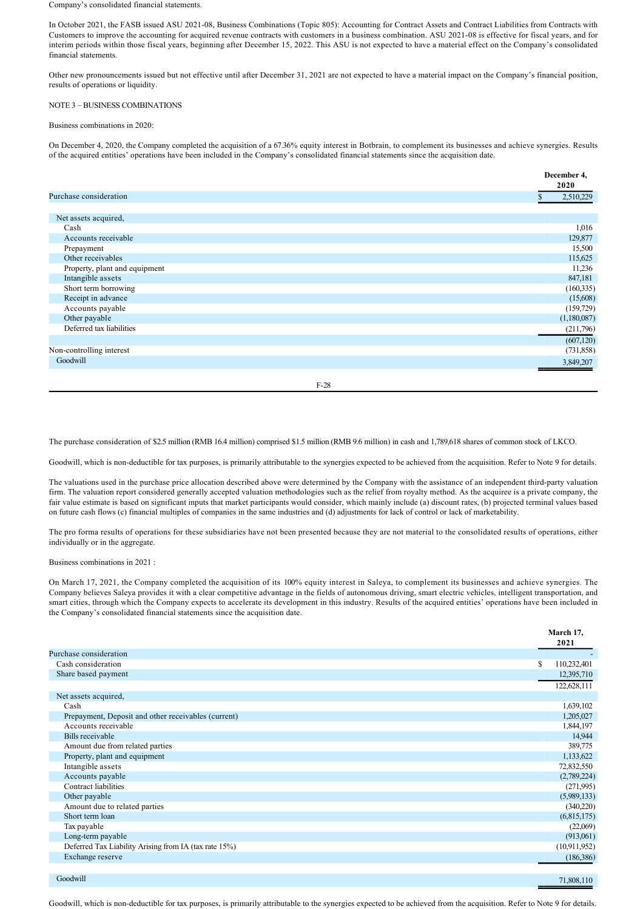Company's consolidated financial statements.

In October 2021, the FASB issued ASU 2021-08, Business Combinations (Topic 805): Accounting for Contract Assets and Contract Liabilities from Contracts with Customers to improve the accounting for acquired revenue contracts with customers in a business combination. ASU 202108 is effective for fiscal years, and for interim periods within those fiscal years, beginning after December 15, 2022. This ASU is not expected to have a material effect on the Company's consolidated financial statements.

Other new pronouncements issued but not effective until after December 31, 2021 are not expected to have a material impact on the Company's financial position, results of operations or liquidity.

## NOTE 3 – BUSINESS COMBINATIONS

Business combinations in 2020:

On December 4, 2020, the Company completed the acquisition of a 67.36% equity interest in Botbrain, to complement its businesses and achieve synergies. Results of the acquired entities' operations have been included in the Company's consolidated financial statements since the acquisition date.

|                               | December 4,<br>2020 |
|-------------------------------|---------------------|
| Purchase consideration        | 2,510,229           |
|                               |                     |
| Net assets acquired,          |                     |
| Cash                          | 1,016               |
| Accounts receivable           | 129,877             |
| Prepayment                    | 15,500              |
| Other receivables             | 115,625             |
| Property, plant and equipment | 11,236              |
| Intangible assets             | 847,181             |
| Short term borrowing          | (160, 335)          |
| Receipt in advance            | (15,608)            |
| Accounts payable              | (159, 729)          |
| Other payable                 | (1,180,087)         |
| Deferred tax liabilities      | (211,796)           |
|                               | (607, 120)          |
| Non-controlling interest      | (731, 858)          |
| Goodwill                      | 3,849,207           |
|                               |                     |

F28

The purchase consideration of \$2.5 million (RMB 16.4 million) comprised \$1.5 million (RMB 9.6 million) in cash and 1,789,618 shares of common stock of LKCO.

Goodwill, which is non-deductible for tax purposes, is primarily attributable to the synergies expected to be achieved from the acquisition. Refer to Note 9 for details.

The valuations used in the purchase price allocation described above were determined by the Company with the assistance of an independent third-party valuation firm. The valuation report considered generally accepted valuation methodologies such as the relief from royalty method. As the acquiree is a private company, the fair value estimate is based on significant inputs that market participants would consider, which mainly include (a) discount rates, (b) projected terminal values based on future cash flows (c) financial multiples of companies in the same industries and (d) adjustments for lack of control or lack of marketability.

The pro forma results of operations for these subsidiaries have not been presented because they are not material to the consolidated results of operations, either individually or in the aggregate.

Business combinations in 2021 :

On March 17, 2021, the Company completed the acquisition of its 100% equity interest in Saleya, to complement its businesses and achieve synergies. The Company believes Saleya provides it with a clear competitive advantage in the fields of autonomous driving, smart electric vehicles, intelligent transportation, and smart cities, through which the Company expects to accelerate its development in this industry. Results of the acquired entities' operations have been included in the Company's consolidated financial statements since the acquisition date.

|                                                       |   | March 17,<br>2021 |
|-------------------------------------------------------|---|-------------------|
| Purchase consideration                                |   |                   |
| Cash consideration                                    | S | 110,232,401       |
| Share based payment                                   |   | 12,395,710        |
|                                                       |   | 122,628,111       |
| Net assets acquired,                                  |   |                   |
| Cash                                                  |   | 1,639,102         |
| Prepayment, Deposit and other receivables (current)   |   | 1,205,027         |
| Accounts receivable                                   |   | 1,844,197         |
| <b>Bills</b> receivable                               |   | 14,944            |
| Amount due from related parties                       |   | 389,775           |
| Property, plant and equipment                         |   | 1,133,622         |
| Intangible assets                                     |   | 72,832,550        |
| Accounts payable                                      |   | (2,789,224)       |
| <b>Contract liabilities</b>                           |   | (271,995)         |
| Other payable                                         |   | (5,989,133)       |
| Amount due to related parties                         |   | (340, 220)        |
| Short term loan                                       |   | (6,815,175)       |
| Tax payable                                           |   | (22,069)          |
| Long-term payable                                     |   | (913,061)         |
| Deferred Tax Liability Arising from IA (tax rate 15%) |   | (10,911,952)      |
| Exchange reserve                                      |   | (186, 386)        |
|                                                       |   |                   |

Goodwill, which is non-deductible for tax purposes, is primarily attributable to the synergies expected to be achieved from the acquisition. Refer to Note 9 for details.

Goodwill 71,808,110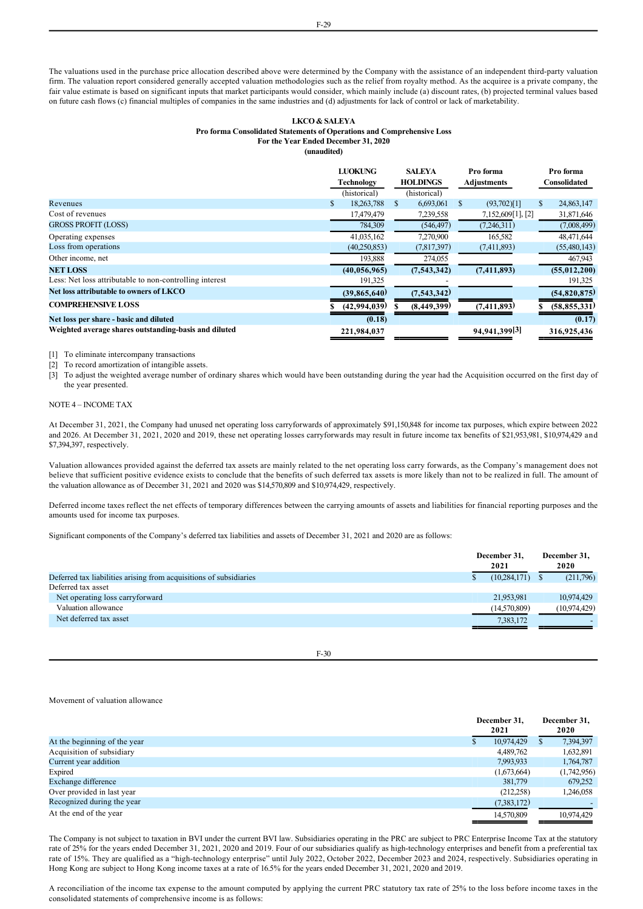The valuations used in the purchase price allocation described above were determined by the Company with the assistance of an independent third-party valuation firm. The valuation report considered generally accepted valuation methodologies such as the relief from royalty method. As the acquiree is a private company, the fair value estimate is based on significant inputs that market participants would consider, which mainly include (a) discount rates, (b) projected terminal values based on future cash flows (c) financial multiples of companies in the same industries and (d) adjustments for lack of control or lack of marketability.

## **LKCO & SALEYA Pro forma Consolidated Statements of Operations and Comprehensive Loss For the Year Ended December 31, 2020 (unaudited)**

|                                                         |   | <b>LUOKUNG</b><br><b>SALEYA</b><br><b>HOLDINGS</b><br><b>Technology</b> |               | Pro forma<br><b>Adjustments</b> |    |                   | Pro forma<br>Consolidated |                |
|---------------------------------------------------------|---|-------------------------------------------------------------------------|---------------|---------------------------------|----|-------------------|---------------------------|----------------|
|                                                         |   | (historical)                                                            |               | (historical)                    |    |                   |                           |                |
| Revenues                                                | S | 18,263,788                                                              | <sup>\$</sup> | 6,693,061                       | S. | $(93,702)$ [1]    | S.                        | 24,863,147     |
| Cost of revenues                                        |   | 17,479,479                                                              |               | 7,239,558                       |    | 7,152,609[1], [2] |                           | 31,871,646     |
| <b>GROSS PROFIT (LOSS)</b>                              |   | 784,309                                                                 |               | (546, 497)                      |    | (7,246,311)       |                           | (7,008,499)    |
| Operating expenses                                      |   | 41,035,162                                                              |               | 7,270,900                       |    | 165,582           |                           | 48,471,644     |
| Loss from operations                                    |   | (40,250,853)                                                            |               | (7,817,397)                     |    | (7,411,893)       |                           | (55, 480, 143) |
| Other income, net                                       |   | 193,888                                                                 |               | 274,055                         |    |                   |                           | 467,943        |
| <b>NET LOSS</b>                                         |   | (40, 056, 965)                                                          |               | (7,543,342)                     |    | (7, 411, 893)     |                           | (55,012,200)   |
| Less: Net loss attributable to non-controlling interest |   | 191,325                                                                 |               |                                 |    |                   |                           | 191,325        |
| Net loss attributable to owners of LKCO                 |   | (39,865,640)                                                            |               | (7,543,342)                     |    |                   |                           | (54,820,875)   |
| <b>COMPREHENSIVE LOSS</b>                               |   | (42,994,039)                                                            |               | (8, 449, 399)                   |    | (7, 411, 893)     |                           | (58, 855, 331) |
| Net loss per share - basic and diluted                  |   | (0.18)                                                                  |               |                                 |    |                   |                           | (0.17)         |
| Weighted average shares outstanding-basis and diluted   |   | 221,984,037                                                             |               |                                 |    | 94,941,399[3]     |                           | 316,925,436    |

[1] To eliminate intercompany transactions

[2] To record amortization of intangible assets.

[3] To adjust the weighted average number of ordinary shares which would have been outstanding during the year had the Acquisition occurred on the first day of the year presented.

## NOTE 4 – INCOME TAX

At December 31, 2021, the Company had unused net operating loss carryforwards of approximately \$91,150,848 for income tax purposes, which expire between 2022 and 2026. At December 31, 2021, 2020 and 2019, these net operating losses carryforwards may result in future income tax benefits of \$21,953,981, \$10,974,429 and \$7,394,397, respectively.

Valuation allowances provided against the deferred tax assets are mainly related to the net operating loss carry forwards, as the Company's management does not believe that sufficient positive evidence exists to conclude that the benefits of such deferred tax assets is more likely than not to be realized in full. The amount of the valuation allowance as of December 31, 2021 and 2020 was \$14,570,809 and \$10,974,429, respectively.

Deferred income taxes reflect the net effects of temporary differences between the carrying amounts of assets and liabilities for financial reporting purposes and the amounts used for income tax purposes.

Significant components of the Company's deferred tax liabilities and assets of December 31, 2021 and 2020 are as follows:

|                                                                    | December 31, |                | December 31, |
|--------------------------------------------------------------------|--------------|----------------|--------------|
|                                                                    |              | 2021           | 2020         |
| Deferred tax liabilities arising from acquisitions of subsidiaries |              | (10, 284, 171) | (211,796)    |
| Deferred tax asset                                                 |              |                |              |
| Net operating loss carryforward                                    |              | 21,953,981     | 10.974.429   |
| Valuation allowance                                                |              | (14,570,809)   | (10,974,429) |
| Net deferred tax asset                                             |              | 7,383,172      |              |

F30

Movement of valuation allowance

|                              | December 31,<br>2021 |             | December 31,<br>2020 |             |
|------------------------------|----------------------|-------------|----------------------|-------------|
| At the beginning of the year |                      | 10.974.429  |                      | 7,394,397   |
| Acquisition of subsidiary    |                      | 4,489,762   |                      | 1,632,891   |
| Current year addition        |                      | 7,993,933   |                      | 1,764,787   |
| Expired                      |                      | (1,673,664) |                      | (1,742,956) |
| Exchange difference          |                      | 381,779     |                      | 679,252     |
| Over provided in last year   |                      | (212,258)   |                      | 1,246,058   |
| Recognized during the year   |                      | (7,383,172) |                      |             |
| At the end of the year       |                      | 14,570,809  |                      | 10.974.429  |

The Company is not subject to taxation in BVI under the current BVI law. Subsidiaries operating in the PRC are subject to PRC Enterprise Income Tax at the statutory rate of 25% for the years ended December 31, 2021, 2020 and 2019. Four of our subsidiaries qualify as high-technology enterprises and benefit from a preferential tax rate of 15%. They are qualified as a "hightechnology enterprise" until July 2022, October 2022, December 2023 and 2024, respectively. Subsidiaries operating in Hong Kong are subject to Hong Kong income taxes at a rate of 16.5% for the years ended December 31, 2021, 2020 and 2019.

A reconciliation of the income tax expense to the amount computed by applying the current PRC statutory tax rate of 25% to the loss before income taxes in the consolidated statements of comprehensive income is as follows: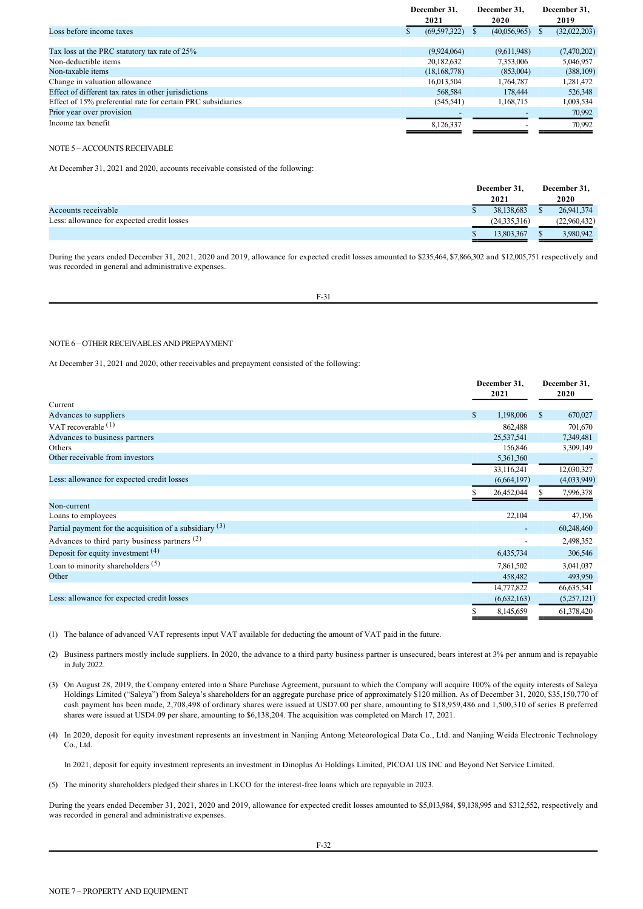|                                                              |  | December 31.<br>2021 |  | December 31.<br>2020 | December 31,<br>2019 |              |  |
|--------------------------------------------------------------|--|----------------------|--|----------------------|----------------------|--------------|--|
| Loss before income taxes                                     |  | (69, 597, 322)       |  | (40,056,965)         |                      | (32,022,203) |  |
| Tax loss at the PRC statutory tax rate of 25%                |  | (9.924, 064)         |  | (9,611,948)          |                      | (7,470,202)  |  |
| Non-deductible items                                         |  | 20,182,632           |  | 7,353,006            |                      | 5,046,957    |  |
| Non-taxable items                                            |  | (18, 168, 778)       |  | (853,004)            |                      | (388, 109)   |  |
| Change in valuation allowance                                |  | 16,013,504           |  | 1,764,787            |                      | 1,281,472    |  |
| Effect of different tax rates in other jurisdictions         |  | 568,584              |  | 178,444              |                      | 526,348      |  |
| Effect of 15% preferential rate for certain PRC subsidiaries |  | (545, 541)           |  | 1,168,715            |                      | 1,003,534    |  |
| Prior year over provision                                    |  |                      |  |                      |                      | 70,992       |  |
| Income tax benefit                                           |  | 8,126,337            |  |                      |                      | 70,992       |  |

# NOTE 5 – ACCOUNTS RECEIVABLE

At December 31, 2021 and 2020, accounts receivable consisted of the following:

|                                            | December 31,   | December 31, |
|--------------------------------------------|----------------|--------------|
|                                            | 2021           | 2020         |
| Accounts receivable                        | 38.138.683     | 26,941,374   |
| Less: allowance for expected credit losses | (24, 335, 316) | (22,960,432) |
|                                            | 13.803.367     | 3.980.942    |

During the years ended December 31, 2021, 2020 and 2019, allowance for expected credit losses amounted to \$235,464, \$7,866,302 and \$12,005,751 respectively and was recorded in general and administrative expenses.

## NOTE 6 – OTHER RECEIVABLES AND PREPAYMENT

At December 31, 2021 and 2020, other receivables and prepayment consisted of the following:

|                                                          | December 31,<br>2021 | December 31,<br>2020 |  |
|----------------------------------------------------------|----------------------|----------------------|--|
| Current                                                  |                      |                      |  |
| Advances to suppliers                                    | \$<br>1,198,006      | \$<br>670,027        |  |
| VAT recoverable (1)                                      | 862,488              | 701,670              |  |
| Advances to business partners                            | 25,537,541           | 7,349,481            |  |
| Others                                                   | 156,846              | 3,309,149            |  |
| Other receivable from investors                          | 5,361,360            |                      |  |
|                                                          | 33,116,241           | 12,030,327           |  |
| Less: allowance for expected credit losses               | (6,664,197)          | (4,033,949)          |  |
|                                                          | 26,452,044           | 7,996,378            |  |
| Non-current                                              |                      |                      |  |
| Loans to employees                                       | 22,104               | 47,196               |  |
| Partial payment for the acquisition of a subsidiary (3)  |                      | 60,248,460           |  |
| Advances to third party business partners <sup>(2)</sup> |                      | 2,498,352            |  |
| Deposit for equity investment $(4)$                      | 6,435,734            | 306,546              |  |
| Loan to minority shareholders $(5)$                      | 7,861,502            | 3,041,037            |  |
| Other                                                    | 458,482              | 493,950              |  |
|                                                          | 14,777,822           | 66,635,541           |  |
| Less: allowance for expected credit losses               | (6,632,163)          | (5,257,121)          |  |
|                                                          | 8,145,659            | 61,378,420           |  |
|                                                          |                      |                      |  |

(1) The balance of advanced VAT represents input VAT available for deducting the amount of VAT paid in the future.

(2) Business partners mostly include suppliers. In 2020, the advance to a third party business partner is unsecured, bears interest at 3% per annum and is repayable in July 2022.

(3) On August 28, 2019, the Company entered into a Share Purchase Agreement, pursuant to which the Company will acquire 100% of the equity interests of Saleya Holdings Limited ("Saleya") from Saleya's shareholders for an aggregate purchase price of approximately \$120 million. As of December 31, 2020, \$35,150,770 of cash payment has been made, 2,708,498 of ordinary shares were issued at USD7.00 per share, amounting to \$18,959,486 and 1,500,310 of series B preferred shares were issued at USD4.09 per share, amounting to \$6,138,204. The acquisition was completed on March 17, 2021.

(4) In 2020, deposit for equity investment represents an investment in Nanjing Antong Meteorological Data Co., Ltd. and Nanjing Weida Electronic Technology Co., Ltd.

In 2021, deposit for equity investment represents an investment in Dinoplus Ai Holdings Limited, PICOAI US INC and Beyond Net Service Limited.

(5) The minority shareholders pledged their shares in LKCO for the interest-free loans which are repayable in 2023.

During the years ended December 31, 2021, 2020 and 2019, allowance for expected credit losses amounted to \$5,013,984, \$9,138,995 and \$312,552, respectively and was recorded in general and administrative expenses.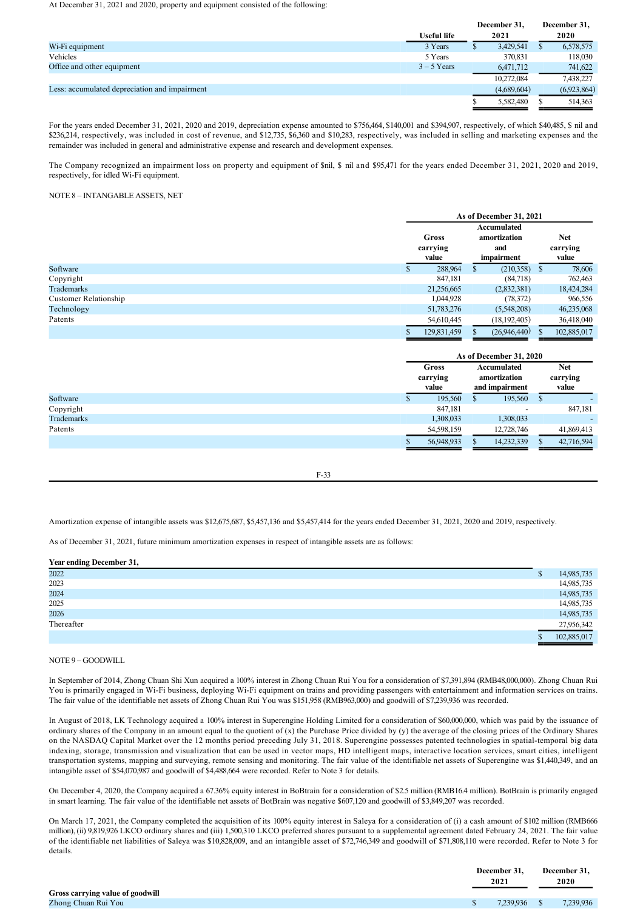At December 31, 2021 and 2020, property and equipment consisted of the following:

|                                               | December 31,       |              | December 31, |  |             |  |      |
|-----------------------------------------------|--------------------|--------------|--------------|--|-------------|--|------|
|                                               | <b>Useful life</b> |              | 2021         |  |             |  | 2020 |
| Wi-Fi equipment                               | 3 Years            | $\mathbf{D}$ | 3,429,541    |  | 6,578,575   |  |      |
| Vehicles                                      | 5 Years            |              | 370,831      |  | 118,030     |  |      |
| Office and other equipment                    | $3 - 5$ Years      |              | 6,471,712    |  | 741,622     |  |      |
|                                               |                    |              | 10,272,084   |  | 7,438,227   |  |      |
| Less: accumulated depreciation and impairment |                    |              | (4,689,604)  |  | (6,923,864) |  |      |
|                                               |                    |              | 5,582,480    |  | 514,363     |  |      |

For the years ended December 31, 2021, 2020 and 2019, depreciation expense amounted to \$756,464, \$140,001 and \$394,907, respectively, of which \$40,485, \$ nil and \$236,214, respectively, was included in cost of revenue, and \$12,735, \$6,360 and \$10,283, respectively, was included in selling and marketing expenses and the remainder was included in general and administrative expense and research and development expenses.

The Company recognized an impairment loss on property and equipment of \$nil, \$ nil and \$95,471 for the years ended December 31, 2021, 2020 and 2019, respectively, for idled Wi-Fi equipment.

# NOTE 8 – INTANGABLE ASSETS, NET

|                              |                | As of December 31, 2021                                      |          |                |    |                                 |  |
|------------------------------|----------------|--------------------------------------------------------------|----------|----------------|----|---------------------------------|--|
|                              | Gross<br>value | Accumulated<br>amortization<br>carrying<br>and<br>impairment |          |                |    | <b>Net</b><br>carrying<br>value |  |
| Software                     |                | 288,964                                                      | $\Delta$ | (210,358)      | Y. | 78,606                          |  |
| Copyright                    |                | 847,181                                                      |          | (84,718)       |    | 762,463                         |  |
| Trademarks                   | 21,256,665     |                                                              |          | (2,832,381)    |    | 18,424,284                      |  |
| <b>Customer Relationship</b> | 1,044,928      |                                                              |          | (78,372)       |    | 966,556                         |  |
| Technology                   | 51,783,276     |                                                              |          | (5,548,208)    |    | 46,235,068                      |  |
| Patents                      | 54,610,445     |                                                              |          | (18, 192, 405) |    | 36,418,040                      |  |
|                              | 129,831,459    |                                                              |          | (26,946,440)   | S. | 102,885,017                     |  |

|            | As of December 31, 2020    |              |                                               |   |                                 |
|------------|----------------------------|--------------|-----------------------------------------------|---|---------------------------------|
|            | Gross<br>carrying<br>value |              | Accumulated<br>amortization<br>and impairment |   | <b>Net</b><br>carrying<br>value |
| Software   | 195,560                    | $\mathbf{D}$ | 195,560                                       | æ |                                 |
| Copyright  | 847,181                    |              | -                                             |   | 847,181                         |
| Trademarks | 1,308,033                  |              | 1,308,033                                     |   |                                 |
| Patents    | 54,598,159                 |              | 12,728,746                                    |   | 41,869,413                      |
|            | 56,948,933                 |              | 14,232,339                                    |   | 42,716,594                      |

F33

Amortization expense of intangible assets was \$12,675,687, \$5,457,136 and \$5,457,414 for the years ended December 31, 2021, 2020 and 2019, respectively.

As of December 31, 2021, future minimum amortization expenses in respect of intangible assets are as follows:

| Year ending December 31, |             |
|--------------------------|-------------|
| 2022                     | 14,985,735  |
| 2023                     | 14,985,735  |
| 2024                     | 14,985,735  |
| 2025                     | 14,985,735  |
| 2026                     | 14,985,735  |
| Thereafter               | 27,956,342  |
|                          | 102,885,017 |

#### NOTE 9 – GOODWILL

In September of 2014, Zhong Chuan Shi Xun acquired a 100% interest in Zhong Chuan Rui You for a consideration of \$7,391,894 (RMB48,000,000). Zhong Chuan Rui You is primarily engaged in Wi-Fi business, deploying Wi-Fi equipment on trains and providing passengers with entertainment and information services on trains. The fair value of the identifiable net assets of Zhong Chuan Rui You was \$151,958 (RMB963,000) and goodwill of \$7,239,936 was recorded.

In August of 2018, LK Technology acquired a 100% interest in Superengine Holding Limited for a consideration of \$60,000,000, which was paid by the issuance of ordinary shares of the Company in an amount equal to the quotient of  $(x)$  the Purchase Price divided by  $(y)$  the average of the closing prices of the Ordinary Shares on the NASDAQ Capital Market over the 12 months period preceding July 31, 2018. Superengine possesses patented technologies in spatialtemporal big data indexing, storage, transmission and visualization that can be used in vector maps, HD intelligent maps, interactive location services, smart cities, intelligent transportation systems, mapping and surveying, remote sensing and monitoring. The fair value of the identifiable net assets of Superengine was \$1,440,349, and an intangible asset of \$54,070,987 and goodwill of \$4,488,664 were recorded. Refer to Note 3 for details.

On December 4, 2020, the Company acquired a 67.36% equity interest in BoBtrain for a consideration of \$2.5 million (RMB16.4 million). BotBrain is primarily engaged in smart learning. The fair value of the identifiable net assets of BotBrain was negative \$607,120 and goodwill of \$3,849,207 was recorded.

On March 17, 2021, the Company completed the acquisition of its 100% equity interest in Saleya for a consideration of (i) a cash amount of \$102 million (RMB666 million), (ii) 9,819,926 LKCO ordinary shares and (iii) 1,500,310 LKCO preferred shares pursuant to a supplemental agreement dated February 24, 2021. The fair value of the identifiable net liabilities of Saleya was \$10,828,009, and an intangible asset of \$72,746,349 and goodwill of \$71,808,110 were recorded. Refer to Note 3 for details.

|                                  | December 31.<br>2021 |  | December 31,<br>2020 |
|----------------------------------|----------------------|--|----------------------|
| Gross carrying value of goodwill |                      |  |                      |
| Zhong Chuan Rui You              | 7,239,936            |  | 7,239,936            |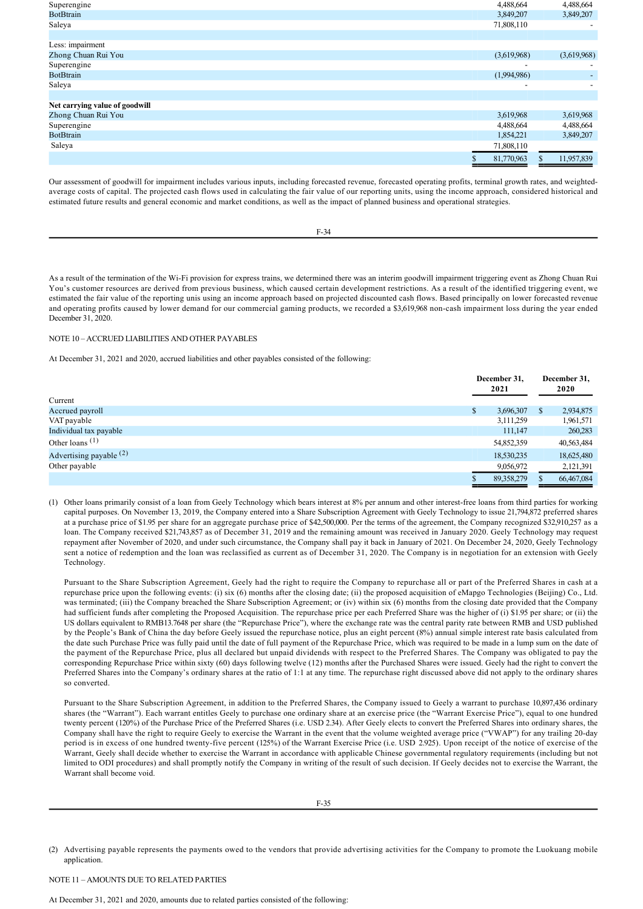| 4,488,664                | 4,488,664                |
|--------------------------|--------------------------|
| 3,849,207                | 3,849,207                |
| 71,808,110               |                          |
|                          |                          |
|                          |                          |
| (3,619,968)              | (3,619,968)              |
| -                        |                          |
| (1,994,986)              | -                        |
| $\overline{\phantom{a}}$ | $\overline{\phantom{a}}$ |
|                          |                          |
|                          |                          |
| 3,619,968                | 3,619,968                |
| 4,488,664                | 4,488,664                |
| 1,854,221                | 3,849,207                |
| 71,808,110               |                          |
| 81,770,963               | 11,957,839               |
|                          |                          |

Our assessment of goodwill for impairment includes various inputs, including forecasted revenue, forecasted operating profits, terminal growth rates, and weightedaverage costs of capital. The projected cash flows used in calculating the fair value of our reporting units, using the income approach, considered historical and estimated future results and general economic and market conditions, as well as the impact of planned business and operational strategies.

| ۰, |  |
|----|--|

As a result of the termination of the Wi-Fi provision for express trains, we determined there was an interim goodwill impairment triggering event as Zhong Chuan Rui You's customer resources are derived from previous business, which caused certain development restrictions. As a result of the identified triggering event, we estimated the fair value of the reporting unis using an income approach based on projected discounted cash flows. Based principally on lower forecasted revenue and operating profits caused by lower demand for our commercial gaming products, we recorded a \$3,619,968 noncash impairment loss during the year ended December 31, 2020.

## NOTE 10 – ACCRUED LIABILITIES AND OTHER PAYABLES

At December 31, 2021 and 2020, accrued liabilities and other payables consisted of the following:

| Current                            | December 31,<br>2021 |   | December 31,<br>2020 |
|------------------------------------|----------------------|---|----------------------|
| Accrued payroll                    | 3,696,307<br>\$      | S | 2,934,875            |
| VAT payable                        | 3,111,259            |   | 1,961,571            |
| Individual tax payable             | 111,147              |   | 260,283              |
| Other loans $(1)$                  | 54,852,359           |   | 40,563,484           |
| Advertising payable <sup>(2)</sup> | 18,530,235           |   | 18,625,480           |
| Other payable                      | 9,056,972            |   | 2,121,391            |
|                                    | 89,358,279           |   | 66,467,084           |

(1) Other loans primarily consist of a loan from Geely Technology which bears interest at 8% per annum and other interest-free loans from third parties for working capital purposes. On November 13, 2019, the Company entered into a Share Subscription Agreement with Geely Technology to issue 21,794,872 preferred shares at a purchase price of \$1.95 per share for an aggregate purchase price of \$42,500,000. Per the terms of the agreement, the Company recognized \$32,910,257 as a loan. The Company received \$21,743,857 as of December 31, 2019 and the remaining amount was received in January 2020. Geely Technology may request repayment after November of 2020, and under such circumstance, the Company shall pay it back in January of 2021. On December 24, 2020, Geely Technology sent a notice of redemption and the loan was reclassified as current as of December 31, 2020. The Company is in negotiation for an extension with Geely Technology.

Pursuant to the Share Subscription Agreement, Geely had the right to require the Company to repurchase all or part of the Preferred Shares in cash at a repurchase price upon the following events: (i) six (6) months after the closing date; (ii) the proposed acquisition of eMapgo Technologies (Beijing) Co., Ltd. was terminated; (iii) the Company breached the Share Subscription Agreement; or (iv) within six (6) months from the closing date provided that the Company had sufficient funds after completing the Proposed Acquisition. The repurchase price per each Preferred Share was the higher of (i) \$1.95 per share; or (ii) the US dollars equivalent to RMB13.7648 per share (the "Repurchase Price"), where the exchange rate was the central parity rate between RMB and USD published by the People's Bank of China the day before Geely issued the repurchase notice, plus an eight percent (8%) annual simple interest rate basis calculated from the date such Purchase Price was fully paid until the date of full payment of the Repurchase Price, which was required to be made in a lump sum on the date of the payment of the Repurchase Price, plus all declared but unpaid dividends with respect to the Preferred Shares. The Company was obligated to pay the corresponding Repurchase Price within sixty (60) days following twelve (12) months after the Purchased Shares were issued. Geely had the right to convert the Preferred Shares into the Company's ordinary shares at the ratio of 1:1 at any time. The repurchase right discussed above did not apply to the ordinary shares so converted.

Pursuant to the Share Subscription Agreement, in addition to the Preferred Shares, the Company issued to Geely a warrant to purchase 10,897,436 ordinary shares (the "Warrant"). Each warrant entitles Geely to purchase one ordinary share at an exercise price (the "Warrant Exercise Price"), equal to one hundred twenty percent (120%) of the Purchase Price of the Preferred Shares (i.e. USD 2.34). After Geely elects to convert the Preferred Shares into ordinary shares, the Company shall have the right to require Geely to exercise the Warrant in the event that the volume weighted average price ("VWAP") for any trailing 20-day period is in excess of one hundred twenty-five percent (125%) of the Warrant Exercise Price (i.e. USD 2.925). Upon receipt of the notice of exercise of the Warrant, Geely shall decide whether to exercise the Warrant in accordance with applicable Chinese governmental regulatory requirements (including but not limited to ODI procedures) and shall promptly notify the Company in writing of the result of such decision. If Geely decides not to exercise the Warrant, the Warrant shall become void.

NOTE 11 – AMOUNTS DUE TO RELATED PARTIES

At December 31, 2021 and 2020, amounts due to related parties consisted of the following:

<sup>(2)</sup> Advertising payable represents the payments owed to the vendors that provide advertising activities for the Company to promote the Luokuang mobile application.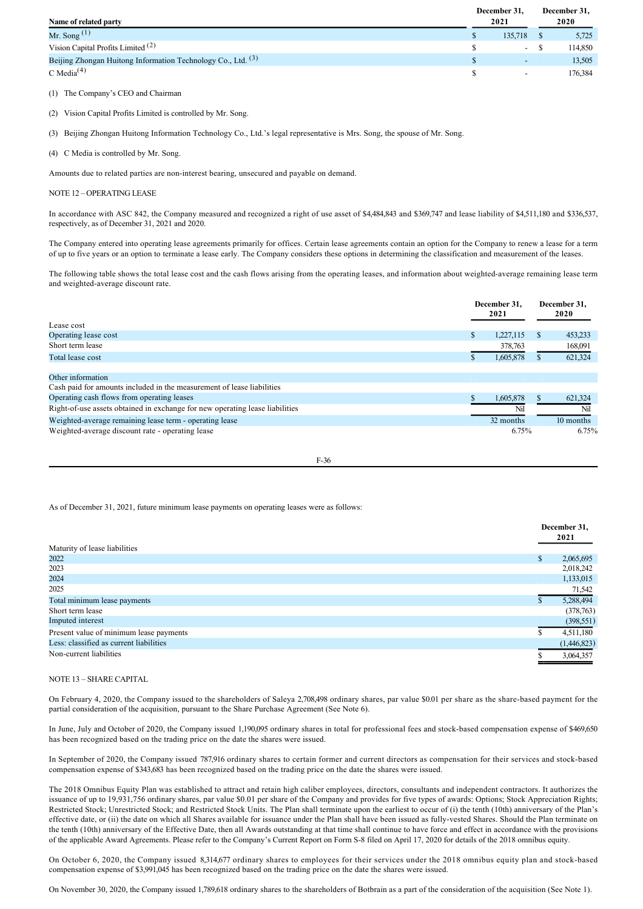| Name of related party                                          |  | December 31,<br>2021     |  |         |  | December 31,<br>2020 |
|----------------------------------------------------------------|--|--------------------------|--|---------|--|----------------------|
| Mr. Song $(1)$                                                 |  | 135,718                  |  | 5,725   |  |                      |
| Vision Capital Profits Limited $(2)$                           |  | $\sim$                   |  | 114,850 |  |                      |
| Beijing Zhongan Huitong Information Technology Co., Ltd. $(3)$ |  | $\overline{\phantom{0}}$ |  | 13,505  |  |                      |
| C Media <sup>(4)</sup>                                         |  | $\overline{\phantom{a}}$ |  | 176,384 |  |                      |

(1) The Company's CEO and Chairman

(2) Vision Capital Profits Limited is controlled by Mr. Song.

(3) Beijing Zhongan Huitong Information Technology Co., Ltd.'s legal representative is Mrs. Song, the spouse of Mr. Song.

(4) C Media is controlled by Mr. Song.

Amounts due to related parties are non-interest bearing, unsecured and payable on demand.

NOTE 12 – OPERATING LEASE

In accordance with ASC 842, the Company measured and recognized a right of use asset of \$4,484,843 and \$369,747 and lease liability of \$4,511,180 and \$336,537, respectively, as of December 31, 2021 and 2020.

The Company entered into operating lease agreements primarily for offices. Certain lease agreements contain an option for the Company to renew a lease for a term of up to five years or an option to terminate a lease early. The Company considers these options in determining the classification and measurement of the leases.

The following table shows the total lease cost and the cash flows arising from the operating leases, and information about weighted-average remaining lease term and weighted-average discount rate.

|                                                                              |    | December 31.<br>2021 |    | December 31.<br>2020 |
|------------------------------------------------------------------------------|----|----------------------|----|----------------------|
| Lease cost                                                                   |    |                      |    |                      |
| Operating lease cost                                                         | S. | 1,227,115            | S. | 453,233              |
| Short term lease                                                             |    | 378,763              |    | 168,091              |
| Total lease cost                                                             |    | 1,605,878            |    | 621,324              |
| Other information                                                            |    |                      |    |                      |
| Cash paid for amounts included in the measurement of lease liabilities       |    |                      |    |                      |
| Operating cash flows from operating leases                                   |    | 1,605,878            |    | 621,324              |
| Right-of-use assets obtained in exchange for new operating lease liabilities |    | Nil                  |    | Nil                  |
| Weighted-average remaining lease term - operating lease                      |    | 32 months            |    | 10 months            |
| Weighted-average discount rate - operating lease                             |    | 6.75%                |    | 6.75%                |

F-36

As of December 31, 2021, future minimum lease payments on operating leases were as follows:

|                                         |   | December 31,<br>2021 |
|-----------------------------------------|---|----------------------|
| Maturity of lease liabilities           |   |                      |
| 2022                                    | S | 2,065,695            |
| 2023                                    |   | 2,018,242            |
| 2024                                    |   | 1,133,015            |
| 2025                                    |   | 71,542               |
| Total minimum lease payments            |   | 5,288,494            |
| Short term lease                        |   | (378, 763)           |
| Imputed interest                        |   | (398, 551)           |
| Present value of minimum lease payments |   | 4,511,180            |
| Less: classified as current liabilities |   | (1,446,823)          |
| Non-current liabilities                 |   | 3,064,357            |

# NOTE 13 – SHARE CAPITAL

On February 4, 2020, the Company issued to the shareholders of Saleya 2,708,498 ordinary shares, par value \$0.01 per share as the sharebased payment for the partial consideration of the acquisition, pursuant to the Share Purchase Agreement (See Note 6).

In June, July and October of 2020, the Company issued 1,190,095 ordinary shares in total for professional fees and stock-based compensation expense of \$469,650 has been recognized based on the trading price on the date the shares were issued.

In September of 2020, the Company issued 787,916 ordinary shares to certain former and current directors as compensation for their services and stockbased compensation expense of \$343,683 has been recognized based on the trading price on the date the shares were issued.

The 2018 Omnibus Equity Plan was established to attract and retain high caliber employees, directors, consultants and independent contractors. It authorizes the issuance of up to 19,931,756 ordinary shares, par value \$0.01 per share of the Company and provides for five types of awards: Options; Stock Appreciation Rights; Restricted Stock; Unrestricted Stock; and Restricted Stock Units. The Plan shall terminate upon the earliest to occur of (i) the tenth (10th) anniversary of the Plan's effective date, or (ii) the date on which all Shares available for issuance under the Plan shall have been issued as fully-vested Shares. Should the Plan terminate on the tenth (10th) anniversary of the Effective Date, then all Awards outstanding at that time shall continue to have force and effect in accordance with the provisions of the applicable Award Agreements. Please refer to the Company's Current Report on Form S-8 filed on April 17, 2020 for details of the 2018 omnibus equity.

On October 6, 2020, the Company issued 8,314,677 ordinary shares to employees for their services under the 2018 omnibus equity plan and stockbased compensation expense of \$3,991,045 has been recognized based on the trading price on the date the shares were issued.

On November 30, 2020, the Company issued 1,789,618 ordinary shares to the shareholders of Botbrain as a part of the consideration of the acquisition (See Note 1).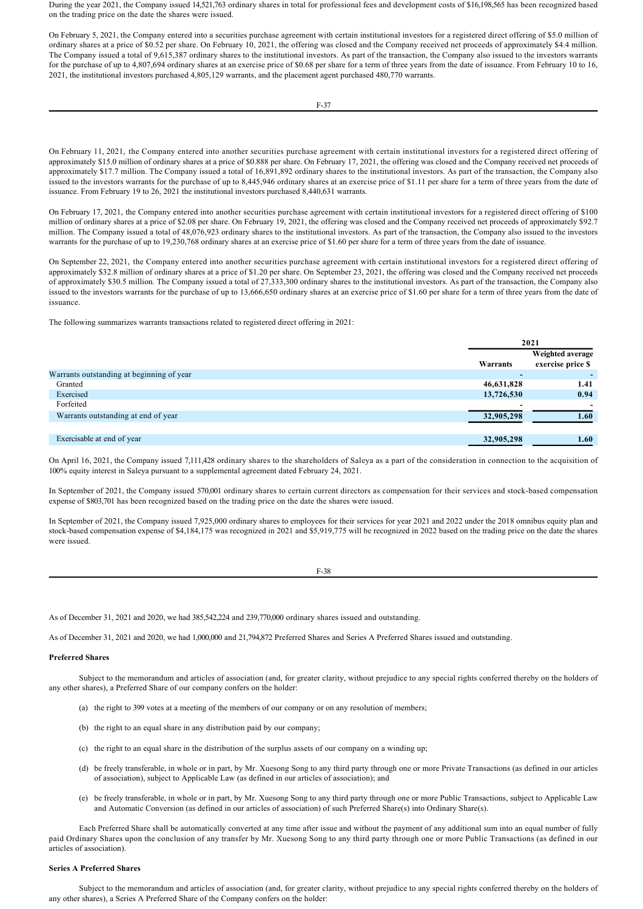During the year 2021, the Company issued 14,521,763 ordinary shares in total for professional fees and development costs of \$16,198,565 has been recognized based on the trading price on the date the shares were issued.

On February 5, 2021, the Company entered into a securities purchase agreement with certain institutional investors for a registered direct offering of \$5.0 million of ordinary shares at a price of \$0.52 per share. On February 10, 2021, the offering was closed and the Company received net proceeds of approximately \$4.4 million. The Company issued a total of 9,615,387 ordinary shares to the institutional investors. As part of the transaction, the Company also issued to the investors warrants for the purchase of up to 4,807,694 ordinary shares at an exercise price of \$0.68 per share for a term of three years from the date of issuance. From February 10 to 16, 2021, the institutional investors purchased 4,805,129 warrants, and the placement agent purchased 480,770 warrants.

On February 11, 2021, the Company entered into another securities purchase agreement with certain institutional investors for a registered direct offering of approximately \$15.0 million of ordinary shares at a price of \$0.888 per share. On February 17, 2021, the offering was closed and the Company received net proceeds of approximately \$17.7 million. The Company issued a total of 16,891,892 ordinary shares to the institutional investors. As part of the transaction, the Company also issued to the investors warrants for the purchase of up to 8,445,946 ordinary shares at an exercise price of \$1.11 per share for a term of three years from the date of issuance. From February 19 to 26, 2021 the institutional investors purchased 8,440,631 warrants.

On February 17, 2021, the Company entered into another securities purchase agreement with certain institutional investors for a registered direct offering of \$100 million of ordinary shares at a price of \$2.08 per share. On February 19, 2021, the offering was closed and the Company received net proceeds of approximately \$92.7 million. The Company issued a total of 48,076,923 ordinary shares to the institutional investors. As part of the transaction, the Company also issued to the investors warrants for the purchase of up to 19,230,768 ordinary shares at an exercise price of \$1.60 per share for a term of three years from the date of issuance.

On September 22, 2021, the Company entered into another securities purchase agreement with certain institutional investors for a registered direct offering of approximately \$32.8 million of ordinary shares at a price of \$1.20 per share. On September 23, 2021, the offering was closed and the Company received net proceeds of approximately \$30.5 million. The Company issued a total of 27,333,300 ordinary shares to the institutional investors. As part of the transaction, the Company also issued to the investors warrants for the purchase of up to 13,666,650 ordinary shares at an exercise price of \$1.60 per share for a term of three years from the date of issuance.

The following summarizes warrants transactions related to registered direct offering in 2021:

|                                           | 2021                     |                          |
|-------------------------------------------|--------------------------|--------------------------|
|                                           |                          | Weighted average         |
|                                           | Warrants                 | exercise price \$        |
| Warrants outstanding at beginning of year | $\overline{\phantom{0}}$ |                          |
| Granted                                   | 46,631,828               | 1.41                     |
| Exercised                                 | 13,726,530               | 0.94                     |
| Forfeited                                 | $\overline{\phantom{0}}$ | $\overline{\phantom{0}}$ |
| Warrants outstanding at end of year       | 32,905,298               | 1.60                     |
|                                           |                          |                          |
| Exercisable at end of year                | 32,905,298               | 1.60                     |

On April 16, 2021, the Company issued 7,111,428 ordinary shares to the shareholders of Saleya as a part of the consideration in connection to the acquisition of 100% equity interest in Saleya pursuant to a supplemental agreement dated February 24, 2021.

In September of 2021, the Company issued 570,001 ordinary shares to certain current directors as compensation for their services and stock-based compensation expense of \$803,701 has been recognized based on the trading price on the date the shares were issued.

In September of 2021, the Company issued 7,925,000 ordinary shares to employees for their services for year 2021 and 2022 under the 2018 omnibus equity plan and stock-based compensation expense of \$4,184,175 was recognized in 2021 and \$5,919,775 will be recognized in 2022 based on the trading price on the date the shares were issued.

F38

As of December 31, 2021 and 2020, we had 385,542,224 and 239,770,000 ordinary shares issued and outstanding.

As of December 31, 2021 and 2020, we had 1,000,000 and 21,794,872 Preferred Shares and Series A Preferred Shares issued and outstanding.

## **Preferred Shares**

Subject to the memorandum and articles of association (and, for greater clarity, without prejudice to any special rights conferred thereby on the holders of any other shares), a Preferred Share of our company confers on the holder:

- (a) the right to 399 votes at a meeting of the members of our company or on any resolution of members;
- (b) the right to an equal share in any distribution paid by our company;
- (c) the right to an equal share in the distribution of the surplus assets of our company on a winding up;
- (d) be freely transferable, in whole or in part, by Mr. Xuesong Song to any third party through one or more Private Transactions (as defined in our articles of association), subject to Applicable Law (as defined in our articles of association); and
- (e) be freely transferable, in whole or in part, by Mr. Xuesong Song to any third party through one or more Public Transactions, subject to Applicable Law and Automatic Conversion (as defined in our articles of association) of such Preferred Share(s) into Ordinary Share(s).

Each Preferred Share shall be automatically converted at any time after issue and without the payment of any additional sum into an equal number of fully paid Ordinary Shares upon the conclusion of any transfer by Mr. Xuesong Song to any third party through one or more Public Transactions (as defined in our articles of association).

### **Series A Preferred Shares**

Subject to the memorandum and articles of association (and, for greater clarity, without prejudice to any special rights conferred thereby on the holders of any other shares), a Series A Preferred Share of the Company confers on the holder: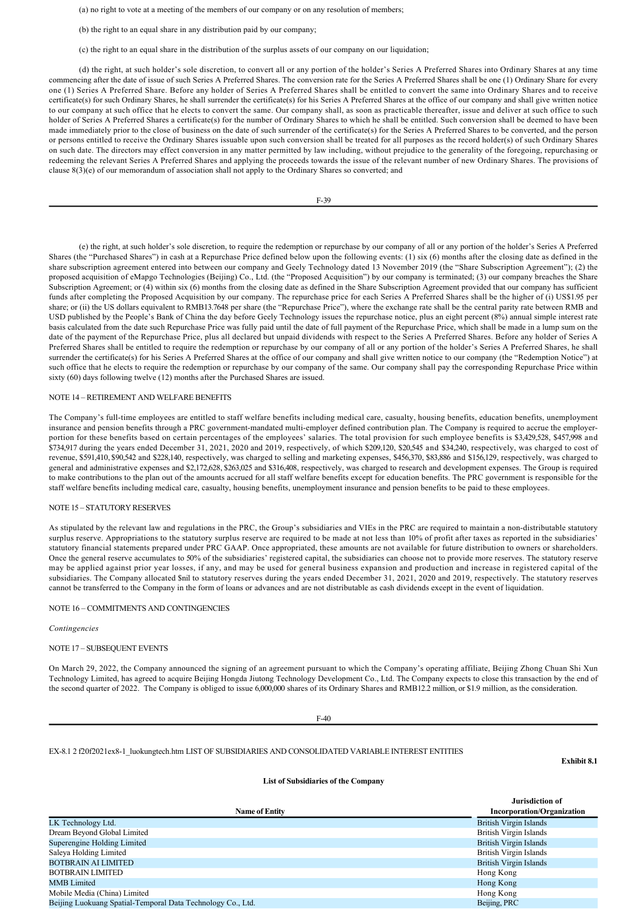(a) no right to vote at a meeting of the members of our company or on any resolution of members;

(b) the right to an equal share in any distribution paid by our company;

(c) the right to an equal share in the distribution of the surplus assets of our company on our liquidation;

(d) the right, at such holder's sole discretion, to convert all or any portion of the holder's Series A Preferred Shares into Ordinary Shares at any time commencing after the date of issue of such Series A Preferred Shares. The conversion rate for the Series A Preferred Shares shall be one (1) Ordinary Share for every one (1) Series A Preferred Share. Before any holder of Series A Preferred Shares shall be entitled to convert the same into Ordinary Shares and to receive certificate(s) for such Ordinary Shares, he shall surrender the certificate(s) for his Series A Preferred Shares at the office of our company and shall give written notice to our company at such office that he elects to convert the same. Our company shall, as soon as practicable thereafter, issue and deliver at such office to such holder of Series A Preferred Shares a certificate(s) for the number of Ordinary Shares to which he shall be entitled. Such conversion shall be deemed to have been made immediately prior to the close of business on the date of such surrender of the certificate(s) for the Series A Preferred Shares to be converted, and the person or persons entitled to receive the Ordinary Shares issuable upon such conversion shall be treated for all purposes as the record holder(s) of such Ordinary Shares on such date. The directors may effect conversion in any matter permitted by law including, without prejudice to the generality of the foregoing, repurchasing or redeeming the relevant Series A Preferred Shares and applying the proceeds towards the issue of the relevant number of new Ordinary Shares. The provisions of clause 8(3)(e) of our memorandum of association shall not apply to the Ordinary Shares so converted; and

F<sub>-39</sub>

(e) the right, at such holder's sole discretion, to require the redemption or repurchase by our company of all or any portion of the holder's Series A Preferred Shares (the "Purchased Shares") in cash at a Repurchase Price defined below upon the following events: (1) six (6) months after the closing date as defined in the share subscription agreement entered into between our company and Geely Technology dated 13 November 2019 (the "Share Subscription Agreement"); (2) the proposed acquisition of eMapgo Technologies (Beijing) Co., Ltd. (the "Proposed Acquisition") by our company is terminated; (3) our company breaches the Share Subscription Agreement; or (4) within six (6) months from the closing date as defined in the Share Subscription Agreement provided that our company has sufficient funds after completing the Proposed Acquisition by our company. The repurchase price for each Series A Preferred Shares shall be the higher of (i) US\$1.95 per share; or (ii) the US dollars equivalent to RMB13.7648 per share (the "Repurchase Price"), where the exchange rate shall be the central parity rate between RMB and USD published by the People's Bank of China the day before Geely Technology issues the repurchase notice, plus an eight percent (8%) annual simple interest rate basis calculated from the date such Repurchase Price was fully paid until the date of full payment of the Repurchase Price, which shall be made in a lump sum on the date of the payment of the Repurchase Price, plus all declared but unpaid dividends with respect to the Series A Preferred Shares. Before any holder of Series A Preferred Shares shall be entitled to require the redemption or repurchase by our company of all or any portion of the holder's Series A Preferred Shares, he shall surrender the certificate(s) for his Series A Preferred Shares at the office of our company and shall give written notice to our company (the "Redemption Notice") at such office that he elects to require the redemption or repurchase by our company of the same. Our company shall pay the corresponding Repurchase Price within sixty (60) days following twelve (12) months after the Purchased Shares are issued.

## NOTE 14 – RETIREMENT AND WELFARE BENEFITS

The Company's full-time employees are entitled to staff welfare benefits including medical care, casualty, housing benefits, education benefits, unemployment insurance and pension benefits through a PRC government-mandated multi-employer defined contribution plan. The Company is required to accrue the employerportion for these benefits based on certain percentages of the employees' salaries. The total provision for such employee benefits is \$3,429,528, \$457,998 and \$734,917 during the years ended December 31, 2021, 2020 and 2019, respectively, of which \$209,120, \$20,545 and \$34,240, respectively, was charged to cost of revenue, \$591,410, \$90,542 and \$228,140, respectively, was charged to selling and marketing expenses, \$456,370, \$83,886 and \$156,129, respectively, was charged to general and administrative expenses and \$2,172,628, \$263,025 and \$316,408, respectively, was charged to research and development expenses. The Group is required to make contributions to the plan out of the amounts accrued for all staff welfare benefits except for education benefits. The PRC government is responsible for the staff welfare benefits including medical care, casualty, housing benefits, unemployment insurance and pension benefits to be paid to these employees.

#### NOTE 15 – STATUTORY RESERVES

As stipulated by the relevant law and regulations in the PRC, the Group's subsidiaries and VIEs in the PRC are required to maintain a non-distributable statutory surplus reserve. Appropriations to the statutory surplus reserve are required to be made at not less than 10% of profit after taxes as reported in the subsidiaries' statutory financial statements prepared under PRC GAAP. Once appropriated, these amounts are not available for future distribution to owners or shareholders. Once the general reserve accumulates to 50% of the subsidiaries' registered capital, the subsidiaries can choose not to provide more reserves. The statutory reserve may be applied against prior year losses, if any, and may be used for general business expansion and production and increase in registered capital of the subsidiaries. The Company allocated \$nil to statutory reserves during the years ended December 31, 2021, 2020 and 2019, respectively. The statutory reserves cannot be transferred to the Company in the form of loans or advances and are not distributable as cash dividends except in the event of liquidation.

## NOTE 16 – COMMITMENTS AND CONTINGENCIES

*Contingencies*

## NOTE 17 – SUBSEQUENT EVENTS

On March 29, 2022, the Company announced the signing of an agreement pursuant to which the Company's operating affiliate, Beijing Zhong Chuan Shi Xun Technology Limited, has agreed to acquire Beijing Hongda Jiutong Technology Development Co., Ltd. The Company expects to close this transaction by the end of the second quarter of 2022. The Company is obliged to issue 6,000,000 shares of its Ordinary Shares and RMB12.2 million, or \$1.9 million, as the consideration.

F40

## EX-8.1 2 f20f2021ex8-1\_luokungtech.htm LIST OF SUBSIDIARIES AND CONSOLIDATED VARIABLE INTEREST ENTITIES

**Exhibit 8.1**

### **List of Subsidiaries of the Company**

|                                                             | Jurisdiction of                   |
|-------------------------------------------------------------|-----------------------------------|
| <b>Name of Entity</b>                                       | <b>Incorporation/Organization</b> |
| LK Technology Ltd.                                          | British Virgin Islands            |
| Dream Beyond Global Limited                                 | British Virgin Islands            |
| Superengine Holding Limited                                 | British Virgin Islands            |
| Saleya Holding Limited                                      | British Virgin Islands            |
| <b>BOTBRAIN AI LIMITED</b>                                  | British Virgin Islands            |
| <b>BOTBRAIN LIMITED</b>                                     | Hong Kong                         |
| <b>MMB</b> Limited                                          | Hong Kong                         |
| Mobile Media (China) Limited                                | Hong Kong                         |
| Beijing Luokuang Spatial-Temporal Data Technology Co., Ltd. | Beijing, PRC                      |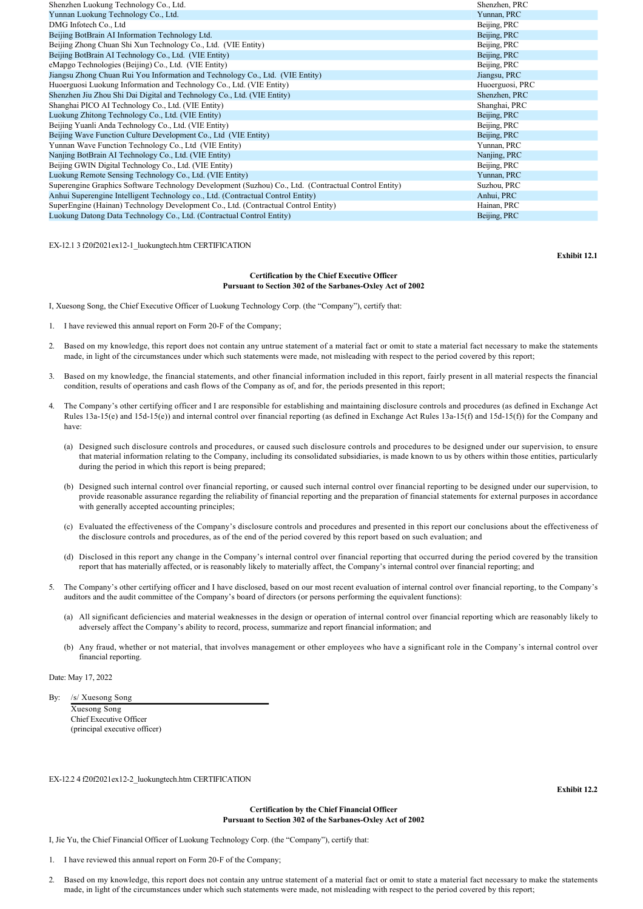| Shenzhen Luokung Technology Co., Ltd.                                                                | Shenzhen, PRC   |
|------------------------------------------------------------------------------------------------------|-----------------|
| Yunnan Luokung Technology Co., Ltd.                                                                  | Yunnan, PRC     |
| DMG Infotech Co., Ltd                                                                                | Beijing, PRC    |
| Beijing BotBrain AI Information Technology Ltd.                                                      | Beijing, PRC    |
| Beijing Zhong Chuan Shi Xun Technology Co., Ltd. (VIE Entity)                                        | Beijing, PRC    |
| Beijing BotBrain AI Technology Co., Ltd. (VIE Entity)                                                | Beijing, PRC    |
| eMapgo Technologies (Beijing) Co., Ltd. (VIE Entity)                                                 | Beijing, PRC    |
| Jiangsu Zhong Chuan Rui You Information and Technology Co., Ltd. (VIE Entity)                        | Jiangsu, PRC    |
| Huoerguosi Luokung Information and Technology Co., Ltd. (VIE Entity)                                 | Huoerguosi, PRC |
| Shenzhen Jiu Zhou Shi Dai Digital and Technology Co., Ltd. (VIE Entity)                              | Shenzhen, PRC   |
| Shanghai PICO AI Technology Co., Ltd. (VIE Entity)                                                   | Shanghai, PRC   |
| Luokung Zhitong Technology Co., Ltd. (VIE Entity)                                                    | Beijing, PRC    |
| Beijing Yuanli Anda Technology Co., Ltd. (VIE Entity)                                                | Beijing, PRC    |
| Beijing Wave Function Culture Development Co., Ltd (VIE Entity)                                      | Beijing, PRC    |
| Yunnan Wave Function Technology Co., Ltd (VIE Entity)                                                | Yunnan, PRC     |
| Nanjing BotBrain AI Technology Co., Ltd. (VIE Entity)                                                | Nanjing, PRC    |
| Beijing GWIN Digital Technology Co., Ltd. (VIE Entity)                                               | Beijing, PRC    |
| Luokung Remote Sensing Technology Co., Ltd. (VIE Entity)                                             | Yunnan, PRC     |
| Superengine Graphics Software Technology Development (Suzhou) Co., Ltd. (Contractual Control Entity) | Suzhou, PRC     |
| Anhui Superengine Intelligent Technology co., Ltd. (Contractual Control Entity)                      | Anhui, PRC      |
| SuperEngine (Hainan) Technology Development Co., Ltd. (Contractual Control Entity)                   | Hainan, PRC     |
| Luokung Datong Data Technology Co., Ltd. (Contractual Control Entity)                                | Beijing, PRC    |

EX-12.1 3 f20f2021ex12-1\_luokungtech.htm CERTIFICATION

**Exhibit 12.1**

### **Certification by the Chief Executive Officer** Pursuant to Section 302 of the Sarbanes-Oxley Act of 2002

I, Xuesong Song, the Chief Executive Officer of Luokung Technology Corp. (the "Company"), certify that:

- 1. I have reviewed this annual report on Form 20-F of the Company;
- 2. Based on my knowledge, this report does not contain any untrue statement of a material fact or omit to state a material fact necessary to make the statements made, in light of the circumstances under which such statements were made, not misleading with respect to the period covered by this report;
- 3. Based on my knowledge, the financial statements, and other financial information included in this report, fairly present in all material respects the financial condition, results of operations and cash flows of the Company as of, and for, the periods presented in this report;
- 4. The Company's other certifying officer and I are responsible for establishing and maintaining disclosure controls and procedures (as defined in Exchange Act Rules 13a-15(e) and 15d-15(e)) and internal control over financial reporting (as defined in Exchange Act Rules 13a-15(f) and 15d-15(f)) for the Company and have:
	- (a) Designed such disclosure controls and procedures, or caused such disclosure controls and procedures to be designed under our supervision, to ensure that material information relating to the Company, including its consolidated subsidiaries, is made known to us by others within those entities, particularly during the period in which this report is being prepared;
	- (b) Designed such internal control over financial reporting, or caused such internal control over financial reporting to be designed under our supervision, to provide reasonable assurance regarding the reliability of financial reporting and the preparation of financial statements for external purposes in accordance with generally accepted accounting principles:
	- (c) Evaluated the effectiveness of the Company's disclosure controls and procedures and presented in this report our conclusions about the effectiveness of the disclosure controls and procedures, as of the end of the period covered by this report based on such evaluation; and
	- (d) Disclosed in this report any change in the Company's internal control over financial reporting that occurred during the period covered by the transition report that has materially affected, or is reasonably likely to materially affect, the Company's internal control over financial reporting; and
- 5. The Company's other certifying officer and I have disclosed, based on our most recent evaluation of internal control over financial reporting, to the Company's auditors and the audit committee of the Company's board of directors (or persons performing the equivalent functions):
	- (a) All significant deficiencies and material weaknesses in the design or operation of internal control over financial reporting which are reasonably likely to adversely affect the Company's ability to record, process, summarize and report financial information; and
	- (b) Any fraud, whether or not material, that involves management or other employees who have a significant role in the Company's internal control over financial reporting.

Date: May 17, 2022

By: /s/ Xuesong Song

Xuesong Song Chief Executive Officer (principal executive officer)

EX12.2 4 f20f2021ex122\_luokungtech.htm CERTIFICATION

**Exhibit 12.2**

## **Certification by the Chief Financial Officer** Pursuant to Section 302 of the Sarbanes-Oxley Act of 2002

I, Jie Yu, the Chief Financial Officer of Luokung Technology Corp. (the "Company"), certify that:

I have reviewed this annual report on Form 20-F of the Company;

2. Based on my knowledge, this report does not contain any untrue statement of a material fact or omit to state a material fact necessary to make the statements made, in light of the circumstances under which such statements were made, not misleading with respect to the period covered by this report;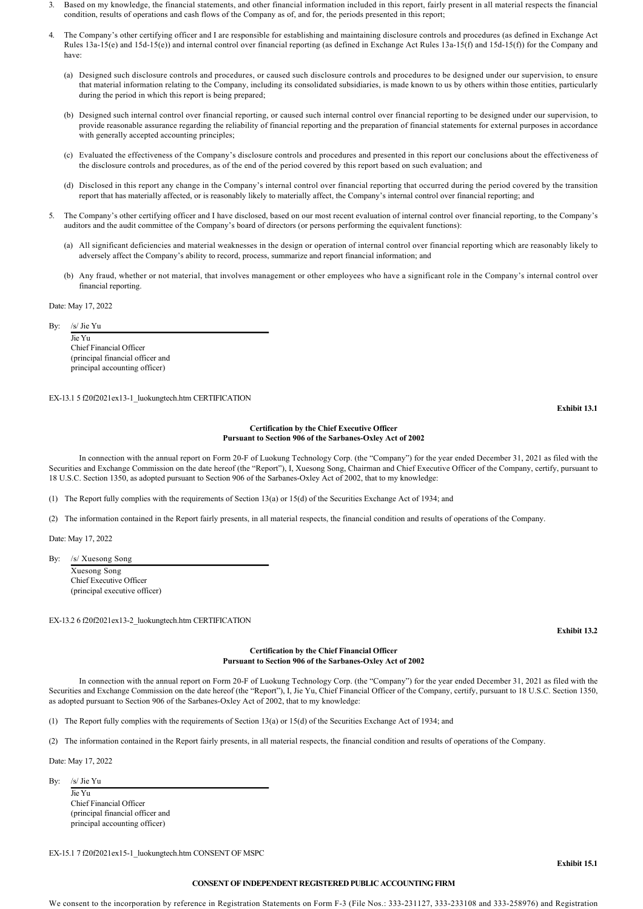- 3. Based on my knowledge, the financial statements, and other financial information included in this report, fairly present in all material respects the financial condition, results of operations and cash flows of the Company as of, and for, the periods presented in this report;
- 4. The Company's other certifying officer and I are responsible for establishing and maintaining disclosure controls and procedures (as defined in Exchange Act Rules  $13a-15(e)$  and  $15d-15(e)$ ) and internal control over financial reporting (as defined in Exchange Act Rules  $13a-15(f)$  and  $15d-15(f)$ ) for the Company and have:
	- (a) Designed such disclosure controls and procedures, or caused such disclosure controls and procedures to be designed under our supervision, to ensure that material information relating to the Company, including its consolidated subsidiaries, is made known to us by others within those entities, particularly during the period in which this report is being prepared;
	- (b) Designed such internal control over financial reporting, or caused such internal control over financial reporting to be designed under our supervision, to provide reasonable assurance regarding the reliability of financial reporting and the preparation of financial statements for external purposes in accordance with generally accepted accounting principles;
	- (c) Evaluated the effectiveness of the Company's disclosure controls and procedures and presented in this report our conclusions about the effectiveness of the disclosure controls and procedures, as of the end of the period covered by this report based on such evaluation; and
	- (d) Disclosed in this report any change in the Company's internal control over financial reporting that occurred during the period covered by the transition report that has materially affected, or is reasonably likely to materially affect, the Company's internal control over financial reporting; and
- 5. The Company's other certifying officer and I have disclosed, based on our most recent evaluation of internal control over financial reporting, to the Company's auditors and the audit committee of the Company's board of directors (or persons performing the equivalent functions):
	- (a) All significant deficiencies and material weaknesses in the design or operation of internal control over financial reporting which are reasonably likely to adversely affect the Company's ability to record, process, summarize and report financial information; and
	- (b) Any fraud, whether or not material, that involves management or other employees who have a significant role in the Company's internal control over financial reporting.

Date: May 17, 2022

By: /s/ Jie Yu

Jie Yu Chief Financial Officer (principal financial officer and principal accounting officer)

EX-13.1 5 f20f2021ex13-1\_luokungtech.htm CERTIFICATION

**Exhibit 13.1**

## **Certification by the Chief Executive Officer** Pursuant to Section 906 of the Sarbanes-Oxley Act of 2002

In connection with the annual report on Form 20F of Luokung Technology Corp. (the "Company") for the year ended December 31, 2021 as filed with the Securities and Exchange Commission on the date hereof (the "Report"), I, Xuesong Song, Chairman and Chief Executive Officer of the Company, certify, pursuant to 18 U.S.C. Section 1350, as adopted pursuant to Section 906 of the Sarbanes-Oxley Act of 2002, that to my knowledge:

(1) The Report fully complies with the requirements of Section 13(a) or 15(d) of the Securities Exchange Act of 1934; and

(2) The information contained in the Report fairly presents, in all material respects, the financial condition and results of operations of the Company.

Date: May 17, 2022

By: /s/ Xuesong Song Xuesong Song Chief Executive Officer (principal executive officer)

EX-13.2 6 f20f2021ex13-2\_luokungtech.htm CERTIFICATION

**Exhibit 13.2**

## **Certification by the Chief Financial Officer** Pursuant to Section 906 of the Sarbanes-Oxley Act of 2002

In connection with the annual report on Form 20F of Luokung Technology Corp. (the "Company") for the year ended December 31, 2021 as filed with the Securities and Exchange Commission on the date hereof (the "Report"), I, Jie Yu, Chief Financial Officer of the Company, certify, pursuant to 18 U.S.C. Section 1350, as adopted pursuant to Section 906 of the Sarbanes-Oxley Act of 2002, that to my knowledge:

(1) The Report fully complies with the requirements of Section 13(a) or 15(d) of the Securities Exchange Act of 1934; and

(2) The information contained in the Report fairly presents, in all material respects, the financial condition and results of operations of the Company.

Date: May 17, 2022

By: /s/ Jie Yu

Jie Yu Chief Financial Officer (principal financial officer and principal accounting officer)

EX15.1 7 f20f2021ex151\_luokungtech.htm CONSENT OF MSPC

**Exhibit 15.1**

## **CONSENT OF INDEPENDENT REGISTERED PUBLIC ACCOUNTING FIRM**

We consent to the incorporation by reference in Registration Statements on Form F-3 (File Nos.: 333-231127, 333-233108 and 333-258976) and Registration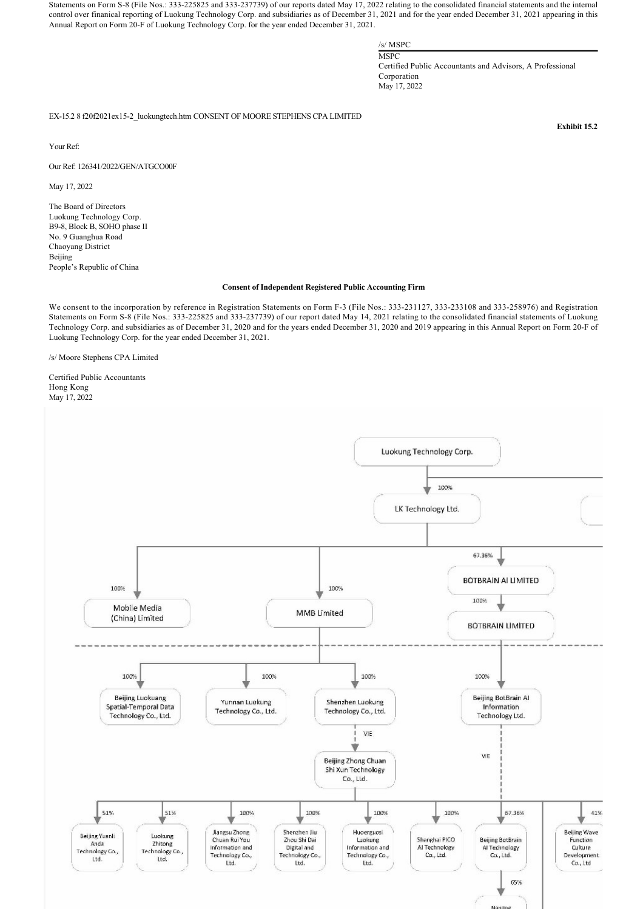Statements on Form S8 (File Nos.: 333225825 and 333237739) of our reports dated May 17, 2022 relating to the consolidated financial statements and the internal control over finanical reporting of Luokung Technology Corp. and subsidiaries as of December 31, 2021 and for the year ended December 31, 2021 appearing in this Annual Report on Form 20F of Luokung Technology Corp. for the year ended December 31, 2021.

/s/ MSPC

MSPC Certified Public Accountants and Advisors, A Professional Corporation May 17, 2022

# EX-15.2 8 f20f2021ex15-2 luokungtech.htm CONSENT OF MOORE STEPHENS CPA LIMITED

Your Ref:

Our Ref: 126341/2022/GEN/ATGCO00F

May 17, 2022

The Board of Directors Luokung Technology Corp. B9-8, Block B, SOHO phase II No. 9 Guanghua Road Chaoyang District Beijing People's Republic of China

## **Consent of Independent Registered Public Accounting Firm**

We consent to the incorporation by reference in Registration Statements on Form F-3 (File Nos.: 333-231127, 333-233108 and 333-258976) and Registration Statements on Form S-8 (File Nos.: 333-225825 and 333-237739) of our report dated May 14, 2021 relating to the consolidated financial statements of Luokung Technology Corp. and subsidiaries as of December 31, 2020 and for the years ended December 31, 2020 and 2019 appearing in this Annual Report on Form 20F of Luokung Technology Corp. for the year ended December 31, 2021.

/s/ Moore Stephens CPA Limited

Certified Public Accountants Hong Kong May 17, 2022



**Exhibit 15.2**